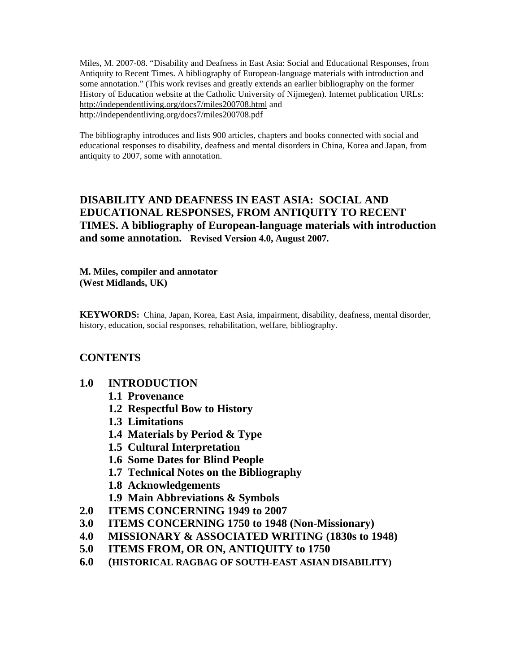Miles, M. 2007-08. "Disability and Deafness in East Asia: Social and Educational Responses, from Antiquity to Recent Times. A bibliography of European-language materials with introduction and some annotation." (This work revises and greatly extends an earlier bibliography on the former History of Education website at the Catholic University of Nijmegen). Internet publication URLs: http://independentliving.org/docs7/miles200708.html and http://independentliving.org/docs7/miles200708.pdf

The bibliography introduces and lists 900 articles, chapters and books connected with social and educational responses to disability, deafness and mental disorders in China, Korea and Japan, from antiquity to 2007, some with annotation.

# **DISABILITY AND DEAFNESS IN EAST ASIA: SOCIAL AND EDUCATIONAL RESPONSES, FROM ANTIQUITY TO RECENT TIMES. A bibliography of European-language materials with introduction and some annotation. Revised Version 4.0, August 2007.**

**M. Miles, compiler and annotator (West Midlands, UK)**

**KEYWORDS:** China, Japan, Korea, East Asia, impairment, disability, deafness, mental disorder, history, education, social responses, rehabilitation, welfare, bibliography.

# **CONTENTS**

- **1.0 INTRODUCTION** 
	- **1.1 Provenance**
	- **1.2 Respectful Bow to History**
	- **1.3 Limitations**
	- **1.4 Materials by Period & Type**
	- **1.5 Cultural Interpretation**
	- **1.6 Some Dates for Blind People**
	- **1.7 Technical Notes on the Bibliography**
	- **1.8 Acknowledgements**
	- **1.9 Main Abbreviations & Symbols**
- **2.0 ITEMS CONCERNING 1949 to 2007**
- **3.0 ITEMS CONCERNING 1750 to 1948 (Non-Missionary)**
- **4.0 MISSIONARY & ASSOCIATED WRITING (1830s to 1948)**
- **5.0 ITEMS FROM, OR ON, ANTIQUITY to 1750**
- **6.0 (HISTORICAL RAGBAG OF SOUTH-EAST ASIAN DISABILITY)**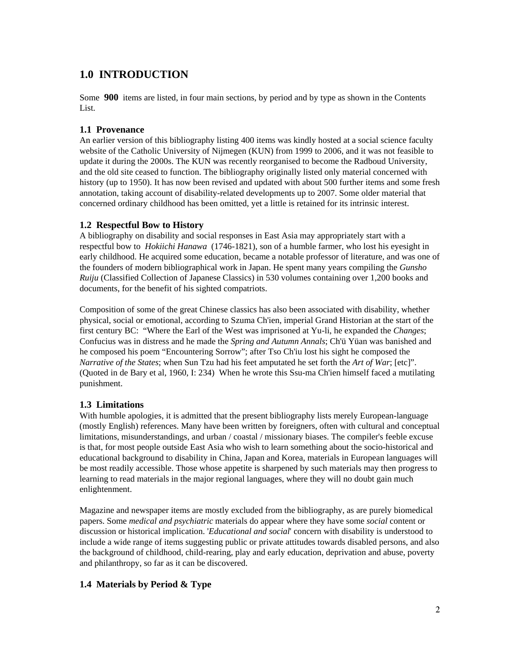# **1.0 INTRODUCTION**

Some **900** items are listed, in four main sections, by period and by type as shown in the Contents List.

## **1.1 Provenance**

An earlier version of this bibliography listing 400 items was kindly hosted at a social science faculty website of the Catholic University of Nijmegen (KUN) from 1999 to 2006, and it was not feasible to update it during the 2000s. The KUN was recently reorganised to become the Radboud University, and the old site ceased to function. The bibliography originally listed only material concerned with history (up to 1950). It has now been revised and updated with about 500 further items and some fresh annotation, taking account of disability-related developments up to 2007. Some older material that concerned ordinary childhood has been omitted, yet a little is retained for its intrinsic interest.

## **1.2 Respectful Bow to History**

A bibliography on disability and social responses in East Asia may appropriately start with a respectful bow to *Hokiichi Hanawa* (1746-1821), son of a humble farmer, who lost his eyesight in early childhood. He acquired some education, became a notable professor of literature, and was one of the founders of modern bibliographical work in Japan. He spent many years compiling the *Gunsho Ruiju* (Classified Collection of Japanese Classics) in 530 volumes containing over 1,200 books and documents, for the benefit of his sighted compatriots.

Composition of some of the great Chinese classics has also been associated with disability, whether physical, social or emotional, according to Szuma Ch'ien, imperial Grand Historian at the start of the first century BC: "Where the Earl of the West was imprisoned at Yu-li, he expanded the *Changes*; Confucius was in distress and he made the *Spring and Autumn Annals*; Ch'ü Yüan was banished and he composed his poem "Encountering Sorrow"; after Tso Ch'iu lost his sight he composed the *Narrative of the States*; when Sun Tzu had his feet amputated he set forth the *Art of War*; [etc]". (Quoted in de Bary et al, 1960, I: 234) When he wrote this Ssu-ma Ch'ien himself faced a mutilating punishment.

# **1.3 Limitations**

With humble apologies, it is admitted that the present bibliography lists merely European-language (mostly English) references. Many have been written by foreigners, often with cultural and conceptual limitations, misunderstandings, and urban / coastal / missionary biases. The compiler's feeble excuse is that, for most people outside East Asia who wish to learn something about the socio-historical and educational background to disability in China, Japan and Korea, materials in European languages will be most readily accessible. Those whose appetite is sharpened by such materials may then progress to learning to read materials in the major regional languages, where they will no doubt gain much enlightenment.

Magazine and newspaper items are mostly excluded from the bibliography, as are purely biomedical papers. Some *medical and psychiatric* materials do appear where they have some *social* content or discussion or historical implication. '*Educational and social*' concern with disability is understood to include a wide range of items suggesting public or private attitudes towards disabled persons, and also the background of childhood, child-rearing, play and early education, deprivation and abuse, poverty and philanthropy, so far as it can be discovered.

# **1.4 Materials by Period & Type**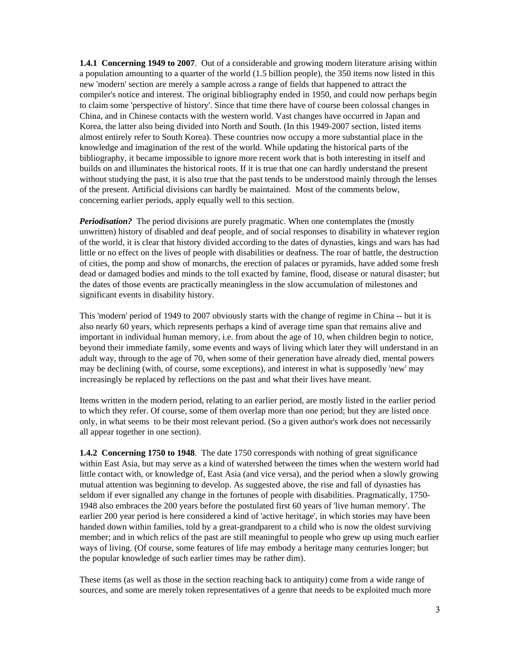**1.4.1 Concerning 1949 to 2007**. Out of a considerable and growing modern literature arising within a population amounting to a quarter of the world (1.5 billion people), the 350 items now listed in this new 'modern' section are merely a sample across a range of fields that happened to attract the compiler's notice and interest. The original bibliography ended in 1950, and could now perhaps begin to claim some 'perspective of history'. Since that time there have of course been colossal changes in China, and in Chinese contacts with the western world. Vast changes have occurred in Japan and Korea, the latter also being divided into North and South. (In this 1949-2007 section, listed items almost entirely refer to South Korea). These countries now occupy a more substantial place in the knowledge and imagination of the rest of the world. While updating the historical parts of the bibliography, it became impossible to ignore more recent work that is both interesting in itself and builds on and illuminates the historical roots. If it is true that one can hardly understand the present without studying the past, it is also true that the past tends to be understood mainly through the lenses of the present. Artificial divisions can hardly be maintained. Most of the comments below, concerning earlier periods, apply equally well to this section.

*Periodisation?* The period divisions are purely pragmatic. When one contemplates the (mostly unwritten) history of disabled and deaf people, and of social responses to disability in whatever region of the world, it is clear that history divided according to the dates of dynasties, kings and wars has had little or no effect on the lives of people with disabilities or deafness. The roar of battle, the destruction of cities, the pomp and show of monarchs, the erection of palaces or pyramids, have added some fresh dead or damaged bodies and minds to the toll exacted by famine, flood, disease or natural disaster; but the dates of those events are practically meaningless in the slow accumulation of milestones and significant events in disability history.

This 'modern' period of 1949 to 2007 obviously starts with the change of regime in China -- but it is also nearly 60 years, which represents perhaps a kind of average time span that remains alive and important in individual human memory, i.e. from about the age of 10, when children begin to notice, beyond their immediate family, some events and ways of living which later they will understand in an adult way, through to the age of 70, when some of their generation have already died, mental powers may be declining (with, of course, some exceptions), and interest in what is supposedly 'new' may increasingly be replaced by reflections on the past and what their lives have meant.

Items written in the modern period, relating to an earlier period, are mostly listed in the earlier period to which they refer. Of course, some of them overlap more than one period; but they are listed once only, in what seems to be their most relevant period. (So a given author's work does not necessarily all appear together in one section).

**1.4.2 Concerning 1750 to 1948**. The date 1750 corresponds with nothing of great significance within East Asia, but may serve as a kind of watershed between the times when the western world had little contact with, or knowledge of, East Asia (and vice versa), and the period when a slowly growing mutual attention was beginning to develop. As suggested above, the rise and fall of dynasties has seldom if ever signalled any change in the fortunes of people with disabilities. Pragmatically, 1750- 1948 also embraces the 200 years before the postulated first 60 years of 'live human memory'. The earlier 200 year period is here considered a kind of 'active heritage', in which stories may have been handed down within families, told by a great-grandparent to a child who is now the oldest surviving member; and in which relics of the past are still meaningful to people who grew up using much earlier ways of living. (Of course, some features of life may embody a heritage many centuries longer; but the popular knowledge of such earlier times may be rather dim).

These items (as well as those in the section reaching back to antiquity) come from a wide range of sources, and some are merely token representatives of a genre that needs to be exploited much more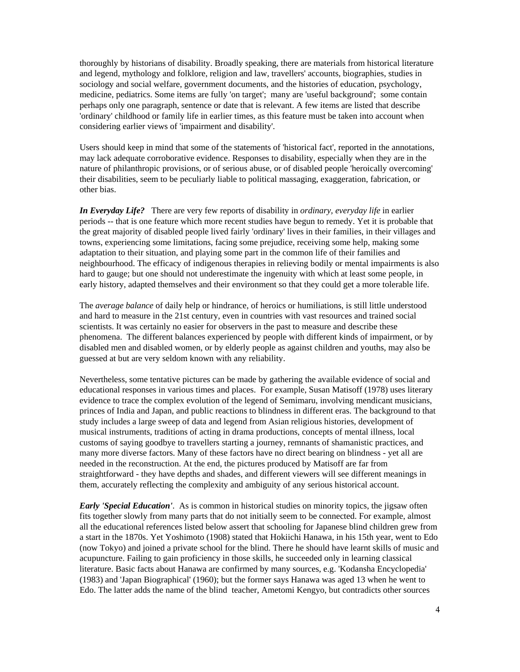thoroughly by historians of disability. Broadly speaking, there are materials from historical literature and legend, mythology and folklore, religion and law, travellers' accounts, biographies, studies in sociology and social welfare, government documents, and the histories of education, psychology, medicine, pediatrics. Some items are fully 'on target'; many are 'useful background'; some contain perhaps only one paragraph, sentence or date that is relevant. A few items are listed that describe 'ordinary' childhood or family life in earlier times, as this feature must be taken into account when considering earlier views of 'impairment and disability'.

Users should keep in mind that some of the statements of 'historical fact', reported in the annotations, may lack adequate corroborative evidence. Responses to disability, especially when they are in the nature of philanthropic provisions, or of serious abuse, or of disabled people 'heroically overcoming' their disabilities, seem to be peculiarly liable to political massaging, exaggeration, fabrication, or other bias.

*In Everyday Life?* There are very few reports of disability in *ordinary, everyday life* in earlier periods -- that is one feature which more recent studies have begun to remedy. Yet it is probable that the great majority of disabled people lived fairly 'ordinary' lives in their families, in their villages and towns, experiencing some limitations, facing some prejudice, receiving some help, making some adaptation to their situation, and playing some part in the common life of their families and neighbourhood. The efficacy of indigenous therapies in relieving bodily or mental impairments is also hard to gauge; but one should not underestimate the ingenuity with which at least some people, in early history, adapted themselves and their environment so that they could get a more tolerable life.

The *average balance* of daily help or hindrance, of heroics or humiliations, is still little understood and hard to measure in the 21st century, even in countries with vast resources and trained social scientists. It was certainly no easier for observers in the past to measure and describe these phenomena. The different balances experienced by people with different kinds of impairment, or by disabled men and disabled women, or by elderly people as against children and youths, may also be guessed at but are very seldom known with any reliability.

Nevertheless, some tentative pictures can be made by gathering the available evidence of social and educational responses in various times and places. For example, Susan Matisoff (1978) uses literary evidence to trace the complex evolution of the legend of Semimaru, involving mendicant musicians, princes of India and Japan, and public reactions to blindness in different eras. The background to that study includes a large sweep of data and legend from Asian religious histories, development of musical instruments, traditions of acting in drama productions, concepts of mental illness, local customs of saying goodbye to travellers starting a journey, remnants of shamanistic practices, and many more diverse factors. Many of these factors have no direct bearing on blindness - yet all are needed in the reconstruction. At the end, the pictures produced by Matisoff are far from straightforward - they have depths and shades, and different viewers will see different meanings in them, accurately reflecting the complexity and ambiguity of any serious historical account.

*Early 'Special Education'*. As is common in historical studies on minority topics, the jigsaw often fits together slowly from many parts that do not initially seem to be connected. For example, almost all the educational references listed below assert that schooling for Japanese blind children grew from a start in the 1870s. Yet Yoshimoto (1908) stated that Hokiichi Hanawa, in his 15th year, went to Edo (now Tokyo) and joined a private school for the blind. There he should have learnt skills of music and acupuncture. Failing to gain proficiency in those skills, he succeeded only in learning classical literature. Basic facts about Hanawa are confirmed by many sources, e.g. 'Kodansha Encyclopedia' (1983) and 'Japan Biographical' (1960); but the former says Hanawa was aged 13 when he went to Edo. The latter adds the name of the blind teacher, Ametomi Kengyo, but contradicts other sources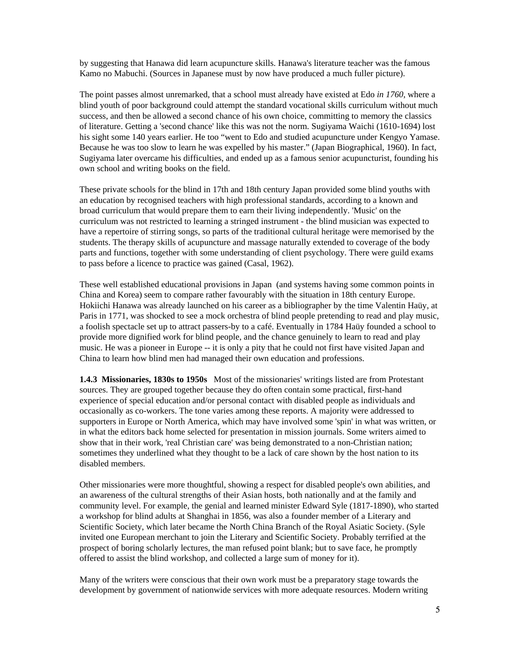by suggesting that Hanawa did learn acupuncture skills. Hanawa's literature teacher was the famous Kamo no Mabuchi. (Sources in Japanese must by now have produced a much fuller picture).

The point passes almost unremarked, that a school must already have existed at Edo *in 1760*, where a blind youth of poor background could attempt the standard vocational skills curriculum without much success, and then be allowed a second chance of his own choice, committing to memory the classics of literature. Getting a 'second chance' like this was not the norm. Sugiyama Waichi (1610-1694) lost his sight some 140 years earlier. He too "went to Edo and studied acupuncture under Kengyo Yamase. Because he was too slow to learn he was expelled by his master." (Japan Biographical, 1960). In fact, Sugiyama later overcame his difficulties, and ended up as a famous senior acupuncturist, founding his own school and writing books on the field.

These private schools for the blind in 17th and 18th century Japan provided some blind youths with an education by recognised teachers with high professional standards, according to a known and broad curriculum that would prepare them to earn their living independently. 'Music' on the curriculum was not restricted to learning a stringed instrument - the blind musician was expected to have a repertoire of stirring songs, so parts of the traditional cultural heritage were memorised by the students. The therapy skills of acupuncture and massage naturally extended to coverage of the body parts and functions, together with some understanding of client psychology. There were guild exams to pass before a licence to practice was gained (Casal, 1962).

These well established educational provisions in Japan (and systems having some common points in China and Korea) seem to compare rather favourably with the situation in 18th century Europe. Hokiichi Hanawa was already launched on his career as a bibliographer by the time Valentin Haüy, at Paris in 1771, was shocked to see a mock orchestra of blind people pretending to read and play music, a foolish spectacle set up to attract passers-by to a café. Eventually in 1784 Haüy founded a school to provide more dignified work for blind people, and the chance genuinely to learn to read and play music. He was a pioneer in Europe -- it is only a pity that he could not first have visited Japan and China to learn how blind men had managed their own education and professions.

**1.4.3 Missionaries, 1830s to 1950s** Most of the missionaries' writings listed are from Protestant sources. They are grouped together because they do often contain some practical, first-hand experience of special education and/or personal contact with disabled people as individuals and occasionally as co-workers. The tone varies among these reports. A majority were addressed to supporters in Europe or North America, which may have involved some 'spin' in what was written, or in what the editors back home selected for presentation in mission journals. Some writers aimed to show that in their work, 'real Christian care' was being demonstrated to a non-Christian nation; sometimes they underlined what they thought to be a lack of care shown by the host nation to its disabled members.

Other missionaries were more thoughtful, showing a respect for disabled people's own abilities, and an awareness of the cultural strengths of their Asian hosts, both nationally and at the family and community level. For example, the genial and learned minister Edward Syle (1817-1890), who started a workshop for blind adults at Shanghai in 1856, was also a founder member of a Literary and Scientific Society, which later became the North China Branch of the Royal Asiatic Society. (Syle invited one European merchant to join the Literary and Scientific Society. Probably terrified at the prospect of boring scholarly lectures, the man refused point blank; but to save face, he promptly offered to assist the blind workshop, and collected a large sum of money for it).

Many of the writers were conscious that their own work must be a preparatory stage towards the development by government of nationwide services with more adequate resources. Modern writing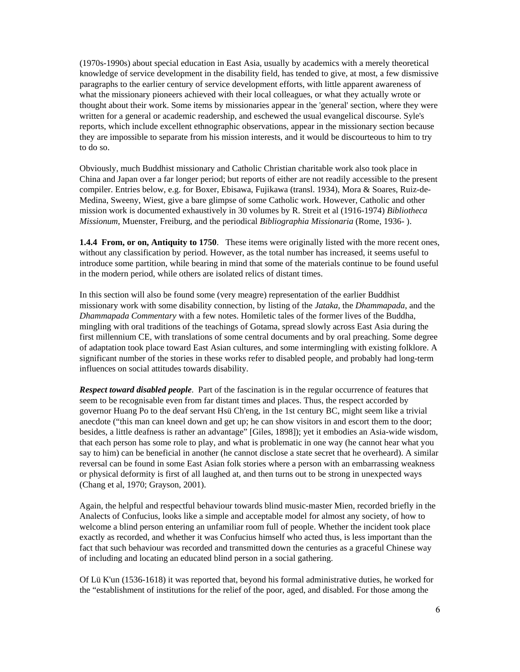(1970s-1990s) about special education in East Asia, usually by academics with a merely theoretical knowledge of service development in the disability field, has tended to give, at most, a few dismissive paragraphs to the earlier century of service development efforts, with little apparent awareness of what the missionary pioneers achieved with their local colleagues, or what they actually wrote or thought about their work. Some items by missionaries appear in the 'general' section, where they were written for a general or academic readership, and eschewed the usual evangelical discourse. Syle's reports, which include excellent ethnographic observations, appear in the missionary section because they are impossible to separate from his mission interests, and it would be discourteous to him to try to do so.

Obviously, much Buddhist missionary and Catholic Christian charitable work also took place in China and Japan over a far longer period; but reports of either are not readily accessible to the present compiler. Entries below, e.g. for Boxer, Ebisawa, Fujikawa (transl. 1934), Mora & Soares, Ruiz-de-Medina, Sweeny, Wiest, give a bare glimpse of some Catholic work. However, Catholic and other mission work is documented exhaustively in 30 volumes by R. Streit et al (1916-1974) *Bibliotheca Missionum*, Muenster, Freiburg, and the periodical *Bibliographia Missionaria* (Rome, 1936- ).

**1.4.4 From, or on, Antiquity to 1750**. These items were originally listed with the more recent ones, without any classification by period. However, as the total number has increased, it seems useful to introduce some partition, while bearing in mind that some of the materials continue to be found useful in the modern period, while others are isolated relics of distant times.

In this section will also be found some (very meagre) representation of the earlier Buddhist missionary work with some disability connection, by listing of the *Jataka*, the *Dhammapada*, and the *Dhammapada Commentary* with a few notes. Homiletic tales of the former lives of the Buddha, mingling with oral traditions of the teachings of Gotama, spread slowly across East Asia during the first millennium CE, with translations of some central documents and by oral preaching. Some degree of adaptation took place toward East Asian cultures, and some intermingling with existing folklore. A significant number of the stories in these works refer to disabled people, and probably had long-term influences on social attitudes towards disability.

*Respect toward disabled people*. Part of the fascination is in the regular occurrence of features that seem to be recognisable even from far distant times and places. Thus, the respect accorded by governor Huang Po to the deaf servant Hsü Ch'eng, in the 1st century BC, might seem like a trivial anecdote ("this man can kneel down and get up; he can show visitors in and escort them to the door; besides, a little deafness is rather an advantage" [Giles, 1898]); yet it embodies an Asia-wide wisdom, that each person has some role to play, and what is problematic in one way (he cannot hear what you say to him) can be beneficial in another (he cannot disclose a state secret that he overheard). A similar reversal can be found in some East Asian folk stories where a person with an embarrassing weakness or physical deformity is first of all laughed at, and then turns out to be strong in unexpected ways (Chang et al, 1970; Grayson, 2001).

Again, the helpful and respectful behaviour towards blind music-master Mien, recorded briefly in the Analects of Confucius, looks like a simple and acceptable model for almost any society, of how to welcome a blind person entering an unfamiliar room full of people. Whether the incident took place exactly as recorded, and whether it was Confucius himself who acted thus, is less important than the fact that such behaviour was recorded and transmitted down the centuries as a graceful Chinese way of including and locating an educated blind person in a social gathering.

Of Lü K'un (1536-1618) it was reported that, beyond his formal administrative duties, he worked for the "establishment of institutions for the relief of the poor, aged, and disabled. For those among the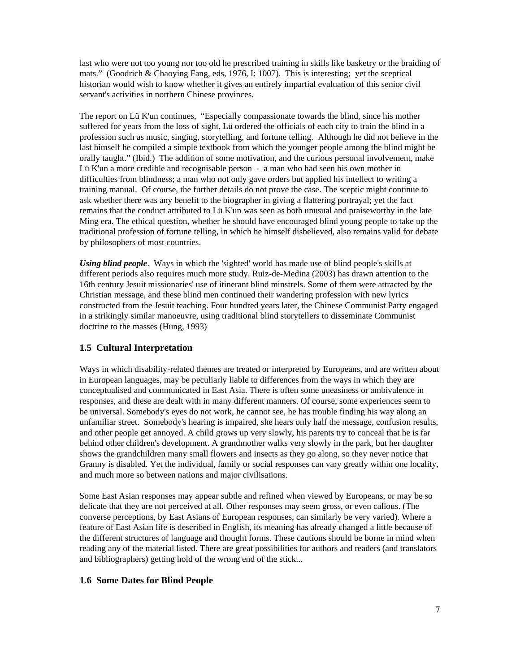last who were not too young nor too old he prescribed training in skills like basketry or the braiding of mats." (Goodrich & Chaoying Fang, eds, 1976, I: 1007). This is interesting; yet the sceptical historian would wish to know whether it gives an entirely impartial evaluation of this senior civil servant's activities in northern Chinese provinces.

The report on Lü K'un continues, "Especially compassionate towards the blind, since his mother suffered for years from the loss of sight, Lü ordered the officials of each city to train the blind in a profession such as music, singing, storytelling, and fortune telling. Although he did not believe in the last himself he compiled a simple textbook from which the younger people among the blind might be orally taught." (Ibid.) The addition of some motivation, and the curious personal involvement, make Lü K'un a more credible and recognisable person - a man who had seen his own mother in difficulties from blindness; a man who not only gave orders but applied his intellect to writing a training manual. Of course, the further details do not prove the case. The sceptic might continue to ask whether there was any benefit to the biographer in giving a flattering portrayal; yet the fact remains that the conduct attributed to Lü K'un was seen as both unusual and praiseworthy in the late Ming era. The ethical question, whether he should have encouraged blind young people to take up the traditional profession of fortune telling, in which he himself disbelieved, also remains valid for debate by philosophers of most countries.

*Using blind people*. Ways in which the 'sighted' world has made use of blind people's skills at different periods also requires much more study. Ruiz-de-Medina (2003) has drawn attention to the 16th century Jesuit missionaries' use of itinerant blind minstrels. Some of them were attracted by the Christian message, and these blind men continued their wandering profession with new lyrics constructed from the Jesuit teaching. Four hundred years later, the Chinese Communist Party engaged in a strikingly similar manoeuvre, using traditional blind storytellers to disseminate Communist doctrine to the masses (Hung, 1993)

## **1.5 Cultural Interpretation**

Ways in which disability-related themes are treated or interpreted by Europeans, and are written about in European languages, may be peculiarly liable to differences from the ways in which they are conceptualised and communicated in East Asia. There is often some uneasiness or ambivalence in responses, and these are dealt with in many different manners. Of course, some experiences seem to be universal. Somebody's eyes do not work, he cannot see, he has trouble finding his way along an unfamiliar street. Somebody's hearing is impaired, she hears only half the message, confusion results, and other people get annoyed. A child grows up very slowly, his parents try to conceal that he is far behind other children's development. A grandmother walks very slowly in the park, but her daughter shows the grandchildren many small flowers and insects as they go along, so they never notice that Granny is disabled. Yet the individual, family or social responses can vary greatly within one locality, and much more so between nations and major civilisations.

Some East Asian responses may appear subtle and refined when viewed by Europeans, or may be so delicate that they are not perceived at all. Other responses may seem gross, or even callous. (The converse perceptions, by East Asians of European responses, can similarly be very varied). Where a feature of East Asian life is described in English, its meaning has already changed a little because of the different structures of language and thought forms. These cautions should be borne in mind when reading any of the material listed. There are great possibilities for authors and readers (and translators and bibliographers) getting hold of the wrong end of the stick...

#### **1.6 Some Dates for Blind People**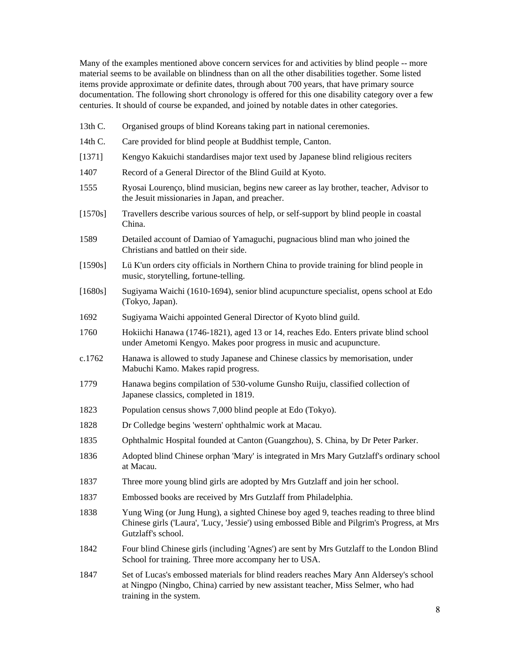Many of the examples mentioned above concern services for and activities by blind people -- more material seems to be available on blindness than on all the other disabilities together. Some listed items provide approximate or definite dates, through about 700 years, that have primary source documentation. The following short chronology is offered for this one disability category over a few centuries. It should of course be expanded, and joined by notable dates in other categories.

- 13th C. Organised groups of blind Koreans taking part in national ceremonies.
- 14th C. Care provided for blind people at Buddhist temple, Canton.
- [1371] Kengyo Kakuichi standardises major text used by Japanese blind religious reciters
- 1407 Record of a General Director of the Blind Guild at Kyoto.
- 1555 Ryosai Lourenço, blind musician, begins new career as lay brother, teacher, Advisor to the Jesuit missionaries in Japan, and preacher.
- [1570s] Travellers describe various sources of help, or self-support by blind people in coastal China.
- 1589 Detailed account of Damiao of Yamaguchi, pugnacious blind man who joined the Christians and battled on their side.
- [1590s] Lü K'un orders city officials in Northern China to provide training for blind people in music, storytelling, fortune-telling.
- [1680s] Sugiyama Waichi (1610-1694), senior blind acupuncture specialist, opens school at Edo (Tokyo, Japan).
- 1692 Sugiyama Waichi appointed General Director of Kyoto blind guild.
- 1760 Hokiichi Hanawa (1746-1821), aged 13 or 14, reaches Edo. Enters private blind school under Ametomi Kengyo. Makes poor progress in music and acupuncture.
- c.1762 Hanawa is allowed to study Japanese and Chinese classics by memorisation, under Mabuchi Kamo. Makes rapid progress.
- 1779 Hanawa begins compilation of 530-volume Gunsho Ruiju, classified collection of Japanese classics, completed in 1819.
- 1823 Population census shows 7,000 blind people at Edo (Tokyo).
- 1828 Dr Colledge begins 'western' ophthalmic work at Macau.
- 1835 Ophthalmic Hospital founded at Canton (Guangzhou), S. China, by Dr Peter Parker.
- 1836 Adopted blind Chinese orphan 'Mary' is integrated in Mrs Mary Gutzlaff's ordinary school at Macau.
- 1837 Three more young blind girls are adopted by Mrs Gutzlaff and join her school.
- 1837 Embossed books are received by Mrs Gutzlaff from Philadelphia.
- 1838 Yung Wing (or Jung Hung), a sighted Chinese boy aged 9, teaches reading to three blind Chinese girls ('Laura', 'Lucy, 'Jessie') using embossed Bible and Pilgrim's Progress, at Mrs Gutzlaff's school.
- 1842 Four blind Chinese girls (including 'Agnes') are sent by Mrs Gutzlaff to the London Blind School for training. Three more accompany her to USA.
- 1847 Set of Lucas's embossed materials for blind readers reaches Mary Ann Aldersey's school at Ningpo (Ningbo, China) carried by new assistant teacher, Miss Selmer, who had training in the system.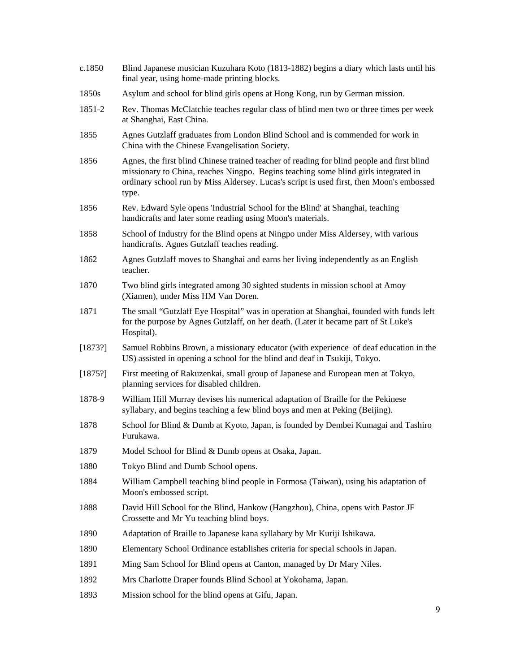| c.1850  | Blind Japanese musician Kuzuhara Koto (1813-1882) begins a diary which lasts until his<br>final year, using home-made printing blocks.                                                                                                                                                 |
|---------|----------------------------------------------------------------------------------------------------------------------------------------------------------------------------------------------------------------------------------------------------------------------------------------|
| 1850s   | Asylum and school for blind girls opens at Hong Kong, run by German mission.                                                                                                                                                                                                           |
| 1851-2  | Rev. Thomas McClatchie teaches regular class of blind men two or three times per week<br>at Shanghai, East China.                                                                                                                                                                      |
| 1855    | Agnes Gutzlaff graduates from London Blind School and is commended for work in<br>China with the Chinese Evangelisation Society.                                                                                                                                                       |
| 1856    | Agnes, the first blind Chinese trained teacher of reading for blind people and first blind<br>missionary to China, reaches Ningpo. Begins teaching some blind girls integrated in<br>ordinary school run by Miss Aldersey. Lucas's script is used first, then Moon's embossed<br>type. |
| 1856    | Rev. Edward Syle opens 'Industrial School for the Blind' at Shanghai, teaching<br>handicrafts and later some reading using Moon's materials.                                                                                                                                           |
| 1858    | School of Industry for the Blind opens at Ningpo under Miss Aldersey, with various<br>handicrafts. Agnes Gutzlaff teaches reading.                                                                                                                                                     |
| 1862    | Agnes Gutzlaff moves to Shanghai and earns her living independently as an English<br>teacher.                                                                                                                                                                                          |
| 1870    | Two blind girls integrated among 30 sighted students in mission school at Amoy<br>(Xiamen), under Miss HM Van Doren.                                                                                                                                                                   |
| 1871    | The small "Gutzlaff Eye Hospital" was in operation at Shanghai, founded with funds left<br>for the purpose by Agnes Gutzlaff, on her death. (Later it became part of St Luke's<br>Hospital).                                                                                           |
| [1873?] | Samuel Robbins Brown, a missionary educator (with experience of deaf education in the<br>US) assisted in opening a school for the blind and deaf in Tsukiji, Tokyo.                                                                                                                    |
| [1875!] | First meeting of Rakuzenkai, small group of Japanese and European men at Tokyo,<br>planning services for disabled children.                                                                                                                                                            |
| 1878-9  | William Hill Murray devises his numerical adaptation of Braille for the Pekinese<br>syllabary, and begins teaching a few blind boys and men at Peking (Beijing).                                                                                                                       |
| 1878    | School for Blind & Dumb at Kyoto, Japan, is founded by Dembei Kumagai and Tashiro<br>Furukawa.                                                                                                                                                                                         |
| 1879    | Model School for Blind & Dumb opens at Osaka, Japan.                                                                                                                                                                                                                                   |
| 1880    | Tokyo Blind and Dumb School opens.                                                                                                                                                                                                                                                     |
| 1884    | William Campbell teaching blind people in Formosa (Taiwan), using his adaptation of<br>Moon's embossed script.                                                                                                                                                                         |
| 1888    | David Hill School for the Blind, Hankow (Hangzhou), China, opens with Pastor JF<br>Crossette and Mr Yu teaching blind boys.                                                                                                                                                            |
| 1890    | Adaptation of Braille to Japanese kana syllabary by Mr Kuriji Ishikawa.                                                                                                                                                                                                                |
| 1890    | Elementary School Ordinance establishes criteria for special schools in Japan.                                                                                                                                                                                                         |
| 1891    | Ming Sam School for Blind opens at Canton, managed by Dr Mary Niles.                                                                                                                                                                                                                   |
| 1892    | Mrs Charlotte Draper founds Blind School at Yokohama, Japan.                                                                                                                                                                                                                           |
| 1893    | Mission school for the blind opens at Gifu, Japan.                                                                                                                                                                                                                                     |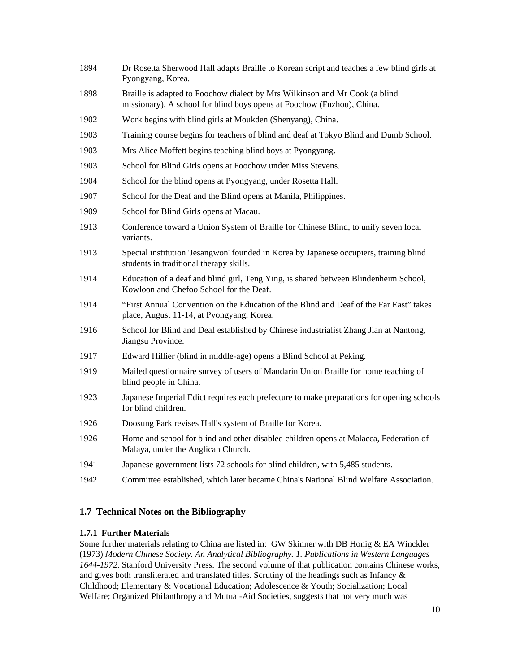| 1894 | Dr Rosetta Sherwood Hall adapts Braille to Korean script and teaches a few blind girls at<br>Pyongyang, Korea.                                        |
|------|-------------------------------------------------------------------------------------------------------------------------------------------------------|
| 1898 | Braille is adapted to Foochow dialect by Mrs Wilkinson and Mr Cook (a blind<br>missionary). A school for blind boys opens at Foochow (Fuzhou), China. |
| 1902 | Work begins with blind girls at Moukden (Shenyang), China.                                                                                            |
| 1903 | Training course begins for teachers of blind and deaf at Tokyo Blind and Dumb School.                                                                 |
| 1903 | Mrs Alice Moffett begins teaching blind boys at Pyongyang.                                                                                            |
| 1903 | School for Blind Girls opens at Foochow under Miss Stevens.                                                                                           |
| 1904 | School for the blind opens at Pyongyang, under Rosetta Hall.                                                                                          |
| 1907 | School for the Deaf and the Blind opens at Manila, Philippines.                                                                                       |
| 1909 | School for Blind Girls opens at Macau.                                                                                                                |
| 1913 | Conference toward a Union System of Braille for Chinese Blind, to unify seven local<br>variants.                                                      |
| 1913 | Special institution 'Jesangwon' founded in Korea by Japanese occupiers, training blind<br>students in traditional therapy skills.                     |
| 1914 | Education of a deaf and blind girl, Teng Ying, is shared between Blindenheim School,<br>Kowloon and Chefoo School for the Deaf.                       |
| 1914 | "First Annual Convention on the Education of the Blind and Deaf of the Far East" takes<br>place, August 11-14, at Pyongyang, Korea.                   |
| 1916 | School for Blind and Deaf established by Chinese industrialist Zhang Jian at Nantong,<br>Jiangsu Province.                                            |
| 1917 | Edward Hillier (blind in middle-age) opens a Blind School at Peking.                                                                                  |
| 1919 | Mailed questionnaire survey of users of Mandarin Union Braille for home teaching of<br>blind people in China.                                         |
| 1923 | Japanese Imperial Edict requires each prefecture to make preparations for opening schools<br>for blind children.                                      |
| 1926 | Doosung Park revises Hall's system of Braille for Korea.                                                                                              |
| 1926 | Home and school for blind and other disabled children opens at Malacca, Federation of<br>Malaya, under the Anglican Church.                           |
| 1941 | Japanese government lists 72 schools for blind children, with 5,485 students.                                                                         |
| 1942 | Committee established, which later became China's National Blind Welfare Association.                                                                 |

# **1.7 Technical Notes on the Bibliography**

## **1.7.1 Further Materials**

Some further materials relating to China are listed in: GW Skinner with DB Honig & EA Winckler (1973) *Modern Chinese Society. An Analytical Bibliography. 1. Publications in Western Languages 1644-1972*. Stanford University Press. The second volume of that publication contains Chinese works, and gives both transliterated and translated titles. Scrutiny of the headings such as Infancy & Childhood; Elementary & Vocational Education; Adolescence & Youth; Socialization; Local Welfare; Organized Philanthropy and Mutual-Aid Societies, suggests that not very much was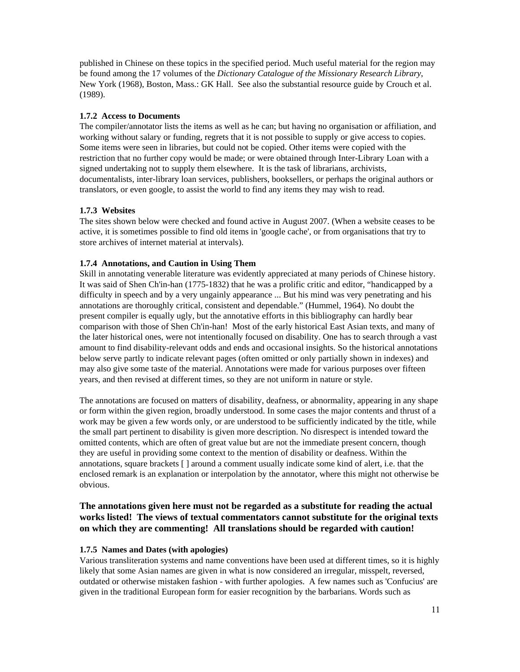published in Chinese on these topics in the specified period. Much useful material for the region may be found among the 17 volumes of the *Dictionary Catalogue of the Missionary Research Library*, New York (1968), Boston, Mass.: GK Hall. See also the substantial resource guide by Crouch et al. (1989).

#### **1.7.2 Access to Documents**

The compiler/annotator lists the items as well as he can; but having no organisation or affiliation, and working without salary or funding, regrets that it is not possible to supply or give access to copies. Some items were seen in libraries, but could not be copied. Other items were copied with the restriction that no further copy would be made; or were obtained through Inter-Library Loan with a signed undertaking not to supply them elsewhere. It is the task of librarians, archivists, documentalists, inter-library loan services, publishers, booksellers, or perhaps the original authors or translators, or even google, to assist the world to find any items they may wish to read.

### **1.7.3 Websites**

The sites shown below were checked and found active in August 2007. (When a website ceases to be active, it is sometimes possible to find old items in 'google cache', or from organisations that try to store archives of internet material at intervals).

### **1.7.4 Annotations, and Caution in Using Them**

Skill in annotating venerable literature was evidently appreciated at many periods of Chinese history. It was said of Shen Ch'in-han (1775-1832) that he was a prolific critic and editor, "handicapped by a difficulty in speech and by a very ungainly appearance ... But his mind was very penetrating and his annotations are thoroughly critical, consistent and dependable." (Hummel, 1964). No doubt the present compiler is equally ugly, but the annotative efforts in this bibliography can hardly bear comparison with those of Shen Ch'in-han! Most of the early historical East Asian texts, and many of the later historical ones, were not intentionally focused on disability. One has to search through a vast amount to find disability-relevant odds and ends and occasional insights. So the historical annotations below serve partly to indicate relevant pages (often omitted or only partially shown in indexes) and may also give some taste of the material. Annotations were made for various purposes over fifteen years, and then revised at different times, so they are not uniform in nature or style.

The annotations are focused on matters of disability, deafness, or abnormality, appearing in any shape or form within the given region, broadly understood. In some cases the major contents and thrust of a work may be given a few words only, or are understood to be sufficiently indicated by the title, while the small part pertinent to disability is given more description. No disrespect is intended toward the omitted contents, which are often of great value but are not the immediate present concern, though they are useful in providing some context to the mention of disability or deafness. Within the annotations, square brackets [ ] around a comment usually indicate some kind of alert, i.e. that the enclosed remark is an explanation or interpolation by the annotator, where this might not otherwise be obvious.

## **The annotations given here must not be regarded as a substitute for reading the actual works listed! The views of textual commentators cannot substitute for the original texts on which they are commenting! All translations should be regarded with caution!**

#### **1.7.5 Names and Dates (with apologies)**

Various transliteration systems and name conventions have been used at different times, so it is highly likely that some Asian names are given in what is now considered an irregular, misspelt, reversed, outdated or otherwise mistaken fashion - with further apologies. A few names such as 'Confucius' are given in the traditional European form for easier recognition by the barbarians. Words such as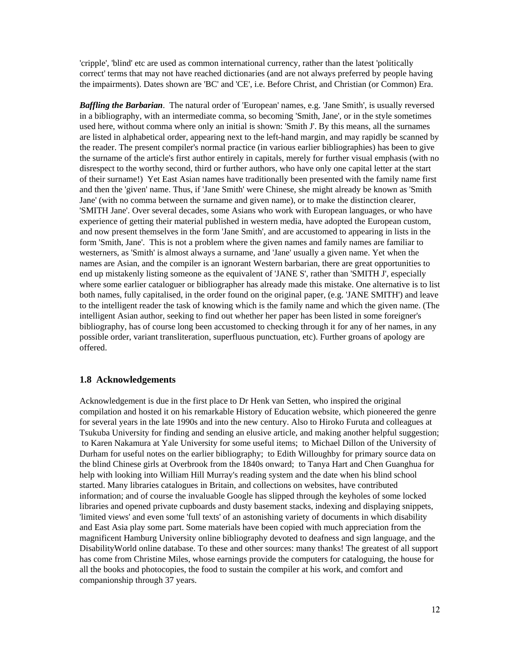'cripple', 'blind' etc are used as common international currency, rather than the latest 'politically correct' terms that may not have reached dictionaries (and are not always preferred by people having the impairments). Dates shown are 'BC' and 'CE', i.e. Before Christ, and Christian (or Common) Era.

*Baffling the Barbarian*. The natural order of 'European' names, e.g. 'Jane Smith', is usually reversed in a bibliography, with an intermediate comma, so becoming 'Smith, Jane', or in the style sometimes used here, without comma where only an initial is shown: 'Smith J'. By this means, all the surnames are listed in alphabetical order, appearing next to the left-hand margin, and may rapidly be scanned by the reader. The present compiler's normal practice (in various earlier bibliographies) has been to give the surname of the article's first author entirely in capitals, merely for further visual emphasis (with no disrespect to the worthy second, third or further authors, who have only one capital letter at the start of their surname!) Yet East Asian names have traditionally been presented with the family name first and then the 'given' name. Thus, if 'Jane Smith' were Chinese, she might already be known as 'Smith Jane' (with no comma between the surname and given name), or to make the distinction clearer, 'SMITH Jane'. Over several decades, some Asians who work with European languages, or who have experience of getting their material published in western media, have adopted the European custom, and now present themselves in the form 'Jane Smith', and are accustomed to appearing in lists in the form 'Smith, Jane'. This is not a problem where the given names and family names are familiar to westerners, as 'Smith' is almost always a surname, and 'Jane' usually a given name. Yet when the names are Asian, and the compiler is an ignorant Western barbarian, there are great opportunities to end up mistakenly listing someone as the equivalent of 'JANE S', rather than 'SMITH J', especially where some earlier cataloguer or bibliographer has already made this mistake. One alternative is to list both names, fully capitalised, in the order found on the original paper, (e.g. 'JANE SMITH') and leave to the intelligent reader the task of knowing which is the family name and which the given name. (The intelligent Asian author, seeking to find out whether her paper has been listed in some foreigner's bibliography, has of course long been accustomed to checking through it for any of her names, in any possible order, variant transliteration, superfluous punctuation, etc). Further groans of apology are offered.

#### **1.8 Acknowledgements**

Acknowledgement is due in the first place to Dr Henk van Setten, who inspired the original compilation and hosted it on his remarkable History of Education website, which pioneered the genre for several years in the late 1990s and into the new century. Also to Hiroko Furuta and colleagues at Tsukuba University for finding and sending an elusive article, and making another helpful suggestion; to Karen Nakamura at Yale University for some useful items; to Michael Dillon of the University of Durham for useful notes on the earlier bibliography; to Edith Willoughby for primary source data on the blind Chinese girls at Overbrook from the 1840s onward; to Tanya Hart and Chen Guanghua for help with looking into William Hill Murray's reading system and the date when his blind school started. Many libraries catalogues in Britain, and collections on websites, have contributed information; and of course the invaluable Google has slipped through the keyholes of some locked libraries and opened private cupboards and dusty basement stacks, indexing and displaying snippets, 'limited views' and even some 'full texts' of an astonishing variety of documents in which disability and East Asia play some part. Some materials have been copied with much appreciation from the magnificent Hamburg University online bibliography devoted to deafness and sign language, and the DisabilityWorld online database. To these and other sources: many thanks! The greatest of all support has come from Christine Miles, whose earnings provide the computers for cataloguing, the house for all the books and photocopies, the food to sustain the compiler at his work, and comfort and companionship through 37 years.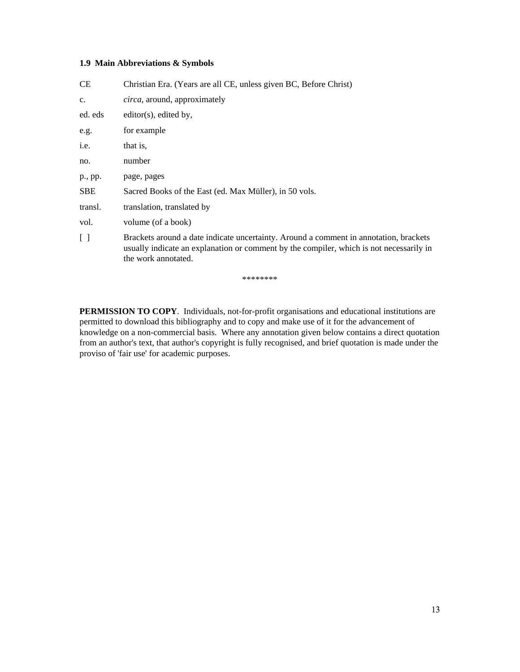#### **1.9 Main Abbreviations & Symbols**

| <b>CE</b>         | Christian Era. (Years are all CE, unless given BC, Before Christ)                                                                                                                                       |
|-------------------|---------------------------------------------------------------------------------------------------------------------------------------------------------------------------------------------------------|
| $C_{\bullet}$     | circa, around, approximately                                                                                                                                                                            |
| ed. eds           | $editor(s)$ , edited by,                                                                                                                                                                                |
| e.g.              | for example                                                                                                                                                                                             |
| i.e.              | that is,                                                                                                                                                                                                |
| no.               | number                                                                                                                                                                                                  |
| p., pp.           | page, pages                                                                                                                                                                                             |
| <b>SBE</b>        | Sacred Books of the East (ed. Max Müller), in 50 vols.                                                                                                                                                  |
| transl.           | translation, translated by                                                                                                                                                                              |
| vol.              | volume (of a book)                                                                                                                                                                                      |
| $\lceil$ $\rceil$ | Brackets around a date indicate uncertainty. Around a comment in annotation, brackets<br>usually indicate an explanation or comment by the compiler, which is not necessarily in<br>the work annotated. |

\*\*\*\*\*\*\*\*

**PERMISSION TO COPY**. Individuals, not-for-profit organisations and educational institutions are permitted to download this bibliography and to copy and make use of it for the advancement of knowledge on a non-commercial basis. Where any annotation given below contains a direct quotation from an author's text, that author's copyright is fully recognised, and brief quotation is made under the proviso of 'fair use' for academic purposes.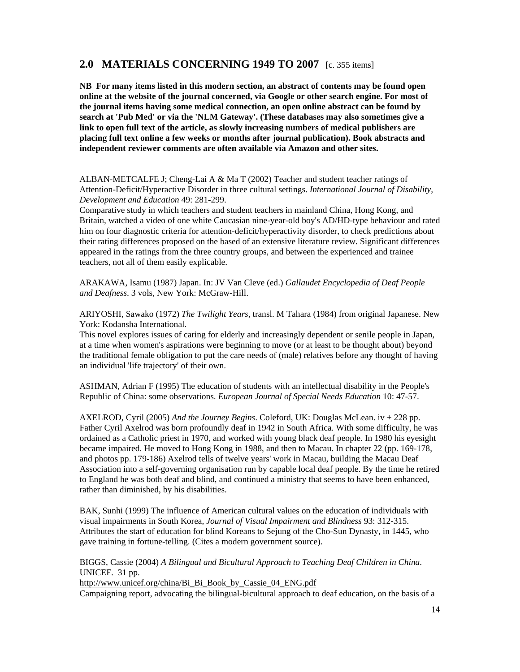# **2.0 MATERIALS CONCERNING 1949 TO 2007** [c. 355 items]

**NB For many items listed in this modern section, an abstract of contents may be found open online at the website of the journal concerned, via Google or other search engine. For most of the journal items having some medical connection, an open online abstract can be found by search at 'Pub Med' or via the 'NLM Gateway'. (These databases may also sometimes give a link to open full text of the article, as slowly increasing numbers of medical publishers are placing full text online a few weeks or months after journal publication). Book abstracts and independent reviewer comments are often available via Amazon and other sites.**

ALBAN-METCALFE J; Cheng-Lai A & Ma T (2002) Teacher and student teacher ratings of Attention-Deficit/Hyperactive Disorder in three cultural settings. *International Journal of Disability, Development and Education* 49: 281-299.

Comparative study in which teachers and student teachers in mainland China, Hong Kong, and Britain, watched a video of one white Caucasian nine-year-old boy's AD/HD-type behaviour and rated him on four diagnostic criteria for attention-deficit/hyperactivity disorder, to check predictions about their rating differences proposed on the based of an extensive literature review. Significant differences appeared in the ratings from the three country groups, and between the experienced and trainee teachers, not all of them easily explicable.

ARAKAWA, Isamu (1987) Japan. In: JV Van Cleve (ed.) *Gallaudet Encyclopedia of Deaf People and Deafness*. 3 vols, New York: McGraw-Hill.

ARIYOSHI, Sawako (1972) *The Twilight Years*, transl. M Tahara (1984) from original Japanese. New York: Kodansha International.

This novel explores issues of caring for elderly and increasingly dependent or senile people in Japan, at a time when women's aspirations were beginning to move (or at least to be thought about) beyond the traditional female obligation to put the care needs of (male) relatives before any thought of having an individual 'life trajectory' of their own.

ASHMAN, Adrian F (1995) The education of students with an intellectual disability in the People's Republic of China: some observations. *European Journal of Special Needs Education* 10: 47-57.

AXELROD, Cyril (2005) *And the Journey Begins*. Coleford, UK: Douglas McLean. iv + 228 pp. Father Cyril Axelrod was born profoundly deaf in 1942 in South Africa. With some difficulty, he was ordained as a Catholic priest in 1970, and worked with young black deaf people. In 1980 his eyesight became impaired. He moved to Hong Kong in 1988, and then to Macau. In chapter 22 (pp. 169-178, and photos pp. 179-186) Axelrod tells of twelve years' work in Macau, building the Macau Deaf Association into a self-governing organisation run by capable local deaf people. By the time he retired to England he was both deaf and blind, and continued a ministry that seems to have been enhanced, rather than diminished, by his disabilities.

BAK, Sunhi (1999) The influence of American cultural values on the education of individuals with visual impairments in South Korea, *Journal of Visual Impairment and Blindness* 93: 312-315. Attributes the start of education for blind Koreans to Sejung of the Cho-Sun Dynasty, in 1445, who gave training in fortune-telling. (Cites a modern government source).

BIGGS, Cassie (2004) *A Bilingual and Bicultural Approach to Teaching Deaf Children in China*. UNICEF. 31 pp.

http://www.unicef.org/china/Bi\_Bi\_Book\_by\_Cassie\_04\_ENG.pdf

Campaigning report, advocating the bilingual-bicultural approach to deaf education, on the basis of a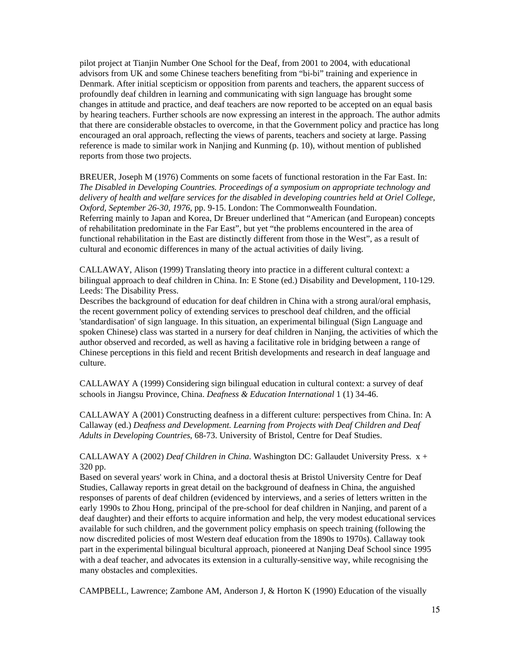pilot project at Tianjin Number One School for the Deaf, from 2001 to 2004, with educational advisors from UK and some Chinese teachers benefiting from "bi-bi" training and experience in Denmark. After initial scepticism or opposition from parents and teachers, the apparent success of profoundly deaf children in learning and communicating with sign language has brought some changes in attitude and practice, and deaf teachers are now reported to be accepted on an equal basis by hearing teachers. Further schools are now expressing an interest in the approach. The author admits that there are considerable obstacles to overcome, in that the Government policy and practice has long encouraged an oral approach, reflecting the views of parents, teachers and society at large. Passing reference is made to similar work in Nanjing and Kunming (p. 10), without mention of published reports from those two projects.

BREUER, Joseph M (1976) Comments on some facets of functional restoration in the Far East. In: *The Disabled in Developing Countries. Proceedings of a symposium on appropriate technology and delivery of health and welfare services for the disabled in developing countries held at Oriel College, Oxford, September 26-30, 1976*, pp. 9-15. London: The Commonwealth Foundation. Referring mainly to Japan and Korea, Dr Breuer underlined that "American (and European) concepts of rehabilitation predominate in the Far East", but yet "the problems encountered in the area of functional rehabilitation in the East are distinctly different from those in the West", as a result of cultural and economic differences in many of the actual activities of daily living.

CALLAWAY, Alison (1999) Translating theory into practice in a different cultural context: a bilingual approach to deaf children in China. In: E Stone (ed.) Disability and Development, 110-129. Leeds: The Disability Press.

Describes the background of education for deaf children in China with a strong aural/oral emphasis, the recent government policy of extending services to preschool deaf children, and the official 'standardisation' of sign language. In this situation, an experimental bilingual (Sign Language and spoken Chinese) class was started in a nursery for deaf children in Nanjing, the activities of which the author observed and recorded, as well as having a facilitative role in bridging between a range of Chinese perceptions in this field and recent British developments and research in deaf language and culture.

CALLAWAY A (1999) Considering sign bilingual education in cultural context: a survey of deaf schools in Jiangsu Province, China. *Deafness & Education International* 1 (1) 34-46.

CALLAWAY A (2001) Constructing deafness in a different culture: perspectives from China. In: A Callaway (ed.) *Deafness and Development. Learning from Projects with Deaf Children and Deaf Adults in Developing Countries*, 68-73. University of Bristol, Centre for Deaf Studies.

CALLAWAY A (2002) *Deaf Children in China*. Washington DC: Gallaudet University Press. x + 320 pp.

Based on several years' work in China, and a doctoral thesis at Bristol University Centre for Deaf Studies, Callaway reports in great detail on the background of deafness in China, the anguished responses of parents of deaf children (evidenced by interviews, and a series of letters written in the early 1990s to Zhou Hong, principal of the pre-school for deaf children in Nanjing, and parent of a deaf daughter) and their efforts to acquire information and help, the very modest educational services available for such children, and the government policy emphasis on speech training (following the now discredited policies of most Western deaf education from the 1890s to 1970s). Callaway took part in the experimental bilingual bicultural approach, pioneered at Nanjing Deaf School since 1995 with a deaf teacher, and advocates its extension in a culturally-sensitive way, while recognising the many obstacles and complexities.

CAMPBELL, Lawrence; Zambone AM, Anderson J, & Horton K (1990) Education of the visually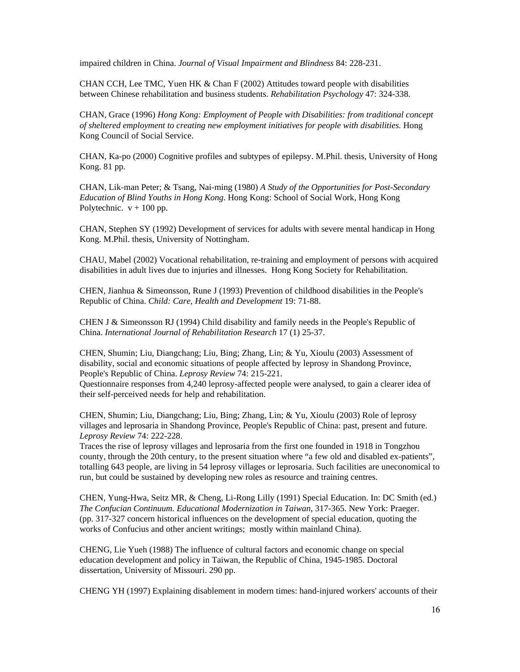impaired children in China. *Journal of Visual Impairment and Blindness* 84: 228-231.

CHAN CCH, Lee TMC, Yuen HK  $&$  Chan F (2002) Attitudes toward people with disabilities between Chinese rehabilitation and business students. *Rehabilitation Psychology* 47: 324-338.

CHAN, Grace (1996) *Hong Kong: Employment of People with Disabilities: from traditional concept of sheltered employment to creating new employment initiatives for people with disabilities.* Hong Kong Council of Social Service.

CHAN, Ka-po (2000) Cognitive profiles and subtypes of epilepsy. M.Phil. thesis, University of Hong Kong. 81 pp.

CHAN, Lik-man Peter; & Tsang, Nai-ming (1980) *A Study of the Opportunities for Post-Secondary Education of Blind Youths in Hong Kong*. Hong Kong: School of Social Work, Hong Kong Polytechnic.  $v + 100$  pp.

CHAN, Stephen SY (1992) Development of services for adults with severe mental handicap in Hong Kong. M.Phil. thesis, University of Nottingham.

CHAU, Mabel (2002) Vocational rehabilitation, re-training and employment of persons with acquired disabilities in adult lives due to injuries and illnesses. Hong Kong Society for Rehabilitation.

CHEN, Jianhua & Simeonsson, Rune J (1993) Prevention of childhood disabilities in the People's Republic of China. *Child: Care, Health and Development* 19: 71-88.

CHEN J & Simeonsson RJ (1994) Child disability and family needs in the People's Republic of China. *International Journal of Rehabilitation Research* 17 (1) 25-37.

CHEN, Shumin; Liu, Diangchang; Liu, Bing; Zhang, Lin; & Yu, Xioulu (2003) Assessment of disability, social and economic situations of people affected by leprosy in Shandong Province, People's Republic of China. *Leprosy Review* 74: 215-221.

Questionnaire responses from 4,240 leprosy-affected people were analysed, to gain a clearer idea of their self-perceived needs for help and rehabilitation.

CHEN, Shumin; Liu, Diangchang; Liu, Bing; Zhang, Lin; & Yu, Xioulu (2003) Role of leprosy villages and leprosaria in Shandong Province, People's Republic of China: past, present and future. *Leprosy Review* 74: 222-228.

Traces the rise of leprosy villages and leprosaria from the first one founded in 1918 in Tongzhou county, through the 20th century, to the present situation where "a few old and disabled ex-patients", totalling 643 people, are living in 54 leprosy villages or leprosaria. Such facilities are uneconomical to run, but could be sustained by developing new roles as resource and training centres.

CHEN, Yung-Hwa, Seitz MR, & Cheng, Li-Rong Lilly (1991) Special Education. In: DC Smith (ed.) *The Confucian Continuum. Educational Modernization in Taiwan*, 317-365. New York: Praeger. (pp. 317-327 concern historical influences on the development of special education, quoting the works of Confucius and other ancient writings; mostly within mainland China).

CHENG, Lie Yueh (1988) The influence of cultural factors and economic change on special education development and policy in Taiwan, the Republic of China, 1945-1985. Doctoral dissertation, University of Missouri. 290 pp.

CHENG YH (1997) Explaining disablement in modern times: hand-injured workers' accounts of their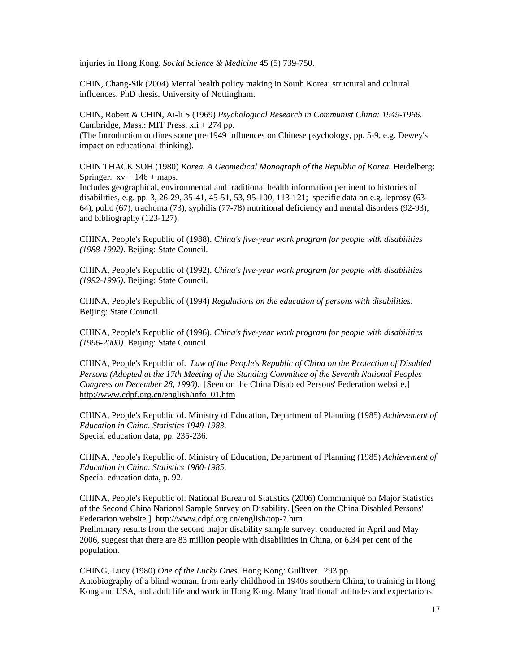injuries in Hong Kong. *Social Science & Medicine* 45 (5) 739-750.

CHIN, Chang-Sik (2004) Mental health policy making in South Korea: structural and cultural influences. PhD thesis, University of Nottingham.

CHIN, Robert & CHIN, Ai-li S (1969) *Psychological Research in Communist China: 1949-1966*. Cambridge, Mass.: MIT Press. xii + 274 pp. (The Introduction outlines some pre-1949 influences on Chinese psychology, pp. 5-9, e.g. Dewey's impact on educational thinking).

CHIN THACK SOH (1980) *Korea. A Geomedical Monograph of the Republic of Korea*. Heidelberg: Springer.  $xy + 146 + \text{maps}$ .

Includes geographical, environmental and traditional health information pertinent to histories of disabilities, e.g. pp. 3, 26-29, 35-41, 45-51, 53, 95-100, 113-121; specific data on e.g. leprosy (63- 64), polio (67), trachoma (73), syphilis (77-78) nutritional deficiency and mental disorders (92-93); and bibliography (123-127).

CHINA, People's Republic of (1988). *China's five-year work program for people with disabilities (1988-1992)*. Beijing: State Council.

CHINA, People's Republic of (1992). *China's five-year work program for people with disabilities (1992-1996)*. Beijing: State Council.

CHINA, People's Republic of (1994) *Regulations on the education of persons with disabilities*. Beijing: State Council.

CHINA, People's Republic of (1996). *China's five-year work program for people with disabilities (1996-2000)*. Beijing: State Council.

CHINA, People's Republic of. *Law of the People's Republic of China on the Protection of Disabled Persons (Adopted at the 17th Meeting of the Standing Committee of the Seventh National Peoples Congress on December 28, 1990)*. [Seen on the China Disabled Persons' Federation website.] http://www.cdpf.org.cn/english/info\_01.htm

CHINA, People's Republic of. Ministry of Education, Department of Planning (1985) *Achievement of Education in China. Statistics 1949-1983*. Special education data, pp. 235-236.

CHINA, People's Republic of. Ministry of Education, Department of Planning (1985) *Achievement of Education in China. Statistics 1980-1985*. Special education data, p. 92.

CHINA, People's Republic of. National Bureau of Statistics (2006) Communiqué on Major Statistics of the Second China National Sample Survey on Disability. [Seen on the China Disabled Persons' Federation website.] http://www.cdpf.org.cn/english/top-7.htm

Preliminary results from the second major disability sample survey, conducted in April and May 2006, suggest that there are 83 million people with disabilities in China, or 6.34 per cent of the population.

CHING, Lucy (1980) *One of the Lucky Ones*. Hong Kong: Gulliver. 293 pp. Autobiography of a blind woman, from early childhood in 1940s southern China, to training in Hong Kong and USA, and adult life and work in Hong Kong. Many 'traditional' attitudes and expectations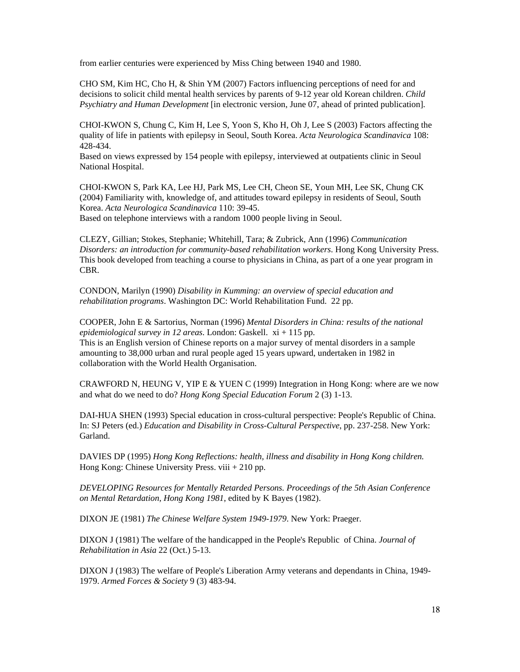from earlier centuries were experienced by Miss Ching between 1940 and 1980.

CHO SM, Kim HC, Cho H, & Shin YM (2007) Factors influencing perceptions of need for and decisions to solicit child mental health services by parents of 9-12 year old Korean children. *Child Psychiatry and Human Development* [in electronic version, June 07, ahead of printed publication].

CHOI-KWON S, Chung C, Kim H, Lee S, Yoon S, Kho H, Oh J, Lee S (2003) Factors affecting the quality of life in patients with epilepsy in Seoul, South Korea. *Acta Neurologica Scandinavica* 108: 428-434.

Based on views expressed by 154 people with epilepsy, interviewed at outpatients clinic in Seoul National Hospital.

CHOI-KWON S, Park KA, Lee HJ, Park MS, Lee CH, Cheon SE, Youn MH, Lee SK, Chung CK (2004) Familiarity with, knowledge of, and attitudes toward epilepsy in residents of Seoul, South Korea. *Acta Neurologica Scandinavica* 110: 39-45.

Based on telephone interviews with a random 1000 people living in Seoul.

CLEZY, Gillian; Stokes, Stephanie; Whitehill, Tara; & Zubrick, Ann (1996) *Communication Disorders: an introduction for community-based rehabilitation workers*. Hong Kong University Press. This book developed from teaching a course to physicians in China, as part of a one year program in CBR.

CONDON, Marilyn (1990) *Disability in Kumming: an overview of special education and rehabilitation programs*. Washington DC: World Rehabilitation Fund. 22 pp.

COOPER, John E & Sartorius, Norman (1996) *Mental Disorders in China: results of the national epidemiological survey in 12 areas*. London: Gaskell. xi + 115 pp. This is an English version of Chinese reports on a major survey of mental disorders in a sample amounting to 38,000 urban and rural people aged 15 years upward, undertaken in 1982 in collaboration with the World Health Organisation.

CRAWFORD N, HEUNG V, YIP E & YUEN C (1999) Integration in Hong Kong: where are we now and what do we need to do? *Hong Kong Special Education Forum* 2 (3) 1-13.

DAI-HUA SHEN (1993) Special education in cross-cultural perspective: People's Republic of China. In: SJ Peters (ed.) *Education and Disability in Cross-Cultural Perspective*, pp. 237-258. New York: Garland.

DAVIES DP (1995) *Hong Kong Reflections: health, illness and disability in Hong Kong children*. Hong Kong: Chinese University Press. viii + 210 pp.

*DEVELOPING Resources for Mentally Retarded Persons. Proceedings of the 5th Asian Conference on Mental Retardation, Hong Kong 1981*, edited by K Bayes (1982).

DIXON JE (1981) *The Chinese Welfare System 1949-1979*. New York: Praeger.

DIXON J (1981) The welfare of the handicapped in the People's Republic of China. *Journal of Rehabilitation in Asia* 22 (Oct.) 5-13.

DIXON J (1983) The welfare of People's Liberation Army veterans and dependants in China, 1949- 1979. *Armed Forces & Society* 9 (3) 483-94.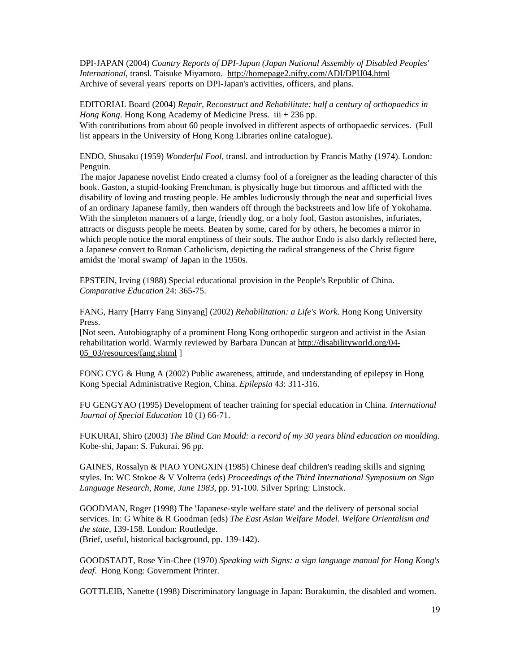DPI-JAPAN (2004) *Country Reports of DPI-Japan (Japan National Assembly of Disabled Peoples' International*, transl. Taisuke Miyamoto. http://homepage2.nifty.com/ADI/DPIJ04.html Archive of several years' reports on DPI-Japan's activities, officers, and plans.

EDITORIAL Board (2004) *Repair, Reconstruct and Rehabilitate: half a century of orthopaedics in Hong Kong*. Hong Kong Academy of Medicine Press. iii + 236 pp. With contributions from about 60 people involved in different aspects of orthopaedic services. (Full list appears in the University of Hong Kong Libraries online catalogue).

ENDO, Shusaku (1959) *Wonderful Fool*, transl. and introduction by Francis Mathy (1974). London: Penguin.

The major Japanese novelist Endo created a clumsy fool of a foreigner as the leading character of this book. Gaston, a stupid-looking Frenchman, is physically huge but timorous and afflicted with the disability of loving and trusting people. He ambles ludicrously through the neat and superficial lives of an ordinary Japanese family, then wanders off through the backstreets and low life of Yokohama. With the simpleton manners of a large, friendly dog, or a holy fool, Gaston astonishes, infuriates, attracts or disgusts people he meets. Beaten by some, cared for by others, he becomes a mirror in which people notice the moral emptiness of their souls. The author Endo is also darkly reflected here, a Japanese convert to Roman Catholicism, depicting the radical strangeness of the Christ figure amidst the 'moral swamp' of Japan in the 1950s.

EPSTEIN, Irving (1988) Special educational provision in the People's Republic of China. *Comparative Education* 24: 365-75.

FANG, Harry [Harry Fang Sinyang] (2002) *Rehabilitation: a Life's Work*. Hong Kong University Press.

[Not seen. Autobiography of a prominent Hong Kong orthopedic surgeon and activist in the Asian rehabilitation world. Warmly reviewed by Barbara Duncan at http://disabilityworld.org/04- 05\_03/resources/fang.shtml ]

FONG CYG & Hung A (2002) Public awareness, attitude, and understanding of epilepsy in Hong Kong Special Administrative Region, China. *Epilepsia* 43: 311-316.

FU GENGYAO (1995) Development of teacher training for special education in China. *International Journal of Special Education* 10 (1) 66-71.

FUKURAI, Shiro (2003) *The Blind Can Mould: a record of my 30 years blind education on moulding*. Kobe-shi, Japan: S. Fukurai. 96 pp.

GAINES, Rossalyn & PIAO YONGXIN (1985) Chinese deaf children's reading skills and signing styles. In: WC Stokoe & V Volterra (eds) *Proceedings of the Third International Symposium on Sign Language Research, Rome, June 1983*, pp. 91-100. Silver Spring: Linstock.

GOODMAN, Roger (1998) The 'Japanese-style welfare state' and the delivery of personal social services. In: G White & R Goodman (eds) *The East Asian Welfare Model. Welfare Orientalism and the state*, 139-158. London: Routledge. (Brief, useful, historical background, pp. 139-142).

GOODSTADT, Rose Yin-Chee (1970) *Speaking with Signs: a sign language manual for Hong Kong's deaf*. Hong Kong: Government Printer.

GOTTLEIB, Nanette (1998) Discriminatory language in Japan: Burakumin, the disabled and women.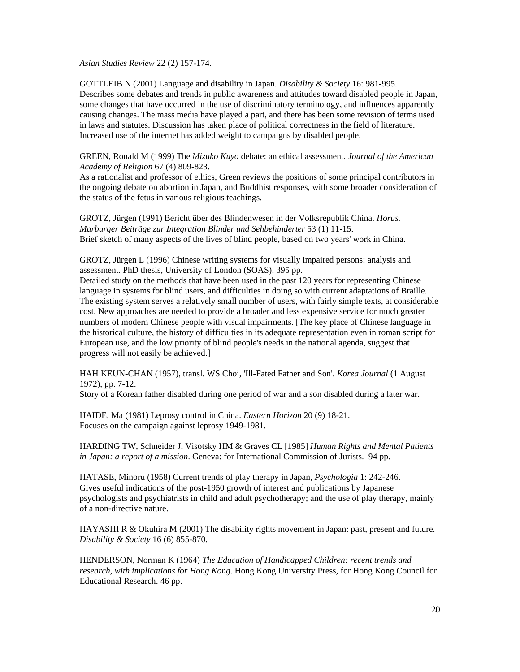*Asian Studies Review* 22 (2) 157-174.

GOTTLEIB N (2001) Language and disability in Japan. *Disability & Society* 16: 981-995. Describes some debates and trends in public awareness and attitudes toward disabled people in Japan, some changes that have occurred in the use of discriminatory terminology, and influences apparently causing changes. The mass media have played a part, and there has been some revision of terms used in laws and statutes. Discussion has taken place of political correctness in the field of literature. Increased use of the internet has added weight to campaigns by disabled people.

GREEN, Ronald M (1999) The *Mizuko Kuyo* debate: an ethical assessment. *Journal of the American Academy of Religion* 67 (4) 809-823.

As a rationalist and professor of ethics, Green reviews the positions of some principal contributors in the ongoing debate on abortion in Japan, and Buddhist responses, with some broader consideration of the status of the fetus in various religious teachings.

GROTZ, Jürgen (1991) Bericht über des Blindenwesen in der Volksrepublik China. *Horus. Marburger Beiträge zur Integration Blinder und Sehbehinderter* 53 (1) 11-15. Brief sketch of many aspects of the lives of blind people, based on two years' work in China.

GROTZ, Jürgen L (1996) Chinese writing systems for visually impaired persons: analysis and assessment. PhD thesis, University of London (SOAS). 395 pp.

Detailed study on the methods that have been used in the past 120 years for representing Chinese language in systems for blind users, and difficulties in doing so with current adaptations of Braille. The existing system serves a relatively small number of users, with fairly simple texts, at considerable cost. New approaches are needed to provide a broader and less expensive service for much greater numbers of modern Chinese people with visual impairments. [The key place of Chinese language in the historical culture, the history of difficulties in its adequate representation even in roman script for European use, and the low priority of blind people's needs in the national agenda, suggest that progress will not easily be achieved.]

HAH KEUN-CHAN (1957), transl. WS Choi, 'Ill-Fated Father and Son'. *Korea Journal* (1 August 1972), pp. 7-12.

Story of a Korean father disabled during one period of war and a son disabled during a later war.

HAIDE, Ma (1981) Leprosy control in China. *Eastern Horizon* 20 (9) 18-21. Focuses on the campaign against leprosy 1949-1981.

HARDING TW, Schneider J, Visotsky HM & Graves CL [1985] *Human Rights and Mental Patients in Japan: a report of a mission*. Geneva: for International Commission of Jurists. 94 pp.

HATASE, Minoru (1958) Current trends of play therapy in Japan, *Psychologia* 1: 242-246. Gives useful indications of the post-1950 growth of interest and publications by Japanese psychologists and psychiatrists in child and adult psychotherapy; and the use of play therapy, mainly of a non-directive nature.

HAYASHI R & Okuhira M (2001) The disability rights movement in Japan: past, present and future. *Disability & Society* 16 (6) 855-870.

HENDERSON, Norman K (1964) *The Education of Handicapped Children: recent trends and research, with implications for Hong Kong*. Hong Kong University Press, for Hong Kong Council for Educational Research. 46 pp.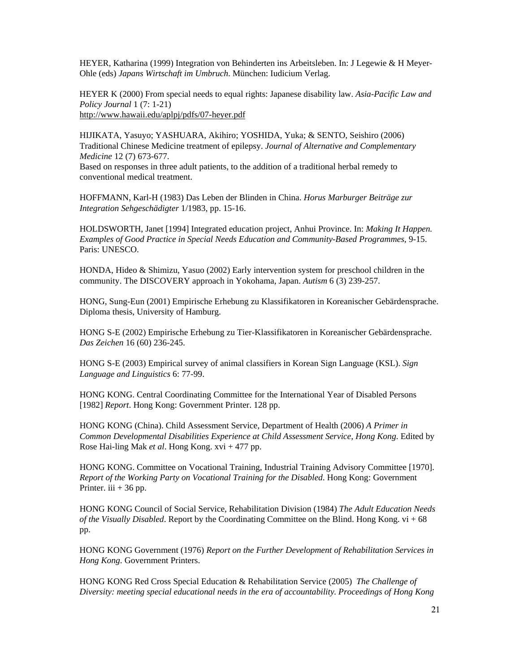HEYER, Katharina (1999) Integration von Behinderten ins Arbeitsleben. In: J Legewie & H Meyer-Ohle (eds) *Japans Wirtschaft im Umbruch*. München: Iudicium Verlag.

HEYER K (2000) From special needs to equal rights: Japanese disability law. *Asia-Pacific Law and Policy Journal* 1 (7: 1-21) http://www.hawaii.edu/aplpj/pdfs/07-heyer.pdf

HIJIKATA, Yasuyo; YASHUARA, Akihiro; YOSHIDA, Yuka; & SENTO, Seishiro (2006) Traditional Chinese Medicine treatment of epilepsy. *Journal of Alternative and Complementary Medicine* 12 (7) 673-677.

Based on responses in three adult patients, to the addition of a traditional herbal remedy to conventional medical treatment.

HOFFMANN, Karl-H (1983) Das Leben der Blinden in China. *Horus Marburger Beiträge zur Integration Sehgeschädigter* 1/1983, pp. 15-16.

HOLDSWORTH, Janet [1994] Integrated education project, Anhui Province. In: *Making It Happen. Examples of Good Practice in Special Needs Education and Community-Based Programmes*, 9-15. Paris: UNESCO.

HONDA, Hideo & Shimizu, Yasuo (2002) Early intervention system for preschool children in the community. The DISCOVERY approach in Yokohama, Japan. *Autism* 6 (3) 239-257.

HONG, Sung-Eun (2001) Empirische Erhebung zu Klassifikatoren in Koreanischer Gebärdensprache. Diploma thesis, University of Hamburg.

HONG S-E (2002) Empirische Erhebung zu Tier-Klassifikatoren in Koreanischer Gebärdensprache. *Das Zeichen* 16 (60) 236-245.

HONG S-E (2003) Empirical survey of animal classifiers in Korean Sign Language (KSL). *Sign Language and Linguistics* 6: 77-99.

HONG KONG. Central Coordinating Committee for the International Year of Disabled Persons [1982] *Report*. Hong Kong: Government Printer. 128 pp.

HONG KONG (China). Child Assessment Service, Department of Health (2006) *A Primer in Common Developmental Disabilities Experience at Child Assessment Service, Hong Kong*. Edited by Rose Hai-ling Mak *et al*. Hong Kong. xvi + 477 pp.

HONG KONG. Committee on Vocational Training, Industrial Training Advisory Committee [1970]. *Report of the Working Party on Vocational Training for the Disabled*. Hong Kong: Government Printer. iii  $+36$  pp.

HONG KONG Council of Social Service, Rehabilitation Division (1984) *The Adult Education Needs of the Visually Disabled*. Report by the Coordinating Committee on the Blind. Hong Kong. vi + 68 pp.

HONG KONG Government (1976) *Report on the Further Development of Rehabilitation Services in Hong Kong*. Government Printers.

HONG KONG Red Cross Special Education & Rehabilitation Service (2005) *The Challenge of Diversity: meeting special educational needs in the era of accountability*. *Proceedings of Hong Kong*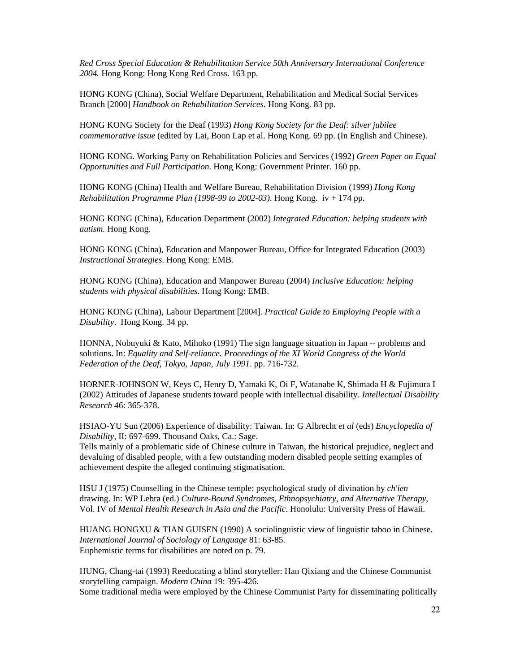*Red Cross Special Education & Rehabilitation Service 50th Anniversary International Conference 2004.* Hong Kong: Hong Kong Red Cross. 163 pp.

HONG KONG (China), Social Welfare Department, Rehabilitation and Medical Social Services Branch [2000] *Handbook on Rehabilitation Services*. Hong Kong. 83 pp.

HONG KONG Society for the Deaf (1993) *Hong Kong Society for the Deaf: silver jubilee commemorative issue* (edited by Lai, Boon Lap et al. Hong Kong. 69 pp. (In English and Chinese).

HONG KONG. Working Party on Rehabilitation Policies and Services (1992) *Green Paper on Equal Opportunities and Full Participation*. Hong Kong: Government Printer. 160 pp.

HONG KONG (China) Health and Welfare Bureau, Rehabilitation Division (1999) *Hong Kong Rehabilitation Programme Plan (1998-99 to 2002-03)*. Hong Kong. iv + 174 pp.

HONG KONG (China), Education Department (2002) *Integrated Education: helping students with autism.* Hong Kong.

HONG KONG (China), Education and Manpower Bureau, Office for Integrated Education (2003) *Instructional Strategies*. Hong Kong: EMB.

HONG KONG (China), Education and Manpower Bureau (2004) *Inclusive Education: helping students with physical disabilities*. Hong Kong: EMB.

HONG KONG (China), Labour Department [2004]. *Practical Guide to Employing People with a Disability*. Hong Kong. 34 pp.

HONNA, Nobuyuki & Kato, Mihoko (1991) The sign language situation in Japan -- problems and solutions. In: *Equality and Self-reliance. Proceedings of the XI World Congress of the World Federation of the Deaf, Tokyo, Japan, July 1991*. pp. 716-732.

HORNER-JOHNSON W, Keys C, Henry D, Yamaki K, Oi F, Watanabe K, Shimada H & Fujimura I (2002) Attitudes of Japanese students toward people with intellectual disability. *Intellectual Disability Research* 46: 365-378.

HSIAO-YU Sun (2006) Experience of disability: Taiwan. In: G Albrecht *et al* (eds) *Encyclopedia of Disability*, II: 697-699. Thousand Oaks, Ca.: Sage.

Tells mainly of a problematic side of Chinese culture in Taiwan, the historical prejudice, neglect and devaluing of disabled people, with a few outstanding modern disabled people setting examples of achievement despite the alleged continuing stigmatisation.

HSU J (1975) Counselling in the Chinese temple: psychological study of divination by *ch'ien* drawing. In: WP Lebra (ed.) *Culture-Bound Syndromes, Ethnopsychiatry, and Alternative Therapy*, Vol. IV of *Mental Health Research in Asia and the Pacific*. Honolulu: University Press of Hawaii.

HUANG HONGXU & TIAN GUISEN (1990) A sociolinguistic view of linguistic taboo in Chinese. *International Journal of Sociology of Language* 81: 63-85. Euphemistic terms for disabilities are noted on p. 79.

HUNG, Chang-tai (1993) Reeducating a blind storyteller: Han Qixiang and the Chinese Communist storytelling campaign. *Modern China* 19: 395-426.

Some traditional media were employed by the Chinese Communist Party for disseminating politically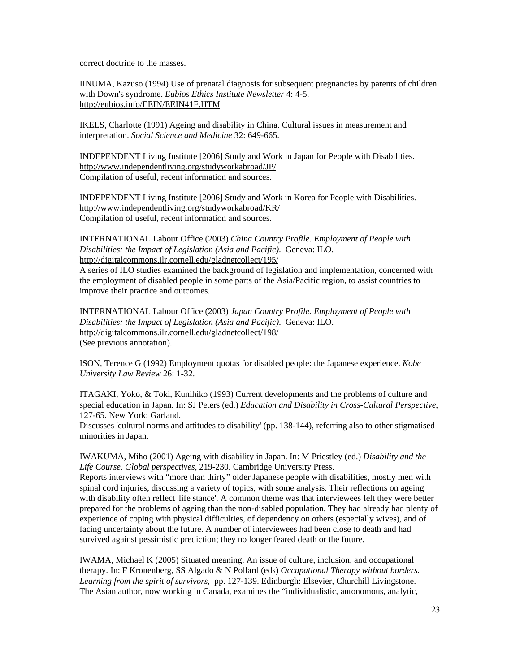correct doctrine to the masses.

IINUMA, Kazuso (1994) Use of prenatal diagnosis for subsequent pregnancies by parents of children with Down's syndrome. *Eubios Ethics Institute Newsletter* 4: 4-5. http://eubios.info/EEIN/EEIN41F.HTM

IKELS, Charlotte (1991) Ageing and disability in China. Cultural issues in measurement and interpretation. *Social Science and Medicine* 32: 649-665.

INDEPENDENT Living Institute [2006] Study and Work in Japan for People with Disabilities. http://www.independentliving.org/studyworkabroad/JP/ Compilation of useful, recent information and sources.

INDEPENDENT Living Institute [2006] Study and Work in Korea for People with Disabilities. http://www.independentliving.org/studyworkabroad/KR/ Compilation of useful, recent information and sources.

INTERNATIONAL Labour Office (2003) *China Country Profile. Employment of People with Disabilities: the Impact of Legislation (Asia and Pacific)*. Geneva: ILO. http://digitalcommons.ilr.cornell.edu/gladnetcollect/195/

A series of ILO studies examined the background of legislation and implementation, concerned with the employment of disabled people in some parts of the Asia/Pacific region, to assist countries to improve their practice and outcomes.

INTERNATIONAL Labour Office (2003) *Japan Country Profile. Employment of People with Disabilities: the Impact of Legislation (Asia and Pacific)*. Geneva: ILO. http://digitalcommons.ilr.cornell.edu/gladnetcollect/198/ (See previous annotation).

ISON, Terence G (1992) Employment quotas for disabled people: the Japanese experience. *Kobe University Law Review* 26: 1-32.

ITAGAKI, Yoko, & Toki, Kunihiko (1993) Current developments and the problems of culture and special education in Japan. In: SJ Peters (ed.) *Education and Disability in Cross-Cultural Perspective*, 127-65. New York: Garland.

Discusses 'cultural norms and attitudes to disability' (pp. 138-144), referring also to other stigmatised minorities in Japan.

IWAKUMA, Miho (2001) Ageing with disability in Japan. In: M Priestley (ed.) *Disability and the Life Course. Global perspectives*, 219-230. Cambridge University Press.

Reports interviews with "more than thirty" older Japanese people with disabilities, mostly men with spinal cord injuries, discussing a variety of topics, with some analysis. Their reflections on ageing with disability often reflect 'life stance'. A common theme was that interviewees felt they were better prepared for the problems of ageing than the non-disabled population. They had already had plenty of experience of coping with physical difficulties, of dependency on others (especially wives), and of facing uncertainty about the future. A number of interviewees had been close to death and had survived against pessimistic prediction; they no longer feared death or the future.

IWAMA, Michael K (2005) Situated meaning. An issue of culture, inclusion, and occupational therapy. In: F Kronenberg, SS Algado & N Pollard (eds) *Occupational Therapy without borders. Learning from the spirit of survivors*, pp. 127-139. Edinburgh: Elsevier, Churchill Livingstone. The Asian author, now working in Canada, examines the "individualistic, autonomous, analytic,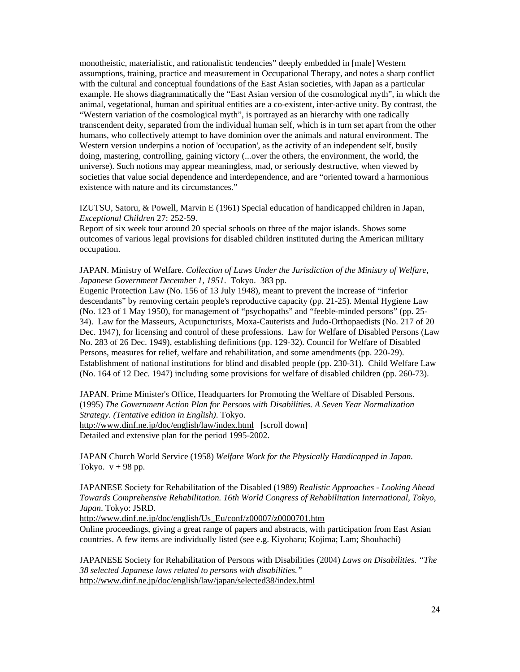monotheistic, materialistic, and rationalistic tendencies" deeply embedded in [male] Western assumptions, training, practice and measurement in Occupational Therapy, and notes a sharp conflict with the cultural and conceptual foundations of the East Asian societies, with Japan as a particular example. He shows diagrammatically the "East Asian version of the cosmological myth", in which the animal, vegetational, human and spiritual entities are a co-existent, inter-active unity. By contrast, the "Western variation of the cosmological myth", is portrayed as an hierarchy with one radically transcendent deity, separated from the individual human self, which is in turn set apart from the other humans, who collectively attempt to have dominion over the animals and natural environment. The Western version underpins a notion of 'occupation', as the activity of an independent self, busily doing, mastering, controlling, gaining victory (...over the others, the environment, the world, the universe). Such notions may appear meaningless, mad, or seriously destructive, when viewed by societies that value social dependence and interdependence, and are "oriented toward a harmonious existence with nature and its circumstances."

IZUTSU, Satoru, & Powell, Marvin E (1961) Special education of handicapped children in Japan, *Exceptional Children* 27: 252-59.

Report of six week tour around 20 special schools on three of the major islands. Shows some outcomes of various legal provisions for disabled children instituted during the American military occupation.

JAPAN. Ministry of Welfare. *Collection of Laws Under the Jurisdiction of the Ministry of Welfare, Japanese Government December 1, 1951*. Tokyo. 383 pp.

Eugenic Protection Law (No. 156 of 13 July 1948), meant to prevent the increase of "inferior descendants" by removing certain people's reproductive capacity (pp. 21-25). Mental Hygiene Law (No. 123 of 1 May 1950), for management of "psychopaths" and "feeble-minded persons" (pp. 25- 34). Law for the Masseurs, Acupuncturists, Moxa-Cauterists and Judo-Orthopaedists (No. 217 of 20 Dec. 1947), for licensing and control of these professions. Law for Welfare of Disabled Persons (Law No. 283 of 26 Dec. 1949), establishing definitions (pp. 129-32). Council for Welfare of Disabled Persons, measures for relief, welfare and rehabilitation, and some amendments (pp. 220-29). Establishment of national institutions for blind and disabled people (pp. 230-31). Child Welfare Law (No. 164 of 12 Dec. 1947) including some provisions for welfare of disabled children (pp. 260-73).

JAPAN. Prime Minister's Office, Headquarters for Promoting the Welfare of Disabled Persons. (1995) *The Government Action Plan for Persons with Disabilities. A Seven Year Normalization Strategy. (Tentative edition in English)*. Tokyo. http://www.dinf.ne.jp/doc/english/law/index.html [scroll down] Detailed and extensive plan for the period 1995-2002.

JAPAN Church World Service (1958) *Welfare Work for the Physically Handicapped in Japan*. Tokyo.  $v + 98$  pp.

JAPANESE Society for Rehabilitation of the Disabled (1989) *Realistic Approaches - Looking Ahead Towards Comprehensive Rehabilitation. 16th World Congress of Rehabilitation International, Tokyo, Japan*. Tokyo: JSRD.

http://www.dinf.ne.jp/doc/english/Us\_Eu/conf/z00007/z0000701.htm

Online proceedings, giving a great range of papers and abstracts, with participation from East Asian countries. A few items are individually listed (see e.g. Kiyoharu; Kojima; Lam; Shouhachi)

JAPANESE Society for Rehabilitation of Persons with Disabilities (2004) *Laws on Disabilities. "The 38 selected Japanese laws related to persons with disabilities."* http://www.dinf.ne.jp/doc/english/law/japan/selected38/index.html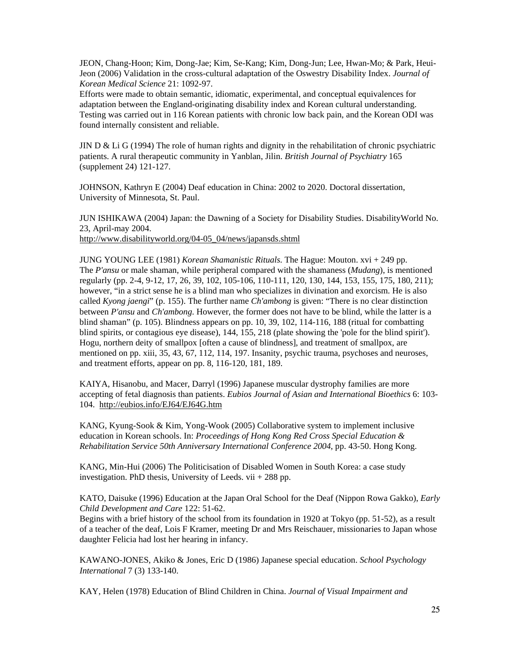JEON, Chang-Hoon; Kim, Dong-Jae; Kim, Se-Kang; Kim, Dong-Jun; Lee, Hwan-Mo; & Park, Heui-Jeon (2006) Validation in the cross-cultural adaptation of the Oswestry Disability Index. *Journal of Korean Medical Science* 21: 1092-97.

Efforts were made to obtain semantic, idiomatic, experimental, and conceptual equivalences for adaptation between the England-originating disability index and Korean cultural understanding. Testing was carried out in 116 Korean patients with chronic low back pain, and the Korean ODI was found internally consistent and reliable.

JIN D  $\&$  Li G (1994) The role of human rights and dignity in the rehabilitation of chronic psychiatric patients. A rural therapeutic community in Yanblan, Jilin. *British Journal of Psychiatry* 165 (supplement 24) 121-127.

JOHNSON, Kathryn E (2004) Deaf education in China: 2002 to 2020. Doctoral dissertation, University of Minnesota, St. Paul.

JUN ISHIKAWA (2004) Japan: the Dawning of a Society for Disability Studies. DisabilityWorld No. 23, April-may 2004. http://www.disabilityworld.org/04-05\_04/news/japansds.shtml

JUNG YOUNG LEE (1981) *Korean Shamanistic Rituals*. The Hague: Mouton. xvi + 249 pp. The *P'ansu* or male shaman, while peripheral compared with the shamaness (*Mudang*), is mentioned regularly (pp. 2-4, 9-12, 17, 26, 39, 102, 105-106, 110-111, 120, 130, 144, 153, 155, 175, 180, 211); however, "in a strict sense he is a blind man who specializes in divination and exorcism. He is also called *Kyong jaengi*" (p. 155). The further name *Ch'ambong* is given: "There is no clear distinction between *P'ansu* and *Ch'ambong*. However, the former does not have to be blind, while the latter is a blind shaman" (p. 105). Blindness appears on pp. 10, 39, 102, 114-116, 188 (ritual for combatting blind spirits, or contagious eye disease), 144, 155, 218 (plate showing the 'pole for the blind spirit'). Hogu, northern deity of smallpox [often a cause of blindness], and treatment of smallpox, are mentioned on pp. xiii, 35, 43, 67, 112, 114, 197. Insanity, psychic trauma, psychoses and neuroses, and treatment efforts, appear on pp. 8, 116-120, 181, 189.

KAIYA, Hisanobu, and Macer, Darryl (1996) Japanese muscular dystrophy families are more accepting of fetal diagnosis than patients. *Eubios Journal of Asian and International Bioethics* 6: 103- 104. http://eubios.info/EJ64/EJ64G.htm

KANG, Kyung-Sook & Kim, Yong-Wook (2005) Collaborative system to implement inclusive education in Korean schools. In: *Proceedings of Hong Kong Red Cross Special Education & Rehabilitation Service 50th Anniversary International Conference 2004*, pp. 43-50. Hong Kong.

KANG, Min-Hui (2006) The Politicisation of Disabled Women in South Korea: a case study investigation. PhD thesis, University of Leeds.  $vi$  + 288 pp.

KATO, Daisuke (1996) Education at the Japan Oral School for the Deaf (Nippon Rowa Gakko), *Early Child Development and Care* 122: 51-62.

Begins with a brief history of the school from its foundation in 1920 at Tokyo (pp. 51-52), as a result of a teacher of the deaf, Lois F Kramer, meeting Dr and Mrs Reischauer, missionaries to Japan whose daughter Felicia had lost her hearing in infancy.

KAWANO-JONES, Akiko & Jones, Eric D (1986) Japanese special education. *School Psychology International* 7 (3) 133-140.

KAY, Helen (1978) Education of Blind Children in China. *Journal of Visual Impairment and*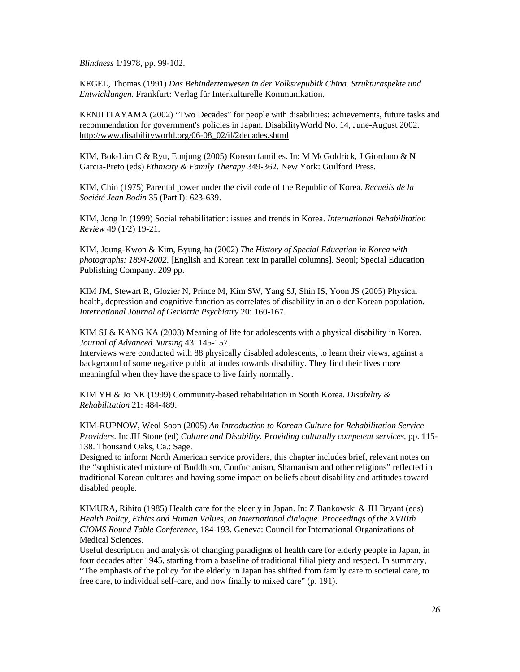*Blindness* 1/1978, pp. 99-102.

KEGEL, Thomas (1991) *Das Behindertenwesen in der Volksrepublik China. Strukturaspekte und Entwicklungen*. Frankfurt: Verlag für Interkulturelle Kommunikation.

KENJI ITAYAMA (2002) "Two Decades" for people with disabilities: achievements, future tasks and recommendation for government's policies in Japan. DisabilityWorld No. 14, June-August 2002. http://www.disabilityworld.org/06-08\_02/il/2decades.shtml

KIM, Bok-Lim C & Ryu, Eunjung (2005) Korean families. In: M McGoldrick, J Giordano & N Garcia-Preto (eds) *Ethnicity & Family Therapy* 349-362. New York: Guilford Press.

KIM, Chin (1975) Parental power under the civil code of the Republic of Korea. *Recueils de la Société Jean Bodin* 35 (Part I): 623-639.

KIM, Jong In (1999) Social rehabilitation: issues and trends in Korea. *International Rehabilitation Review* 49 (1/2) 19-21.

KIM, Joung-Kwon & Kim, Byung-ha (2002) *The History of Special Education in Korea with photographs: 1894-2002*. [English and Korean text in parallel columns]. Seoul; Special Education Publishing Company. 209 pp.

KIM JM, Stewart R, Glozier N, Prince M, Kim SW, Yang SJ, Shin IS, Yoon JS (2005) Physical health, depression and cognitive function as correlates of disability in an older Korean population. *International Journal of Geriatric Psychiatry* 20: 160-167.

KIM SJ & KANG KA (2003) Meaning of life for adolescents with a physical disability in Korea. *Journal of Advanced Nursing* 43: 145-157.

Interviews were conducted with 88 physically disabled adolescents, to learn their views, against a background of some negative public attitudes towards disability. They find their lives more meaningful when they have the space to live fairly normally.

KIM YH & Jo NK (1999) Community-based rehabilitation in South Korea. *Disability & Rehabilitation* 21: 484-489.

KIM-RUPNOW, Weol Soon (2005) *An Introduction to Korean Culture for Rehabilitation Service Providers*. In: JH Stone (ed) *Culture and Disability. Providing culturally competent services*, pp. 115- 138. Thousand Oaks, Ca.: Sage.

Designed to inform North American service providers, this chapter includes brief, relevant notes on the "sophisticated mixture of Buddhism, Confucianism, Shamanism and other religions" reflected in traditional Korean cultures and having some impact on beliefs about disability and attitudes toward disabled people.

KIMURA, Rihito (1985) Health care for the elderly in Japan. In: Z Bankowski & JH Bryant (eds) *Health Policy, Ethics and Human Values, an international dialogue. Proceedings of the XVIIIth CIOMS Round Table Conference*, 184-193. Geneva: Council for International Organizations of Medical Sciences.

Useful description and analysis of changing paradigms of health care for elderly people in Japan, in four decades after 1945, starting from a baseline of traditional filial piety and respect. In summary, "The emphasis of the policy for the elderly in Japan has shifted from family care to societal care, to free care, to individual self-care, and now finally to mixed care" (p. 191).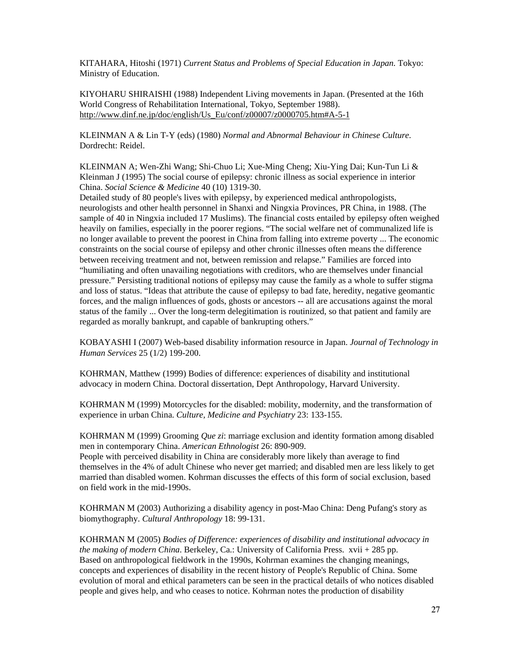KITAHARA, Hitoshi (1971) *Current Status and Problems of Special Education in Japan*. Tokyo: Ministry of Education.

KIYOHARU SHIRAISHI (1988) Independent Living movements in Japan. (Presented at the 16th World Congress of Rehabilitation International, Tokyo, September 1988). http://www.dinf.ne.jp/doc/english/Us\_Eu/conf/z00007/z0000705.htm#A-5-1

KLEINMAN A & Lin T-Y (eds) (1980) *Normal and Abnormal Behaviour in Chinese Culture*. Dordrecht: Reidel.

KLEINMAN A; Wen-Zhi Wang; Shi-Chuo Li; Xue-Ming Cheng; Xiu-Ying Dai; Kun-Tun Li & Kleinman J (1995) The social course of epilepsy: chronic illness as social experience in interior China. *Social Science & Medicine* 40 (10) 1319-30.

Detailed study of 80 people's lives with epilepsy, by experienced medical anthropologists, neurologists and other health personnel in Shanxi and Ningxia Provinces, PR China, in 1988. (The sample of 40 in Ningxia included 17 Muslims). The financial costs entailed by epilepsy often weighed heavily on families, especially in the poorer regions. "The social welfare net of communalized life is no longer available to prevent the poorest in China from falling into extreme poverty ... The economic constraints on the social course of epilepsy and other chronic illnesses often means the difference between receiving treatment and not, between remission and relapse." Families are forced into "humiliating and often unavailing negotiations with creditors, who are themselves under financial pressure." Persisting traditional notions of epilepsy may cause the family as a whole to suffer stigma and loss of status. "Ideas that attribute the cause of epilepsy to bad fate, heredity, negative geomantic forces, and the malign influences of gods, ghosts or ancestors -- all are accusations against the moral status of the family ... Over the long-term delegitimation is routinized, so that patient and family are regarded as morally bankrupt, and capable of bankrupting others."

KOBAYASHI I (2007) Web-based disability information resource in Japan. *Journal of Technology in Human Services* 25 (1/2) 199-200.

KOHRMAN, Matthew (1999) Bodies of difference: experiences of disability and institutional advocacy in modern China. Doctoral dissertation, Dept Anthropology, Harvard University.

KOHRMAN M (1999) Motorcycles for the disabled: mobility, modernity, and the transformation of experience in urban China. *Culture, Medicine and Psychiatry* 23: 133-155.

KOHRMAN M (1999) Grooming *Que zi*: marriage exclusion and identity formation among disabled men in contemporary China. *American Ethnologist* 26: 890-909.

People with perceived disability in China are considerably more likely than average to find themselves in the 4% of adult Chinese who never get married; and disabled men are less likely to get married than disabled women. Kohrman discusses the effects of this form of social exclusion, based on field work in the mid-1990s.

KOHRMAN M (2003) Authorizing a disability agency in post-Mao China: Deng Pufang's story as biomythography. *Cultural Anthropology* 18: 99-131.

KOHRMAN M (2005) *Bodies of Difference: experiences of disability and institutional advocacy in the making of modern China*. Berkeley, Ca.: University of California Press. xvii + 285 pp. Based on anthropological fieldwork in the 1990s, Kohrman examines the changing meanings, concepts and experiences of disability in the recent history of People's Republic of China. Some evolution of moral and ethical parameters can be seen in the practical details of who notices disabled people and gives help, and who ceases to notice. Kohrman notes the production of disability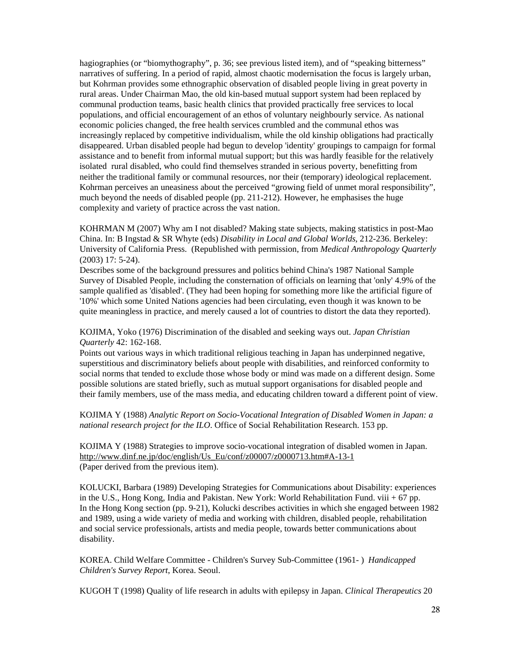hagiographies (or "biomythography", p. 36; see previous listed item), and of "speaking bitterness" narratives of suffering. In a period of rapid, almost chaotic modernisation the focus is largely urban, but Kohrman provides some ethnographic observation of disabled people living in great poverty in rural areas. Under Chairman Mao, the old kin-based mutual support system had been replaced by communal production teams, basic health clinics that provided practically free services to local populations, and official encouragement of an ethos of voluntary neighbourly service. As national economic policies changed, the free health services crumbled and the communal ethos was increasingly replaced by competitive individualism, while the old kinship obligations had practically disappeared. Urban disabled people had begun to develop 'identity' groupings to campaign for formal assistance and to benefit from informal mutual support; but this was hardly feasible for the relatively isolated rural disabled, who could find themselves stranded in serious poverty, benefitting from neither the traditional family or communal resources, nor their (temporary) ideological replacement. Kohrman perceives an uneasiness about the perceived "growing field of unmet moral responsibility", much beyond the needs of disabled people (pp. 211-212). However, he emphasises the huge complexity and variety of practice across the vast nation.

KOHRMAN M (2007) Why am I not disabled? Making state subjects, making statistics in post-Mao China. In: B Ingstad & SR Whyte (eds) *Disability in Local and Global Worlds*, 212-236. Berkeley: University of California Press. (Republished with permission, from *Medical Anthropology Quarterly* (2003) 17: 5-24).

Describes some of the background pressures and politics behind China's 1987 National Sample Survey of Disabled People, including the consternation of officials on learning that 'only' 4.9% of the sample qualified as 'disabled'. (They had been hoping for something more like the artificial figure of '10%' which some United Nations agencies had been circulating, even though it was known to be quite meaningless in practice, and merely caused a lot of countries to distort the data they reported).

KOJIMA, Yoko (1976) Discrimination of the disabled and seeking ways out. *Japan Christian Quarterly* 42: 162-168.

Points out various ways in which traditional religious teaching in Japan has underpinned negative, superstitious and discriminatory beliefs about people with disabilities, and reinforced conformity to social norms that tended to exclude those whose body or mind was made on a different design. Some possible solutions are stated briefly, such as mutual support organisations for disabled people and their family members, use of the mass media, and educating children toward a different point of view.

KOJIMA Y (1988) *Analytic Report on Socio-Vocational Integration of Disabled Women in Japan: a national research project for the ILO*. Office of Social Rehabilitation Research. 153 pp.

KOJIMA Y (1988) Strategies to improve socio-vocational integration of disabled women in Japan. http://www.dinf.ne.jp/doc/english/Us\_Eu/conf/z00007/z0000713.htm#A-13-1 (Paper derived from the previous item).

KOLUCKI, Barbara (1989) Developing Strategies for Communications about Disability: experiences in the U.S., Hong Kong, India and Pakistan. New York: World Rehabilitation Fund. viii + 67 pp. In the Hong Kong section (pp. 9-21), Kolucki describes activities in which she engaged between 1982 and 1989, using a wide variety of media and working with children, disabled people, rehabilitation and social service professionals, artists and media people, towards better communications about disability.

KOREA. Child Welfare Committee - Children's Survey Sub-Committee (1961- ) *Handicapped Children's Survey Report*, Korea. Seoul.

KUGOH T (1998) Quality of life research in adults with epilepsy in Japan. *Clinical Therapeutics* 20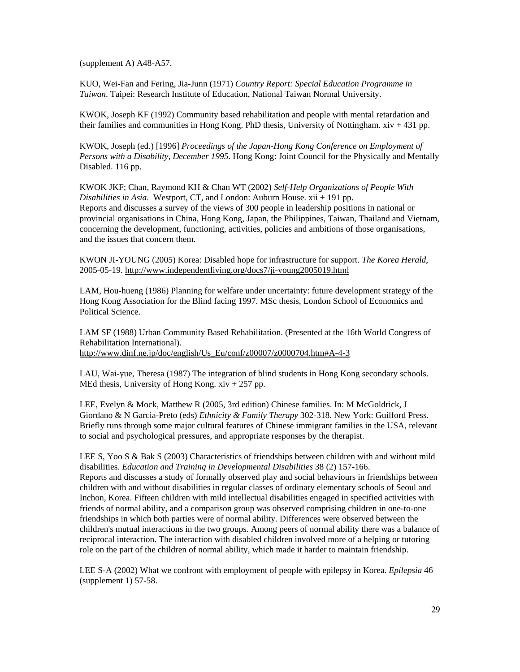(supplement A) A48-A57.

KUO, Wei-Fan and Fering, Jia-Junn (1971) *Country Report: Special Education Programme in Taiwan*. Taipei: Research Institute of Education, National Taiwan Normal University.

KWOK, Joseph KF (1992) Community based rehabilitation and people with mental retardation and their families and communities in Hong Kong. PhD thesis, University of Nottingham. xiv + 431 pp.

KWOK, Joseph (ed.) [1996] *Proceedings of the Japan-Hong Kong Conference on Employment of Persons with a Disability, December 1995*. Hong Kong: Joint Council for the Physically and Mentally Disabled. 116 pp.

KWOK JKF; Chan, Raymond KH & Chan WT (2002) *Self-Help Organizations of People With Disabilities in Asia*. Westport, CT, and London: Auburn House. xii + 191 pp. Reports and discusses a survey of the views of 300 people in leadership positions in national or provincial organisations in China, Hong Kong, Japan, the Philippines, Taiwan, Thailand and Vietnam, concerning the development, functioning, activities, policies and ambitions of those organisations, and the issues that concern them.

KWON JI-YOUNG (2005) Korea: Disabled hope for infrastructure for support. *The Korea Herald*, 2005-05-19. http://www.independentliving.org/docs7/ji-young2005019.html

LAM, Hou-hueng (1986) Planning for welfare under uncertainty: future development strategy of the Hong Kong Association for the Blind facing 1997. MSc thesis, London School of Economics and Political Science.

LAM SF (1988) Urban Community Based Rehabilitation. (Presented at the 16th World Congress of Rehabilitation International). http://www.dinf.ne.jp/doc/english/Us\_Eu/conf/z00007/z0000704.htm#A-4-3

LAU, Wai-yue, Theresa (1987) The integration of blind students in Hong Kong secondary schools. MEd thesis, University of Hong Kong.  $xiv + 257$  pp.

LEE, Evelyn & Mock, Matthew R (2005, 3rd edition) Chinese families. In: M McGoldrick, J Giordano & N Garcia-Preto (eds) *Ethnicity & Family Therapy* 302-318. New York: Guilford Press. Briefly runs through some major cultural features of Chinese immigrant families in the USA, relevant to social and psychological pressures, and appropriate responses by the therapist.

LEE S, Yoo S & Bak S (2003) Characteristics of friendships between children with and without mild disabilities. *Education and Training in Developmental Disabilities* 38 (2) 157-166. Reports and discusses a study of formally observed play and social behaviours in friendships between children with and without disabilities in regular classes of ordinary elementary schools of Seoul and Inchon, Korea. Fifteen children with mild intellectual disabilities engaged in specified activities with friends of normal ability, and a comparison group was observed comprising children in one-to-one friendships in which both parties were of normal ability. Differences were observed between the children's mutual interactions in the two groups. Among peers of normal ability there was a balance of reciprocal interaction. The interaction with disabled children involved more of a helping or tutoring role on the part of the children of normal ability, which made it harder to maintain friendship.

LEE S-A (2002) What we confront with employment of people with epilepsy in Korea. *Epilepsia* 46 (supplement 1) 57-58.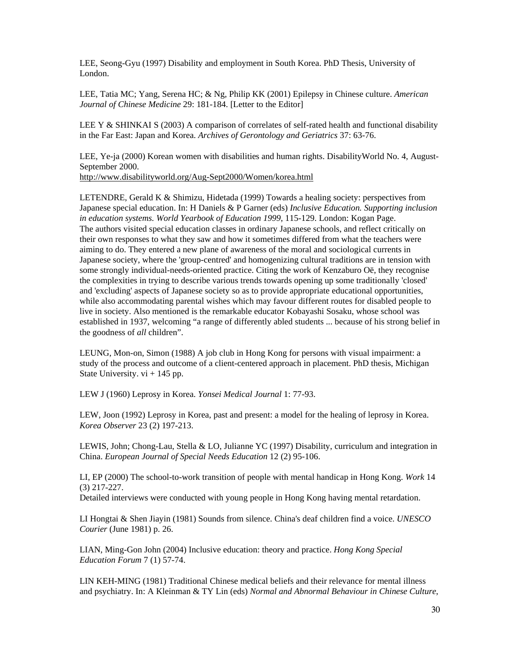LEE, Seong-Gyu (1997) Disability and employment in South Korea. PhD Thesis, University of London.

LEE, Tatia MC; Yang, Serena HC; & Ng, Philip KK (2001) Epilepsy in Chinese culture. *American Journal of Chinese Medicine* 29: 181-184. [Letter to the Editor]

LEE Y & SHINKAI S (2003) A comparison of correlates of self-rated health and functional disability in the Far East: Japan and Korea. *Archives of Gerontology and Geriatrics* 37: 63-76.

LEE, Ye-ja (2000) Korean women with disabilities and human rights. DisabilityWorld No. 4, August-September 2000. http://www.disabilityworld.org/Aug-Sept2000/Women/korea.html

LETENDRE, Gerald K & Shimizu, Hidetada (1999) Towards a healing society: perspectives from Japanese special education. In: H Daniels & P Garner (eds) *Inclusive Education. Supporting inclusion in education systems. World Yearbook of Education 1999*, 115-129. London: Kogan Page. The authors visited special education classes in ordinary Japanese schools, and reflect critically on their own responses to what they saw and how it sometimes differed from what the teachers were aiming to do. They entered a new plane of awareness of the moral and sociological currents in Japanese society, where the 'group-centred' and homogenizing cultural traditions are in tension with some strongly individual-needs-oriented practice. Citing the work of Kenzaburo Oë, they recognise the complexities in trying to describe various trends towards opening up some traditionally 'closed' and 'excluding' aspects of Japanese society so as to provide appropriate educational opportunities, while also accommodating parental wishes which may favour different routes for disabled people to live in society. Also mentioned is the remarkable educator Kobayashi Sosaku, whose school was established in 1937, welcoming "a range of differently abled students ... because of his strong belief in the goodness of *all* children".

LEUNG, Mon-on, Simon (1988) A job club in Hong Kong for persons with visual impairment: a study of the process and outcome of a client-centered approach in placement. PhD thesis, Michigan State University.  $vi + 145$  pp.

LEW J (1960) Leprosy in Korea. *Yonsei Medical Journal* 1: 77-93.

LEW, Joon (1992) Leprosy in Korea, past and present: a model for the healing of leprosy in Korea. *Korea Observer* 23 (2) 197-213.

LEWIS, John; Chong-Lau, Stella & LO, Julianne YC (1997) Disability, curriculum and integration in China. *European Journal of Special Needs Education* 12 (2) 95-106.

LI, EP (2000) The school-to-work transition of people with mental handicap in Hong Kong. *Work* 14 (3) 217-227.

Detailed interviews were conducted with young people in Hong Kong having mental retardation.

LI Hongtai & Shen Jiayin (1981) Sounds from silence. China's deaf children find a voice. *UNESCO Courier* (June 1981) p. 26.

LIAN, Ming-Gon John (2004) Inclusive education: theory and practice. *Hong Kong Special Education Forum* 7 (1) 57-74.

LIN KEH-MING (1981) Traditional Chinese medical beliefs and their relevance for mental illness and psychiatry. In: A Kleinman & TY Lin (eds) *Normal and Abnormal Behaviour in Chinese Culture*,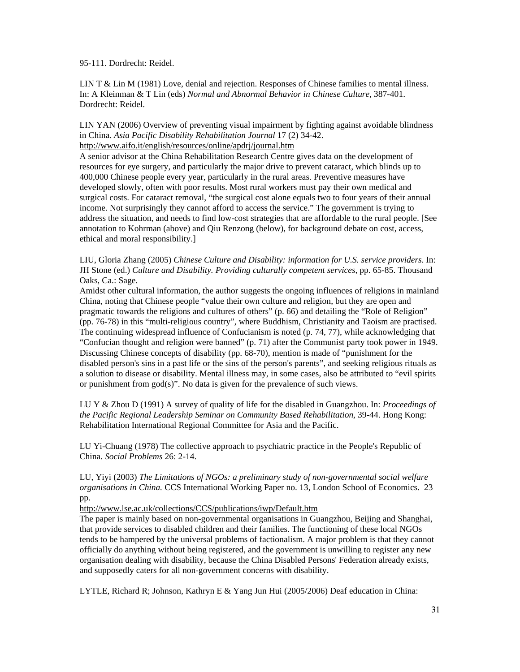95-111. Dordrecht: Reidel.

LIN T & Lin M (1981) Love, denial and rejection. Responses of Chinese families to mental illness. In: A Kleinman & T Lin (eds) *Normal and Abnormal Behavior in Chinese Culture*, 387-401. Dordrecht: Reidel.

LIN YAN (2006) Overview of preventing visual impairment by fighting against avoidable blindness in China. *Asia Pacific Disability Rehabilitation Journal* 17 (2) 34-42.

http://www.aifo.it/english/resources/online/apdrj/journal.htm

A senior advisor at the China Rehabilitation Research Centre gives data on the development of resources for eye surgery, and particularly the major drive to prevent cataract, which blinds up to 400,000 Chinese people every year, particularly in the rural areas. Preventive measures have developed slowly, often with poor results. Most rural workers must pay their own medical and surgical costs. For cataract removal, "the surgical cost alone equals two to four years of their annual income. Not surprisingly they cannot afford to access the service." The government is trying to address the situation, and needs to find low-cost strategies that are affordable to the rural people. [See annotation to Kohrman (above) and Qiu Renzong (below), for background debate on cost, access, ethical and moral responsibility.]

LIU, Gloria Zhang (2005) *Chinese Culture and Disability: information for U.S. service providers*. In: JH Stone (ed.) *Culture and Disability. Providing culturally competent services*, pp. 65-85. Thousand Oaks, Ca.: Sage.

Amidst other cultural information, the author suggests the ongoing influences of religions in mainland China, noting that Chinese people "value their own culture and religion, but they are open and pragmatic towards the religions and cultures of others" (p. 66) and detailing the "Role of Religion" (pp. 76-78) in this "multi-religious country", where Buddhism, Christianity and Taoism are practised. The continuing widespread influence of Confucianism is noted (p. 74, 77), while acknowledging that "Confucian thought and religion were banned" (p. 71) after the Communist party took power in 1949. Discussing Chinese concepts of disability (pp. 68-70), mention is made of "punishment for the disabled person's sins in a past life or the sins of the person's parents", and seeking religious rituals as a solution to disease or disability. Mental illness may, in some cases, also be attributed to "evil spirits or punishment from god(s)". No data is given for the prevalence of such views.

LU Y & Zhou D (1991) A survey of quality of life for the disabled in Guangzhou. In: *Proceedings of the Pacific Regional Leadership Seminar on Community Based Rehabilitation*, 39-44. Hong Kong: Rehabilitation International Regional Committee for Asia and the Pacific.

LU Yi-Chuang (1978) The collective approach to psychiatric practice in the People's Republic of China. *Social Problems* 26: 2-14.

LU, Yiyi (2003) *The Limitations of NGOs: a preliminary study of non-governmental social welfare organisations in China.* CCS International Working Paper no. 13, London School of Economics. 23 pp.

http://www.lse.ac.uk/collections/CCS/publications/iwp/Default.htm

The paper is mainly based on non-governmental organisations in Guangzhou, Beijing and Shanghai, that provide services to disabled children and their families. The functioning of these local NGOs tends to be hampered by the universal problems of factionalism. A major problem is that they cannot officially do anything without being registered, and the government is unwilling to register any new organisation dealing with disability, because the China Disabled Persons' Federation already exists, and supposedly caters for all non-government concerns with disability.

LYTLE, Richard R; Johnson, Kathryn E & Yang Jun Hui (2005/2006) Deaf education in China: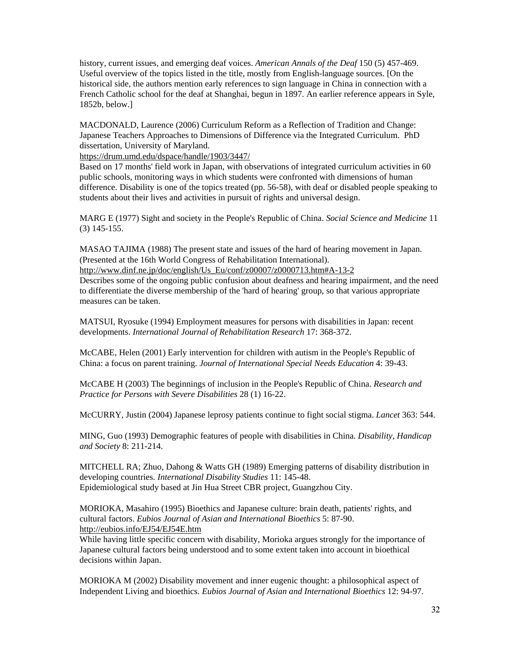history, current issues, and emerging deaf voices. *American Annals of the Deaf* 150 (5) 457-469. Useful overview of the topics listed in the title, mostly from English-language sources. [On the historical side, the authors mention early references to sign language in China in connection with a French Catholic school for the deaf at Shanghai, begun in 1897. An earlier reference appears in Syle, 1852b, below.]

MACDONALD, Laurence (2006) Curriculum Reform as a Reflection of Tradition and Change: Japanese Teachers Approaches to Dimensions of Difference via the Integrated Curriculum. PhD dissertation, University of Maryland.

https://drum.umd.edu/dspace/handle/1903/3447/

Based on 17 months' field work in Japan, with observations of integrated curriculum activities in 60 public schools, monitoring ways in which students were confronted with dimensions of human difference. Disability is one of the topics treated (pp. 56-58), with deaf or disabled people speaking to students about their lives and activities in pursuit of rights and universal design.

MARG E (1977) Sight and society in the People's Republic of China. *Social Science and Medicine* 11 (3) 145-155.

MASAO TAJIMA (1988) The present state and issues of the hard of hearing movement in Japan. (Presented at the 16th World Congress of Rehabilitation International). http://www.dinf.ne.jp/doc/english/Us\_Eu/conf/z00007/z0000713.htm#A-13-2

Describes some of the ongoing public confusion about deafness and hearing impairment, and the need to differentiate the diverse membership of the 'hard of hearing' group, so that various appropriate measures can be taken.

MATSUI, Ryosuke (1994) Employment measures for persons with disabilities in Japan: recent developments. *International Journal of Rehabilitation Research* 17: 368-372.

McCABE, Helen (2001) Early intervention for children with autism in the People's Republic of China: a focus on parent training. *Journal of International Special Needs Education* 4: 39-43.

McCABE H (2003) The beginnings of inclusion in the People's Republic of China. *Research and Practice for Persons with Severe Disabilities* 28 (1) 16-22.

McCURRY, Justin (2004) Japanese leprosy patients continue to fight social stigma. *Lancet* 363: 544.

MING, Guo (1993) Demographic features of people with disabilities in China. *Disability, Handicap and Society* 8: 211-214.

MITCHELL RA; Zhuo, Dahong & Watts GH (1989) Emerging patterns of disability distribution in developing countries. *International Disability Studies* 11: 145-48. Epidemiological study based at Jin Hua Street CBR project, Guangzhou City.

MORIOKA, Masahiro (1995) Bioethics and Japanese culture: brain death, patients' rights, and cultural factors. *Eubios Journal of Asian and International Bioethics* 5: 87-90. http://eubios.info/EJ54/EJ54E.htm

While having little specific concern with disability, Morioka argues strongly for the importance of Japanese cultural factors being understood and to some extent taken into account in bioethical decisions within Japan.

MORIOKA M (2002) Disability movement and inner eugenic thought: a philosophical aspect of Independent Living and bioethics. *Eubios Journal of Asian and International Bioethics* 12: 94-97.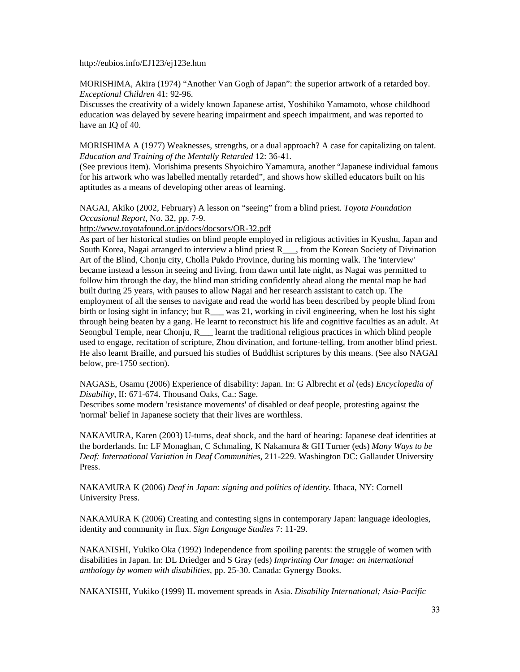#### http://eubios.info/EJ123/ej123e.htm

MORISHIMA, Akira (1974) "Another Van Gogh of Japan": the superior artwork of a retarded boy. *Exceptional Children* 41: 92-96.

Discusses the creativity of a widely known Japanese artist, Yoshihiko Yamamoto, whose childhood education was delayed by severe hearing impairment and speech impairment, and was reported to have an IQ of 40.

MORISHIMA A (1977) Weaknesses, strengths, or a dual approach? A case for capitalizing on talent. *Education and Training of the Mentally Retarded* 12: 36-41.

(See previous item). Morishima presents Shyoichiro Yamamura, another "Japanese individual famous for his artwork who was labelled mentally retarded", and shows how skilled educators built on his aptitudes as a means of developing other areas of learning.

NAGAI, Akiko (2002, February) A lesson on "seeing" from a blind priest. *Toyota Foundation Occasional Report*, No. 32, pp. 7-9.

http://www.toyotafound.or.jp/docs/docsors/OR-32.pdf

As part of her historical studies on blind people employed in religious activities in Kyushu, Japan and South Korea, Nagai arranged to interview a blind priest R<sub>nters</sub>, from the Korean Society of Divination Art of the Blind, Chonju city, Cholla Pukdo Province, during his morning walk. The 'interview' became instead a lesson in seeing and living, from dawn until late night, as Nagai was permitted to follow him through the day, the blind man striding confidently ahead along the mental map he had built during 25 years, with pauses to allow Nagai and her research assistant to catch up. The employment of all the senses to navigate and read the world has been described by people blind from birth or losing sight in infancy; but R — was 21, working in civil engineering, when he lost his sight through being beaten by a gang. He learnt to reconstruct his life and cognitive faculties as an adult. At Seongbul Temple, near Chonju, R\_\_\_ learnt the traditional religious practices in which blind people used to engage, recitation of scripture, Zhou divination, and fortune-telling, from another blind priest. He also learnt Braille, and pursued his studies of Buddhist scriptures by this means. (See also NAGAI below, pre-1750 section).

NAGASE, Osamu (2006) Experience of disability: Japan. In: G Albrecht *et al* (eds) *Encyclopedia of Disability*, II: 671-674. Thousand Oaks, Ca.: Sage.

Describes some modern 'resistance movements' of disabled or deaf people, protesting against the 'normal' belief in Japanese society that their lives are worthless.

NAKAMURA, Karen (2003) U-turns, deaf shock, and the hard of hearing: Japanese deaf identities at the borderlands. In: LF Monaghan, C Schmaling, K Nakamura & GH Turner (eds) *Many Ways to be Deaf: International Variation in Deaf Communities*, 211-229. Washington DC: Gallaudet University Press.

NAKAMURA K (2006) *Deaf in Japan: signing and politics of identity*. Ithaca, NY: Cornell University Press.

NAKAMURA K (2006) Creating and contesting signs in contemporary Japan: language ideologies, identity and community in flux. *Sign Language Studies* 7: 11-29.

NAKANISHI, Yukiko Oka (1992) Independence from spoiling parents: the struggle of women with disabilities in Japan. In: DL Driedger and S Gray (eds) *Imprinting Our Image: an international anthology by women with disabilities*, pp. 25-30. Canada: Gynergy Books.

NAKANISHI, Yukiko (1999) IL movement spreads in Asia. *Disability International; Asia-Pacific*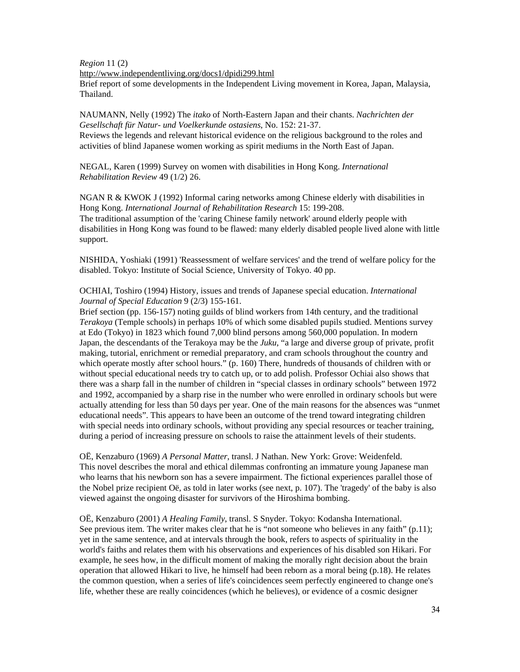*Region* 11 (2)

http://www.independentliving.org/docs1/dpidi299.html

Brief report of some developments in the Independent Living movement in Korea, Japan, Malaysia, Thailand.

NAUMANN, Nelly (1992) The *itako* of North-Eastern Japan and their chants. *Nachrichten der Gesellschaft für Natur- und Voelkerkunde ostasiens*, No. 152: 21-37. Reviews the legends and relevant historical evidence on the religious background to the roles and activities of blind Japanese women working as spirit mediums in the North East of Japan.

NEGAL, Karen (1999) Survey on women with disabilities in Hong Kong. *International Rehabilitation Review* 49 (1/2) 26.

NGAN R & KWOK J (1992) Informal caring networks among Chinese elderly with disabilities in Hong Kong. *International Journal of Rehabilitation Research* 15: 199-208. The traditional assumption of the 'caring Chinese family network' around elderly people with disabilities in Hong Kong was found to be flawed: many elderly disabled people lived alone with little support.

NISHIDA, Yoshiaki (1991) 'Reassessment of welfare services' and the trend of welfare policy for the disabled. Tokyo: Institute of Social Science, University of Tokyo. 40 pp.

OCHIAI, Toshiro (1994) History, issues and trends of Japanese special education. *International Journal of Special Education* 9 (2/3) 155-161.

Brief section (pp. 156-157) noting guilds of blind workers from 14th century, and the traditional *Terakoya* (Temple schools) in perhaps 10% of which some disabled pupils studied. Mentions survey at Edo (Tokyo) in 1823 which found 7,000 blind persons among 560,000 population. In modern Japan, the descendants of the Terakoya may be the *Juku*, "a large and diverse group of private, profit making, tutorial, enrichment or remedial preparatory, and cram schools throughout the country and which operate mostly after school hours." (p. 160) There, hundreds of thousands of children with or without special educational needs try to catch up, or to add polish. Professor Ochiai also shows that there was a sharp fall in the number of children in "special classes in ordinary schools" between 1972 and 1992, accompanied by a sharp rise in the number who were enrolled in ordinary schools but were actually attending for less than 50 days per year. One of the main reasons for the absences was "unmet educational needs". This appears to have been an outcome of the trend toward integrating children with special needs into ordinary schools, without providing any special resources or teacher training, during a period of increasing pressure on schools to raise the attainment levels of their students.

OË, Kenzaburo (1969) *A Personal Matter*, transl. J Nathan. New York: Grove: Weidenfeld. This novel describes the moral and ethical dilemmas confronting an immature young Japanese man who learns that his newborn son has a severe impairment. The fictional experiences parallel those of the Nobel prize recipient Oë, as told in later works (see next, p. 107). The 'tragedy' of the baby is also viewed against the ongoing disaster for survivors of the Hiroshima bombing.

OË, Kenzaburo (2001) *A Healing Family*, transl. S Snyder. Tokyo: Kodansha International. See previous item. The writer makes clear that he is "not someone who believes in any faith" (p.11); yet in the same sentence, and at intervals through the book, refers to aspects of spirituality in the world's faiths and relates them with his observations and experiences of his disabled son Hikari. For example, he sees how, in the difficult moment of making the morally right decision about the brain operation that allowed Hikari to live, he himself had been reborn as a moral being (p.18). He relates the common question, when a series of life's coincidences seem perfectly engineered to change one's life, whether these are really coincidences (which he believes), or evidence of a cosmic designer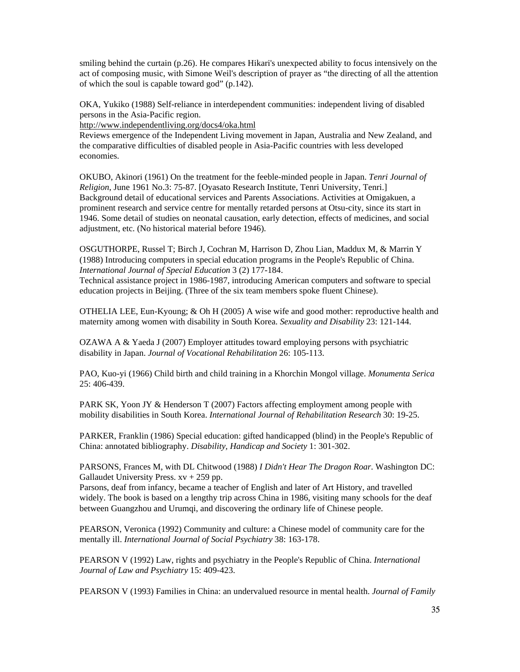smiling behind the curtain (p.26). He compares Hikari's unexpected ability to focus intensively on the act of composing music, with Simone Weil's description of prayer as "the directing of all the attention of which the soul is capable toward god" (p.142).

OKA, Yukiko (1988) Self-reliance in interdependent communities: independent living of disabled persons in the Asia-Pacific region.

http://www.independentliving.org/docs4/oka.html

Reviews emergence of the Independent Living movement in Japan, Australia and New Zealand, and the comparative difficulties of disabled people in Asia-Pacific countries with less developed economies.

OKUBO, Akinori (1961) On the treatment for the feeble-minded people in Japan. *Tenri Journal of Religion*, June 1961 No.3: 75-87. [Oyasato Research Institute, Tenri University, Tenri.] Background detail of educational services and Parents Associations. Activities at Omigakuen, a prominent research and service centre for mentally retarded persons at Otsu-city, since its start in 1946. Some detail of studies on neonatal causation, early detection, effects of medicines, and social adjustment, etc. (No historical material before 1946).

OSGUTHORPE, Russel T; Birch J, Cochran M, Harrison D, Zhou Lian, Maddux M, & Marrin Y (1988) Introducing computers in special education programs in the People's Republic of China. *International Journal of Special Education* 3 (2) 177-184.

Technical assistance project in 1986-1987, introducing American computers and software to special education projects in Beijing. (Three of the six team members spoke fluent Chinese).

OTHELIA LEE, Eun-Kyoung; & Oh H (2005) A wise wife and good mother: reproductive health and maternity among women with disability in South Korea. *Sexuality and Disability* 23: 121-144.

OZAWA A & Yaeda J (2007) Employer attitudes toward employing persons with psychiatric disability in Japan. *Journal of Vocational Rehabilitation* 26: 105-113.

PAO, Kuo-yi (1966) Child birth and child training in a Khorchin Mongol village. *Monumenta Serica* 25: 406-439.

PARK SK, Yoon JY & Henderson T (2007) Factors affecting employment among people with mobility disabilities in South Korea. *International Journal of Rehabilitation Research* 30: 19-25.

PARKER, Franklin (1986) Special education: gifted handicapped (blind) in the People's Republic of China: annotated bibliography. *Disability, Handicap and Society* 1: 301-302.

PARSONS, Frances M, with DL Chitwood (1988) *I Didn't Hear The Dragon Roar*. Washington DC: Gallaudet University Press.  $xy + 259$  pp.

Parsons, deaf from infancy, became a teacher of English and later of Art History, and travelled widely. The book is based on a lengthy trip across China in 1986, visiting many schools for the deaf between Guangzhou and Urumqi, and discovering the ordinary life of Chinese people.

PEARSON, Veronica (1992) Community and culture: a Chinese model of community care for the mentally ill. *International Journal of Social Psychiatry* 38: 163-178.

PEARSON V (1992) Law, rights and psychiatry in the People's Republic of China. *International Journal of Law and Psychiatry* 15: 409-423.

PEARSON V (1993) Families in China: an undervalued resource in mental health. *Journal of Family*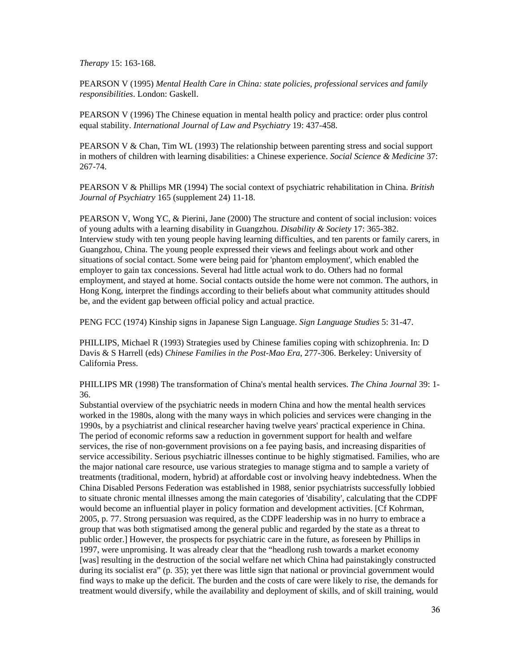*Therapy* 15: 163-168.

PEARSON V (1995) *Mental Health Care in China: state policies, professional services and family responsibilities*. London: Gaskell.

PEARSON V (1996) The Chinese equation in mental health policy and practice: order plus control equal stability. *International Journal of Law and Psychiatry* 19: 437-458.

PEARSON V & Chan, Tim WL (1993) The relationship between parenting stress and social support in mothers of children with learning disabilities: a Chinese experience. *Social Science & Medicine* 37: 267-74.

PEARSON V & Phillips MR (1994) The social context of psychiatric rehabilitation in China. *British Journal of Psychiatry* 165 (supplement 24) 11-18.

PEARSON V, Wong YC, & Pierini, Jane (2000) The structure and content of social inclusion: voices of young adults with a learning disability in Guangzhou. *Disability & Society* 17: 365-382. Interview study with ten young people having learning difficulties, and ten parents or family carers, in Guangzhou, China. The young people expressed their views and feelings about work and other situations of social contact. Some were being paid for 'phantom employment', which enabled the employer to gain tax concessions. Several had little actual work to do. Others had no formal employment, and stayed at home. Social contacts outside the home were not common. The authors, in Hong Kong, interpret the findings according to their beliefs about what community attitudes should be, and the evident gap between official policy and actual practice.

PENG FCC (1974) Kinship signs in Japanese Sign Language. *Sign Language Studies* 5: 31-47.

PHILLIPS, Michael R (1993) Strategies used by Chinese families coping with schizophrenia. In: D Davis & S Harrell (eds) *Chinese Families in the Post-Mao Era*, 277-306. Berkeley: University of California Press.

PHILLIPS MR (1998) The transformation of China's mental health services. *The China Journal* 39: 1- 36.

Substantial overview of the psychiatric needs in modern China and how the mental health services worked in the 1980s, along with the many ways in which policies and services were changing in the 1990s, by a psychiatrist and clinical researcher having twelve years' practical experience in China. The period of economic reforms saw a reduction in government support for health and welfare services, the rise of non-government provisions on a fee paying basis, and increasing disparities of service accessibility. Serious psychiatric illnesses continue to be highly stigmatised. Families, who are the major national care resource, use various strategies to manage stigma and to sample a variety of treatments (traditional, modern, hybrid) at affordable cost or involving heavy indebtedness. When the China Disabled Persons Federation was established in 1988, senior psychiatrists successfully lobbied to situate chronic mental illnesses among the main categories of 'disability', calculating that the CDPF would become an influential player in policy formation and development activities. [Cf Kohrman, 2005, p. 77. Strong persuasion was required, as the CDPF leadership was in no hurry to embrace a group that was both stigmatised among the general public and regarded by the state as a threat to public order.] However, the prospects for psychiatric care in the future, as foreseen by Phillips in 1997, were unpromising. It was already clear that the "headlong rush towards a market economy [was] resulting in the destruction of the social welfare net which China had painstakingly constructed during its socialist era" (p. 35); yet there was little sign that national or provincial government would find ways to make up the deficit. The burden and the costs of care were likely to rise, the demands for treatment would diversify, while the availability and deployment of skills, and of skill training, would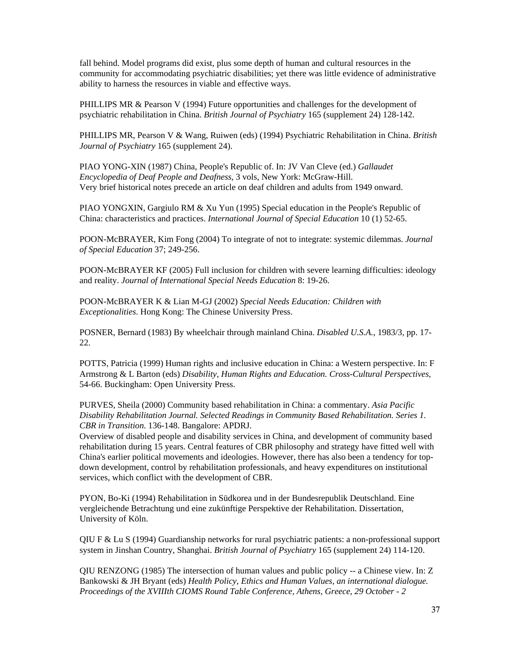fall behind. Model programs did exist, plus some depth of human and cultural resources in the community for accommodating psychiatric disabilities; yet there was little evidence of administrative ability to harness the resources in viable and effective ways.

PHILLIPS MR & Pearson V (1994) Future opportunities and challenges for the development of psychiatric rehabilitation in China. *British Journal of Psychiatry* 165 (supplement 24) 128-142.

PHILLIPS MR, Pearson V & Wang, Ruiwen (eds) (1994) Psychiatric Rehabilitation in China. *British Journal of Psychiatry* 165 (supplement 24).

PIAO YONG-XIN (1987) China, People's Republic of. In: JV Van Cleve (ed.) *Gallaudet Encyclopedia of Deaf People and Deafness*, 3 vols, New York: McGraw-Hill. Very brief historical notes precede an article on deaf children and adults from 1949 onward.

PIAO YONGXIN, Gargiulo RM & Xu Yun (1995) Special education in the People's Republic of China: characteristics and practices. *International Journal of Special Education* 10 (1) 52-65.

POON-McBRAYER, Kim Fong (2004) To integrate of not to integrate: systemic dilemmas. *Journal of Special Education* 37; 249-256.

POON-McBRAYER KF (2005) Full inclusion for children with severe learning difficulties: ideology and reality. *Journal of International Special Needs Education* 8: 19-26.

POON-McBRAYER K & Lian M-GJ (2002) *Special Needs Education: Children with Exceptionalities*. Hong Kong: The Chinese University Press.

POSNER, Bernard (1983) By wheelchair through mainland China. *Disabled U.S.A.*, 1983/3, pp. 17- 22.

POTTS, Patricia (1999) Human rights and inclusive education in China: a Western perspective. In: F Armstrong & L Barton (eds) *Disability, Human Rights and Education. Cross-Cultural Perspectives*, 54-66. Buckingham: Open University Press.

PURVES, Sheila (2000) Community based rehabilitation in China: a commentary. *Asia Pacific Disability Rehabilitation Journal. Selected Readings in Community Based Rehabilitation. Series 1. CBR in Transition*. 136-148. Bangalore: APDRJ.

Overview of disabled people and disability services in China, and development of community based rehabilitation during 15 years. Central features of CBR philosophy and strategy have fitted well with China's earlier political movements and ideologies. However, there has also been a tendency for topdown development, control by rehabilitation professionals, and heavy expenditures on institutional services, which conflict with the development of CBR.

PYON, Bo-Ki (1994) Rehabilitation in Südkorea und in der Bundesrepublik Deutschland. Eine vergleichende Betrachtung und eine zukünftige Perspektive der Rehabilitation. Dissertation, University of Köln.

QIU F & Lu S (1994) Guardianship networks for rural psychiatric patients: a non-professional support system in Jinshan Country, Shanghai. *British Journal of Psychiatry* 165 (supplement 24) 114-120.

QIU RENZONG (1985) The intersection of human values and public policy  $-$  a Chinese view. In: Z Bankowski & JH Bryant (eds) *Health Policy, Ethics and Human Values, an international dialogue. Proceedings of the XVIIIth CIOMS Round Table Conference, Athens, Greece, 29 October - 2*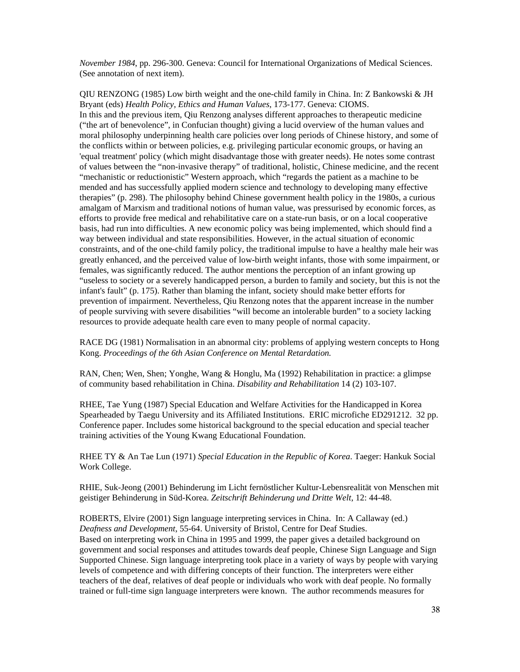*November 1984*, pp. 296-300. Geneva: Council for International Organizations of Medical Sciences. (See annotation of next item).

QIU RENZONG (1985) Low birth weight and the one-child family in China. In: Z Bankowski & JH Bryant (eds) *Health Policy, Ethics and Human Values*, 173-177. Geneva: CIOMS. In this and the previous item, Qiu Renzong analyses different approaches to therapeutic medicine ("the art of benevolence", in Confucian thought) giving a lucid overview of the human values and moral philosophy underpinning health care policies over long periods of Chinese history, and some of the conflicts within or between policies, e.g. privileging particular economic groups, or having an 'equal treatment' policy (which might disadvantage those with greater needs). He notes some contrast of values between the "non-invasive therapy" of traditional, holistic, Chinese medicine, and the recent "mechanistic or reductionistic" Western approach, which "regards the patient as a machine to be mended and has successfully applied modern science and technology to developing many effective therapies" (p. 298). The philosophy behind Chinese government health policy in the 1980s, a curious amalgam of Marxism and traditional notions of human value, was pressurised by economic forces, as efforts to provide free medical and rehabilitative care on a state-run basis, or on a local cooperative basis, had run into difficulties. A new economic policy was being implemented, which should find a way between individual and state responsibilities. However, in the actual situation of economic constraints, and of the one-child family policy, the traditional impulse to have a healthy male heir was greatly enhanced, and the perceived value of low-birth weight infants, those with some impairment, or females, was significantly reduced. The author mentions the perception of an infant growing up "useless to society or a severely handicapped person, a burden to family and society, but this is not the infant's fault" (p. 175). Rather than blaming the infant, society should make better efforts for prevention of impairment. Nevertheless, Qiu Renzong notes that the apparent increase in the number of people surviving with severe disabilities "will become an intolerable burden" to a society lacking resources to provide adequate health care even to many people of normal capacity.

RACE DG (1981) Normalisation in an abnormal city: problems of applying western concepts to Hong Kong. *Proceedings of the 6th Asian Conference on Mental Retardation.*

RAN, Chen; Wen, Shen; Yonghe, Wang & Honglu, Ma (1992) Rehabilitation in practice: a glimpse of community based rehabilitation in China. *Disability and Rehabilitation* 14 (2) 103-107.

RHEE, Tae Yung (1987) Special Education and Welfare Activities for the Handicapped in Korea Spearheaded by Taegu University and its Affiliated Institutions. ERIC microfiche ED291212. 32 pp. Conference paper. Includes some historical background to the special education and special teacher training activities of the Young Kwang Educational Foundation.

RHEE TY & An Tae Lun (1971) *Special Education in the Republic of Korea*. Taeger: Hankuk Social Work College.

RHIE, Suk-Jeong (2001) Behinderung im Licht fernöstlicher Kultur-Lebensrealität von Menschen mit geistiger Behinderung in Süd-Korea. *Zeitschrift Behinderung und Dritte Welt*, 12: 44-48.

ROBERTS, Elvire (2001) Sign language interpreting services in China. In: A Callaway (ed.) *Deafness and Development*, 55-64. University of Bristol, Centre for Deaf Studies. Based on interpreting work in China in 1995 and 1999, the paper gives a detailed background on government and social responses and attitudes towards deaf people, Chinese Sign Language and Sign Supported Chinese. Sign language interpreting took place in a variety of ways by people with varying levels of competence and with differing concepts of their function. The interpreters were either teachers of the deaf, relatives of deaf people or individuals who work with deaf people. No formally trained or full-time sign language interpreters were known. The author recommends measures for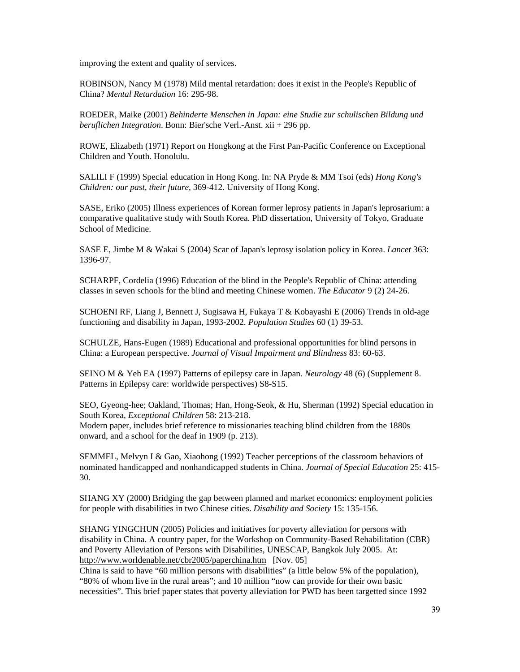improving the extent and quality of services.

ROBINSON, Nancy M (1978) Mild mental retardation: does it exist in the People's Republic of China? *Mental Retardation* 16: 295-98.

ROEDER, Maike (2001) *Behinderte Menschen in Japan: eine Studie zur schulischen Bildung und beruflichen Integration*. Bonn: Bier'sche Verl.-Anst. xii + 296 pp.

ROWE, Elizabeth (1971) Report on Hongkong at the First Pan-Pacific Conference on Exceptional Children and Youth. Honolulu.

SALILI F (1999) Special education in Hong Kong. In: NA Pryde & MM Tsoi (eds) *Hong Kong's Children: our past, their future*, 369-412. University of Hong Kong.

SASE, Eriko (2005) Illness experiences of Korean former leprosy patients in Japan's leprosarium: a comparative qualitative study with South Korea. PhD dissertation, University of Tokyo, Graduate School of Medicine.

SASE E, Jimbe M & Wakai S (2004) Scar of Japan's leprosy isolation policy in Korea. *Lancet* 363: 1396-97.

SCHARPF, Cordelia (1996) Education of the blind in the People's Republic of China: attending classes in seven schools for the blind and meeting Chinese women. *The Educator* 9 (2) 24-26.

SCHOENI RF, Liang J, Bennett J, Sugisawa H, Fukaya T & Kobayashi E (2006) Trends in old-age functioning and disability in Japan, 1993-2002. *Population Studies* 60 (1) 39-53.

SCHULZE, Hans-Eugen (1989) Educational and professional opportunities for blind persons in China: a European perspective. *Journal of Visual Impairment and Blindness* 83: 60-63.

SEINO M & Yeh EA (1997) Patterns of epilepsy care in Japan. *Neurology* 48 (6) (Supplement 8. Patterns in Epilepsy care: worldwide perspectives) S8-S15.

SEO, Gyeong-hee; Oakland, Thomas; Han, Hong-Seok, & Hu, Sherman (1992) Special education in South Korea, *Exceptional Children* 58: 213-218. Modern paper, includes brief reference to missionaries teaching blind children from the 1880s onward, and a school for the deaf in 1909 (p. 213).

SEMMEL, Melvyn I & Gao, Xiaohong (1992) Teacher perceptions of the classroom behaviors of nominated handicapped and nonhandicapped students in China. *Journal of Special Education* 25: 415- 30.

SHANG XY (2000) Bridging the gap between planned and market economics: employment policies for people with disabilities in two Chinese cities. *Disability and Society* 15: 135-156.

SHANG YINGCHUN (2005) Policies and initiatives for poverty alleviation for persons with disability in China. A country paper, for the Workshop on Community-Based Rehabilitation (CBR) and Poverty Alleviation of Persons with Disabilities, UNESCAP, Bangkok July 2005. At: http://www.worldenable.net/cbr2005/paperchina.htm [Nov. 05]

China is said to have "60 million persons with disabilities" (a little below 5% of the population), "80% of whom live in the rural areas"; and 10 million "now can provide for their own basic necessities". This brief paper states that poverty alleviation for PWD has been targetted since 1992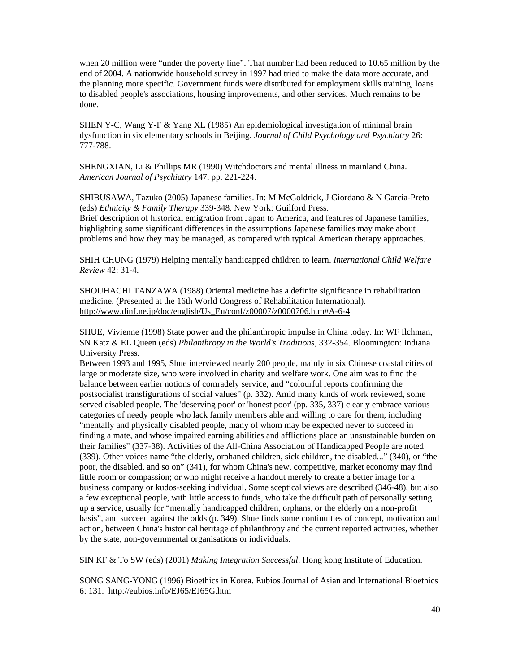when 20 million were "under the poverty line". That number had been reduced to 10.65 million by the end of 2004. A nationwide household survey in 1997 had tried to make the data more accurate, and the planning more specific. Government funds were distributed for employment skills training, loans to disabled people's associations, housing improvements, and other services. Much remains to be done.

SHEN Y-C, Wang Y-F & Yang XL (1985) An epidemiological investigation of minimal brain dysfunction in six elementary schools in Beijing. *Journal of Child Psychology and Psychiatry* 26: 777-788.

SHENGXIAN, Li & Phillips MR (1990) Witchdoctors and mental illness in mainland China. *American Journal of Psychiatry* 147, pp. 221-224.

SHIBUSAWA, Tazuko (2005) Japanese families. In: M McGoldrick, J Giordano & N Garcia-Preto (eds) *Ethnicity & Family Therapy* 339-348. New York: Guilford Press. Brief description of historical emigration from Japan to America, and features of Japanese families, highlighting some significant differences in the assumptions Japanese families may make about problems and how they may be managed, as compared with typical American therapy approaches.

SHIH CHUNG (1979) Helping mentally handicapped children to learn. *International Child Welfare Review* 42: 31-4.

SHOUHACHI TANZAWA (1988) Oriental medicine has a definite significance in rehabilitation medicine. (Presented at the 16th World Congress of Rehabilitation International). http://www.dinf.ne.jp/doc/english/Us\_Eu/conf/z00007/z0000706.htm#A-6-4

SHUE, Vivienne (1998) State power and the philanthropic impulse in China today. In: WF Ilchman, SN Katz & EL Queen (eds) *Philanthropy in the World's Traditions*, 332-354. Bloomington: Indiana University Press.

Between 1993 and 1995, Shue interviewed nearly 200 people, mainly in six Chinese coastal cities of large or moderate size, who were involved in charity and welfare work. One aim was to find the balance between earlier notions of comradely service, and "colourful reports confirming the postsocialist transfigurations of social values" (p. 332). Amid many kinds of work reviewed, some served disabled people. The 'deserving poor' or 'honest poor' (pp. 335, 337) clearly embrace various categories of needy people who lack family members able and willing to care for them, including "mentally and physically disabled people, many of whom may be expected never to succeed in finding a mate, and whose impaired earning abilities and afflictions place an unsustainable burden on their families" (337-38). Activities of the All-China Association of Handicapped People are noted (339). Other voices name "the elderly, orphaned children, sick children, the disabled..." (340), or "the poor, the disabled, and so on" (341), for whom China's new, competitive, market economy may find little room or compassion; or who might receive a handout merely to create a better image for a business company or kudos-seeking individual. Some sceptical views are described (346-48), but also a few exceptional people, with little access to funds, who take the difficult path of personally setting up a service, usually for "mentally handicapped children, orphans, or the elderly on a non-profit basis", and succeed against the odds (p. 349). Shue finds some continuities of concept, motivation and action, between China's historical heritage of philanthropy and the current reported activities, whether by the state, non-governmental organisations or individuals.

SIN KF & To SW (eds) (2001) *Making Integration Successful*. Hong kong Institute of Education.

SONG SANG-YONG (1996) Bioethics in Korea. Eubios Journal of Asian and International Bioethics 6: 131. http://eubios.info/EJ65/EJ65G.htm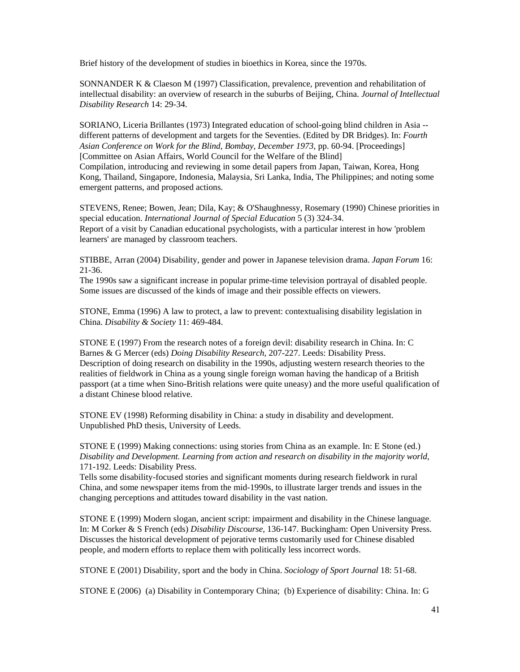Brief history of the development of studies in bioethics in Korea, since the 1970s.

SONNANDER K & Claeson M (1997) Classification, prevalence, prevention and rehabilitation of intellectual disability: an overview of research in the suburbs of Beijing, China. *Journal of Intellectual Disability Research* 14: 29-34.

SORIANO, Liceria Brillantes (1973) Integrated education of school-going blind children in Asia - different patterns of development and targets for the Seventies. (Edited by DR Bridges). In: *Fourth Asian Conference on Work for the Blind, Bombay, December 1973*, pp. 60-94. [Proceedings] [Committee on Asian Affairs, World Council for the Welfare of the Blind] Compilation, introducing and reviewing in some detail papers from Japan, Taiwan, Korea, Hong Kong, Thailand, Singapore, Indonesia, Malaysia, Sri Lanka, India, The Philippines; and noting some emergent patterns, and proposed actions.

STEVENS, Renee; Bowen, Jean; Dila, Kay; & O'Shaughnessy, Rosemary (1990) Chinese priorities in special education. *International Journal of Special Education* 5 (3) 324-34. Report of a visit by Canadian educational psychologists, with a particular interest in how 'problem learners' are managed by classroom teachers.

STIBBE, Arran (2004) Disability, gender and power in Japanese television drama. *Japan Forum* 16: 21-36.

The 1990s saw a significant increase in popular prime-time television portrayal of disabled people. Some issues are discussed of the kinds of image and their possible effects on viewers.

STONE, Emma (1996) A law to protect, a law to prevent: contextualising disability legislation in China. *Disability & Society* 11: 469-484.

STONE E (1997) From the research notes of a foreign devil: disability research in China. In: C Barnes & G Mercer (eds) *Doing Disability Research*, 207-227. Leeds: Disability Press. Description of doing research on disability in the 1990s, adjusting western research theories to the realities of fieldwork in China as a young single foreign woman having the handicap of a British passport (at a time when Sino-British relations were quite uneasy) and the more useful qualification of a distant Chinese blood relative.

STONE EV (1998) Reforming disability in China: a study in disability and development. Unpublished PhD thesis, University of Leeds.

STONE E (1999) Making connections: using stories from China as an example. In: E Stone (ed.) *Disability and Development. Learning from action and research on disability in the majority world*, 171-192. Leeds: Disability Press.

Tells some disability-focused stories and significant moments during research fieldwork in rural China, and some newspaper items from the mid-1990s, to illustrate larger trends and issues in the changing perceptions and attitudes toward disability in the vast nation.

STONE E (1999) Modern slogan, ancient script: impairment and disability in the Chinese language. In: M Corker & S French (eds) *Disability Discourse*, 136-147. Buckingham: Open University Press. Discusses the historical development of pejorative terms customarily used for Chinese disabled people, and modern efforts to replace them with politically less incorrect words.

STONE E (2001) Disability, sport and the body in China. *Sociology of Sport Journal* 18: 51-68.

STONE E (2006) (a) Disability in Contemporary China; (b) Experience of disability: China. In: G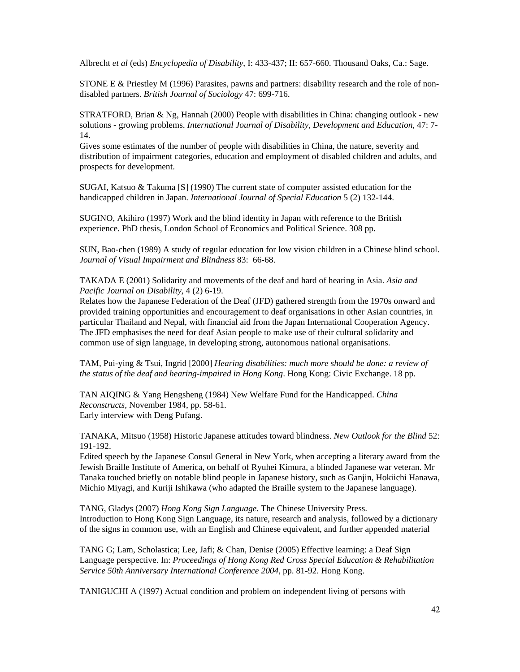Albrecht *et al* (eds) *Encyclopedia of Disability*, I: 433-437; II: 657-660. Thousand Oaks, Ca.: Sage.

STONE E  $\&$  Priestley M (1996) Parasites, pawns and partners: disability research and the role of nondisabled partners. *British Journal of Sociology* 47: 699-716.

STRATFORD, Brian & Ng, Hannah (2000) People with disabilities in China: changing outlook - new solutions - growing problems. *International Journal of Disability, Development and Education*, 47: 7- 14.

Gives some estimates of the number of people with disabilities in China, the nature, severity and distribution of impairment categories, education and employment of disabled children and adults, and prospects for development.

SUGAI, Katsuo & Takuma [S] (1990) The current state of computer assisted education for the handicapped children in Japan. *International Journal of Special Education* 5 (2) 132-144.

SUGINO, Akihiro (1997) Work and the blind identity in Japan with reference to the British experience. PhD thesis, London School of Economics and Political Science. 308 pp.

SUN, Bao-chen (1989) A study of regular education for low vision children in a Chinese blind school. *Journal of Visual Impairment and Blindness* 83: 66-68.

TAKADA E (2001) Solidarity and movements of the deaf and hard of hearing in Asia. *Asia and Pacific Journal on Disability*, 4 (2) 6-19.

Relates how the Japanese Federation of the Deaf (JFD) gathered strength from the 1970s onward and provided training opportunities and encouragement to deaf organisations in other Asian countries, in particular Thailand and Nepal, with financial aid from the Japan International Cooperation Agency. The JFD emphasises the need for deaf Asian people to make use of their cultural solidarity and common use of sign language, in developing strong, autonomous national organisations.

TAM, Pui-ying & Tsui, Ingrid [2000] *Hearing disabilities: much more should be done: a review of the status of the deaf and hearing-impaired in Hong Kong*. Hong Kong: Civic Exchange. 18 pp.

TAN AIQING & Yang Hengsheng (1984) New Welfare Fund for the Handicapped. *China Reconstructs*, November 1984, pp. 58-61. Early interview with Deng Pufang.

TANAKA, Mitsuo (1958) Historic Japanese attitudes toward blindness. *New Outlook for the Blind* 52: 191-192.

Edited speech by the Japanese Consul General in New York, when accepting a literary award from the Jewish Braille Institute of America, on behalf of Ryuhei Kimura, a blinded Japanese war veteran. Mr Tanaka touched briefly on notable blind people in Japanese history, such as Ganjin, Hokiichi Hanawa, Michio Miyagi, and Kuriji Ishikawa (who adapted the Braille system to the Japanese language).

TANG, Gladys (2007) *Hong Kong Sign Language.* The Chinese University Press. Introduction to Hong Kong Sign Language, its nature, research and analysis, followed by a dictionary of the signs in common use, with an English and Chinese equivalent, and further appended material

TANG G; Lam, Scholastica; Lee, Jafi; & Chan, Denise (2005) Effective learning: a Deaf Sign Language perspective. In: *Proceedings of Hong Kong Red Cross Special Education & Rehabilitation Service 50th Anniversary International Conference 2004*, pp. 81-92. Hong Kong.

TANIGUCHI A (1997) Actual condition and problem on independent living of persons with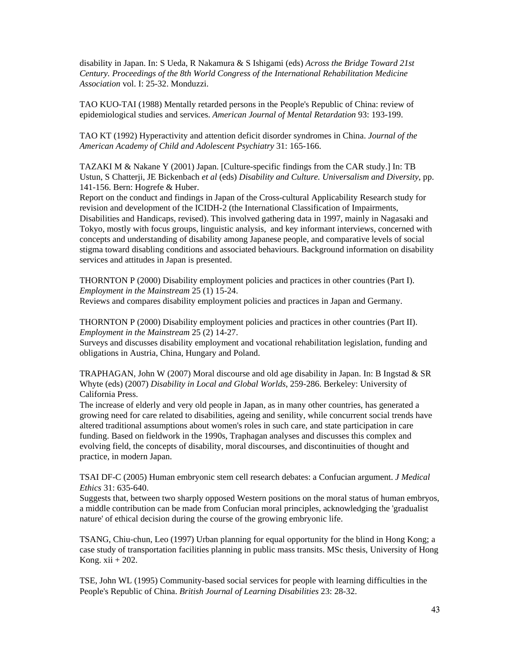disability in Japan. In: S Ueda, R Nakamura & S Ishigami (eds) *Across the Bridge Toward 21st Century. Proceedings of the 8th World Congress of the International Rehabilitation Medicine Association* vol. I: 25-32. Monduzzi.

TAO KUO-TAI (1988) Mentally retarded persons in the People's Republic of China: review of epidemiological studies and services. *American Journal of Mental Retardation* 93: 193-199.

TAO KT (1992) Hyperactivity and attention deficit disorder syndromes in China. *Journal of the American Academy of Child and Adolescent Psychiatry* 31: 165-166.

TAZAKI M & Nakane Y (2001) Japan. [Culture-specific findings from the CAR study.] In: TB Ustun, S Chatterji, JE Bickenbach *et al* (eds) *Disability and Culture. Universalism and Diversity*, pp. 141-156. Bern: Hogrefe & Huber.

Report on the conduct and findings in Japan of the Cross-cultural Applicability Research study for revision and development of the ICIDH-2 (the International Classification of Impairments, Disabilities and Handicaps, revised). This involved gathering data in 1997, mainly in Nagasaki and Tokyo, mostly with focus groups, linguistic analysis, and key informant interviews, concerned with concepts and understanding of disability among Japanese people, and comparative levels of social stigma toward disabling conditions and associated behaviours. Background information on disability services and attitudes in Japan is presented.

THORNTON P (2000) Disability employment policies and practices in other countries (Part I). *Employment in the Mainstream* 25 (1) 15-24.

Reviews and compares disability employment policies and practices in Japan and Germany.

THORNTON P (2000) Disability employment policies and practices in other countries (Part II). *Employment in the Mainstream* 25 (2) 14-27.

Surveys and discusses disability employment and vocational rehabilitation legislation, funding and obligations in Austria, China, Hungary and Poland.

TRAPHAGAN, John W (2007) Moral discourse and old age disability in Japan. In: B Ingstad & SR Whyte (eds) (2007) *Disability in Local and Global Worlds*, 259-286. Berkeley: University of California Press.

The increase of elderly and very old people in Japan, as in many other countries, has generated a growing need for care related to disabilities, ageing and senility, while concurrent social trends have altered traditional assumptions about women's roles in such care, and state participation in care funding. Based on fieldwork in the 1990s, Traphagan analyses and discusses this complex and evolving field, the concepts of disability, moral discourses, and discontinuities of thought and practice, in modern Japan.

TSAI DF-C (2005) Human embryonic stem cell research debates: a Confucian argument. *J Medical Ethics* 31: 635-640.

Suggests that, between two sharply opposed Western positions on the moral status of human embryos, a middle contribution can be made from Confucian moral principles, acknowledging the 'gradualist nature' of ethical decision during the course of the growing embryonic life.

TSANG, Chiu-chun, Leo (1997) Urban planning for equal opportunity for the blind in Hong Kong; a case study of transportation facilities planning in public mass transits. MSc thesis, University of Hong Kong. xii + 202.

TSE, John WL (1995) Community-based social services for people with learning difficulties in the People's Republic of China. *British Journal of Learning Disabilities* 23: 28-32.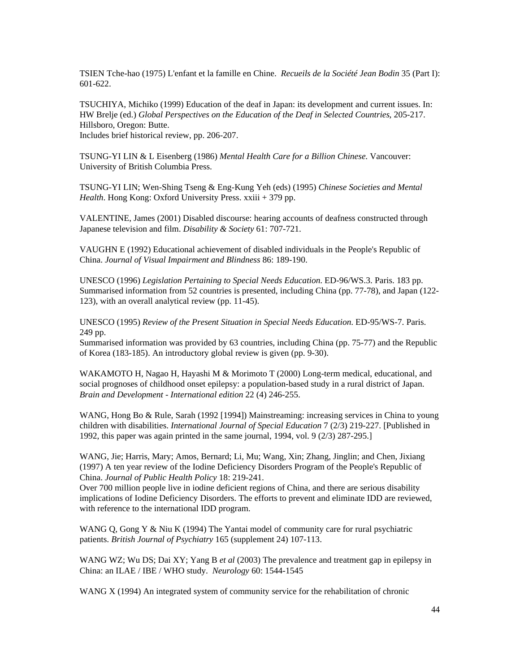TSIEN Tche-hao (1975) L'enfant et la famille en Chine. *Recueils de la Société Jean Bodin* 35 (Part I): 601-622.

TSUCHIYA, Michiko (1999) Education of the deaf in Japan: its development and current issues. In: HW Brelje (ed.) *Global Perspectives on the Education of the Deaf in Selected Countries*, 205-217. Hillsboro, Oregon: Butte. Includes brief historical review, pp. 206-207.

TSUNG-YI LIN & L Eisenberg (1986) *Mental Health Care for a Billion Chinese*. Vancouver: University of British Columbia Press.

TSUNG-YI LIN; Wen-Shing Tseng & Eng-Kung Yeh (eds) (1995) *Chinese Societies and Mental Health*. Hong Kong: Oxford University Press. xxiii + 379 pp.

VALENTINE, James (2001) Disabled discourse: hearing accounts of deafness constructed through Japanese television and film. *Disability & Society* 61: 707-721.

VAUGHN E (1992) Educational achievement of disabled individuals in the People's Republic of China. *Journal of Visual Impairment and Blindness* 86: 189-190.

UNESCO (1996) *Legislation Pertaining to Special Needs Education*. ED-96/WS.3. Paris. 183 pp. Summarised information from 52 countries is presented, including China (pp. 77-78), and Japan (122- 123), with an overall analytical review (pp. 11-45).

UNESCO (1995) *Review of the Present Situation in Special Needs Education*. ED-95/WS-7. Paris. 249 pp.

Summarised information was provided by 63 countries, including China (pp. 75-77) and the Republic of Korea (183-185). An introductory global review is given (pp. 9-30).

WAKAMOTO H, Nagao H, Hayashi M & Morimoto T (2000) Long-term medical, educational, and social prognoses of childhood onset epilepsy: a population-based study in a rural district of Japan. *Brain and Development - International edition* 22 (4) 246-255.

WANG, Hong Bo & Rule, Sarah (1992 [1994]) Mainstreaming: increasing services in China to young children with disabilities. *International Journal of Special Education* 7 (2/3) 219-227. [Published in 1992, this paper was again printed in the same journal, 1994, vol. 9 (2/3) 287-295.]

WANG, Jie; Harris, Mary; Amos, Bernard; Li, Mu; Wang, Xin; Zhang, Jinglin; and Chen, Jixiang (1997) A ten year review of the Iodine Deficiency Disorders Program of the People's Republic of China. *Journal of Public Health Policy* 18: 219-241.

Over 700 million people live in iodine deficient regions of China, and there are serious disability implications of Iodine Deficiency Disorders. The efforts to prevent and eliminate IDD are reviewed, with reference to the international IDD program.

WANG Q, Gong Y & Niu K (1994) The Yantai model of community care for rural psychiatric patients. *British Journal of Psychiatry* 165 (supplement 24) 107-113.

WANG WZ; Wu DS; Dai XY; Yang B *et al* (2003) The prevalence and treatment gap in epilepsy in China: an ILAE / IBE / WHO study. *Neurology* 60: 1544-1545

WANG X (1994) An integrated system of community service for the rehabilitation of chronic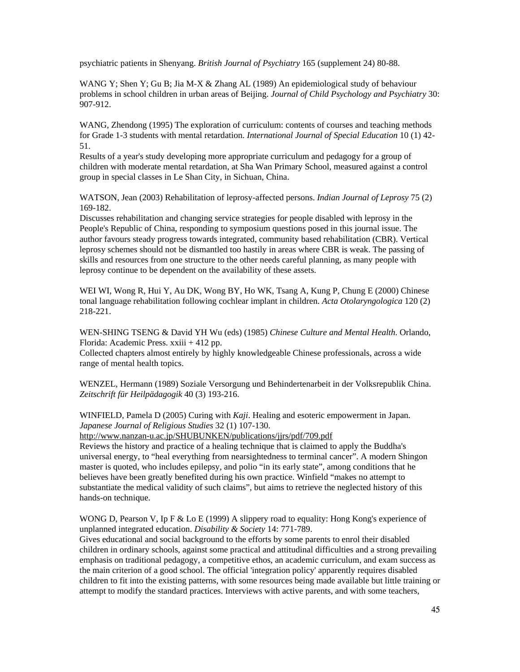psychiatric patients in Shenyang. *British Journal of Psychiatry* 165 (supplement 24) 80-88.

WANG Y; Shen Y; Gu B; Jia M-X & Zhang AL (1989) An epidemiological study of behaviour problems in school children in urban areas of Beijing. *Journal of Child Psychology and Psychiatry* 30: 907-912.

WANG, Zhendong (1995) The exploration of curriculum: contents of courses and teaching methods for Grade 1-3 students with mental retardation. *International Journal of Special Education* 10 (1) 42- 51.

Results of a year's study developing more appropriate curriculum and pedagogy for a group of children with moderate mental retardation, at Sha Wan Primary School, measured against a control group in special classes in Le Shan City, in Sichuan, China.

WATSON, Jean (2003) Rehabilitation of leprosy-affected persons. *Indian Journal of Leprosy* 75 (2) 169-182.

Discusses rehabilitation and changing service strategies for people disabled with leprosy in the People's Republic of China, responding to symposium questions posed in this journal issue. The author favours steady progress towards integrated, community based rehabilitation (CBR). Vertical leprosy schemes should not be dismantled too hastily in areas where CBR is weak. The passing of skills and resources from one structure to the other needs careful planning, as many people with leprosy continue to be dependent on the availability of these assets.

WEI WI, Wong R, Hui Y, Au DK, Wong BY, Ho WK, Tsang A, Kung P, Chung E (2000) Chinese tonal language rehabilitation following cochlear implant in children. *Acta Otolaryngologica* 120 (2) 218-221.

WEN-SHING TSENG & David YH Wu (eds) (1985) *Chinese Culture and Mental Health*. Orlando, Florida: Academic Press. xxiii + 412 pp.

Collected chapters almost entirely by highly knowledgeable Chinese professionals, across a wide range of mental health topics.

WENZEL, Hermann (1989) Soziale Versorgung und Behindertenarbeit in der Volksrepublik China. *Zeitschrift für Heilpädagogik* 40 (3) 193-216.

WINFIELD, Pamela D (2005) Curing with *Kaji*. Healing and esoteric empowerment in Japan. *Japanese Journal of Religious Studies* 32 (1) 107-130.

http://www.nanzan-u.ac.jp/SHUBUNKEN/publications/jjrs/pdf/709.pdf

Reviews the history and practice of a healing technique that is claimed to apply the Buddha's universal energy, to "heal everything from nearsightedness to terminal cancer". A modern Shingon master is quoted, who includes epilepsy, and polio "in its early state", among conditions that he believes have been greatly benefited during his own practice. Winfield "makes no attempt to substantiate the medical validity of such claims", but aims to retrieve the neglected history of this hands-on technique.

WONG D, Pearson V, Ip F & Lo E (1999) A slippery road to equality: Hong Kong's experience of unplanned integrated education. *Disability & Society* 14: 771-789.

Gives educational and social background to the efforts by some parents to enrol their disabled children in ordinary schools, against some practical and attitudinal difficulties and a strong prevailing emphasis on traditional pedagogy, a competitive ethos, an academic curriculum, and exam success as the main criterion of a good school. The official 'integration policy' apparently requires disabled children to fit into the existing patterns, with some resources being made available but little training or attempt to modify the standard practices. Interviews with active parents, and with some teachers,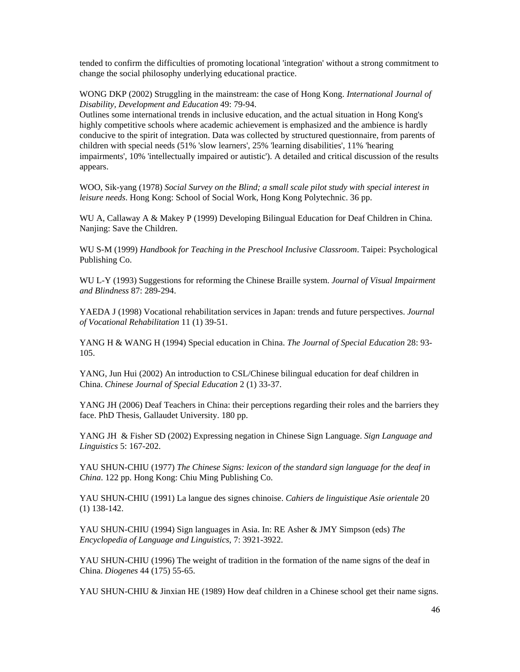tended to confirm the difficulties of promoting locational 'integration' without a strong commitment to change the social philosophy underlying educational practice.

WONG DKP (2002) Struggling in the mainstream: the case of Hong Kong. *International Journal of Disability, Development and Education* 49: 79-94.

Outlines some international trends in inclusive education, and the actual situation in Hong Kong's highly competitive schools where academic achievement is emphasized and the ambience is hardly conducive to the spirit of integration. Data was collected by structured questionnaire, from parents of children with special needs (51% 'slow learners', 25% 'learning disabilities', 11% 'hearing impairments', 10% 'intellectually impaired or autistic'). A detailed and critical discussion of the results appears.

WOO, Sik-yang (1978) *Social Survey on the Blind; a small scale pilot study with special interest in leisure needs*. Hong Kong: School of Social Work, Hong Kong Polytechnic. 36 pp.

WU A, Callaway A & Makey P (1999) Developing Bilingual Education for Deaf Children in China. Nanjing: Save the Children.

WU S-M (1999) *Handbook for Teaching in the Preschool Inclusive Classroom*. Taipei: Psychological Publishing Co.

WU L-Y (1993) Suggestions for reforming the Chinese Braille system. *Journal of Visual Impairment and Blindness* 87: 289-294.

YAEDA J (1998) Vocational rehabilitation services in Japan: trends and future perspectives. *Journal of Vocational Rehabilitation* 11 (1) 39-51.

YANG H & WANG H (1994) Special education in China. *The Journal of Special Education* 28: 93- 105.

YANG, Jun Hui (2002) An introduction to CSL/Chinese bilingual education for deaf children in China. *Chinese Journal of Special Education* 2 (1) 33-37.

YANG JH (2006) Deaf Teachers in China: their perceptions regarding their roles and the barriers they face. PhD Thesis, Gallaudet University. 180 pp.

YANG JH & Fisher SD (2002) Expressing negation in Chinese Sign Language. *Sign Language and Linguistics* 5: 167-202.

YAU SHUN-CHIU (1977) *The Chinese Signs: lexicon of the standard sign language for the deaf in China*. 122 pp. Hong Kong: Chiu Ming Publishing Co.

YAU SHUN-CHIU (1991) La langue des signes chinoise. *Cahiers de linguistique Asie orientale* 20 (1) 138-142.

YAU SHUN-CHIU (1994) Sign languages in Asia. In: RE Asher & JMY Simpson (eds) *The Encyclopedia of Language and Linguistics*, 7: 3921-3922.

YAU SHUN-CHIU (1996) The weight of tradition in the formation of the name signs of the deaf in China. *Diogenes* 44 (175) 55-65.

YAU SHUN-CHIU & Jinxian HE (1989) How deaf children in a Chinese school get their name signs.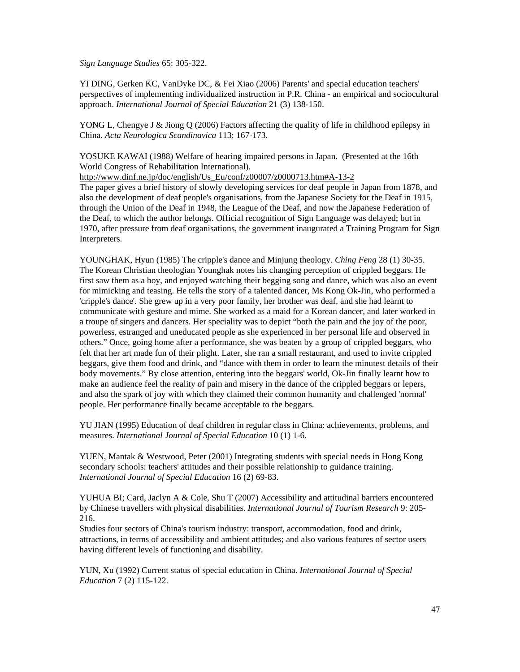*Sign Language Studies* 65: 305-322.

YI DING, Gerken KC, VanDyke DC, & Fei Xiao (2006) Parents' and special education teachers' perspectives of implementing individualized instruction in P.R. China - an empirical and sociocultural approach. *International Journal of Special Education* 21 (3) 138-150.

YONG L, Chengye J & Jiong Q (2006) Factors affecting the quality of life in childhood epilepsy in China. *Acta Neurologica Scandinavica* 113: 167-173.

YOSUKE KAWAI (1988) Welfare of hearing impaired persons in Japan. (Presented at the 16th World Congress of Rehabilitation International).

http://www.dinf.ne.jp/doc/english/Us\_Eu/conf/z00007/z0000713.htm#A-13-2

The paper gives a brief history of slowly developing services for deaf people in Japan from 1878, and also the development of deaf people's organisations, from the Japanese Society for the Deaf in 1915, through the Union of the Deaf in 1948, the League of the Deaf, and now the Japanese Federation of the Deaf, to which the author belongs. Official recognition of Sign Language was delayed; but in 1970, after pressure from deaf organisations, the government inaugurated a Training Program for Sign Interpreters.

YOUNGHAK, Hyun (1985) The cripple's dance and Minjung theology. *Ching Feng* 28 (1) 30-35. The Korean Christian theologian Younghak notes his changing perception of crippled beggars. He first saw them as a boy, and enjoyed watching their begging song and dance, which was also an event for mimicking and teasing. He tells the story of a talented dancer, Ms Kong Ok-Jin, who performed a 'cripple's dance'. She grew up in a very poor family, her brother was deaf, and she had learnt to communicate with gesture and mime. She worked as a maid for a Korean dancer, and later worked in a troupe of singers and dancers. Her speciality was to depict "both the pain and the joy of the poor, powerless, estranged and uneducated people as she experienced in her personal life and observed in others." Once, going home after a performance, she was beaten by a group of crippled beggars, who felt that her art made fun of their plight. Later, she ran a small restaurant, and used to invite crippled beggars, give them food and drink, and "dance with them in order to learn the minutest details of their body movements." By close attention, entering into the beggars' world, Ok-Jin finally learnt how to make an audience feel the reality of pain and misery in the dance of the crippled beggars or lepers, and also the spark of joy with which they claimed their common humanity and challenged 'normal' people. Her performance finally became acceptable to the beggars.

YU JIAN (1995) Education of deaf children in regular class in China: achievements, problems, and measures. *International Journal of Special Education* 10 (1) 1-6.

YUEN, Mantak & Westwood, Peter (2001) Integrating students with special needs in Hong Kong secondary schools: teachers' attitudes and their possible relationship to guidance training. *International Journal of Special Education* 16 (2) 69-83.

YUHUA BI; Card, Jaclyn A & Cole, Shu T (2007) Accessibility and attitudinal barriers encountered by Chinese travellers with physical disabilities. *International Journal of Tourism Research* 9: 205- 216.

Studies four sectors of China's tourism industry: transport, accommodation, food and drink, attractions, in terms of accessibility and ambient attitudes; and also various features of sector users having different levels of functioning and disability.

YUN, Xu (1992) Current status of special education in China. *International Journal of Special Education* 7 (2) 115-122.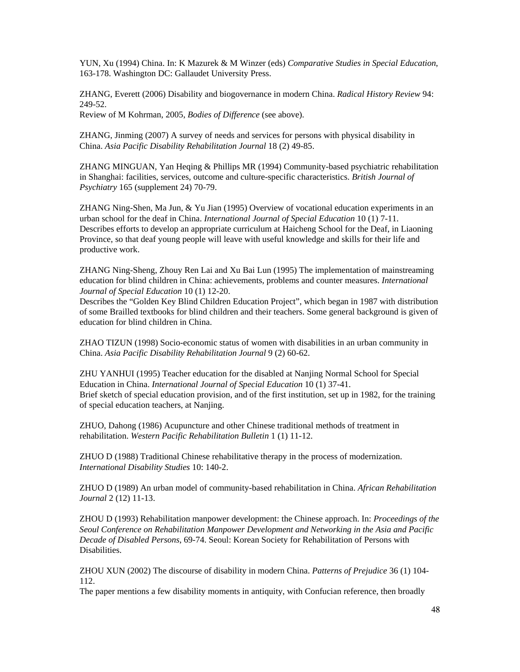YUN, Xu (1994) China. In: K Mazurek & M Winzer (eds) *Comparative Studies in Special Education*, 163-178. Washington DC: Gallaudet University Press.

ZHANG, Everett (2006) Disability and biogovernance in modern China. *Radical History Review* 94: 249-52.

Review of M Kohrman, 2005, *Bodies of Difference* (see above).

ZHANG, Jinming (2007) A survey of needs and services for persons with physical disability in China. *Asia Pacific Disability Rehabilitation Journal* 18 (2) 49-85.

ZHANG MINGUAN, Yan Heqing & Phillips MR (1994) Community-based psychiatric rehabilitation in Shanghai: facilities, services, outcome and culture-specific characteristics. *British Journal of Psychiatry* 165 (supplement 24) 70-79.

ZHANG Ning-Shen, Ma Jun, & Yu Jian (1995) Overview of vocational education experiments in an urban school for the deaf in China. *International Journal of Special Education* 10 (1) 7-11. Describes efforts to develop an appropriate curriculum at Haicheng School for the Deaf, in Liaoning Province, so that deaf young people will leave with useful knowledge and skills for their life and productive work.

ZHANG Ning-Sheng, Zhouy Ren Lai and Xu Bai Lun (1995) The implementation of mainstreaming education for blind children in China: achievements, problems and counter measures. *International Journal of Special Education* 10 (1) 12-20.

Describes the "Golden Key Blind Children Education Project", which began in 1987 with distribution of some Brailled textbooks for blind children and their teachers. Some general background is given of education for blind children in China.

ZHAO TIZUN (1998) Socio-economic status of women with disabilities in an urban community in China. *Asia Pacific Disability Rehabilitation Journal* 9 (2) 60-62.

ZHU YANHUI (1995) Teacher education for the disabled at Nanjing Normal School for Special Education in China. *International Journal of Special Education* 10 (1) 37-41. Brief sketch of special education provision, and of the first institution, set up in 1982, for the training of special education teachers, at Nanjing.

ZHUO, Dahong (1986) Acupuncture and other Chinese traditional methods of treatment in rehabilitation. *Western Pacific Rehabilitation Bulletin* 1 (1) 11-12.

ZHUO D (1988) Traditional Chinese rehabilitative therapy in the process of modernization. *International Disability Studies* 10: 140-2.

ZHUO D (1989) An urban model of community-based rehabilitation in China. *African Rehabilitation Journal* 2 (12) 11-13.

ZHOU D (1993) Rehabilitation manpower development: the Chinese approach. In: *Proceedings of the Seoul Conference on Rehabilitation Manpower Development and Networking in the Asia and Pacific Decade of Disabled Persons*, 69-74. Seoul: Korean Society for Rehabilitation of Persons with Disabilities.

ZHOU XUN (2002) The discourse of disability in modern China. *Patterns of Prejudice* 36 (1) 104- 112.

The paper mentions a few disability moments in antiquity, with Confucian reference, then broadly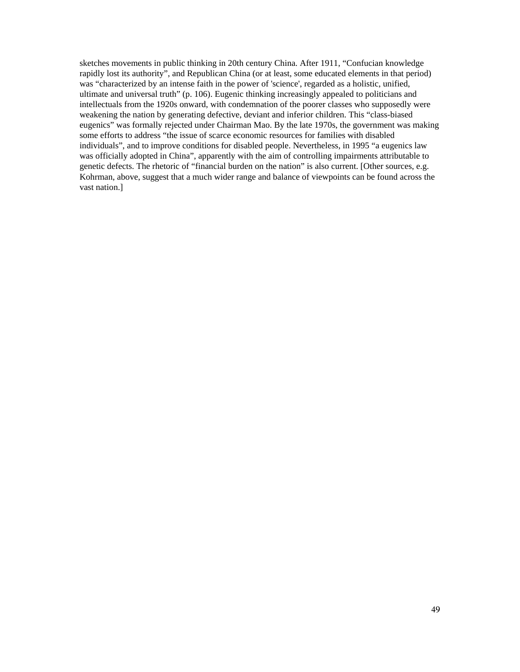sketches movements in public thinking in 20th century China. After 1911, "Confucian knowledge rapidly lost its authority", and Republican China (or at least, some educated elements in that period) was "characterized by an intense faith in the power of 'science', regarded as a holistic, unified, ultimate and universal truth" (p. 106). Eugenic thinking increasingly appealed to politicians and intellectuals from the 1920s onward, with condemnation of the poorer classes who supposedly were weakening the nation by generating defective, deviant and inferior children. This "class-biased eugenics" was formally rejected under Chairman Mao. By the late 1970s, the government was making some efforts to address "the issue of scarce economic resources for families with disabled individuals", and to improve conditions for disabled people. Nevertheless, in 1995 "a eugenics law was officially adopted in China", apparently with the aim of controlling impairments attributable to genetic defects. The rhetoric of "financial burden on the nation" is also current. [Other sources, e.g. Kohrman, above, suggest that a much wider range and balance of viewpoints can be found across the vast nation.]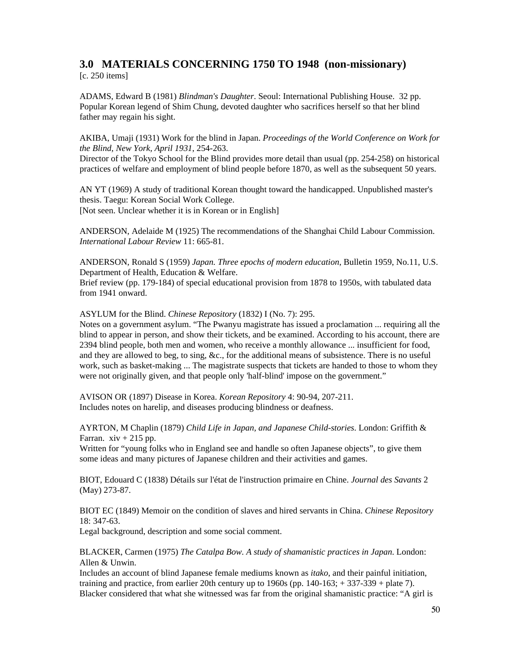# **3.0 MATERIALS CONCERNING 1750 TO 1948 (non-missionary)**

[c. 250 items]

ADAMS, Edward B (1981) *Blindman's Daughter*. Seoul: International Publishing House. 32 pp. Popular Korean legend of Shim Chung, devoted daughter who sacrifices herself so that her blind father may regain his sight.

AKIBA, Umaji (1931) Work for the blind in Japan. *Proceedings of the World Conference on Work for the Blind, New York, April 1931*, 254-263.

Director of the Tokyo School for the Blind provides more detail than usual (pp. 254-258) on historical practices of welfare and employment of blind people before 1870, as well as the subsequent 50 years.

AN YT (1969) A study of traditional Korean thought toward the handicapped. Unpublished master's thesis. Taegu: Korean Social Work College. [Not seen. Unclear whether it is in Korean or in English]

ANDERSON, Adelaide M (1925) The recommendations of the Shanghai Child Labour Commission. *International Labour Review* 11: 665-81.

ANDERSON, Ronald S (1959) *Japan. Three epochs of modern education*, Bulletin 1959, No.11, U.S. Department of Health, Education & Welfare.

Brief review (pp. 179-184) of special educational provision from 1878 to 1950s, with tabulated data from 1941 onward.

ASYLUM for the Blind. *Chinese Repository* (1832) I (No. 7): 295.

Notes on a government asylum. "The Pwanyu magistrate has issued a proclamation ... requiring all the blind to appear in person, and show their tickets, and be examined. According to his account, there are 2394 blind people, both men and women, who receive a monthly allowance ... insufficient for food, and they are allowed to beg, to sing, &c., for the additional means of subsistence. There is no useful work, such as basket-making ... The magistrate suspects that tickets are handed to those to whom they were not originally given, and that people only 'half-blind' impose on the government."

AVISON OR (1897) Disease in Korea. *Korean Repository* 4: 90-94, 207-211. Includes notes on harelip, and diseases producing blindness or deafness.

AYRTON, M Chaplin (1879) *Child Life in Japan, and Japanese Child-stories*. London: Griffith & Farran.  $xiv + 215$  pp.

Written for "young folks who in England see and handle so often Japanese objects", to give them some ideas and many pictures of Japanese children and their activities and games.

BIOT, Edouard C (1838) Détails sur l'état de l'instruction primaire en Chine. *Journal des Savants* 2 (May) 273-87.

BIOT EC (1849) Memoir on the condition of slaves and hired servants in China. *Chinese Repository* 18: 347-63.

Legal background, description and some social comment.

BLACKER, Carmen (1975) *The Catalpa Bow. A study of shamanistic practices in Japan*. London: Allen & Unwin.

Includes an account of blind Japanese female mediums known as *itako*, and their painful initiation, training and practice, from earlier 20th century up to  $1960s$  (pp.  $140-163$ ;  $+337-339$  + plate 7). Blacker considered that what she witnessed was far from the original shamanistic practice: "A girl is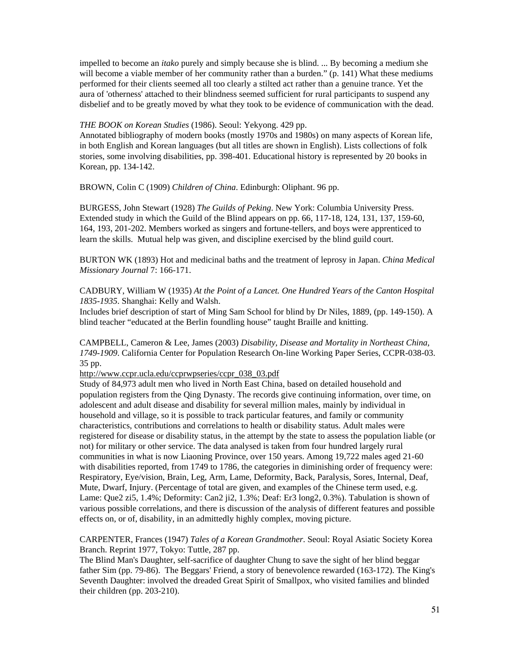impelled to become an *itako* purely and simply because she is blind. ... By becoming a medium she will become a viable member of her community rather than a burden." (p. 141) What these mediums performed for their clients seemed all too clearly a stilted act rather than a genuine trance. Yet the aura of 'otherness' attached to their blindness seemed sufficient for rural participants to suspend any disbelief and to be greatly moved by what they took to be evidence of communication with the dead.

*THE BOOK on Korean Studies* (1986). Seoul: Yekyong. 429 pp.

Annotated bibliography of modern books (mostly 1970s and 1980s) on many aspects of Korean life, in both English and Korean languages (but all titles are shown in English). Lists collections of folk stories, some involving disabilities, pp. 398-401. Educational history is represented by 20 books in Korean, pp. 134-142.

BROWN, Colin C (1909) *Children of China*. Edinburgh: Oliphant. 96 pp.

BURGESS, John Stewart (1928) *The Guilds of Peking*. New York: Columbia University Press. Extended study in which the Guild of the Blind appears on pp. 66, 117-18, 124, 131, 137, 159-60, 164, 193, 201-202. Members worked as singers and fortune-tellers, and boys were apprenticed to learn the skills. Mutual help was given, and discipline exercised by the blind guild court.

BURTON WK (1893) Hot and medicinal baths and the treatment of leprosy in Japan. *China Medical Missionary Journal* 7: 166-171.

CADBURY, William W (1935) *At the Point of a Lancet. One Hundred Years of the Canton Hospital 1835-1935*. Shanghai: Kelly and Walsh.

Includes brief description of start of Ming Sam School for blind by Dr Niles, 1889, (pp. 149-150). A blind teacher "educated at the Berlin foundling house" taught Braille and knitting.

CAMPBELL, Cameron & Lee, James (2003) *Disability, Disease and Mortality in Northeast China, 1749-1909*. California Center for Population Research On-line Working Paper Series, CCPR-038-03. 35 pp.

http://www.ccpr.ucla.edu/ccprwpseries/ccpr\_038\_03.pdf

Study of 84,973 adult men who lived in North East China, based on detailed household and population registers from the Qing Dynasty. The records give continuing information, over time, on adolescent and adult disease and disability for several million males, mainly by individual in household and village, so it is possible to track particular features, and family or community characteristics, contributions and correlations to health or disability status. Adult males were registered for disease or disability status, in the attempt by the state to assess the population liable (or not) for military or other service. The data analysed is taken from four hundred largely rural communities in what is now Liaoning Province, over 150 years. Among 19,722 males aged 21-60 with disabilities reported, from 1749 to 1786, the categories in diminishing order of frequency were: Respiratory, Eye/vision, Brain, Leg, Arm, Lame, Deformity, Back, Paralysis, Sores, Internal, Deaf, Mute, Dwarf, Injury. (Percentage of total are given, and examples of the Chinese term used, e.g. Lame: Que2 zi5, 1.4%; Deformity: Can2 ji2, 1.3%; Deaf: Er3 long2, 0.3%). Tabulation is shown of various possible correlations, and there is discussion of the analysis of different features and possible effects on, or of, disability, in an admittedly highly complex, moving picture.

CARPENTER, Frances (1947) *Tales of a Korean Grandmother*. Seoul: Royal Asiatic Society Korea Branch. Reprint 1977, Tokyo: Tuttle, 287 pp.

The Blind Man's Daughter, self-sacrifice of daughter Chung to save the sight of her blind beggar father Sim (pp. 79-86). The Beggars' Friend, a story of benevolence rewarded (163-172). The King's Seventh Daughter: involved the dreaded Great Spirit of Smallpox, who visited families and blinded their children (pp. 203-210).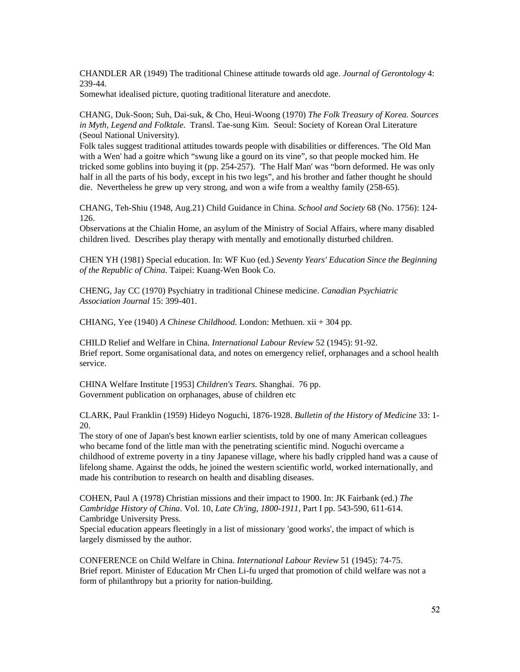CHANDLER AR (1949) The traditional Chinese attitude towards old age. *Journal of Gerontology* 4: 239-44.

Somewhat idealised picture, quoting traditional literature and anecdote.

CHANG, Duk-Soon; Suh, Dai-suk, & Cho, Heui-Woong (1970) *The Folk Treasury of Korea. Sources in Myth, Legend and Folktale*. Transl. Tae-sung Kim. Seoul: Society of Korean Oral Literature (Seoul National University).

Folk tales suggest traditional attitudes towards people with disabilities or differences. 'The Old Man with a Wen' had a goitre which "swung like a gourd on its vine", so that people mocked him. He tricked some goblins into buying it (pp. 254-257). 'The Half Man' was "born deformed. He was only half in all the parts of his body, except in his two legs", and his brother and father thought he should die. Nevertheless he grew up very strong, and won a wife from a wealthy family (258-65).

CHANG, Teh-Shiu (1948, Aug.21) Child Guidance in China. *School and Society* 68 (No. 1756): 124- 126.

Observations at the Chialin Home, an asylum of the Ministry of Social Affairs, where many disabled children lived. Describes play therapy with mentally and emotionally disturbed children.

CHEN YH (1981) Special education. In: WF Kuo (ed.) *Seventy Years' Education Since the Beginning of the Republic of China*. Taipei: Kuang-Wen Book Co.

CHENG, Jay CC (1970) Psychiatry in traditional Chinese medicine. *Canadian Psychiatric Association Journal* 15: 399-401.

CHIANG, Yee (1940) *A Chinese Childhood*. London: Methuen. xii + 304 pp.

CHILD Relief and Welfare in China. *International Labour Review* 52 (1945): 91-92. Brief report. Some organisational data, and notes on emergency relief, orphanages and a school health service.

CHINA Welfare Institute [1953] *Children's Tears*. Shanghai. 76 pp. Government publication on orphanages, abuse of children etc

CLARK, Paul Franklin (1959) Hideyo Noguchi, 1876-1928. *Bulletin of the History of Medicine* 33: 1- 20.

The story of one of Japan's best known earlier scientists, told by one of many American colleagues who became fond of the little man with the penetrating scientific mind. Noguchi overcame a childhood of extreme poverty in a tiny Japanese village, where his badly crippled hand was a cause of lifelong shame. Against the odds, he joined the western scientific world, worked internationally, and made his contribution to research on health and disabling diseases.

COHEN, Paul A (1978) Christian missions and their impact to 1900. In: JK Fairbank (ed.) *The Cambridge History of China*. Vol. 10, *Late Ch'ing, 1800-1911*, Part I pp. 543-590, 611-614. Cambridge University Press.

Special education appears fleetingly in a list of missionary 'good works', the impact of which is largely dismissed by the author.

CONFERENCE on Child Welfare in China. *International Labour Review* 51 (1945): 74-75. Brief report. Minister of Education Mr Chen Li-fu urged that promotion of child welfare was not a form of philanthropy but a priority for nation-building.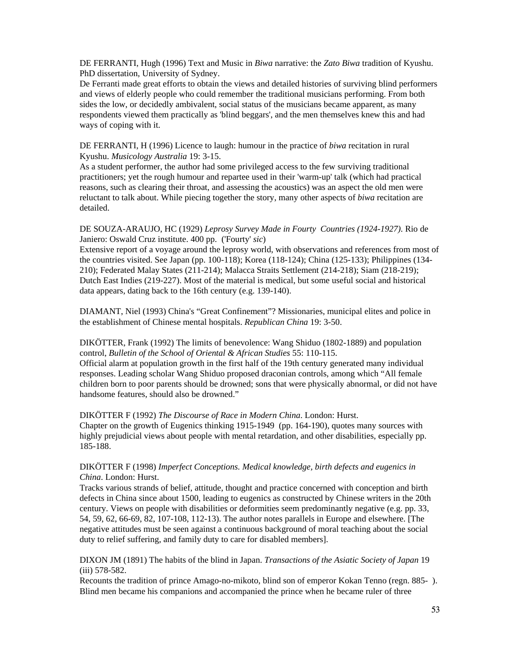DE FERRANTI, Hugh (1996) Text and Music in *Biwa* narrative: the *Zato Biwa* tradition of Kyushu. PhD dissertation, University of Sydney.

De Ferranti made great efforts to obtain the views and detailed histories of surviving blind performers and views of elderly people who could remember the traditional musicians performing. From both sides the low, or decidedly ambivalent, social status of the musicians became apparent, as many respondents viewed them practically as 'blind beggars', and the men themselves knew this and had ways of coping with it.

DE FERRANTI, H (1996) Licence to laugh: humour in the practice of *biwa* recitation in rural Kyushu. *Musicology Australia* 19: 3-15.

As a student performer, the author had some privileged access to the few surviving traditional practitioners; yet the rough humour and repartee used in their 'warm-up' talk (which had practical reasons, such as clearing their throat, and assessing the acoustics) was an aspect the old men were reluctant to talk about. While piecing together the story, many other aspects of *biwa* recitation are detailed.

## DE SOUZA-ARAUJO, HC (1929) *Leprosy Survey Made in Fourty Countries (1924-1927)*. Rio de Janiero: Oswald Cruz institute. 400 pp. ('Fourty' *sic*)

Extensive report of a voyage around the leprosy world, with observations and references from most of the countries visited. See Japan (pp. 100-118); Korea (118-124); China (125-133); Philippines (134- 210); Federated Malay States (211-214); Malacca Straits Settlement (214-218); Siam (218-219); Dutch East Indies (219-227). Most of the material is medical, but some useful social and historical data appears, dating back to the 16th century (e.g. 139-140).

DIAMANT, Niel (1993) China's "Great Confinement"? Missionaries, municipal elites and police in the establishment of Chinese mental hospitals. *Republican China* 19: 3-50.

#### DIKÖTTER, Frank (1992) The limits of benevolence: Wang Shiduo (1802-1889) and population control, *Bulletin of the School of Oriental & African Studies* 55: 110-115.

Official alarm at population growth in the first half of the 19th century generated many individual responses. Leading scholar Wang Shiduo proposed draconian controls, among which "All female children born to poor parents should be drowned; sons that were physically abnormal, or did not have handsome features, should also be drowned."

#### DIKÖTTER F (1992) *The Discourse of Race in Modern China*. London: Hurst. Chapter on the growth of Eugenics thinking 1915-1949 (pp. 164-190), quotes many sources with

highly prejudicial views about people with mental retardation, and other disabilities, especially pp. 185-188.

# DIKÖTTER F (1998) *Imperfect Conceptions. Medical knowledge, birth defects and eugenics in China*. London: Hurst.

Tracks various strands of belief, attitude, thought and practice concerned with conception and birth defects in China since about 1500, leading to eugenics as constructed by Chinese writers in the 20th century. Views on people with disabilities or deformities seem predominantly negative (e.g. pp. 33, 54, 59, 62, 66-69, 82, 107-108, 112-13). The author notes parallels in Europe and elsewhere. [The negative attitudes must be seen against a continuous background of moral teaching about the social duty to relief suffering, and family duty to care for disabled members].

# DIXON JM (1891) The habits of the blind in Japan. *Transactions of the Asiatic Society of Japan* 19 (iii) 578-582.

Recounts the tradition of prince Amago-no-mikoto, blind son of emperor Kokan Tenno (regn. 885- ). Blind men became his companions and accompanied the prince when he became ruler of three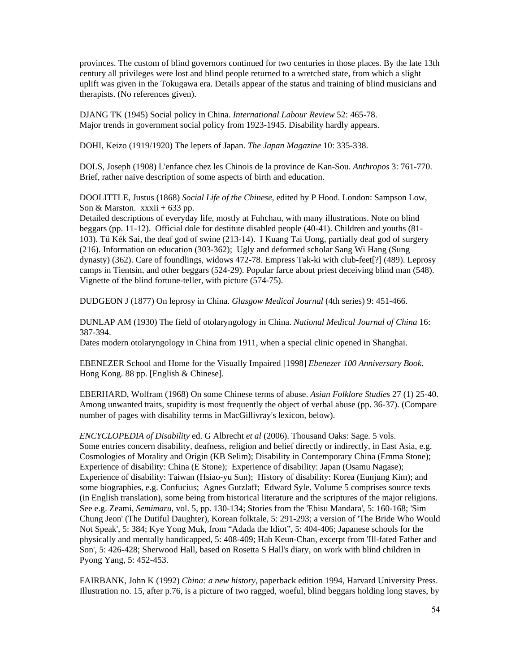provinces. The custom of blind governors continued for two centuries in those places. By the late 13th century all privileges were lost and blind people returned to a wretched state, from which a slight uplift was given in the Tokugawa era. Details appear of the status and training of blind musicians and therapists. (No references given).

DJANG TK (1945) Social policy in China. *International Labour Review* 52: 465-78. Major trends in government social policy from 1923-1945. Disability hardly appears.

DOHI, Keizo (1919/1920) The lepers of Japan. *The Japan Magazine* 10: 335-338.

DOLS, Joseph (1908) L'enfance chez les Chinois de la province de Kan-Sou. *Anthropos* 3: 761-770. Brief, rather naive description of some aspects of birth and education.

DOOLITTLE, Justus (1868) *Social Life of the Chinese*, edited by P Hood. London: Sampson Low, Son & Marston.  $xxxii + 633$  pp.

Detailed descriptions of everyday life, mostly at Fuhchau, with many illustrations. Note on blind beggars (pp. 11-12). Official dole for destitute disabled people (40-41). Children and youths (81- 103). Tü Kék Sai, the deaf god of swine (213-14). I Kuang Tai Uong, partially deaf god of surgery (216). Information on education (303-362); Ugly and deformed scholar Sang Wi Hang (Sung dynasty) (362). Care of foundlings, widows 472-78. Empress Tak-ki with club-feet[?] (489). Leprosy camps in Tientsin, and other beggars (524-29). Popular farce about priest deceiving blind man (548). Vignette of the blind fortune-teller, with picture (574-75).

DUDGEON J (1877) On leprosy in China. *Glasgow Medical Journal* (4th series) 9: 451-466.

DUNLAP AM (1930) The field of otolaryngology in China. *National Medical Journal of China* 16: 387-394.

Dates modern otolaryngology in China from 1911, when a special clinic opened in Shanghai.

EBENEZER School and Home for the Visually Impaired [1998] *Ebenezer 100 Anniversary Book*. Hong Kong. 88 pp. [English & Chinese].

EBERHARD, Wolfram (1968) On some Chinese terms of abuse. *Asian Folklore Studies* 27 (1) 25-40. Among unwanted traits, stupidity is most frequently the object of verbal abuse (pp. 36-37). (Compare number of pages with disability terms in MacGillivray's lexicon, below).

*ENCYCLOPEDIA of Disability* ed. G Albrecht *et al* (2006). Thousand Oaks: Sage. 5 vols. Some entries concern disability, deafness, religion and belief directly or indirectly, in East Asia, e.g. Cosmologies of Morality and Origin (KB Selim); Disability in Contemporary China (Emma Stone); Experience of disability: China (E Stone); Experience of disability: Japan (Osamu Nagase); Experience of disability: Taiwan (Hsiao-yu Sun); History of disability: Korea (Eunjung Kim); and some biographies, e.g. Confucius; Agnes Gutzlaff; Edward Syle. Volume 5 comprises source texts (in English translation), some being from historical literature and the scriptures of the major religions. See e.g. Zeami, *Semimaru*, vol. 5, pp. 130-134; Stories from the 'Ebisu Mandara', 5: 160-168; 'Sim Chung Jeon' (The Dutiful Daughter), Korean folktale, 5: 291-293; a version of 'The Bride Who Would Not Speak', 5: 384; Kye Yong Muk, from "Adada the Idiot", 5: 404-406; Japanese schools for the physically and mentally handicapped, 5: 408-409; Hah Keun-Chan, excerpt from 'Ill-fated Father and Son', 5: 426-428; Sherwood Hall, based on Rosetta S Hall's diary, on work with blind children in Pyong Yang, 5: 452-453.

FAIRBANK, John K (1992) *China: a new history*, paperback edition 1994, Harvard University Press. Illustration no. 15, after p.76, is a picture of two ragged, woeful, blind beggars holding long staves, by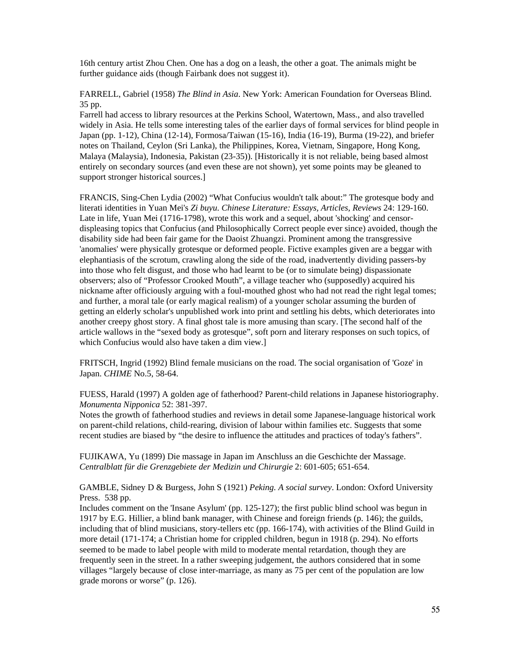16th century artist Zhou Chen. One has a dog on a leash, the other a goat. The animals might be further guidance aids (though Fairbank does not suggest it).

FARRELL, Gabriel (1958) *The Blind in Asia*. New York: American Foundation for Overseas Blind. 35 pp.

Farrell had access to library resources at the Perkins School, Watertown, Mass., and also travelled widely in Asia. He tells some interesting tales of the earlier days of formal services for blind people in Japan (pp. 1-12), China (12-14), Formosa/Taiwan (15-16), India (16-19), Burma (19-22), and briefer notes on Thailand, Ceylon (Sri Lanka), the Philippines, Korea, Vietnam, Singapore, Hong Kong, Malaya (Malaysia), Indonesia, Pakistan (23-35)). [Historically it is not reliable, being based almost entirely on secondary sources (and even these are not shown), yet some points may be gleaned to support stronger historical sources.]

FRANCIS, Sing-Chen Lydia (2002) "What Confucius wouldn't talk about:" The grotesque body and literati identities in Yuan Mei's *Zi buyu*. *Chinese Literature: Essays, Articles, Reviews* 24: 129-160. Late in life, Yuan Mei (1716-1798), wrote this work and a sequel, about 'shocking' and censordispleasing topics that Confucius (and Philosophically Correct people ever since) avoided, though the disability side had been fair game for the Daoist Zhuangzi. Prominent among the transgressive 'anomalies' were physically grotesque or deformed people. Fictive examples given are a beggar with elephantiasis of the scrotum, crawling along the side of the road, inadvertently dividing passers-by into those who felt disgust, and those who had learnt to be (or to simulate being) dispassionate observers; also of "Professor Crooked Mouth", a village teacher who (supposedly) acquired his nickname after officiously arguing with a foul-mouthed ghost who had not read the right legal tomes; and further, a moral tale (or early magical realism) of a younger scholar assuming the burden of getting an elderly scholar's unpublished work into print and settling his debts, which deteriorates into another creepy ghost story. A final ghost tale is more amusing than scary. [The second half of the article wallows in the "sexed body as grotesque", soft porn and literary responses on such topics, of which Confucius would also have taken a dim view.]

FRITSCH, Ingrid (1992) Blind female musicians on the road. The social organisation of 'Goze' in Japan. *CHIME* No.5, 58-64.

FUESS, Harald (1997) A golden age of fatherhood? Parent-child relations in Japanese historiography. *Monumenta Nipponica* 52: 381-397.

Notes the growth of fatherhood studies and reviews in detail some Japanese-language historical work on parent-child relations, child-rearing, division of labour within families etc. Suggests that some recent studies are biased by "the desire to influence the attitudes and practices of today's fathers".

FUJIKAWA, Yu (1899) Die massage in Japan im Anschluss an die Geschichte der Massage. *Centralblatt für die Grenzgebiete der Medizin und Chirurgie* 2: 601-605; 651-654.

GAMBLE, Sidney D & Burgess, John S (1921) *Peking. A social survey*. London: Oxford University Press. 538 pp.

Includes comment on the 'Insane Asylum' (pp. 125-127); the first public blind school was begun in 1917 by E.G. Hillier, a blind bank manager, with Chinese and foreign friends (p. 146); the guilds, including that of blind musicians, story-tellers etc (pp. 166-174), with activities of the Blind Guild in more detail (171-174; a Christian home for crippled children, begun in 1918 (p. 294). No efforts seemed to be made to label people with mild to moderate mental retardation, though they are frequently seen in the street. In a rather sweeping judgement, the authors considered that in some villages "largely because of close inter-marriage, as many as 75 per cent of the population are low grade morons or worse" (p. 126).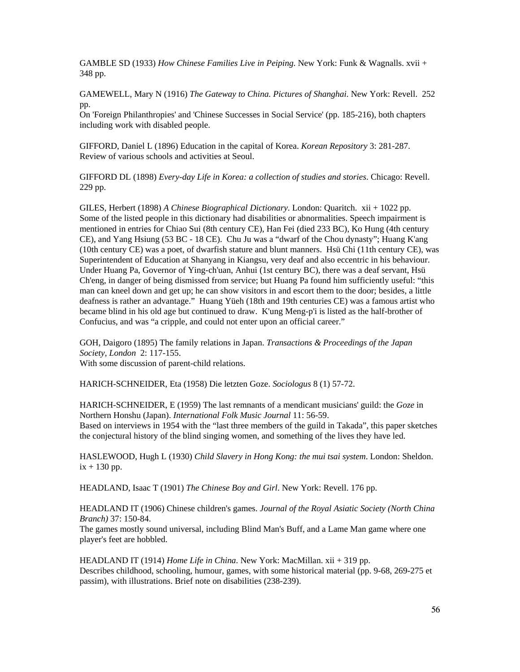GAMBLE SD (1933) *How Chinese Families Live in Peiping*. New York: Funk & Wagnalls. xvii + 348 pp.

GAMEWELL, Mary N (1916) *The Gateway to China. Pictures of Shanghai*. New York: Revell. 252 pp.

On 'Foreign Philanthropies' and 'Chinese Successes in Social Service' (pp. 185-216), both chapters including work with disabled people.

GIFFORD, Daniel L (1896) Education in the capital of Korea. *Korean Repository* 3: 281-287. Review of various schools and activities at Seoul.

GIFFORD DL (1898) *Every-day Life in Korea: a collection of studies and stories*. Chicago: Revell. 229 pp.

GILES, Herbert (1898) *A Chinese Biographical Dictionary*. London: Quaritch. xii + 1022 pp. Some of the listed people in this dictionary had disabilities or abnormalities. Speech impairment is mentioned in entries for Chiao Sui (8th century CE), Han Fei (died 233 BC), Ko Hung (4th century CE), and Yang Hsiung (53 BC - 18 CE). Chu Ju was a "dwarf of the Chou dynasty"; Huang K'ang (10th century CE) was a poet, of dwarfish stature and blunt manners. Hsü Chi (11th century CE), was Superintendent of Education at Shanyang in Kiangsu, very deaf and also eccentric in his behaviour. Under Huang Pa, Governor of Ying-ch'uan, Anhui (1st century BC), there was a deaf servant, Hsü Ch'eng, in danger of being dismissed from service; but Huang Pa found him sufficiently useful: "this man can kneel down and get up; he can show visitors in and escort them to the door; besides, a little deafness is rather an advantage." Huang Yüeh (18th and 19th centuries CE) was a famous artist who became blind in his old age but continued to draw. K'ung Meng-p'i is listed as the half-brother of Confucius, and was "a cripple, and could not enter upon an official career."

GOH, Daigoro (1895) The family relations in Japan. *Transactions & Proceedings of the Japan Society, London* 2: 117-155. With some discussion of parent-child relations.

HARICH-SCHNEIDER, Eta (1958) Die letzten Goze. *Sociologus* 8 (1) 57-72.

HARICH-SCHNEIDER, E (1959) The last remnants of a mendicant musicians' guild: the *Goze* in Northern Honshu (Japan). *International Folk Music Journal* 11: 56-59. Based on interviews in 1954 with the "last three members of the guild in Takada", this paper sketches the conjectural history of the blind singing women, and something of the lives they have led.

HASLEWOOD, Hugh L (1930) *Child Slavery in Hong Kong: the mui tsai system*. London: Sheldon.  $ix + 130$  pp.

HEADLAND, Isaac T (1901) *The Chinese Boy and Girl*. New York: Revell. 176 pp.

HEADLAND IT (1906) Chinese children's games. *Journal of the Royal Asiatic Society (North China Branch)* 37: 150-84.

The games mostly sound universal, including Blind Man's Buff, and a Lame Man game where one player's feet are hobbled.

HEADLAND IT (1914) *Home Life in China*. New York: MacMillan. xii + 319 pp. Describes childhood, schooling, humour, games, with some historical material (pp. 9-68, 269-275 et passim), with illustrations. Brief note on disabilities (238-239).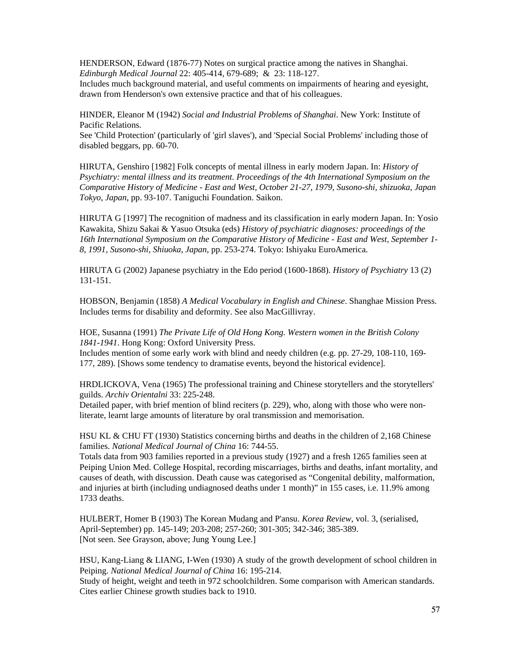HENDERSON, Edward (1876-77) Notes on surgical practice among the natives in Shanghai. *Edinburgh Medical Journal* 22: 405-414, 679-689; & 23: 118-127.

Includes much background material, and useful comments on impairments of hearing and eyesight, drawn from Henderson's own extensive practice and that of his colleagues.

HINDER, Eleanor M (1942) *Social and Industrial Problems of Shanghai*. New York: Institute of Pacific Relations.

See 'Child Protection' (particularly of 'girl slaves'), and 'Special Social Problems' including those of disabled beggars, pp. 60-70.

HIRUTA, Genshiro [1982] Folk concepts of mental illness in early modern Japan. In: *History of Psychiatry: mental illness and its treatment. Proceedings of the 4th International Symposium on the Comparative History of Medicine - East and West, October 21-27, 1979, Susono-shi, shizuoka, Japan Tokyo, Japan*, pp. 93-107. Taniguchi Foundation. Saikon.

HIRUTA G [1997] The recognition of madness and its classification in early modern Japan. In: Yosio Kawakita, Shizu Sakai & Yasuo Otsuka (eds) *History of psychiatric diagnoses: proceedings of the 16th International Symposium on the Comparative History of Medicine - East and West, September 1- 8, 1991, Susono-shi, Shiuoka, Japan*, pp. 253-274. Tokyo: Ishiyaku EuroAmerica.

HIRUTA G (2002) Japanese psychiatry in the Edo period (1600-1868). *History of Psychiatry* 13 (2) 131-151.

HOBSON, Benjamin (1858) *A Medical Vocabulary in English and Chinese*. Shanghae Mission Press. Includes terms for disability and deformity. See also MacGillivray.

HOE, Susanna (1991) *The Private Life of Old Hong Kong. Western women in the British Colony 1841-1941*. Hong Kong: Oxford University Press.

Includes mention of some early work with blind and needy children (e.g. pp. 27-29, 108-110, 169- 177, 289). [Shows some tendency to dramatise events, beyond the historical evidence].

HRDLICKOVA, Vena (1965) The professional training and Chinese storytellers and the storytellers' guilds. *Archiv Orientalni* 33: 225-248.

Detailed paper, with brief mention of blind reciters (p. 229), who, along with those who were nonliterate, learnt large amounts of literature by oral transmission and memorisation.

HSU KL & CHU FT (1930) Statistics concerning births and deaths in the children of 2,168 Chinese families. *National Medical Journal of China* 16: 744-55.

Totals data from 903 families reported in a previous study (1927) and a fresh 1265 families seen at Peiping Union Med. College Hospital, recording miscarriages, births and deaths, infant mortality, and causes of death, with discussion. Death cause was categorised as "Congenital debility, malformation, and injuries at birth (including undiagnosed deaths under 1 month)" in 155 cases, i.e. 11.9% among 1733 deaths.

HULBERT, Homer B (1903) The Korean Mudang and P'ansu. *Korea Review*, vol. 3, (serialised, April-September) pp. 145-149; 203-208; 257-260; 301-305; 342-346; 385-389. [Not seen. See Grayson, above; Jung Young Lee.]

HSU, Kang-Liang & LIANG, I-Wen (1930) A study of the growth development of school children in Peiping. *National Medical Journal of China* 16: 195-214.

Study of height, weight and teeth in 972 schoolchildren. Some comparison with American standards. Cites earlier Chinese growth studies back to 1910.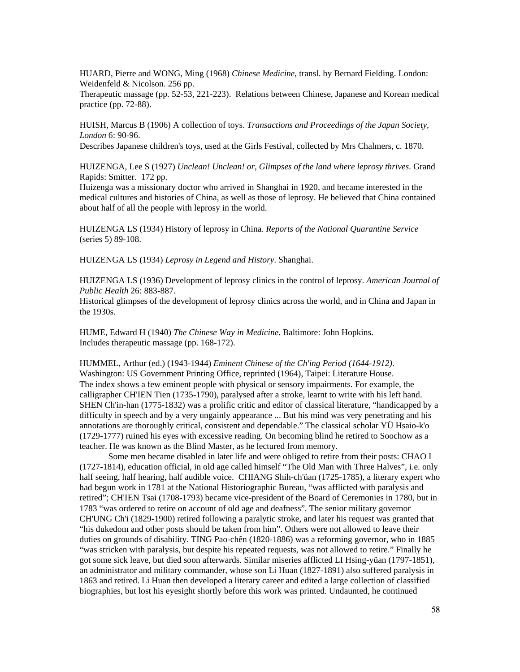HUARD, Pierre and WONG, Ming (1968) *Chinese Medicine*, transl. by Bernard Fielding. London: Weidenfeld & Nicolson. 256 pp.

Therapeutic massage (pp. 52-53, 221-223). Relations between Chinese, Japanese and Korean medical practice (pp. 72-88).

HUISH, Marcus B (1906) A collection of toys. *Transactions and Proceedings of the Japan Society, London* 6: 90-96.

Describes Japanese children's toys, used at the Girls Festival, collected by Mrs Chalmers, c. 1870.

HUIZENGA, Lee S (1927) *Unclean! Unclean! or, Glimpses of the land where leprosy thrives*. Grand Rapids: Smitter. 172 pp.

Huizenga was a missionary doctor who arrived in Shanghai in 1920, and became interested in the medical cultures and histories of China, as well as those of leprosy. He believed that China contained about half of all the people with leprosy in the world.

HUIZENGA LS (1934) History of leprosy in China. *Reports of the National Quarantine Service* (series 5) 89-108.

HUIZENGA LS (1934) *Leprosy in Legend and History*. Shanghai.

HUIZENGA LS (1936) Development of leprosy clinics in the control of leprosy. *American Journal of Public Health* 26: 883-887.

Historical glimpses of the development of leprosy clinics across the world, and in China and Japan in the 1930s.

HUME, Edward H (1940) *The Chinese Way in Medicine*. Baltimore: John Hopkins. Includes therapeutic massage (pp. 168-172).

HUMMEL, Arthur (ed.) (1943-1944) *Eminent Chinese of the Ch'ing Period (1644-1912)*. Washington: US Government Printing Office, reprinted (1964), Taipei: Literature House. The index shows a few eminent people with physical or sensory impairments. For example, the calligrapher CH'IEN Tien (1735-1790), paralysed after a stroke, learnt to write with his left hand. SHEN Ch'in-han (1775-1832) was a prolific critic and editor of classical literature, "handicapped by a difficulty in speech and by a very ungainly appearance ... But his mind was very penetrating and his annotations are thoroughly critical, consistent and dependable." The classical scholar YÜ Hsaio-k'o (1729-1777) ruined his eyes with excessive reading. On becoming blind he retired to Soochow as a teacher. He was known as the Blind Master, as he lectured from memory.

 Some men became disabled in later life and were obliged to retire from their posts: CHAO I (1727-1814), education official, in old age called himself "The Old Man with Three Halves", i.e. only half seeing, half hearing, half audible voice. CHIANG Shih-ch'üan (1725-1785), a literary expert who had begun work in 1781 at the National Historiographic Bureau, "was afflicted with paralysis and retired"; CH'IEN Tsai (1708-1793) became vice-president of the Board of Ceremonies in 1780, but in 1783 "was ordered to retire on account of old age and deafness". The senior military governor CH'UNG Ch'i (1829-1900) retired following a paralytic stroke, and later his request was granted that "his dukedom and other posts should be taken from him". Others were not allowed to leave their duties on grounds of disability. TING Pao-chên (1820-1886) was a reforming governor, who in 1885 "was stricken with paralysis, but despite his repeated requests, was not allowed to retire." Finally he got some sick leave, but died soon afterwards. Similar miseries afflicted LI Hsing-yüan (1797-1851), an administrator and military commander, whose son Li Huan (1827-1891) also suffered paralysis in 1863 and retired. Li Huan then developed a literary career and edited a large collection of classified biographies, but lost his eyesight shortly before this work was printed. Undaunted, he continued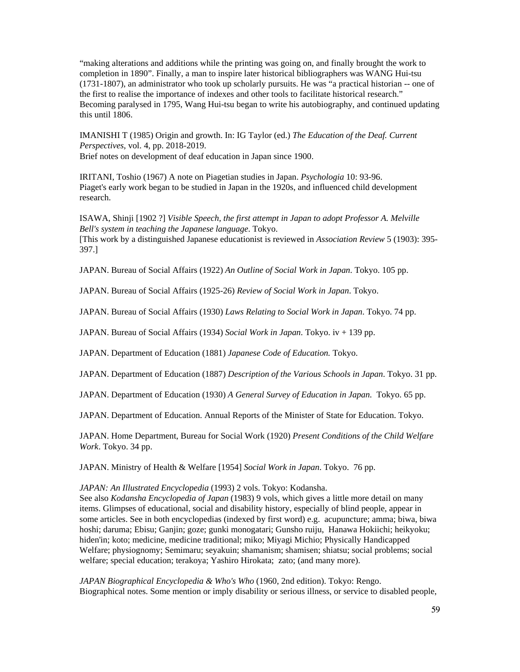"making alterations and additions while the printing was going on, and finally brought the work to completion in 1890". Finally, a man to inspire later historical bibliographers was WANG Hui-tsu (1731-1807), an administrator who took up scholarly pursuits. He was "a practical historian -- one of the first to realise the importance of indexes and other tools to facilitate historical research." Becoming paralysed in 1795, Wang Hui-tsu began to write his autobiography, and continued updating this until 1806.

IMANISHI T (1985) Origin and growth. In: IG Taylor (ed.) *The Education of the Deaf. Current Perspectives*, vol. 4, pp. 2018-2019. Brief notes on development of deaf education in Japan since 1900.

IRITANI, Toshio (1967) A note on Piagetian studies in Japan. *Psychologia* 10: 93-96. Piaget's early work began to be studied in Japan in the 1920s, and influenced child development research.

ISAWA, Shinji [1902 ?] *Visible Speech, the first attempt in Japan to adopt Professor A. Melville Bell's system in teaching the Japanese language*. Tokyo. [This work by a distinguished Japanese educationist is reviewed in *Association Review* 5 (1903): 395- 397.]

JAPAN. Bureau of Social Affairs (1922) *An Outline of Social Work in Japan*. Tokyo. 105 pp.

JAPAN. Bureau of Social Affairs (1925-26) *Review of Social Work in Japan*. Tokyo.

JAPAN. Bureau of Social Affairs (1930) *Laws Relating to Social Work in Japan*. Tokyo. 74 pp.

JAPAN. Bureau of Social Affairs (1934) *Social Work in Japan*. Tokyo. iv + 139 pp.

JAPAN. Department of Education (1881) *Japanese Code of Education.* Tokyo.

JAPAN. Department of Education (1887) *Description of the Various Schools in Japan*. Tokyo. 31 pp.

JAPAN. Department of Education (1930) *A General Survey of Education in Japan*. Tokyo. 65 pp.

JAPAN. Department of Education. Annual Reports of the Minister of State for Education. Tokyo.

JAPAN. Home Department, Bureau for Social Work (1920) *Present Conditions of the Child Welfare Work*. Tokyo. 34 pp.

JAPAN. Ministry of Health & Welfare [1954] *Social Work in Japan*. Tokyo. 76 pp.

*JAPAN: An Illustrated Encyclopedia* (1993) 2 vols. Tokyo: Kodansha.

See also *Kodansha Encyclopedia of Japan* (1983) 9 vols, which gives a little more detail on many items. Glimpses of educational, social and disability history, especially of blind people, appear in some articles. See in both encyclopedias (indexed by first word) e.g. acupuncture; amma; biwa, biwa hoshi; daruma; Ebisu; Ganjin; goze; gunki monogatari; Gunsho ruiju, Hanawa Hokiichi; heikyoku; hiden'in; koto; medicine, medicine traditional; miko; Miyagi Michio; Physically Handicapped Welfare; physiognomy; Semimaru; seyakuin; shamanism; shamisen; shiatsu; social problems; social welfare; special education; terakoya; Yashiro Hirokata; zato; (and many more).

*JAPAN Biographical Encyclopedia & Who's Who* (1960, 2nd edition). Tokyo: Rengo. Biographical notes. Some mention or imply disability or serious illness, or service to disabled people,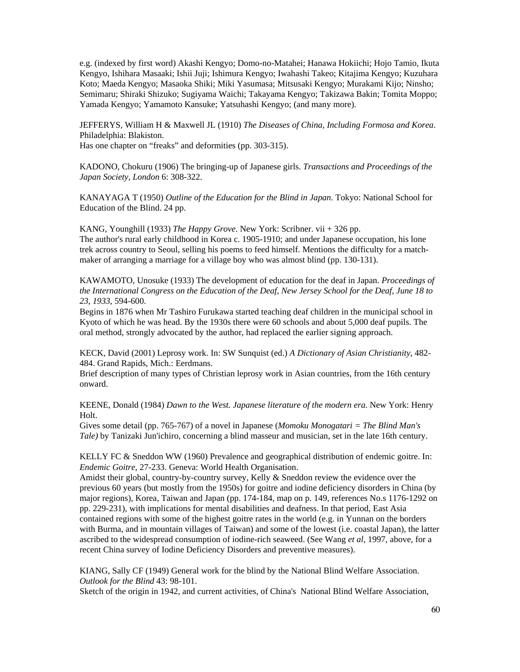e.g. (indexed by first word) Akashi Kengyo; Domo-no-Matahei; Hanawa Hokiichi; Hojo Tamio, Ikuta Kengyo, Ishihara Masaaki; Ishii Juji; Ishimura Kengyo; Iwahashi Takeo; Kitajima Kengyo; Kuzuhara Koto; Maeda Kengyo; Masaoka Shiki; Miki Yasumasa; Mitsusaki Kengyo; Murakami Kijo; Ninsho; Semimaru; Shiraki Shizuko; Sugiyama Waichi; Takayama Kengyo; Takizawa Bakin; Tomita Moppo; Yamada Kengyo; Yamamoto Kansuke; Yatsuhashi Kengyo; (and many more).

JEFFERYS, William H & Maxwell JL (1910) *The Diseases of China, Including Formosa and Korea*. Philadelphia: Blakiston. Has one chapter on "freaks" and deformities (pp. 303-315).

KADONO, Chokuru (1906) The bringing-up of Japanese girls. *Transactions and Proceedings of the Japan Society, London* 6: 308-322.

KANAYAGA T (1950) *Outline of the Education for the Blind in Japan*. Tokyo: National School for Education of the Blind. 24 pp.

KANG, Younghill (1933) *The Happy Grove*. New York: Scribner. vii + 326 pp. The author's rural early childhood in Korea c. 1905-1910; and under Japanese occupation, his lone trek across country to Seoul, selling his poems to feed himself. Mentions the difficulty for a matchmaker of arranging a marriage for a village boy who was almost blind (pp. 130-131).

KAWAMOTO, Unosuke (1933) The development of education for the deaf in Japan. *Proceedings of the International Congress on the Education of the Deaf, New Jersey School for the Deaf, June 18 to 23, 1933*, 594-600.

Begins in 1876 when Mr Tashiro Furukawa started teaching deaf children in the municipal school in Kyoto of which he was head. By the 1930s there were 60 schools and about 5,000 deaf pupils. The oral method, strongly advocated by the author, had replaced the earlier signing approach.

KECK, David (2001) Leprosy work. In: SW Sunquist (ed.) *A Dictionary of Asian Christianity*, 482- 484. Grand Rapids, Mich.: Eerdmans.

Brief description of many types of Christian leprosy work in Asian countries, from the 16th century onward.

KEENE, Donald (1984) *Dawn to the West. Japanese literature of the modern era*. New York: Henry Holt.

Gives some detail (pp. 765-767) of a novel in Japanese (*Momoku Monogatari = The Blind Man's Tale)* by Tanizaki Jun'ichiro, concerning a blind masseur and musician, set in the late 16th century.

KELLY FC & Sneddon WW (1960) Prevalence and geographical distribution of endemic goitre. In: *Endemic Goitre*, 27-233. Geneva: World Health Organisation.

Amidst their global, country-by-country survey, Kelly & Sneddon review the evidence over the previous 60 years (but mostly from the 1950s) for goitre and iodine deficiency disorders in China (by major regions), Korea, Taiwan and Japan (pp. 174-184, map on p. 149, references No.s 1176-1292 on pp. 229-231), with implications for mental disabilities and deafness. In that period, East Asia contained regions with some of the highest goitre rates in the world (e.g. in Yunnan on the borders with Burma, and in mountain villages of Taiwan) and some of the lowest (i.e. coastal Japan), the latter ascribed to the widespread consumption of iodine-rich seaweed. (See Wang *et al*, 1997, above, for a recent China survey of Iodine Deficiency Disorders and preventive measures).

KIANG, Sally CF (1949) General work for the blind by the National Blind Welfare Association. *Outlook for the Blind* 43: 98-101.

Sketch of the origin in 1942, and current activities, of China's National Blind Welfare Association,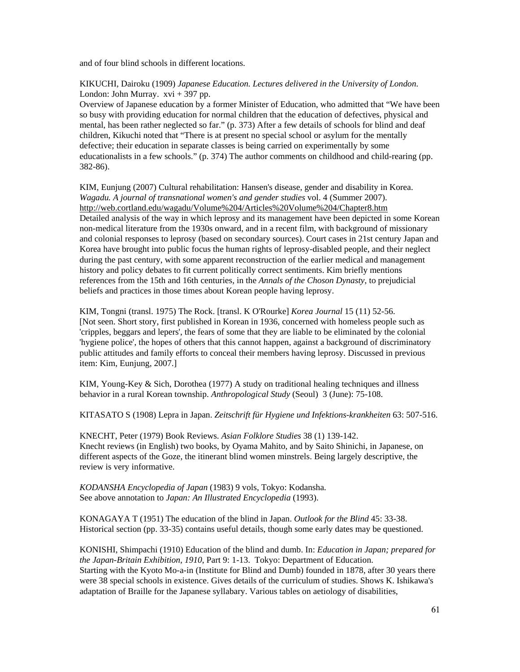and of four blind schools in different locations.

## KIKUCHI, Dairoku (1909) *Japanese Education. Lectures delivered in the University of London*. London: John Murray.  $xvi + 397$  pp.

Overview of Japanese education by a former Minister of Education, who admitted that "We have been so busy with providing education for normal children that the education of defectives, physical and mental, has been rather neglected so far." (p. 373) After a few details of schools for blind and deaf children, Kikuchi noted that "There is at present no special school or asylum for the mentally defective; their education in separate classes is being carried on experimentally by some educationalists in a few schools." (p. 374) The author comments on childhood and child-rearing (pp. 382-86).

KIM, Eunjung (2007) Cultural rehabilitation: Hansen's disease, gender and disability in Korea. *Wagadu. A journal of transnational women's and gender studies* vol. 4 (Summer 2007). http://web.cortland.edu/wagadu/Volume%204/Articles%20Volume%204/Chapter8.htm Detailed analysis of the way in which leprosy and its management have been depicted in some Korean non-medical literature from the 1930s onward, and in a recent film, with background of missionary and colonial responses to leprosy (based on secondary sources). Court cases in 21st century Japan and Korea have brought into public focus the human rights of leprosy-disabled people, and their neglect during the past century, with some apparent reconstruction of the earlier medical and management history and policy debates to fit current politically correct sentiments. Kim briefly mentions references from the 15th and 16th centuries, in the *Annals of the Choson Dynasty*, to prejudicial beliefs and practices in those times about Korean people having leprosy.

KIM, Tongni (transl. 1975) The Rock. [transl. K O'Rourke] *Korea Journal* 15 (11) 52-56. [Not seen. Short story, first published in Korean in 1936, concerned with homeless people such as 'cripples, beggars and lepers', the fears of some that they are liable to be eliminated by the colonial 'hygiene police', the hopes of others that this cannot happen, against a background of discriminatory public attitudes and family efforts to conceal their members having leprosy. Discussed in previous item: Kim, Eunjung, 2007.]

KIM, Young-Key & Sich, Dorothea (1977) A study on traditional healing techniques and illness behavior in a rural Korean township. *Anthropological Study* (Seoul) 3 (June): 75-108.

KITASATO S (1908) Lepra in Japan. *Zeitschrift für Hygiene und Infektions-krankheiten* 63: 507-516.

KNECHT, Peter (1979) Book Reviews. *Asian Folklore Studies* 38 (1) 139-142. Knecht reviews (in English) two books, by Oyama Mahito, and by Saito Shinichi, in Japanese, on different aspects of the Goze, the itinerant blind women minstrels. Being largely descriptive, the review is very informative.

*KODANSHA Encyclopedia of Japan* (1983) 9 vols, Tokyo: Kodansha. See above annotation to *Japan: An Illustrated Encyclopedia* (1993).

KONAGAYA T (1951) The education of the blind in Japan. *Outlook for the Blind* 45: 33-38. Historical section (pp. 33-35) contains useful details, though some early dates may be questioned.

KONISHI, Shimpachi (1910) Education of the blind and dumb. In: *Education in Japan; prepared for the Japan-Britain Exhibition, 1910*, Part 9: 1-13. Tokyo: Department of Education. Starting with the Kyoto Mo-a-in (Institute for Blind and Dumb) founded in 1878, after 30 years there were 38 special schools in existence. Gives details of the curriculum of studies. Shows K. Ishikawa's adaptation of Braille for the Japanese syllabary. Various tables on aetiology of disabilities,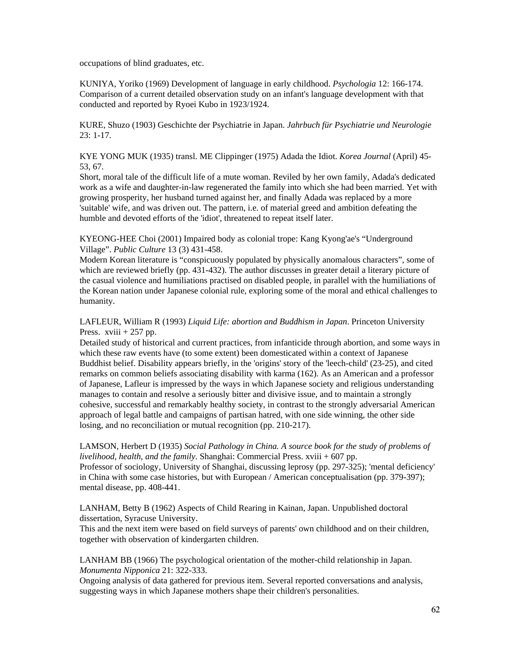occupations of blind graduates, etc.

KUNIYA, Yoriko (1969) Development of language in early childhood. *Psychologia* 12: 166-174. Comparison of a current detailed observation study on an infant's language development with that conducted and reported by Ryoei Kubo in 1923/1924.

KURE, Shuzo (1903) Geschichte der Psychiatrie in Japan. *Jahrbuch für Psychiatrie und Neurologie* 23: 1-17.

KYE YONG MUK (1935) transl. ME Clippinger (1975) Adada the Idiot. *Korea Journal* (April) 45- 53, 67.

Short, moral tale of the difficult life of a mute woman. Reviled by her own family, Adada's dedicated work as a wife and daughter-in-law regenerated the family into which she had been married. Yet with growing prosperity, her husband turned against her, and finally Adada was replaced by a more 'suitable' wife, and was driven out. The pattern, i.e. of material greed and ambition defeating the humble and devoted efforts of the 'idiot', threatened to repeat itself later.

KYEONG-HEE Choi (2001) Impaired body as colonial trope: Kang Kyong'ae's "Underground Village". *Public Culture* 13 (3) 431-458.

Modern Korean literature is "conspicuously populated by physically anomalous characters", some of which are reviewed briefly (pp. 431-432). The author discusses in greater detail a literary picture of the casual violence and humiliations practised on disabled people, in parallel with the humiliations of the Korean nation under Japanese colonial rule, exploring some of the moral and ethical challenges to humanity.

LAFLEUR, William R (1993) *Liquid Life: abortion and Buddhism in Japan*. Princeton University Press. xviii + 257 pp.

Detailed study of historical and current practices, from infanticide through abortion, and some ways in which these raw events have (to some extent) been domesticated within a context of Japanese Buddhist belief. Disability appears briefly, in the 'origins' story of the 'leech-child' (23-25), and cited remarks on common beliefs associating disability with karma (162). As an American and a professor of Japanese, Lafleur is impressed by the ways in which Japanese society and religious understanding manages to contain and resolve a seriously bitter and divisive issue, and to maintain a strongly cohesive, successful and remarkably healthy society, in contrast to the strongly adversarial American approach of legal battle and campaigns of partisan hatred, with one side winning, the other side losing, and no reconciliation or mutual recognition (pp. 210-217).

LAMSON, Herbert D (1935) *Social Pathology in China. A source book for the study of problems of livelihood, health, and the family*. Shanghai: Commercial Press. xviii + 607 pp.

Professor of sociology, University of Shanghai, discussing leprosy (pp. 297-325); 'mental deficiency' in China with some case histories, but with European / American conceptualisation (pp. 379-397); mental disease, pp. 408-441.

LANHAM, Betty B (1962) Aspects of Child Rearing in Kainan, Japan. Unpublished doctoral dissertation, Syracuse University.

This and the next item were based on field surveys of parents' own childhood and on their children, together with observation of kindergarten children.

LANHAM BB (1966) The psychological orientation of the mother-child relationship in Japan. *Monumenta Nipponica* 21: 322-333.

Ongoing analysis of data gathered for previous item. Several reported conversations and analysis, suggesting ways in which Japanese mothers shape their children's personalities.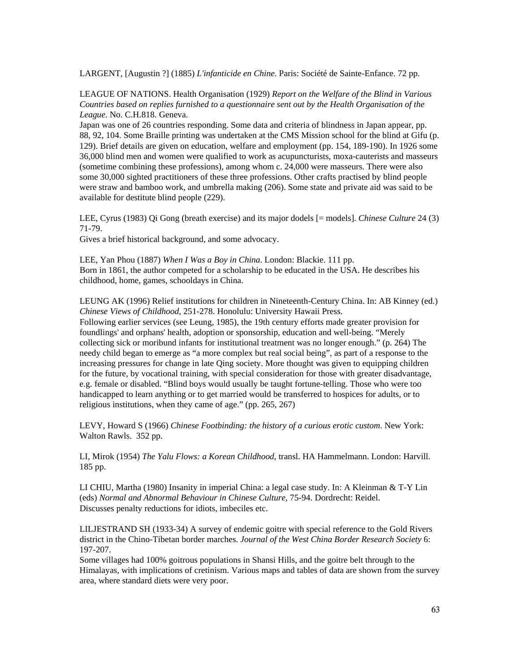LARGENT, [Augustin ?] (1885) *L'infanticide en Chine*. Paris: Société de Sainte-Enfance. 72 pp.

LEAGUE OF NATIONS. Health Organisation (1929) *Report on the Welfare of the Blind in Various Countries based on replies furnished to a questionnaire sent out by the Health Organisation of the League*. No. C.H.818. Geneva.

Japan was one of 26 countries responding. Some data and criteria of blindness in Japan appear, pp. 88, 92, 104. Some Braille printing was undertaken at the CMS Mission school for the blind at Gifu (p. 129). Brief details are given on education, welfare and employment (pp. 154, 189-190). In 1926 some 36,000 blind men and women were qualified to work as acupuncturists, moxa-cauterists and masseurs (sometime combining these professions), among whom c. 24,000 were masseurs. There were also some 30,000 sighted practitioners of these three professions. Other crafts practised by blind people were straw and bamboo work, and umbrella making (206). Some state and private aid was said to be available for destitute blind people (229).

LEE, Cyrus (1983) Qi Gong (breath exercise) and its major dodels [= models]. *Chinese Culture* 24 (3) 71-79.

Gives a brief historical background, and some advocacy.

religious institutions, when they came of age." (pp. 265, 267)

LEE, Yan Phou (1887) *When I Was a Boy in China*. London: Blackie. 111 pp. Born in 1861, the author competed for a scholarship to be educated in the USA. He describes his childhood, home, games, schooldays in China.

LEUNG AK (1996) Relief institutions for children in Nineteenth-Century China. In: AB Kinney (ed.) *Chinese Views of Childhood*, 251-278. Honolulu: University Hawaii Press. Following earlier services (see Leung, 1985), the 19th century efforts made greater provision for foundlings' and orphans' health, adoption or sponsorship, education and well-being. "Merely collecting sick or moribund infants for institutional treatment was no longer enough." (p. 264) The needy child began to emerge as "a more complex but real social being", as part of a response to the increasing pressures for change in late Qing society. More thought was given to equipping children for the future, by vocational training, with special consideration for those with greater disadvantage, e.g. female or disabled. "Blind boys would usually be taught fortune-telling. Those who were too handicapped to learn anything or to get married would be transferred to hospices for adults, or to

LEVY, Howard S (1966) *Chinese Footbinding: the history of a curious erotic custom*. New York: Walton Rawls. 352 pp.

LI, Mirok (1954) *The Yalu Flows: a Korean Childhood*, transl. HA Hammelmann. London: Harvill. 185 pp.

LI CHIU, Martha (1980) Insanity in imperial China: a legal case study. In: A Kleinman & T-Y Lin (eds) *Normal and Abnormal Behaviour in Chinese Culture*, 75-94. Dordrecht: Reidel. Discusses penalty reductions for idiots, imbeciles etc.

LILJESTRAND SH (1933-34) A survey of endemic goitre with special reference to the Gold Rivers district in the Chino-Tibetan border marches. *Journal of the West China Border Research Society* 6: 197-207.

Some villages had 100% goitrous populations in Shansi Hills, and the goitre belt through to the Himalayas, with implications of cretinism. Various maps and tables of data are shown from the survey area, where standard diets were very poor.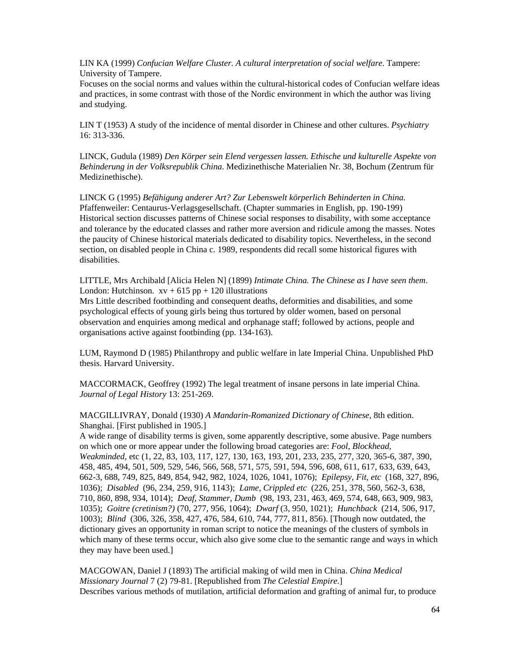LIN KA (1999) *Confucian Welfare Cluster. A cultural interpretation of social welfare*. Tampere: University of Tampere.

Focuses on the social norms and values within the cultural-historical codes of Confucian welfare ideas and practices, in some contrast with those of the Nordic environment in which the author was living and studying.

LIN T (1953) A study of the incidence of mental disorder in Chinese and other cultures. *Psychiatry* 16: 313-336.

LINCK, Gudula (1989) *Den Körper sein Elend vergessen lassen. Ethische und kulturelle Aspekte von Behinderung in der Volksrepublik China*. Medizinethische Materialien Nr. 38, Bochum (Zentrum für Medizinethische).

LINCK G (1995) *Befähigung anderer Art? Zur Lebenswelt körperlich Behinderten in China*. Pfaffenweiler: Centaurus-Verlagsgesellschaft. (Chapter summaries in English, pp. 190-199) Historical section discusses patterns of Chinese social responses to disability, with some acceptance and tolerance by the educated classes and rather more aversion and ridicule among the masses. Notes the paucity of Chinese historical materials dedicated to disability topics. Nevertheless, in the second section, on disabled people in China c. 1989, respondents did recall some historical figures with disabilities.

LITTLE, Mrs Archibald [Alicia Helen N] (1899) *Intimate China. The Chinese as I have seen them*. London: Hutchinson.  $xy + 615$  pp + 120 illustrations

Mrs Little described footbinding and consequent deaths, deformities and disabilities, and some psychological effects of young girls being thus tortured by older women, based on personal observation and enquiries among medical and orphanage staff; followed by actions, people and organisations active against footbinding (pp. 134-163).

LUM, Raymond D (1985) Philanthropy and public welfare in late Imperial China. Unpublished PhD thesis. Harvard University.

MACCORMACK, Geoffrey (1992) The legal treatment of insane persons in late imperial China. *Journal of Legal History* 13: 251-269.

MACGILLIVRAY, Donald (1930) *A Mandarin-Romanized Dictionary of Chinese*, 8th edition. Shanghai. [First published in 1905.]

A wide range of disability terms is given, some apparently descriptive, some abusive. Page numbers on which one or more appear under the following broad categories are: *Fool, Blockhead, Weakminded*, etc (1, 22, 83, 103, 117, 127, 130, 163, 193, 201, 233, 235, 277, 320, 365-6, 387, 390, 458, 485, 494, 501, 509, 529, 546, 566, 568, 571, 575, 591, 594, 596, 608, 611, 617, 633, 639, 643, 662-3, 688, 749, 825, 849, 854, 942, 982, 1024, 1026, 1041, 1076); *Epilepsy, Fit, etc* (168, 327, 896, 1036); *Disabled* (96, 234, 259, 916, 1143); *Lame, Crippled etc* (226, 251, 378, 560, 562-3, 638, 710, 860, 898, 934, 1014); *Deaf, Stammer, Dumb* (98, 193, 231, 463, 469, 574, 648, 663, 909, 983, 1035); *Goitre (cretinism?)* (70, 277, 956, 1064); *Dwarf* (3, 950, 1021); *Hunchback* (214, 506, 917, 1003); *Blind* (306, 326, 358, 427, 476, 584, 610, 744, 777, 811, 856). [Though now outdated, the dictionary gives an opportunity in roman script to notice the meanings of the clusters of symbols in which many of these terms occur, which also give some clue to the semantic range and ways in which they may have been used.]

MACGOWAN, Daniel J (1893) The artificial making of wild men in China. *China Medical Missionary Journal* 7 (2) 79-81. [Republished from *The Celestial Empire*.] Describes various methods of mutilation, artificial deformation and grafting of animal fur, to produce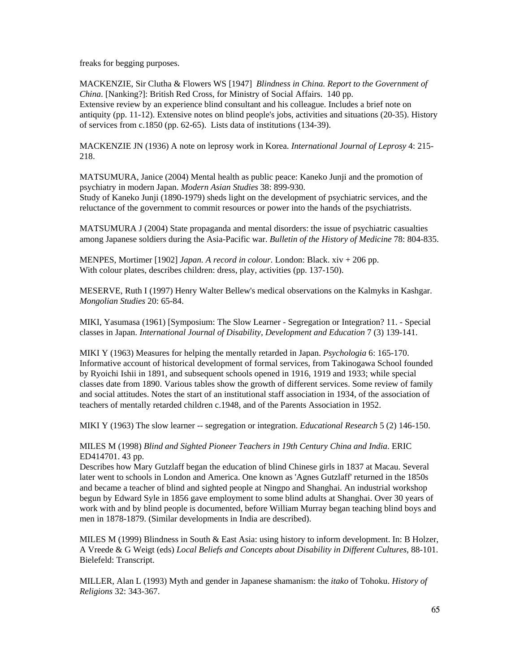freaks for begging purposes.

MACKENZIE, Sir Clutha & Flowers WS [1947] *Blindness in China. Report to the Government of China*. [Nanking?]: British Red Cross, for Ministry of Social Affairs. 140 pp. Extensive review by an experience blind consultant and his colleague. Includes a brief note on antiquity (pp. 11-12). Extensive notes on blind people's jobs, activities and situations (20-35). History of services from c.1850 (pp. 62-65). Lists data of institutions (134-39).

MACKENZIE JN (1936) A note on leprosy work in Korea. *International Journal of Leprosy* 4: 215- 218.

MATSUMURA, Janice (2004) Mental health as public peace: Kaneko Junji and the promotion of psychiatry in modern Japan. *Modern Asian Studies* 38: 899-930.

Study of Kaneko Junji (1890-1979) sheds light on the development of psychiatric services, and the reluctance of the government to commit resources or power into the hands of the psychiatrists.

MATSUMURA J (2004) State propaganda and mental disorders: the issue of psychiatric casualties among Japanese soldiers during the Asia-Pacific war. *Bulletin of the History of Medicine* 78: 804-835.

MENPES, Mortimer [1902] *Japan. A record in colour*. London: Black. xiv + 206 pp. With colour plates, describes children: dress, play, activities (pp. 137-150).

MESERVE, Ruth I (1997) Henry Walter Bellew's medical observations on the Kalmyks in Kashgar. *Mongolian Studies* 20: 65-84.

MIKI, Yasumasa (1961) [Symposium: The Slow Learner - Segregation or Integration? 11. - Special classes in Japan. *International Journal of Disability, Development and Education* 7 (3) 139-141.

MIKI Y (1963) Measures for helping the mentally retarded in Japan. *Psychologia* 6: 165-170. Informative account of historical development of formal services, from Takinogawa School founded by Ryoichi Ishii in 1891, and subsequent schools opened in 1916, 1919 and 1933; while special classes date from 1890. Various tables show the growth of different services. Some review of family and social attitudes. Notes the start of an institutional staff association in 1934, of the association of teachers of mentally retarded children c.1948, and of the Parents Association in 1952.

MIKI Y (1963) The slow learner -- segregation or integration. *Educational Research* 5 (2) 146-150.

MILES M (1998) *Blind and Sighted Pioneer Teachers in 19th Century China and India*. ERIC ED414701. 43 pp.

Describes how Mary Gutzlaff began the education of blind Chinese girls in 1837 at Macau. Several later went to schools in London and America. One known as 'Agnes Gutzlaff' returned in the 1850s and became a teacher of blind and sighted people at Ningpo and Shanghai. An industrial workshop begun by Edward Syle in 1856 gave employment to some blind adults at Shanghai. Over 30 years of work with and by blind people is documented, before William Murray began teaching blind boys and men in 1878-1879. (Similar developments in India are described).

MILES M (1999) Blindness in South & East Asia: using history to inform development. In: B Holzer, A Vreede & G Weigt (eds) *Local Beliefs and Concepts about Disability in Different Cultures*, 88-101. Bielefeld: Transcript.

MILLER, Alan L (1993) Myth and gender in Japanese shamanism: the *itako* of Tohoku. *History of Religions* 32: 343-367.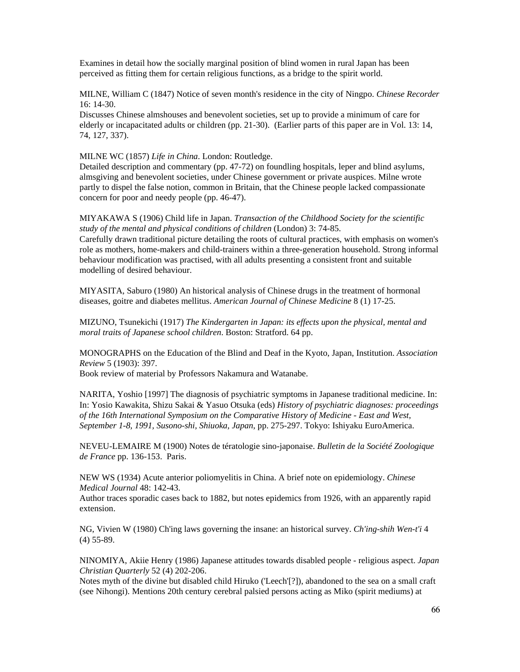Examines in detail how the socially marginal position of blind women in rural Japan has been perceived as fitting them for certain religious functions, as a bridge to the spirit world.

MILNE, William C (1847) Notice of seven month's residence in the city of Ningpo. *Chinese Recorder* 16: 14-30.

Discusses Chinese almshouses and benevolent societies, set up to provide a minimum of care for elderly or incapacitated adults or children (pp. 21-30). (Earlier parts of this paper are in Vol. 13: 14, 74, 127, 337).

MILNE WC (1857) *Life in China*. London: Routledge.

Detailed description and commentary (pp. 47-72) on foundling hospitals, leper and blind asylums, almsgiving and benevolent societies, under Chinese government or private auspices. Milne wrote partly to dispel the false notion, common in Britain, that the Chinese people lacked compassionate concern for poor and needy people (pp. 46-47).

MIYAKAWA S (1906) Child life in Japan. *Transaction of the Childhood Society for the scientific study of the mental and physical conditions of children* (London) 3: 74-85.

Carefully drawn traditional picture detailing the roots of cultural practices, with emphasis on women's role as mothers, home-makers and child-trainers within a three-generation household. Strong informal behaviour modification was practised, with all adults presenting a consistent front and suitable modelling of desired behaviour.

MIYASITA, Saburo (1980) An historical analysis of Chinese drugs in the treatment of hormonal diseases, goitre and diabetes mellitus. *American Journal of Chinese Medicine* 8 (1) 17-25.

MIZUNO, Tsunekichi (1917) *The Kindergarten in Japan: its effects upon the physical, mental and moral traits of Japanese school children*. Boston: Stratford. 64 pp.

MONOGRAPHS on the Education of the Blind and Deaf in the Kyoto, Japan, Institution. *Association Review* 5 (1903): 397.

Book review of material by Professors Nakamura and Watanabe.

NARITA, Yoshio [1997] The diagnosis of psychiatric symptoms in Japanese traditional medicine. In: In: Yosio Kawakita, Shizu Sakai & Yasuo Otsuka (eds) *History of psychiatric diagnoses: proceedings of the 16th International Symposium on the Comparative History of Medicine - East and West, September 1-8, 1991, Susono-shi, Shiuoka, Japan*, pp. 275-297. Tokyo: Ishiyaku EuroAmerica.

NEVEU-LEMAIRE M (1900) Notes de tératologie sino-japonaise. *Bulletin de la Société Zoologique de France* pp. 136-153. Paris.

NEW WS (1934) Acute anterior poliomyelitis in China. A brief note on epidemiology. *Chinese Medical Journal* 48: 142-43.

Author traces sporadic cases back to 1882, but notes epidemics from 1926, with an apparently rapid extension.

NG, Vivien W (1980) Ch'ing laws governing the insane: an historical survey. *Ch'ing-shih Wen-t'i* 4 (4) 55-89.

NINOMIYA, Akiie Henry (1986) Japanese attitudes towards disabled people - religious aspect. *Japan Christian Quarterly* 52 (4) 202-206.

Notes myth of the divine but disabled child Hiruko ('Leech'[?]), abandoned to the sea on a small craft (see Nihongi). Mentions 20th century cerebral palsied persons acting as Miko (spirit mediums) at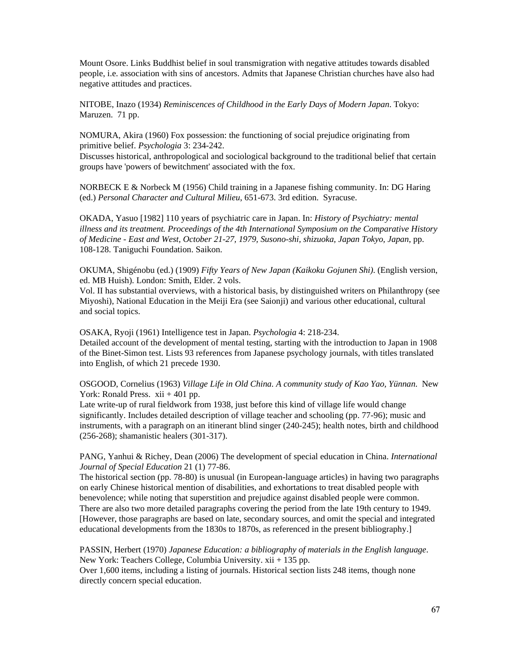Mount Osore. Links Buddhist belief in soul transmigration with negative attitudes towards disabled people, i.e. association with sins of ancestors. Admits that Japanese Christian churches have also had negative attitudes and practices.

NITOBE, Inazo (1934) *Reminiscences of Childhood in the Early Days of Modern Japan*. Tokyo: Maruzen. 71 pp.

NOMURA, Akira (1960) Fox possession: the functioning of social prejudice originating from primitive belief. *Psychologia* 3: 234-242.

Discusses historical, anthropological and sociological background to the traditional belief that certain groups have 'powers of bewitchment' associated with the fox.

NORBECK E & Norbeck M (1956) Child training in a Japanese fishing community. In: DG Haring (ed.) *Personal Character and Cultural Milieu*, 651-673. 3rd edition. Syracuse.

OKADA, Yasuo [1982] 110 years of psychiatric care in Japan. In: *History of Psychiatry: mental illness and its treatment. Proceedings of the 4th International Symposium on the Comparative History of Medicine - East and West, October 21-27, 1979, Susono-shi, shizuoka, Japan Tokyo, Japan*, pp. 108-128. Taniguchi Foundation. Saikon.

OKUMA, Shigénobu (ed.) (1909) *Fifty Years of New Japan (Kaikoku Gojunen Shi)*. (English version, ed. MB Huish). London: Smith, Elder. 2 vols.

Vol. II has substantial overviews, with a historical basis, by distinguished writers on Philanthropy (see Miyoshi), National Education in the Meiji Era (see Saionji) and various other educational, cultural and social topics.

OSAKA, Ryoji (1961) Intelligence test in Japan. *Psychologia* 4: 218-234. Detailed account of the development of mental testing, starting with the introduction to Japan in 1908 of the Binet-Simon test. Lists 93 references from Japanese psychology journals, with titles translated into English, of which 21 precede 1930.

OSGOOD, Cornelius (1963) *Village Life in Old China. A community study of Kao Yao, Yünnan*. New York: Ronald Press.  $xii + 401$  pp.

Late write-up of rural fieldwork from 1938, just before this kind of village life would change significantly. Includes detailed description of village teacher and schooling (pp. 77-96); music and instruments, with a paragraph on an itinerant blind singer (240-245); health notes, birth and childhood (256-268); shamanistic healers (301-317).

PANG, Yanhui & Richey, Dean (2006) The development of special education in China. *International Journal of Special Education* 21 (1) 77-86.

The historical section (pp. 78-80) is unusual (in European-language articles) in having two paragraphs on early Chinese historical mention of disabilities, and exhortations to treat disabled people with benevolence; while noting that superstition and prejudice against disabled people were common. There are also two more detailed paragraphs covering the period from the late 19th century to 1949. [However, those paragraphs are based on late, secondary sources, and omit the special and integrated educational developments from the 1830s to 1870s, as referenced in the present bibliography.]

PASSIN, Herbert (1970) *Japanese Education: a bibliography of materials in the English language*. New York: Teachers College, Columbia University. xii + 135 pp. Over 1,600 items, including a listing of journals. Historical section lists 248 items, though none directly concern special education.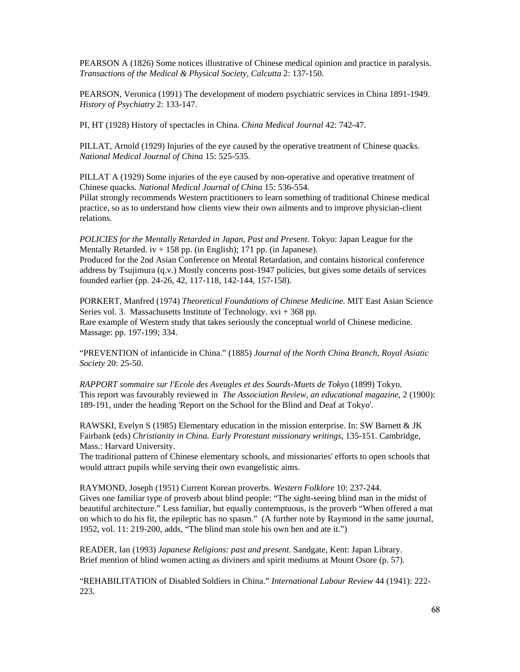PEARSON A (1826) Some notices illustrative of Chinese medical opinion and practice in paralysis. *Transactions of the Medical & Physical Society, Calcutta* 2: 137-150.

PEARSON, Veronica (1991) The development of modern psychiatric services in China 1891-1949. *History of Psychiatry* 2: 133-147.

PI, HT (1928) History of spectacles in China. *China Medical Journal* 42: 742-47.

PILLAT, Arnold (1929) Injuries of the eye caused by the operative treatment of Chinese quacks. *National Medical Journal of China* 15: 525-535.

PILLAT A (1929) Some injuries of the eye caused by non-operative and operative treatment of Chinese quacks. *National Medical Journal of China* 15: 536-554.

Pillat strongly recommends Western practitioners to learn something of traditional Chinese medical practice, so as to understand how clients view their own ailments and to improve physician-client relations.

*POLICIES for the Mentally Retarded in Japan, Past and Present*. Tokyo: Japan League for the Mentally Retarded.  $iv + 158$  pp. (in English); 171 pp. (in Japanese). Produced for the 2nd Asian Conference on Mental Retardation, and contains historical conference address by Tsujimura (q.v.) Mostly concerns post-1947 policies, but gives some details of services founded earlier (pp. 24-26, 42, 117-118, 142-144, 157-158).

PORKERT, Manfred (1974) *Theoretical Foundations of Chinese Medicine*. MIT East Asian Science Series vol. 3. Massachusetts Institute of Technology. xvi + 368 pp. Rare example of Western study that takes seriously the conceptual world of Chinese medicine. Massage: pp. 197-199; 334.

"PREVENTION of infanticide in China." (1885) *Journal of the North China Branch, Royal Asiatic Society* 20: 25-50.

*RAPPORT sommaire sur l'Ecole des Aveugles et des Sourds-Muets de Tokyo* (1899) Tokyo. This report was favourably reviewed in *The Association Review, an educational magazine*, 2 (1900): 189-191, under the heading 'Report on the School for the Blind and Deaf at Tokyo'.

RAWSKI, Evelyn S (1985) Elementary education in the mission enterprise. In: SW Barnett & JK Fairbank (eds) *Christianity in China. Early Protestant missionary writings*, 135-151. Cambridge, Mass.: Harvard University.

The traditional pattern of Chinese elementary schools, and missionaries' efforts to open schools that would attract pupils while serving their own evangelistic aims.

RAYMOND, Joseph (1951) Current Korean proverbs. *Western Folklore* 10: 237-244. Gives one familiar type of proverb about blind people: "The sight-seeing blind man in the midst of beautiful architecture." Less familiar, but equally contemptuous, is the proverb "When offered a mat on which to do his fit, the epileptic has no spasm." (A further note by Raymond in the same journal, 1952, vol. 11: 219-200, adds, "The blind man stole his own hen and ate it.")

READER, Ian (1993) *Japanese Religions: past and present*. Sandgate, Kent: Japan Library. Brief mention of blind women acting as diviners and spirit mediums at Mount Osore (p. 57).

"REHABILITATION of Disabled Soldiers in China." *International Labour Review* 44 (1941): 222- 223.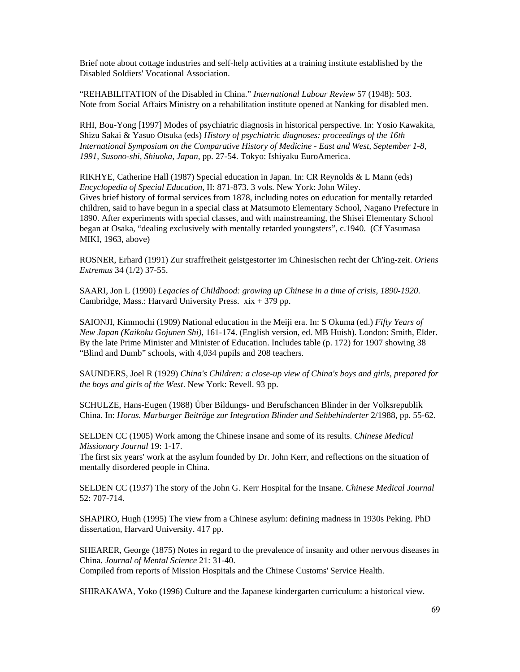Brief note about cottage industries and self-help activities at a training institute established by the Disabled Soldiers' Vocational Association.

"REHABILITATION of the Disabled in China." *International Labour Review* 57 (1948): 503. Note from Social Affairs Ministry on a rehabilitation institute opened at Nanking for disabled men.

RHI, Bou-Yong [1997] Modes of psychiatric diagnosis in historical perspective. In: Yosio Kawakita, Shizu Sakai & Yasuo Otsuka (eds) *History of psychiatric diagnoses: proceedings of the 16th International Symposium on the Comparative History of Medicine - East and West, September 1-8, 1991, Susono-shi, Shiuoka, Japan*, pp. 27-54. Tokyo: Ishiyaku EuroAmerica.

RIKHYE, Catherine Hall (1987) Special education in Japan. In: CR Reynolds & L Mann (eds) *Encyclopedia of Special Education*, II: 871-873. 3 vols. New York: John Wiley. Gives brief history of formal services from 1878, including notes on education for mentally retarded children, said to have begun in a special class at Matsumoto Elementary School, Nagano Prefecture in 1890. After experiments with special classes, and with mainstreaming, the Shisei Elementary School began at Osaka, "dealing exclusively with mentally retarded youngsters", c.1940. (Cf Yasumasa MIKI, 1963, above)

ROSNER, Erhard (1991) Zur straffreiheit geistgestorter im Chinesischen recht der Ch'ing-zeit. *Oriens Extremus* 34 (1/2) 37-55.

SAARI, Jon L (1990) *Legacies of Childhood: growing up Chinese in a time of crisis, 1890-1920*. Cambridge, Mass.: Harvard University Press. xix + 379 pp.

SAIONJI, Kimmochi (1909) National education in the Meiji era. In: S Okuma (ed.) *Fifty Years of New Japan (Kaikoku Gojunen Shi)*, 161-174. (English version, ed. MB Huish). London: Smith, Elder. By the late Prime Minister and Minister of Education. Includes table (p. 172) for 1907 showing 38 "Blind and Dumb" schools, with 4,034 pupils and 208 teachers.

SAUNDERS, Joel R (1929) *China's Children: a close-up view of China's boys and girls, prepared for the boys and girls of the West*. New York: Revell. 93 pp.

SCHULZE, Hans-Eugen (1988) Über Bildungs- und Berufschancen Blinder in der Volksrepublik China. In: *Horus. Marburger Beiträge zur Integration Blinder und Sehbehinderter* 2/1988, pp. 55-62.

SELDEN CC (1905) Work among the Chinese insane and some of its results. *Chinese Medical Missionary Journal* 19: 1-17.

The first six years' work at the asylum founded by Dr. John Kerr, and reflections on the situation of mentally disordered people in China.

SELDEN CC (1937) The story of the John G. Kerr Hospital for the Insane. *Chinese Medical Journal* 52: 707-714.

SHAPIRO, Hugh (1995) The view from a Chinese asylum: defining madness in 1930s Peking. PhD dissertation, Harvard University. 417 pp.

SHEARER, George (1875) Notes in regard to the prevalence of insanity and other nervous diseases in China. *Journal of Mental Science* 21: 31-40. Compiled from reports of Mission Hospitals and the Chinese Customs' Service Health.

SHIRAKAWA, Yoko (1996) Culture and the Japanese kindergarten curriculum: a historical view.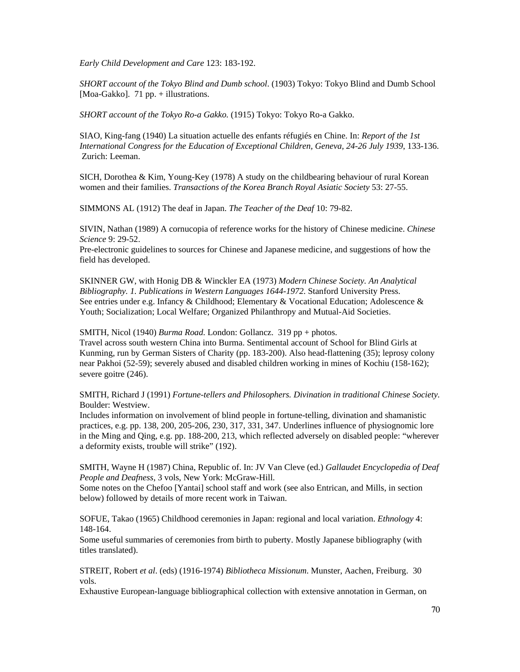*Early Child Development and Care* 123: 183-192.

*SHORT account of the Tokyo Blind and Dumb school*. (1903) Tokyo: Tokyo Blind and Dumb School [Moa-Gakko]. 71 pp. + illustrations.

*SHORT account of the Tokyo Ro-a Gakko.* (1915) Tokyo: Tokyo Ro-a Gakko.

SIAO, King-fang (1940) La situation actuelle des enfants réfugiés en Chine. In: *Report of the 1st International Congress for the Education of Exceptional Children, Geneva, 24-26 July 1939*, 133-136. Zurich: Leeman.

SICH, Dorothea & Kim, Young-Key (1978) A study on the childbearing behaviour of rural Korean women and their families. *Transactions of the Korea Branch Royal Asiatic Society* 53: 27-55.

SIMMONS AL (1912) The deaf in Japan. *The Teacher of the Deaf* 10: 79-82.

SIVIN, Nathan (1989) A cornucopia of reference works for the history of Chinese medicine. *Chinese Science* 9: 29-52.

Pre-electronic guidelines to sources for Chinese and Japanese medicine, and suggestions of how the field has developed.

SKINNER GW, with Honig DB & Winckler EA (1973) *Modern Chinese Society. An Analytical Bibliography. 1. Publications in Western Languages 1644-1972*. Stanford University Press. See entries under e.g. Infancy & Childhood; Elementary & Vocational Education; Adolescence & Youth; Socialization; Local Welfare; Organized Philanthropy and Mutual-Aid Societies.

SMITH, Nicol (1940) *Burma Road*. London: Gollancz. 319 pp + photos.

Travel across south western China into Burma. Sentimental account of School for Blind Girls at Kunming, run by German Sisters of Charity (pp. 183-200). Also head-flattening (35); leprosy colony near Pakhoi (52-59); severely abused and disabled children working in mines of Kochiu (158-162); severe goitre (246).

SMITH, Richard J (1991) *Fortune-tellers and Philosophers. Divination in traditional Chinese Society*. Boulder: Westview.

Includes information on involvement of blind people in fortune-telling, divination and shamanistic practices, e.g. pp. 138, 200, 205-206, 230, 317, 331, 347. Underlines influence of physiognomic lore in the Ming and Qing, e.g. pp. 188-200, 213, which reflected adversely on disabled people: "wherever a deformity exists, trouble will strike" (192).

SMITH, Wayne H (1987) China, Republic of. In: JV Van Cleve (ed.) *Gallaudet Encyclopedia of Deaf People and Deafness*, 3 vols, New York: McGraw-Hill.

Some notes on the Chefoo [Yantai] school staff and work (see also Entrican, and Mills, in section below) followed by details of more recent work in Taiwan.

SOFUE, Takao (1965) Childhood ceremonies in Japan: regional and local variation. *Ethnology* 4: 148-164.

Some useful summaries of ceremonies from birth to puberty. Mostly Japanese bibliography (with titles translated).

STREIT, Robert *et al*. (eds) (1916-1974) *Bibliotheca Missionum*. Munster, Aachen, Freiburg. 30 vols.

Exhaustive European-language bibliographical collection with extensive annotation in German, on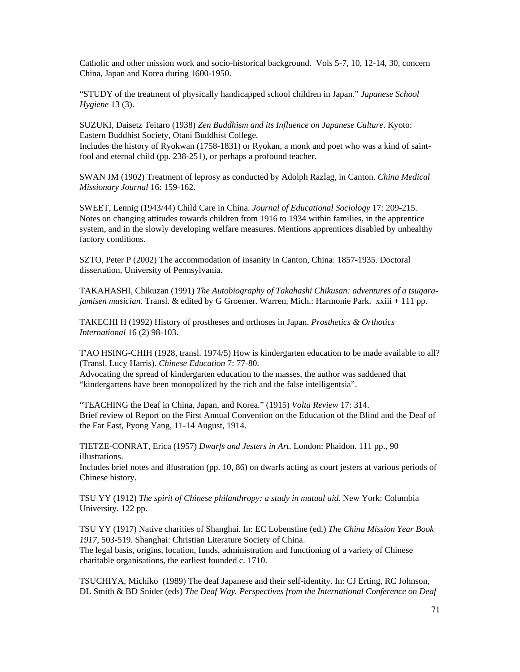Catholic and other mission work and socio-historical background. Vols 5-7, 10, 12-14, 30, concern China, Japan and Korea during 1600-1950.

"STUDY of the treatment of physically handicapped school children in Japan." *Japanese School Hygiene* 13 (3).

SUZUKI, Daisetz Teitaro (1938) *Zen Buddhism and its Influence on Japanese Culture*. Kyoto: Eastern Buddhist Society, Otani Buddhist College. Includes the history of Ryokwan (1758-1831) or Ryokan, a monk and poet who was a kind of saintfool and eternal child (pp. 238-251), or perhaps a profound teacher.

SWAN JM (1902) Treatment of leprosy as conducted by Adolph Razlag, in Canton. *China Medical Missionary Journal* 16: 159-162.

SWEET, Lennig (1943/44) Child Care in China. *Journal of Educational Sociology* 17: 209-215. Notes on changing attitudes towards children from 1916 to 1934 within families, in the apprentice system, and in the slowly developing welfare measures. Mentions apprentices disabled by unhealthy factory conditions.

SZTO, Peter P (2002) The accommodation of insanity in Canton, China: 1857-1935. Doctoral dissertation, University of Pennsylvania.

TAKAHASHI, Chikuzan (1991) *The Autobiography of Takahashi Chikusan: adventures of a tsugarajamisen musician*. Transl. & edited by G Groemer. Warren, Mich.: Harmonie Park. xxiii + 111 pp.

TAKECHI H (1992) History of prostheses and orthoses in Japan. *Prosthetics & Orthotics International* 16 (2) 98-103.

T'AO HSING-CHIH (1928, transl. 1974/5) How is kindergarten education to be made available to all? (Transl. Lucy Harris). *Chinese Education* 7: 77-80.

Advocating the spread of kindergarten education to the masses, the author was saddened that "kindergartens have been monopolized by the rich and the false intelligentsia".

"TEACHING the Deaf in China, Japan, and Korea." (1915) *Volta Review* 17: 314. Brief review of Report on the First Annual Convention on the Education of the Blind and the Deaf of the Far East, Pyong Yang, 11-14 August, 1914.

TIETZE-CONRAT, Erica (1957) *Dwarfs and Jesters in Art*. London: Phaidon. 111 pp., 90 illustrations.

Includes brief notes and illustration (pp. 10, 86) on dwarfs acting as court jesters at various periods of Chinese history.

TSU YY (1912) *The spirit of Chinese philanthropy: a study in mutual aid*. New York: Columbia University. 122 pp.

TSU YY (1917) Native charities of Shanghai. In: EC Lobenstine (ed.) *The China Mission Year Book 1917*, 503-519. Shanghai: Christian Literature Society of China. The legal basis, origins, location, funds, administration and functioning of a variety of Chinese charitable organisations, the earliest founded c. 1710.

TSUCHIYA, Michiko (1989) The deaf Japanese and their self-identity. In: CJ Erting, RC Johnson, DL Smith & BD Snider (eds) *The Deaf Way. Perspectives from the International Conference on Deaf*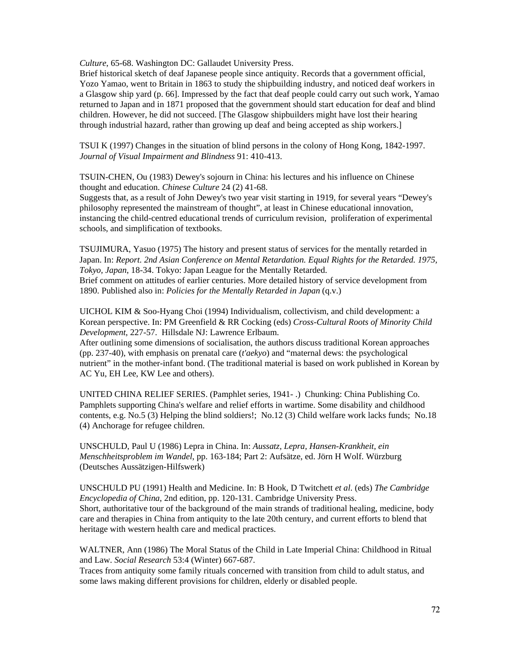*Culture*, 65-68. Washington DC: Gallaudet University Press.

Brief historical sketch of deaf Japanese people since antiquity. Records that a government official, Yozo Yamao, went to Britain in 1863 to study the shipbuilding industry, and noticed deaf workers in a Glasgow ship yard (p. 66]. Impressed by the fact that deaf people could carry out such work, Yamao returned to Japan and in 1871 proposed that the government should start education for deaf and blind children. However, he did not succeed. [The Glasgow shipbuilders might have lost their hearing through industrial hazard, rather than growing up deaf and being accepted as ship workers.]

TSUI K (1997) Changes in the situation of blind persons in the colony of Hong Kong, 1842-1997. *Journal of Visual Impairment and Blindness* 91: 410-413.

TSUIN-CHEN, Ou (1983) Dewey's sojourn in China: his lectures and his influence on Chinese thought and education. *Chinese Culture* 24 (2) 41-68.

Suggests that, as a result of John Dewey's two year visit starting in 1919, for several years "Dewey's philosophy represented the mainstream of thought", at least in Chinese educational innovation, instancing the child-centred educational trends of curriculum revision, proliferation of experimental schools, and simplification of textbooks.

TSUJIMURA, Yasuo (1975) The history and present status of services for the mentally retarded in Japan. In: *Report. 2nd Asian Conference on Mental Retardation. Equal Rights for the Retarded. 1975, Tokyo, Japan*, 18-34. Tokyo: Japan League for the Mentally Retarded. Brief comment on attitudes of earlier centuries. More detailed history of service development from 1890. Published also in: *Policies for the Mentally Retarded in Japan* (q.v.)

UICHOL KIM & Soo-Hyang Choi (1994) Individualism, collectivism, and child development: a Korean perspective. In: PM Greenfield & RR Cocking (eds) *Cross-Cultural Roots of Minority Child Development*, 227-57. Hillsdale NJ: Lawrence Erlbaum.

After outlining some dimensions of socialisation, the authors discuss traditional Korean approaches (pp. 237-40), with emphasis on prenatal care (*t'aekyo*) and "maternal dews: the psychological nutrient" in the mother-infant bond. (The traditional material is based on work published in Korean by AC Yu, EH Lee, KW Lee and others).

UNITED CHINA RELIEF SERIES. (Pamphlet series, 1941- .) Chunking: China Publishing Co. Pamphlets supporting China's welfare and relief efforts in wartime. Some disability and childhood contents, e.g. No.5 (3) Helping the blind soldiers!; No.12 (3) Child welfare work lacks funds; No.18 (4) Anchorage for refugee children.

UNSCHULD, Paul U (1986) Lepra in China. In: *Aussatz, Lepra, Hansen-Krankheit, ein Menschheitsproblem im Wandel*, pp. 163-184; Part 2: Aufsätze, ed. Jörn H Wolf. Würzburg (Deutsches Aussätzigen-Hilfswerk)

UNSCHULD PU (1991) Health and Medicine. In: B Hook, D Twitchett *et al*. (eds) *The Cambridge Encyclopedia of China*, 2nd edition, pp. 120-131. Cambridge University Press. Short, authoritative tour of the background of the main strands of traditional healing, medicine, body care and therapies in China from antiquity to the late 20th century, and current efforts to blend that heritage with western health care and medical practices.

WALTNER, Ann (1986) The Moral Status of the Child in Late Imperial China: Childhood in Ritual and Law. *Social Research* 53:4 (Winter) 667-687.

Traces from antiquity some family rituals concerned with transition from child to adult status, and some laws making different provisions for children, elderly or disabled people.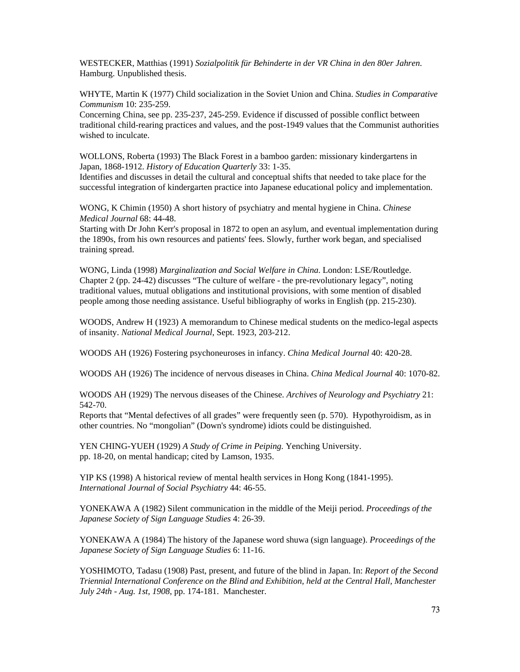WESTECKER, Matthias (1991) *Sozialpolitik für Behinderte in der VR China in den 80er Jahren*. Hamburg. Unpublished thesis.

WHYTE, Martin K (1977) Child socialization in the Soviet Union and China. *Studies in Comparative Communism* 10: 235-259.

Concerning China, see pp. 235-237, 245-259. Evidence if discussed of possible conflict between traditional child-rearing practices and values, and the post-1949 values that the Communist authorities wished to inculcate.

WOLLONS, Roberta (1993) The Black Forest in a bamboo garden: missionary kindergartens in Japan, 1868-1912. *History of Education Quarterly* 33: 1-35.

Identifies and discusses in detail the cultural and conceptual shifts that needed to take place for the successful integration of kindergarten practice into Japanese educational policy and implementation.

WONG, K Chimin (1950) A short history of psychiatry and mental hygiene in China. *Chinese Medical Journal* 68: 44-48.

Starting with Dr John Kerr's proposal in 1872 to open an asylum, and eventual implementation during the 1890s, from his own resources and patients' fees. Slowly, further work began, and specialised training spread.

WONG, Linda (1998) *Marginalization and Social Welfare in China*. London: LSE/Routledge. Chapter 2 (pp. 24-42) discusses "The culture of welfare - the pre-revolutionary legacy", noting traditional values, mutual obligations and institutional provisions, with some mention of disabled people among those needing assistance. Useful bibliography of works in English (pp. 215-230).

WOODS, Andrew H (1923) A memorandum to Chinese medical students on the medico-legal aspects of insanity. *National Medical Journal*, Sept. 1923, 203-212.

WOODS AH (1926) Fostering psychoneuroses in infancy. *China Medical Journal* 40: 420-28.

WOODS AH (1926) The incidence of nervous diseases in China. *China Medical Journal* 40: 1070-82.

WOODS AH (1929) The nervous diseases of the Chinese. *Archives of Neurology and Psychiatry* 21: 542-70.

Reports that "Mental defectives of all grades" were frequently seen (p. 570). Hypothyroidism, as in other countries. No "mongolian" (Down's syndrome) idiots could be distinguished.

YEN CHING-YUEH (1929) *A Study of Crime in Peiping*. Yenching University. pp. 18-20, on mental handicap; cited by Lamson, 1935.

YIP KS (1998) A historical review of mental health services in Hong Kong (1841-1995). *International Journal of Social Psychiatry* 44: 46-55.

YONEKAWA A (1982) Silent communication in the middle of the Meiji period. *Proceedings of the Japanese Society of Sign Language Studies* 4: 26-39.

YONEKAWA A (1984) The history of the Japanese word shuwa (sign language). *Proceedings of the Japanese Society of Sign Language Studies* 6: 11-16.

YOSHIMOTO, Tadasu (1908) Past, present, and future of the blind in Japan. In: *Report of the Second Triennial International Conference on the Blind and Exhibition, held at the Central Hall, Manchester July 24th - Aug. 1st, 1908*, pp. 174-181. Manchester.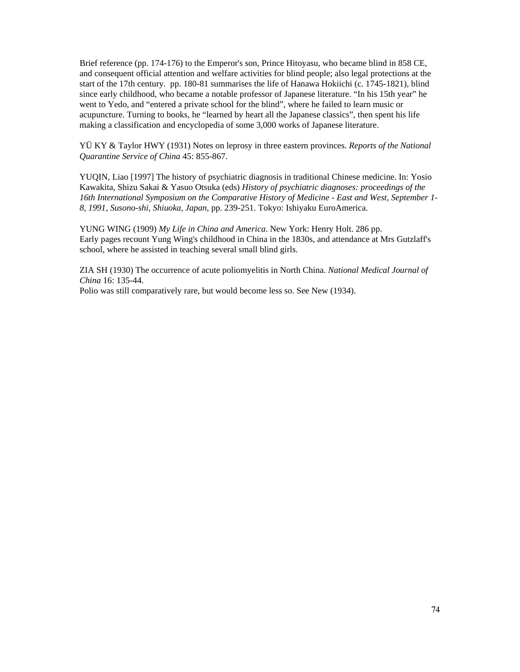Brief reference (pp. 174-176) to the Emperor's son, Prince Hitoyasu, who became blind in 858 CE, and consequent official attention and welfare activities for blind people; also legal protections at the start of the 17th century. pp. 180-81 summarises the life of Hanawa Hokiichi (c. 1745-1821), blind since early childhood, who became a notable professor of Japanese literature. "In his 15th year" he went to Yedo, and "entered a private school for the blind", where he failed to learn music or acupuncture. Turning to books, he "learned by heart all the Japanese classics", then spent his life making a classification and encyclopedia of some 3,000 works of Japanese literature.

YÜ KY & Taylor HWY (1931) Notes on leprosy in three eastern provinces. *Reports of the National Quarantine Service of China* 45: 855-867.

YUQIN, Liao [1997] The history of psychiatric diagnosis in traditional Chinese medicine. In: Yosio Kawakita, Shizu Sakai & Yasuo Otsuka (eds) *History of psychiatric diagnoses: proceedings of the 16th International Symposium on the Comparative History of Medicine - East and West, September 1- 8, 1991, Susono-shi, Shiuoka, Japan*, pp. 239-251. Tokyo: Ishiyaku EuroAmerica.

YUNG WING (1909) *My Life in China and America*. New York: Henry Holt. 286 pp. Early pages recount Yung Wing's childhood in China in the 1830s, and attendance at Mrs Gutzlaff's school, where he assisted in teaching several small blind girls.

ZIA SH (1930) The occurrence of acute poliomyelitis in North China. *National Medical Journal of China* 16: 135-44.

Polio was still comparatively rare, but would become less so. See New (1934).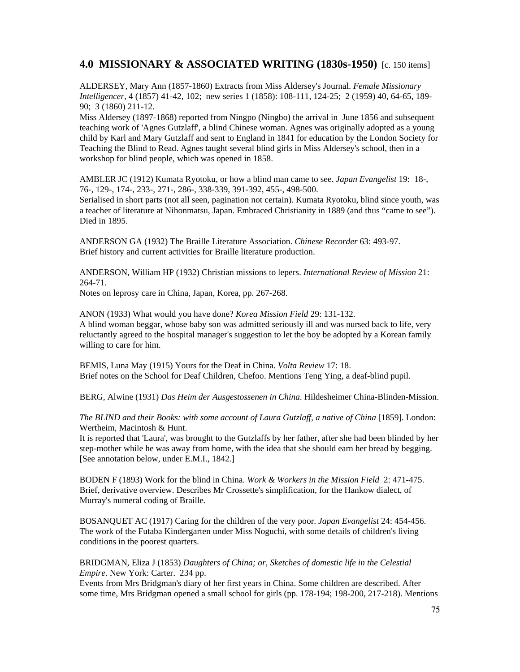# **4.0 MISSIONARY & ASSOCIATED WRITING (1830s-1950)** [c. 150 items]

ALDERSEY, Mary Ann (1857-1860) Extracts from Miss Aldersey's Journal. *Female Missionary Intelligencer*, 4 (1857) 41-42, 102; new series 1 (1858): 108-111, 124-25; 2 (1959) 40, 64-65, 189- 90; 3 (1860) 211-12.

Miss Aldersey (1897-1868) reported from Ningpo (Ningbo) the arrival in June 1856 and subsequent teaching work of 'Agnes Gutzlaff', a blind Chinese woman. Agnes was originally adopted as a young child by Karl and Mary Gutzlaff and sent to England in 1841 for education by the London Society for Teaching the Blind to Read. Agnes taught several blind girls in Miss Aldersey's school, then in a workshop for blind people, which was opened in 1858.

AMBLER JC (1912) Kumata Ryotoku, or how a blind man came to see. *Japan Evangelist* 19: 18-, 76-, 129-, 174-, 233-, 271-, 286-, 338-339, 391-392, 455-, 498-500. Serialised in short parts (not all seen, pagination not certain). Kumata Ryotoku, blind since youth, was a teacher of literature at Nihonmatsu, Japan. Embraced Christianity in 1889 (and thus "came to see"). Died in 1895.

ANDERSON GA (1932) The Braille Literature Association. *Chinese Recorder* 63: 493-97. Brief history and current activities for Braille literature production.

ANDERSON, William HP (1932) Christian missions to lepers. *International Review of Mission* 21: 264-71.

Notes on leprosy care in China, Japan, Korea, pp. 267-268.

ANON (1933) What would you have done? *Korea Mission Field* 29: 131-132. A blind woman beggar, whose baby son was admitted seriously ill and was nursed back to life, very reluctantly agreed to the hospital manager's suggestion to let the boy be adopted by a Korean family willing to care for him.

BEMIS, Luna May (1915) Yours for the Deaf in China. *Volta Review* 17: 18. Brief notes on the School for Deaf Children, Chefoo. Mentions Teng Ying, a deaf-blind pupil.

BERG, Alwine (1931) *Das Heim der Ausgestossenen in China*. Hildesheimer China-Blinden-Mission.

*The BLIND and their Books: with some account of Laura Gutzlaff, a native of China* [1859]. London: Wertheim, Macintosh & Hunt.

It is reported that 'Laura', was brought to the Gutzlaffs by her father, after she had been blinded by her step-mother while he was away from home, with the idea that she should earn her bread by begging. [See annotation below, under E.M.I., 1842.]

BODEN F (1893) Work for the blind in China. *Work & Workers in the Mission Field* 2: 471-475. Brief, derivative overview. Describes Mr Crossette's simplification, for the Hankow dialect, of Murray's numeral coding of Braille.

BOSANQUET AC (1917) Caring for the children of the very poor. *Japan Evangelist* 24: 454-456. The work of the Futaba Kindergarten under Miss Noguchi, with some details of children's living conditions in the poorest quarters.

BRIDGMAN, Eliza J (1853) *Daughters of China; or, Sketches of domestic life in the Celestial Empire*. New York: Carter. 234 pp.

Events from Mrs Bridgman's diary of her first years in China. Some children are described. After some time, Mrs Bridgman opened a small school for girls (pp. 178-194; 198-200, 217-218). Mentions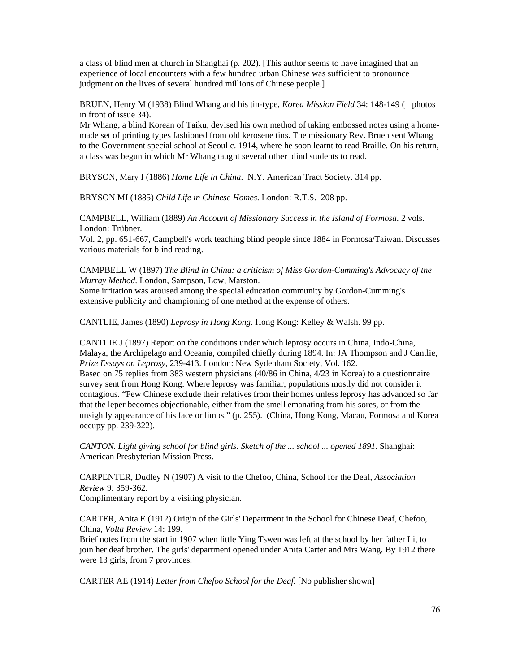a class of blind men at church in Shanghai (p. 202). [This author seems to have imagined that an experience of local encounters with a few hundred urban Chinese was sufficient to pronounce judgment on the lives of several hundred millions of Chinese people.]

BRUEN, Henry M (1938) Blind Whang and his tin-type, *Korea Mission Field* 34: 148-149 (+ photos in front of issue 34).

Mr Whang, a blind Korean of Taiku, devised his own method of taking embossed notes using a homemade set of printing types fashioned from old kerosene tins. The missionary Rev. Bruen sent Whang to the Government special school at Seoul c. 1914, where he soon learnt to read Braille. On his return, a class was begun in which Mr Whang taught several other blind students to read.

BRYSON, Mary I (1886) *Home Life in China*. N.Y. American Tract Society. 314 pp.

BRYSON MI (1885) *Child Life in Chinese Homes*. London: R.T.S. 208 pp.

CAMPBELL, William (1889) *An Account of Missionary Success in the Island of Formosa*. 2 vols. London: Trübner.

Vol. 2, pp. 651-667, Campbell's work teaching blind people since 1884 in Formosa/Taiwan. Discusses various materials for blind reading.

CAMPBELL W (1897) *The Blind in China: a criticism of Miss Gordon-Cumming's Advocacy of the Murray Method*. London, Sampson, Low, Marston.

Some irritation was aroused among the special education community by Gordon-Cumming's extensive publicity and championing of one method at the expense of others.

CANTLIE, James (1890) *Leprosy in Hong Kong*. Hong Kong: Kelley & Walsh. 99 pp.

CANTLIE J (1897) Report on the conditions under which leprosy occurs in China, Indo-China, Malaya, the Archipelago and Oceania, compiled chiefly during 1894. In: JA Thompson and J Cantlie, *Prize Essays on Leprosy*, 239-413. London: New Sydenham Society, Vol. 162. Based on 75 replies from 383 western physicians (40/86 in China, 4/23 in Korea) to a questionnaire survey sent from Hong Kong. Where leprosy was familiar, populations mostly did not consider it contagious. "Few Chinese exclude their relatives from their homes unless leprosy has advanced so far that the leper becomes objectionable, either from the smell emanating from his sores, or from the unsightly appearance of his face or limbs." (p. 255). (China, Hong Kong, Macau, Formosa and Korea occupy pp. 239-322).

*CANTON. Light giving school for blind girls. Sketch of the ... school ... opened 1891*. Shanghai: American Presbyterian Mission Press.

CARPENTER, Dudley N (1907) A visit to the Chefoo, China, School for the Deaf, *Association Review* 9: 359-362.

Complimentary report by a visiting physician.

CARTER, Anita E (1912) Origin of the Girls' Department in the School for Chinese Deaf, Chefoo, China, *Volta Review* 14: 199.

Brief notes from the start in 1907 when little Ying Tswen was left at the school by her father Li, to join her deaf brother. The girls' department opened under Anita Carter and Mrs Wang. By 1912 there were 13 girls, from 7 provinces.

CARTER AE (1914) *Letter from Chefoo School for the Deaf.* [No publisher shown]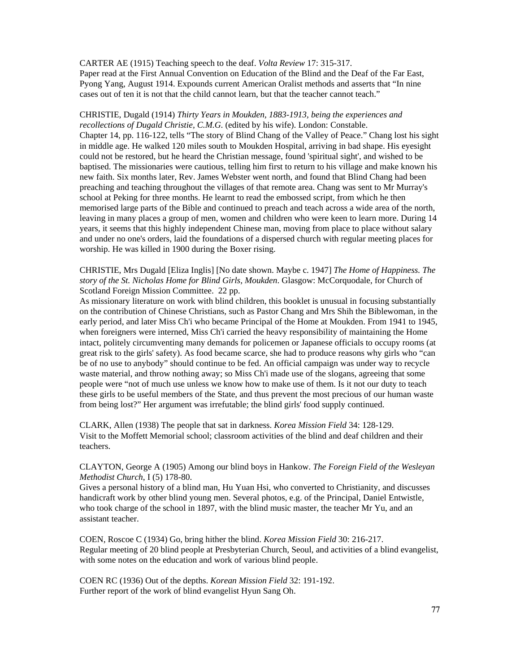#### CARTER AE (1915) Teaching speech to the deaf. *Volta Review* 17: 315-317.

Paper read at the First Annual Convention on Education of the Blind and the Deaf of the Far East, Pyong Yang, August 1914. Expounds current American Oralist methods and asserts that "In nine cases out of ten it is not that the child cannot learn, but that the teacher cannot teach."

#### CHRISTIE, Dugald (1914) *Thirty Years in Moukden, 1883-1913, being the experiences and recollections of Dugald Christie, C.M.G.* (edited by his wife). London: Constable.

Chapter 14, pp. 116-122, tells "The story of Blind Chang of the Valley of Peace." Chang lost his sight in middle age. He walked 120 miles south to Moukden Hospital, arriving in bad shape. His eyesight could not be restored, but he heard the Christian message, found 'spiritual sight', and wished to be baptised. The missionaries were cautious, telling him first to return to his village and make known his new faith. Six months later, Rev. James Webster went north, and found that Blind Chang had been preaching and teaching throughout the villages of that remote area. Chang was sent to Mr Murray's school at Peking for three months. He learnt to read the embossed script, from which he then memorised large parts of the Bible and continued to preach and teach across a wide area of the north, leaving in many places a group of men, women and children who were keen to learn more. During 14 years, it seems that this highly independent Chinese man, moving from place to place without salary and under no one's orders, laid the foundations of a dispersed church with regular meeting places for worship. He was killed in 1900 during the Boxer rising.

## CHRISTIE, Mrs Dugald [Eliza Inglis] [No date shown. Maybe c. 1947] *The Home of Happiness. The story of the St. Nicholas Home for Blind Girls, Moukden*. Glasgow: McCorquodale, for Church of Scotland Foreign Mission Committee. 22 pp.

As missionary literature on work with blind children, this booklet is unusual in focusing substantially on the contribution of Chinese Christians, such as Pastor Chang and Mrs Shih the Biblewoman, in the early period, and later Miss Ch'i who became Principal of the Home at Moukden. From 1941 to 1945, when foreigners were interned, Miss Ch'i carried the heavy responsibility of maintaining the Home intact, politely circumventing many demands for policemen or Japanese officials to occupy rooms (at great risk to the girls' safety). As food became scarce, she had to produce reasons why girls who "can be of no use to anybody" should continue to be fed. An official campaign was under way to recycle waste material, and throw nothing away; so Miss Ch'i made use of the slogans, agreeing that some people were "not of much use unless we know how to make use of them. Is it not our duty to teach these girls to be useful members of the State, and thus prevent the most precious of our human waste from being lost?" Her argument was irrefutable; the blind girls' food supply continued.

CLARK, Allen (1938) The people that sat in darkness. *Korea Mission Field* 34: 128-129. Visit to the Moffett Memorial school; classroom activities of the blind and deaf children and their teachers.

## CLAYTON, George A (1905) Among our blind boys in Hankow. *The Foreign Field of the Wesleyan Methodist Church*, I (5) 178-80.

Gives a personal history of a blind man, Hu Yuan Hsi, who converted to Christianity, and discusses handicraft work by other blind young men. Several photos, e.g. of the Principal, Daniel Entwistle, who took charge of the school in 1897, with the blind music master, the teacher Mr Yu, and an assistant teacher.

COEN, Roscoe C (1934) Go, bring hither the blind. *Korea Mission Field* 30: 216-217. Regular meeting of 20 blind people at Presbyterian Church, Seoul, and activities of a blind evangelist, with some notes on the education and work of various blind people.

COEN RC (1936) Out of the depths. *Korean Mission Field* 32: 191-192. Further report of the work of blind evangelist Hyun Sang Oh.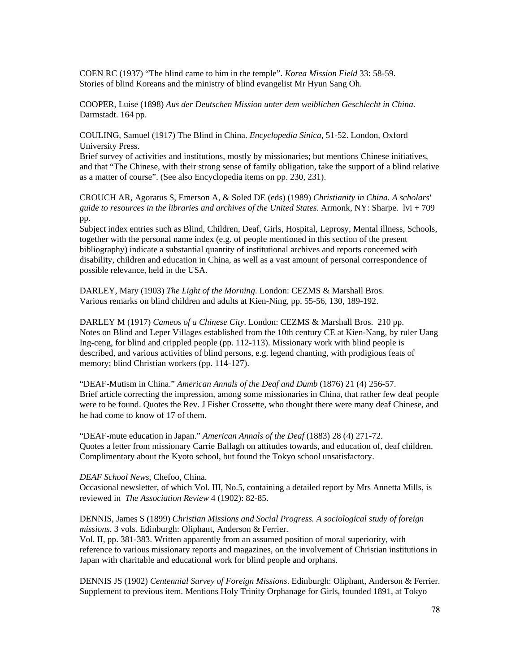COEN RC (1937) "The blind came to him in the temple". *Korea Mission Field* 33: 58-59. Stories of blind Koreans and the ministry of blind evangelist Mr Hyun Sang Oh.

COOPER, Luise (1898) *Aus der Deutschen Mission unter dem weiblichen Geschlecht in China*. Darmstadt. 164 pp.

COULING, Samuel (1917) The Blind in China. *Encyclopedia Sinica*, 51-52. London, Oxford University Press.

Brief survey of activities and institutions, mostly by missionaries; but mentions Chinese initiatives, and that "The Chinese, with their strong sense of family obligation, take the support of a blind relative as a matter of course". (See also Encyclopedia items on pp. 230, 231).

CROUCH AR, Agoratus S, Emerson A, & Soled DE (eds) (1989) *Christianity in China. A scholars' guide to resources in the libraries and archives of the United States*. Armonk, NY: Sharpe. lvi + 709 pp.

Subject index entries such as Blind, Children, Deaf, Girls, Hospital, Leprosy, Mental illness, Schools, together with the personal name index (e.g. of people mentioned in this section of the present bibliography) indicate a substantial quantity of institutional archives and reports concerned with disability, children and education in China, as well as a vast amount of personal correspondence of possible relevance, held in the USA.

DARLEY, Mary (1903) *The Light of the Morning*. London: CEZMS & Marshall Bros. Various remarks on blind children and adults at Kien-Ning, pp. 55-56, 130, 189-192.

DARLEY M (1917) *Cameos of a Chinese City*. London: CEZMS & Marshall Bros. 210 pp. Notes on Blind and Leper Villages established from the 10th century CE at Kien-Nang, by ruler Uang Ing-ceng, for blind and crippled people (pp. 112-113). Missionary work with blind people is described, and various activities of blind persons, e.g. legend chanting, with prodigious feats of memory; blind Christian workers (pp. 114-127).

"DEAF-Mutism in China." *American Annals of the Deaf and Dumb* (1876) 21 (4) 256-57. Brief article correcting the impression, among some missionaries in China, that rather few deaf people were to be found. Quotes the Rev. J Fisher Crossette, who thought there were many deaf Chinese, and he had come to know of 17 of them.

"DEAF-mute education in Japan." *American Annals of the Deaf* (1883) 28 (4) 271-72. Quotes a letter from missionary Carrie Ballagh on attitudes towards, and education of, deaf children. Complimentary about the Kyoto school, but found the Tokyo school unsatisfactory.

*DEAF School News*, Chefoo, China.

Occasional newsletter, of which Vol. III, No.5, containing a detailed report by Mrs Annetta Mills, is reviewed in *The Association Review* 4 (1902): 82-85.

#### DENNIS, James S (1899) *Christian Missions and Social Progress. A sociological study of foreign missions*. 3 vols. Edinburgh: Oliphant, Anderson & Ferrier.

Vol. II, pp. 381-383. Written apparently from an assumed position of moral superiority, with reference to various missionary reports and magazines, on the involvement of Christian institutions in Japan with charitable and educational work for blind people and orphans.

DENNIS JS (1902) *Centennial Survey of Foreign Missions*. Edinburgh: Oliphant, Anderson & Ferrier. Supplement to previous item. Mentions Holy Trinity Orphanage for Girls, founded 1891, at Tokyo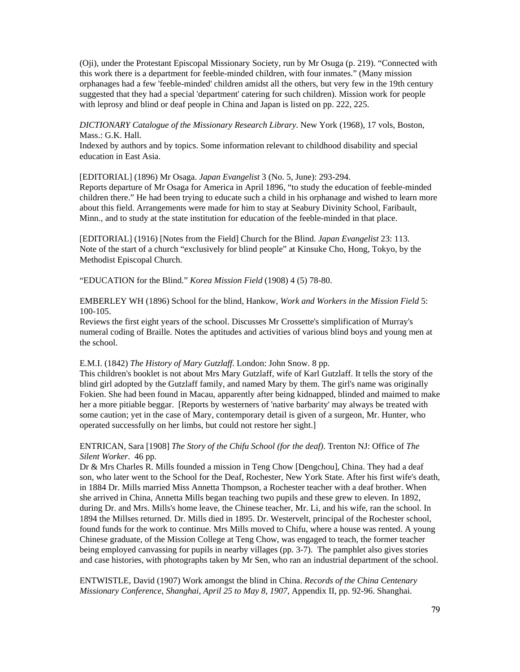(Oji), under the Protestant Episcopal Missionary Society, run by Mr Osuga (p. 219). "Connected with this work there is a department for feeble-minded children, with four inmates." (Many mission orphanages had a few 'feeble-minded' children amidst all the others, but very few in the 19th century suggested that they had a special 'department' catering for such children). Mission work for people with leprosy and blind or deaf people in China and Japan is listed on pp. 222, 225.

*DICTIONARY Catalogue of the Missionary Research Library*. New York (1968), 17 vols, Boston, Mass.: G.K. Hall.

Indexed by authors and by topics. Some information relevant to childhood disability and special education in East Asia.

[EDITORIAL] (1896) Mr Osaga. *Japan Evangelist* 3 (No. 5, June): 293-294.

Reports departure of Mr Osaga for America in April 1896, "to study the education of feeble-minded children there." He had been trying to educate such a child in his orphanage and wished to learn more about this field. Arrangements were made for him to stay at Seabury Divinity School, Faribault, Minn., and to study at the state institution for education of the feeble-minded in that place.

[EDITORIAL] (1916) [Notes from the Field] Church for the Blind. *Japan Evangelist* 23: 113. Note of the start of a church "exclusively for blind people" at Kinsuke Cho, Hong, Tokyo, by the Methodist Episcopal Church.

"EDUCATION for the Blind." *Korea Mission Field* (1908) 4 (5) 78-80.

EMBERLEY WH (1896) School for the blind, Hankow, *Work and Workers in the Mission Field* 5: 100-105.

Reviews the first eight years of the school. Discusses Mr Crossette's simplification of Murray's numeral coding of Braille. Notes the aptitudes and activities of various blind boys and young men at the school.

E.M.I. (1842) *The History of Mary Gutzlaff*. London: John Snow. 8 pp.

This children's booklet is not about Mrs Mary Gutzlaff, wife of Karl Gutzlaff. It tells the story of the blind girl adopted by the Gutzlaff family, and named Mary by them. The girl's name was originally Fokien. She had been found in Macau, apparently after being kidnapped, blinded and maimed to make her a more pitiable beggar. [Reports by westerners of 'native barbarity' may always be treated with some caution; yet in the case of Mary, contemporary detail is given of a surgeon, Mr. Hunter, who operated successfully on her limbs, but could not restore her sight.]

ENTRICAN, Sara [1908] *The Story of the Chifu School (for the deaf)*. Trenton NJ: Office of *The Silent Worker*. 46 pp.

Dr & Mrs Charles R. Mills founded a mission in Teng Chow [Dengchou], China. They had a deaf son, who later went to the School for the Deaf, Rochester, New York State. After his first wife's death, in 1884 Dr. Mills married Miss Annetta Thompson, a Rochester teacher with a deaf brother. When she arrived in China, Annetta Mills began teaching two pupils and these grew to eleven. In 1892, during Dr. and Mrs. Mills's home leave, the Chinese teacher, Mr. Li, and his wife, ran the school. In 1894 the Millses returned. Dr. Mills died in 1895. Dr. Westervelt, principal of the Rochester school, found funds for the work to continue. Mrs Mills moved to Chifu, where a house was rented. A young Chinese graduate, of the Mission College at Teng Chow, was engaged to teach, the former teacher being employed canvassing for pupils in nearby villages (pp. 3-7). The pamphlet also gives stories and case histories, with photographs taken by Mr Sen, who ran an industrial department of the school.

ENTWISTLE, David (1907) Work amongst the blind in China. *Records of the China Centenary Missionary Conference, Shanghai, April 25 to May 8, 1907*, Appendix II, pp. 92-96. Shanghai.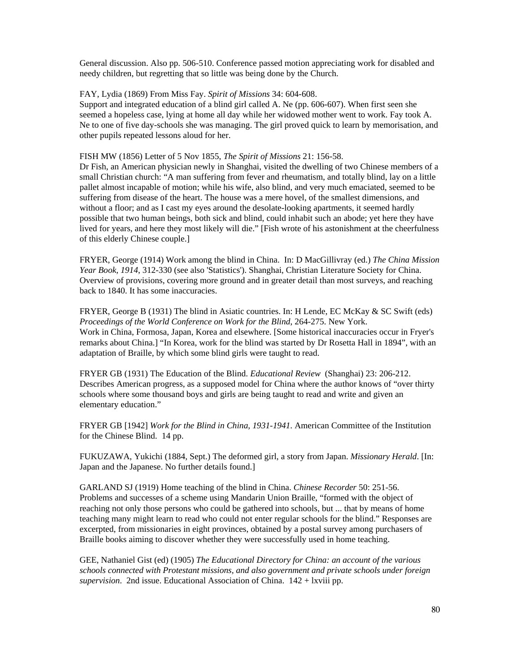General discussion. Also pp. 506-510. Conference passed motion appreciating work for disabled and needy children, but regretting that so little was being done by the Church.

#### FAY, Lydia (1869) From Miss Fay. *Spirit of Missions* 34: 604-608.

Support and integrated education of a blind girl called A. Ne (pp. 606-607). When first seen she seemed a hopeless case, lying at home all day while her widowed mother went to work. Fay took A. Ne to one of five day-schools she was managing. The girl proved quick to learn by memorisation, and other pupils repeated lessons aloud for her.

#### FISH MW (1856) Letter of 5 Nov 1855, *The Spirit of Missions* 21: 156-58.

Dr Fish, an American physician newly in Shanghai, visited the dwelling of two Chinese members of a small Christian church: "A man suffering from fever and rheumatism, and totally blind, lay on a little pallet almost incapable of motion; while his wife, also blind, and very much emaciated, seemed to be suffering from disease of the heart. The house was a mere hovel, of the smallest dimensions, and without a floor; and as I cast my eyes around the desolate-looking apartments, it seemed hardly possible that two human beings, both sick and blind, could inhabit such an abode; yet here they have lived for years, and here they most likely will die." [Fish wrote of his astonishment at the cheerfulness of this elderly Chinese couple.]

FRYER, George (1914) Work among the blind in China. In: D MacGillivray (ed.) *The China Mission Year Book, 1914*, 312-330 (see also 'Statistics'). Shanghai, Christian Literature Society for China. Overview of provisions, covering more ground and in greater detail than most surveys, and reaching back to 1840. It has some inaccuracies.

FRYER, George B (1931) The blind in Asiatic countries. In: H Lende, EC McKay & SC Swift (eds) *Proceedings of the World Conference on Work for the Blind*, 264-275. New York. Work in China, Formosa, Japan, Korea and elsewhere. [Some historical inaccuracies occur in Fryer's remarks about China.] "In Korea, work for the blind was started by Dr Rosetta Hall in 1894", with an adaptation of Braille, by which some blind girls were taught to read.

FRYER GB (1931) The Education of the Blind. *Educational Review* (Shanghai) 23: 206-212. Describes American progress, as a supposed model for China where the author knows of "over thirty schools where some thousand boys and girls are being taught to read and write and given an elementary education."

FRYER GB [1942] *Work for the Blind in China, 1931-1941*. American Committee of the Institution for the Chinese Blind. 14 pp.

FUKUZAWA, Yukichi (1884, Sept.) The deformed girl, a story from Japan. *Missionary Herald*. [In: Japan and the Japanese. No further details found.]

GARLAND SJ (1919) Home teaching of the blind in China. *Chinese Recorder* 50: 251-56. Problems and successes of a scheme using Mandarin Union Braille, "formed with the object of reaching not only those persons who could be gathered into schools, but ... that by means of home teaching many might learn to read who could not enter regular schools for the blind." Responses are excerpted, from missionaries in eight provinces, obtained by a postal survey among purchasers of Braille books aiming to discover whether they were successfully used in home teaching.

GEE, Nathaniel Gist (ed) (1905) *The Educational Directory for China: an account of the various schools connected with Protestant missions, and also government and private schools under foreign supervision*. 2nd issue. Educational Association of China. 142 + lxviii pp.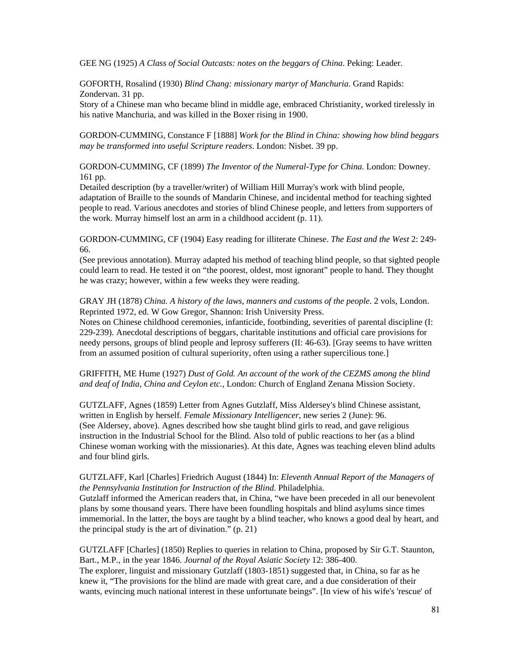GEE NG (1925) *A Class of Social Outcasts: notes on the beggars of China*. Peking: Leader.

GOFORTH, Rosalind (1930) *Blind Chang: missionary martyr of Manchuria*. Grand Rapids: Zondervan. 31 pp.

Story of a Chinese man who became blind in middle age, embraced Christianity, worked tirelessly in his native Manchuria, and was killed in the Boxer rising in 1900.

GORDON-CUMMING, Constance F [1888] *Work for the Blind in China: showing how blind beggars may be transformed into useful Scripture readers*. London: Nisbet. 39 pp.

GORDON-CUMMING, CF (1899) *The Inventor of the Numeral-Type for China*. London: Downey. 161 pp.

Detailed description (by a traveller/writer) of William Hill Murray's work with blind people, adaptation of Braille to the sounds of Mandarin Chinese, and incidental method for teaching sighted people to read. Various anecdotes and stories of blind Chinese people, and letters from supporters of the work. Murray himself lost an arm in a childhood accident (p. 11).

GORDON-CUMMING, CF (1904) Easy reading for illiterate Chinese. *The East and the West* 2: 249- 66.

(See previous annotation). Murray adapted his method of teaching blind people, so that sighted people could learn to read. He tested it on "the poorest, oldest, most ignorant" people to hand. They thought he was crazy; however, within a few weeks they were reading.

GRAY JH (1878) *China. A history of the laws, manners and customs of the people*. 2 vols, London. Reprinted 1972, ed. W Gow Gregor, Shannon: Irish University Press.

Notes on Chinese childhood ceremonies, infanticide, footbinding, severities of parental discipline (I: 229-239). Anecdotal descriptions of beggars, charitable institutions and official care provisions for needy persons, groups of blind people and leprosy sufferers (II: 46-63). [Gray seems to have written from an assumed position of cultural superiority, often using a rather supercilious tone.]

GRIFFITH, ME Hume (1927) *Dust of Gold. An account of the work of the CEZMS among the blind and deaf of India, China and Ceylon etc.*, London: Church of England Zenana Mission Society.

GUTZLAFF, Agnes (1859) Letter from Agnes Gutzlaff, Miss Aldersey's blind Chinese assistant, written in English by herself. *Female Missionary Intelligencer*, new series 2 (June): 96. (See Aldersey, above). Agnes described how she taught blind girls to read, and gave religious instruction in the Industrial School for the Blind. Also told of public reactions to her (as a blind Chinese woman working with the missionaries). At this date, Agnes was teaching eleven blind adults and four blind girls.

## GUTZLAFF, Karl [Charles] Friedrich August (1844) In: *Eleventh Annual Report of the Managers of the Pennsylvania Institution for Instruction of the Blind*. Philadelphia.

Gutzlaff informed the American readers that, in China, "we have been preceded in all our benevolent plans by some thousand years. There have been foundling hospitals and blind asylums since times immemorial. In the latter, the boys are taught by a blind teacher, who knows a good deal by heart, and the principal study is the art of divination." (p. 21)

GUTZLAFF [Charles] (1850) Replies to queries in relation to China, proposed by Sir G.T. Staunton, Bart., M.P., in the year 1846. *Journal of the Royal Asiatic Society* 12: 386-400. The explorer, linguist and missionary Gutzlaff (1803-1851) suggested that, in China, so far as he knew it, "The provisions for the blind are made with great care, and a due consideration of their wants, evincing much national interest in these unfortunate beings". [In view of his wife's 'rescue' of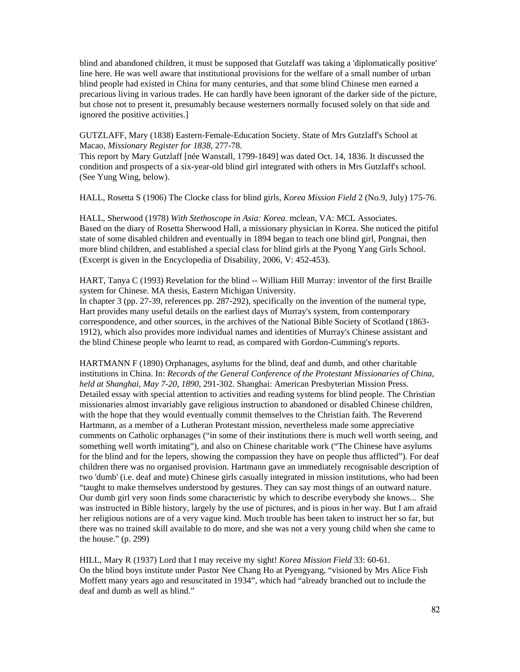blind and abandoned children, it must be supposed that Gutzlaff was taking a 'diplomatically positive' line here. He was well aware that institutional provisions for the welfare of a small number of urban blind people had existed in China for many centuries, and that some blind Chinese men earned a precarious living in various trades. He can hardly have been ignorant of the darker side of the picture, but chose not to present it, presumably because westerners normally focused solely on that side and ignored the positive activities.]

GUTZLAFF, Mary (1838) Eastern-Female-Education Society. State of Mrs Gutzlaff's School at Macao, *Missionary Register for 1838*, 277-78.

This report by Mary Gutzlaff [née Wanstall, 1799-1849] was dated Oct. 14, 1836. It discussed the condition and prospects of a six-year-old blind girl integrated with others in Mrs Gutzlaff's school. (See Yung Wing, below).

HALL, Rosetta S (1906) The Clocke class for blind girls, *Korea Mission Field* 2 (No.9, July) 175-76.

HALL, Sherwood (1978) *With Stethoscope in Asia: Korea*. mclean, VA: MCL Associates. Based on the diary of Rosetta Sherwood Hall, a missionary physician in Korea. She noticed the pitiful state of some disabled children and eventually in 1894 began to teach one blind girl, Pongnai, then more blind children, and established a special class for blind girls at the Pyong Yang Girls School. (Excerpt is given in the Encyclopedia of Disability, 2006, V: 452-453).

HART, Tanya C (1993) Revelation for the blind -- William Hill Murray: inventor of the first Braille system for Chinese. MA thesis, Eastern Michigan University.

In chapter 3 (pp. 27-39, references pp. 287-292), specifically on the invention of the numeral type, Hart provides many useful details on the earliest days of Murray's system, from contemporary correspondence, and other sources, in the archives of the National Bible Society of Scotland (1863- 1912), which also provides more individual names and identities of Murray's Chinese assistant and the blind Chinese people who learnt to read, as compared with Gordon-Cumming's reports.

HARTMANN F (1890) Orphanages, asylums for the blind, deaf and dumb, and other charitable institutions in China. In: *Records of the General Conference of the Protestant Missionaries of China, held at Shanghai, May 7-20, 1890*, 291-302. Shanghai: American Presbyterian Mission Press. Detailed essay with special attention to activities and reading systems for blind people. The Christian missionaries almost invariably gave religious instruction to abandoned or disabled Chinese children, with the hope that they would eventually commit themselves to the Christian faith. The Reverend Hartmann, as a member of a Lutheran Protestant mission, nevertheless made some appreciative comments on Catholic orphanages ("in some of their institutions there is much well worth seeing, and something well worth imitating"), and also on Chinese charitable work ("The Chinese have asylums for the blind and for the lepers, showing the compassion they have on people thus afflicted"). For deaf children there was no organised provision. Hartmann gave an immediately recognisable description of two 'dumb' (i.e. deaf and mute) Chinese girls casually integrated in mission institutions, who had been "taught to make themselves understood by gestures. They can say most things of an outward nature. Our dumb girl very soon finds some characteristic by which to describe everybody she knows... She was instructed in Bible history, largely by the use of pictures, and is pious in her way. But I am afraid her religious notions are of a very vague kind. Much trouble has been taken to instruct her so far, but there was no trained skill available to do more, and she was not a very young child when she came to the house." (p. 299)

HILL, Mary R (1937) Lord that I may receive my sight! *Korea Mission Field* 33: 60-61. On the blind boys institute under Pastor Nee Chang Ho at Pyengyang, "visioned by Mrs Alice Fish Moffett many years ago and resuscitated in 1934", which had "already branched out to include the deaf and dumb as well as blind."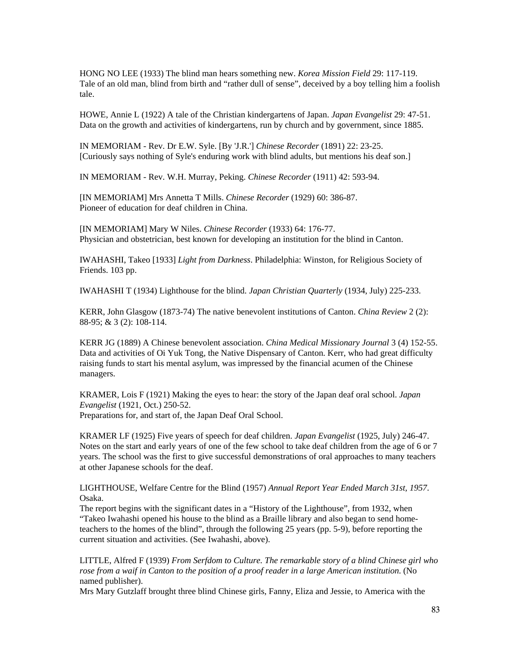HONG NO LEE (1933) The blind man hears something new. *Korea Mission Field* 29: 117-119. Tale of an old man, blind from birth and "rather dull of sense", deceived by a boy telling him a foolish tale.

HOWE, Annie L (1922) A tale of the Christian kindergartens of Japan. *Japan Evangelist* 29: 47-51. Data on the growth and activities of kindergartens, run by church and by government, since 1885.

IN MEMORIAM - Rev. Dr E.W. Syle. [By 'J.R.'] *Chinese Recorder* (1891) 22: 23-25. [Curiously says nothing of Syle's enduring work with blind adults, but mentions his deaf son.]

IN MEMORIAM - Rev. W.H. Murray, Peking. *Chinese Recorder* (1911) 42: 593-94.

[IN MEMORIAM] Mrs Annetta T Mills. *Chinese Recorder* (1929) 60: 386-87. Pioneer of education for deaf children in China.

[IN MEMORIAM] Mary W Niles. *Chinese Recorder* (1933) 64: 176-77. Physician and obstetrician, best known for developing an institution for the blind in Canton.

IWAHASHI, Takeo [1933] *Light from Darkness*. Philadelphia: Winston, for Religious Society of Friends. 103 pp.

IWAHASHI T (1934) Lighthouse for the blind. *Japan Christian Quarterly* (1934, July) 225-233.

KERR, John Glasgow (1873-74) The native benevolent institutions of Canton. *China Review* 2 (2): 88-95; & 3 (2): 108-114.

KERR JG (1889) A Chinese benevolent association. *China Medical Missionary Journal* 3 (4) 152-55. Data and activities of Oi Yuk Tong, the Native Dispensary of Canton. Kerr, who had great difficulty raising funds to start his mental asylum, was impressed by the financial acumen of the Chinese managers.

KRAMER, Lois F (1921) Making the eyes to hear: the story of the Japan deaf oral school. *Japan Evangelist* (1921, Oct.) 250-52. Preparations for, and start of, the Japan Deaf Oral School.

KRAMER LF (1925) Five years of speech for deaf children. *Japan Evangelist* (1925, July) 246-47. Notes on the start and early years of one of the few school to take deaf children from the age of 6 or 7 years. The school was the first to give successful demonstrations of oral approaches to many teachers at other Japanese schools for the deaf.

LIGHTHOUSE, Welfare Centre for the Blind (1957) *Annual Report Year Ended March 31st, 1957*. Osaka.

The report begins with the significant dates in a "History of the Lighthouse", from 1932, when "Takeo Iwahashi opened his house to the blind as a Braille library and also began to send hometeachers to the homes of the blind", through the following 25 years (pp. 5-9), before reporting the current situation and activities. (See Iwahashi, above).

LITTLE, Alfred F (1939) *From Serfdom to Culture. The remarkable story of a blind Chinese girl who rose from a waif in Canton to the position of a proof reader in a large American institution*. (No named publisher).

Mrs Mary Gutzlaff brought three blind Chinese girls, Fanny, Eliza and Jessie, to America with the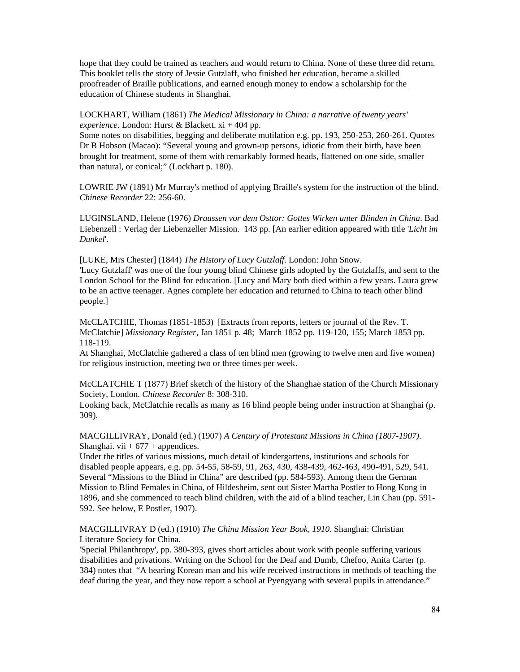hope that they could be trained as teachers and would return to China. None of these three did return. This booklet tells the story of Jessie Gutzlaff, who finished her education, became a skilled proofreader of Braille publications, and earned enough money to endow a scholarship for the education of Chinese students in Shanghai.

LOCKHART, William (1861) *The Medical Missionary in China: a narrative of twenty years' experience*. London: Hurst & Blackett. xi + 404 pp.

Some notes on disabilities, begging and deliberate mutilation e.g. pp. 193, 250-253, 260-261. Quotes Dr B Hobson (Macao): "Several young and grown-up persons, idiotic from their birth, have been brought for treatment, some of them with remarkably formed heads, flattened on one side, smaller than natural, or conical;" (Lockhart p. 180).

LOWRIE JW (1891) Mr Murray's method of applying Braille's system for the instruction of the blind. *Chinese Recorder* 22: 256-60.

LUGINSLAND, Helene (1976) *Draussen vor dem Osttor: Gottes Wirken unter Blinden in China*. Bad Liebenzell : Verlag der Liebenzeller Mission. 143 pp. [An earlier edition appeared with title '*Licht im Dunkel*'.

[LUKE, Mrs Chester] (1844) *The History of Lucy Gutzlaff*. London: John Snow.

'Lucy Gutzlaff' was one of the four young blind Chinese girls adopted by the Gutzlaffs, and sent to the London School for the Blind for education. [Lucy and Mary both died within a few years. Laura grew to be an active teenager. Agnes complete her education and returned to China to teach other blind people.]

McCLATCHIE, Thomas (1851-1853) [Extracts from reports, letters or journal of the Rev. T. McClatchie] *Missionary Register*, Jan 1851 p. 48; March 1852 pp. 119-120, 155; March 1853 pp. 118-119.

At Shanghai, McClatchie gathered a class of ten blind men (growing to twelve men and five women) for religious instruction, meeting two or three times per week.

McCLATCHIE T (1877) Brief sketch of the history of the Shanghae station of the Church Missionary Society, London. *Chinese Recorder* 8: 308-310.

Looking back, McClatchie recalls as many as 16 blind people being under instruction at Shanghai (p. 309).

MACGILLIVRAY, Donald (ed.) (1907) *A Century of Protestant Missions in China (1807-1907)*. Shanghai. vii  $+ 677 +$  appendices.

Under the titles of various missions, much detail of kindergartens, institutions and schools for disabled people appears, e.g. pp. 54-55, 58-59, 91, 263, 430, 438-439, 462-463, 490-491, 529, 541. Several "Missions to the Blind in China" are described (pp. 584-593). Among them the German Mission to Blind Females in China, of Hildesheim, sent out Sister Martha Postler to Hong Kong in 1896, and she commenced to teach blind children, with the aid of a blind teacher, Lin Chau (pp. 591- 592. See below, E Postler, 1907).

MACGILLIVRAY D (ed.) (1910) *The China Mission Year Book, 1910*. Shanghai: Christian Literature Society for China.

'Special Philanthropy', pp. 380-393, gives short articles about work with people suffering various disabilities and privations. Writing on the School for the Deaf and Dumb, Chefoo, Anita Carter (p. 384) notes that "A hearing Korean man and his wife received instructions in methods of teaching the deaf during the year, and they now report a school at Pyengyang with several pupils in attendance."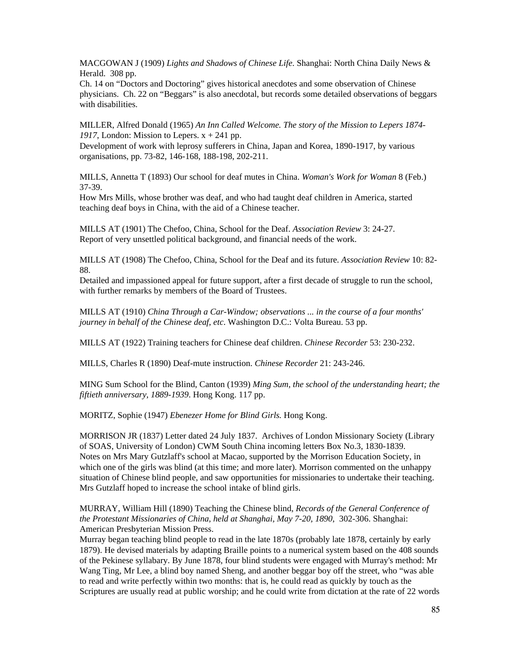MACGOWAN J (1909) *Lights and Shadows of Chinese Life*. Shanghai: North China Daily News & Herald. 308 pp.

Ch. 14 on "Doctors and Doctoring" gives historical anecdotes and some observation of Chinese physicians. Ch. 22 on "Beggars" is also anecdotal, but records some detailed observations of beggars with disabilities.

MILLER, Alfred Donald (1965) *An Inn Called Welcome. The story of the Mission to Lepers 1874-* 1917, London: Mission to Lepers.  $x + 241$  pp.

Development of work with leprosy sufferers in China, Japan and Korea, 1890-1917, by various organisations, pp. 73-82, 146-168, 188-198, 202-211.

MILLS, Annetta T (1893) Our school for deaf mutes in China. *Woman's Work for Woman* 8 (Feb.) 37-39.

How Mrs Mills, whose brother was deaf, and who had taught deaf children in America, started teaching deaf boys in China, with the aid of a Chinese teacher.

MILLS AT (1901) The Chefoo, China, School for the Deaf. *Association Review* 3: 24-27. Report of very unsettled political background, and financial needs of the work.

MILLS AT (1908) The Chefoo, China, School for the Deaf and its future. *Association Review* 10: 82- 88.

Detailed and impassioned appeal for future support, after a first decade of struggle to run the school, with further remarks by members of the Board of Trustees.

MILLS AT (1910) *China Through a Car-Window; observations ... in the course of a four months' journey in behalf of the Chinese deaf, etc*. Washington D.C.: Volta Bureau. 53 pp.

MILLS AT (1922) Training teachers for Chinese deaf children. *Chinese Recorder* 53: 230-232.

MILLS, Charles R (1890) Deaf-mute instruction. *Chinese Recorder* 21: 243-246.

MING Sum School for the Blind, Canton (1939) *Ming Sum, the school of the understanding heart; the fiftieth anniversary, 1889-1939*. Hong Kong. 117 pp.

MORITZ, Sophie (1947) *Ebenezer Home for Blind Girls.* Hong Kong.

MORRISON JR (1837) Letter dated 24 July 1837. Archives of London Missionary Society (Library of SOAS, University of London) CWM South China incoming letters Box No.3, 1830-1839. Notes on Mrs Mary Gutzlaff's school at Macao, supported by the Morrison Education Society, in which one of the girls was blind (at this time; and more later). Morrison commented on the unhappy situation of Chinese blind people, and saw opportunities for missionaries to undertake their teaching. Mrs Gutzlaff hoped to increase the school intake of blind girls.

MURRAY, William Hill (1890) Teaching the Chinese blind, *Records of the General Conference of the Protestant Missionaries of China, held at Shanghai, May 7-20, 1890*, 302-306. Shanghai: American Presbyterian Mission Press.

Murray began teaching blind people to read in the late 1870s (probably late 1878, certainly by early 1879). He devised materials by adapting Braille points to a numerical system based on the 408 sounds of the Pekinese syllabary. By June 1878, four blind students were engaged with Murray's method: Mr Wang Ting, Mr Lee, a blind boy named Sheng, and another beggar boy off the street, who "was able to read and write perfectly within two months: that is, he could read as quickly by touch as the Scriptures are usually read at public worship; and he could write from dictation at the rate of 22 words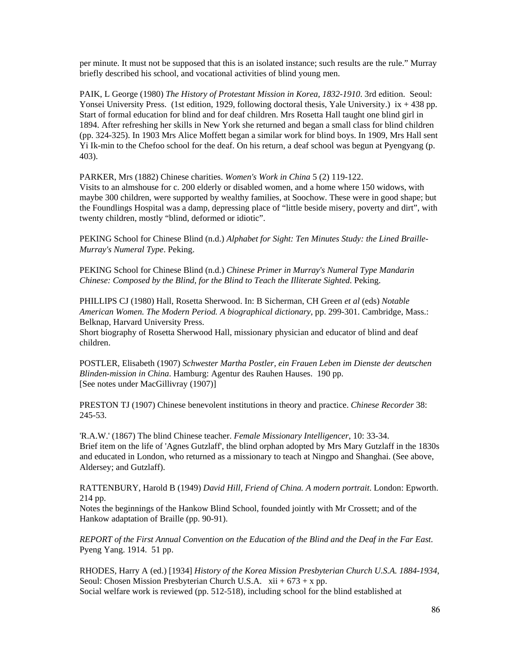per minute. It must not be supposed that this is an isolated instance; such results are the rule." Murray briefly described his school, and vocational activities of blind young men.

PAIK, L George (1980) *The History of Protestant Mission in Korea, 1832-1910*. 3rd edition. Seoul: Yonsei University Press. (1st edition, 1929, following doctoral thesis, Yale University.) ix + 438 pp. Start of formal education for blind and for deaf children. Mrs Rosetta Hall taught one blind girl in 1894. After refreshing her skills in New York she returned and began a small class for blind children (pp. 324-325). In 1903 Mrs Alice Moffett began a similar work for blind boys. In 1909, Mrs Hall sent Yi Ik-min to the Chefoo school for the deaf. On his return, a deaf school was begun at Pyengyang (p. 403).

PARKER, Mrs (1882) Chinese charities. *Women's Work in China* 5 (2) 119-122.

Visits to an almshouse for c. 200 elderly or disabled women, and a home where 150 widows, with maybe 300 children, were supported by wealthy families, at Soochow. These were in good shape; but the Foundlings Hospital was a damp, depressing place of "little beside misery, poverty and dirt", with twenty children, mostly "blind, deformed or idiotic".

PEKING School for Chinese Blind (n.d.) *Alphabet for Sight: Ten Minutes Study: the Lined Braille-Murray's Numeral Type*. Peking.

PEKING School for Chinese Blind (n.d.) *Chinese Primer in Murray's Numeral Type Mandarin Chinese: Composed by the Blind, for the Blind to Teach the Illiterate Sighted*. Peking.

PHILLIPS CJ (1980) Hall, Rosetta Sherwood. In: B Sicherman, CH Green *et al* (eds) *Notable American Women. The Modern Period. A biographical dictionary*, pp. 299-301. Cambridge, Mass.: Belknap, Harvard University Press.

Short biography of Rosetta Sherwood Hall, missionary physician and educator of blind and deaf children.

POSTLER, Elisabeth (1907) *Schwester Martha Postler, ein Frauen Leben im Dienste der deutschen Blinden-mission in China*. Hamburg: Agentur des Rauhen Hauses. 190 pp. [See notes under MacGillivray (1907)]

PRESTON TJ (1907) Chinese benevolent institutions in theory and practice. *Chinese Recorder* 38: 245-53.

'R.A.W.' (1867) The blind Chinese teacher. *Female Missionary Intelligencer*, 10: 33-34. Brief item on the life of 'Agnes Gutzlaff', the blind orphan adopted by Mrs Mary Gutzlaff in the 1830s and educated in London, who returned as a missionary to teach at Ningpo and Shanghai. (See above, Aldersey; and Gutzlaff).

RATTENBURY, Harold B (1949) *David Hill, Friend of China. A modern portrait*. London: Epworth. 214 pp.

Notes the beginnings of the Hankow Blind School, founded jointly with Mr Crossett; and of the Hankow adaptation of Braille (pp. 90-91).

*REPORT of the First Annual Convention on the Education of the Blind and the Deaf in the Far East*. Pyeng Yang. 1914. 51 pp.

RHODES, Harry A (ed.) [1934] *History of the Korea Mission Presbyterian Church U.S.A. 1884-1934*, Seoul: Chosen Mission Presbyterian Church U.S.A.  $xii + 673 + x$  pp. Social welfare work is reviewed (pp. 512-518), including school for the blind established at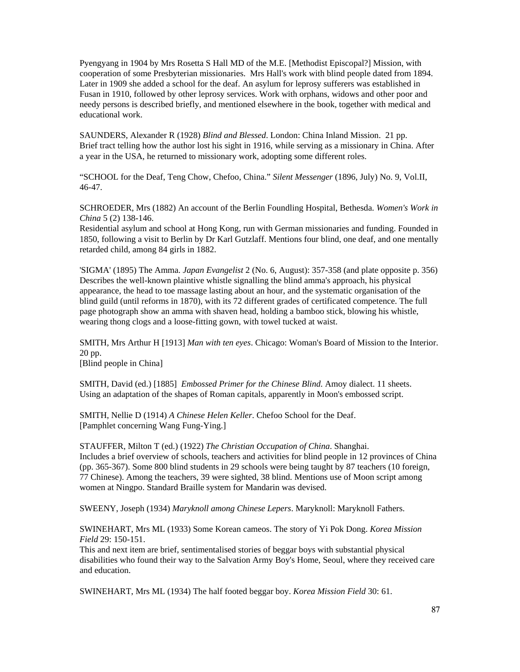Pyengyang in 1904 by Mrs Rosetta S Hall MD of the M.E. [Methodist Episcopal?] Mission, with cooperation of some Presbyterian missionaries. Mrs Hall's work with blind people dated from 1894. Later in 1909 she added a school for the deaf. An asylum for leprosy sufferers was established in Fusan in 1910, followed by other leprosy services. Work with orphans, widows and other poor and needy persons is described briefly, and mentioned elsewhere in the book, together with medical and educational work.

SAUNDERS, Alexander R (1928) *Blind and Blessed*. London: China Inland Mission. 21 pp. Brief tract telling how the author lost his sight in 1916, while serving as a missionary in China. After a year in the USA, he returned to missionary work, adopting some different roles.

"SCHOOL for the Deaf, Teng Chow, Chefoo, China." *Silent Messenger* (1896, July) No. 9, Vol.II, 46-47.

SCHROEDER, Mrs (1882) An account of the Berlin Foundling Hospital, Bethesda. *Women's Work in China* 5 (2) 138-146.

Residential asylum and school at Hong Kong, run with German missionaries and funding. Founded in 1850, following a visit to Berlin by Dr Karl Gutzlaff. Mentions four blind, one deaf, and one mentally retarded child, among 84 girls in 1882.

'SIGMA' (1895) The Amma. *Japan Evangelist* 2 (No. 6, August): 357-358 (and plate opposite p. 356) Describes the well-known plaintive whistle signalling the blind amma's approach, his physical appearance, the head to toe massage lasting about an hour, and the systematic organisation of the blind guild (until reforms in 1870), with its 72 different grades of certificated competence. The full page photograph show an amma with shaven head, holding a bamboo stick, blowing his whistle, wearing thong clogs and a loose-fitting gown, with towel tucked at waist.

SMITH, Mrs Arthur H [1913] *Man with ten eyes*. Chicago: Woman's Board of Mission to the Interior. 20 pp.

[Blind people in China]

SMITH, David (ed.) [1885] *Embossed Primer for the Chinese Blind*. Amoy dialect. 11 sheets. Using an adaptation of the shapes of Roman capitals, apparently in Moon's embossed script.

SMITH, Nellie D (1914) *A Chinese Helen Keller*. Chefoo School for the Deaf. [Pamphlet concerning Wang Fung-Ying.]

STAUFFER, Milton T (ed.) (1922) *The Christian Occupation of China*. Shanghai. Includes a brief overview of schools, teachers and activities for blind people in 12 provinces of China (pp. 365-367). Some 800 blind students in 29 schools were being taught by 87 teachers (10 foreign, 77 Chinese). Among the teachers, 39 were sighted, 38 blind. Mentions use of Moon script among women at Ningpo. Standard Braille system for Mandarin was devised.

SWEENY, Joseph (1934) *Maryknoll among Chinese Lepers*. Maryknoll: Maryknoll Fathers.

SWINEHART, Mrs ML (1933) Some Korean cameos. The story of Yi Pok Dong. *Korea Mission Field* 29: 150-151.

This and next item are brief, sentimentalised stories of beggar boys with substantial physical disabilities who found their way to the Salvation Army Boy's Home, Seoul, where they received care and education.

SWINEHART, Mrs ML (1934) The half footed beggar boy. *Korea Mission Field* 30: 61.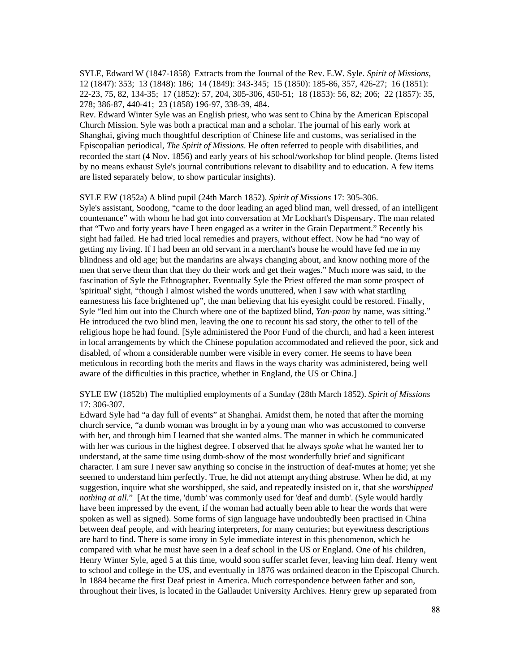SYLE, Edward W (1847-1858) Extracts from the Journal of the Rev. E.W. Syle. *Spirit of Missions*, 12 (1847): 353; 13 (1848): 186; 14 (1849): 343-345; 15 (1850): 185-86, 357, 426-27; 16 (1851): 22-23, 75, 82, 134-35; 17 (1852): 57, 204, 305-306, 450-51; 18 (1853): 56, 82; 206; 22 (1857): 35, 278; 386-87, 440-41; 23 (1858) 196-97, 338-39, 484.

Rev. Edward Winter Syle was an English priest, who was sent to China by the American Episcopal Church Mission. Syle was both a practical man and a scholar. The journal of his early work at Shanghai, giving much thoughtful description of Chinese life and customs, was serialised in the Episcopalian periodical, *The Spirit of Missions*. He often referred to people with disabilities, and recorded the start (4 Nov. 1856) and early years of his school/workshop for blind people. (Items listed by no means exhaust Syle's journal contributions relevant to disability and to education. A few items are listed separately below, to show particular insights).

SYLE EW (1852a) A blind pupil (24th March 1852). *Spirit of Missions* 17: 305-306.

Syle's assistant, Soodong, "came to the door leading an aged blind man, well dressed, of an intelligent countenance" with whom he had got into conversation at Mr Lockhart's Dispensary. The man related that "Two and forty years have I been engaged as a writer in the Grain Department." Recently his sight had failed. He had tried local remedies and prayers, without effect. Now he had "no way of getting my living. If I had been an old servant in a merchant's house he would have fed me in my blindness and old age; but the mandarins are always changing about, and know nothing more of the men that serve them than that they do their work and get their wages." Much more was said, to the fascination of Syle the Ethnographer. Eventually Syle the Priest offered the man some prospect of 'spiritual' sight, "though I almost wished the words unuttered, when I saw with what startling earnestness his face brightened up", the man believing that his eyesight could be restored. Finally, Syle "led him out into the Church where one of the baptized blind, *Yan-paon* by name, was sitting." He introduced the two blind men, leaving the one to recount his sad story, the other to tell of the religious hope he had found. [Syle administered the Poor Fund of the church, and had a keen interest in local arrangements by which the Chinese population accommodated and relieved the poor, sick and disabled, of whom a considerable number were visible in every corner. He seems to have been meticulous in recording both the merits and flaws in the ways charity was administered, being well aware of the difficulties in this practice, whether in England, the US or China.]

SYLE EW (1852b) The multiplied employments of a Sunday (28th March 1852). *Spirit of Missions* 17: 306-307.

Edward Syle had "a day full of events" at Shanghai. Amidst them, he noted that after the morning church service, "a dumb woman was brought in by a young man who was accustomed to converse with her, and through him I learned that she wanted alms. The manner in which he communicated with her was curious in the highest degree. I observed that he always *spoke* what he wanted her to understand, at the same time using dumb-show of the most wonderfully brief and significant character. I am sure I never saw anything so concise in the instruction of deaf-mutes at home; yet she seemed to understand him perfectly. True, he did not attempt anything abstruse. When he did, at my suggestion, inquire what she worshipped, she said, and repeatedly insisted on it, that she *worshipped nothing at all*." [At the time, 'dumb' was commonly used for 'deaf and dumb'. (Syle would hardly have been impressed by the event, if the woman had actually been able to hear the words that were spoken as well as signed). Some forms of sign language have undoubtedly been practised in China between deaf people, and with hearing interpreters, for many centuries; but eyewitness descriptions are hard to find. There is some irony in Syle immediate interest in this phenomenon, which he compared with what he must have seen in a deaf school in the US or England. One of his children, Henry Winter Syle, aged 5 at this time, would soon suffer scarlet fever, leaving him deaf. Henry went to school and college in the US, and eventually in 1876 was ordained deacon in the Episcopal Church. In 1884 became the first Deaf priest in America. Much correspondence between father and son, throughout their lives, is located in the Gallaudet University Archives. Henry grew up separated from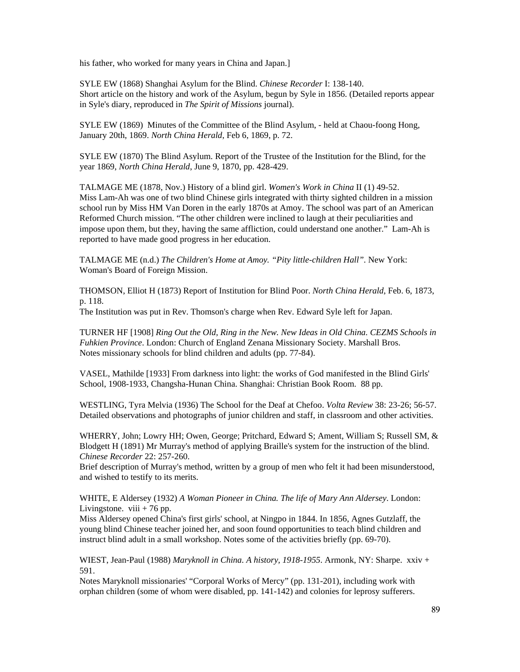his father, who worked for many years in China and Japan.

SYLE EW (1868) Shanghai Asylum for the Blind. *Chinese Recorder* I: 138-140. Short article on the history and work of the Asylum, begun by Syle in 1856. (Detailed reports appear in Syle's diary, reproduced in *The Spirit of Missions* journal).

SYLE EW (1869) Minutes of the Committee of the Blind Asylum, - held at Chaou-foong Hong, January 20th, 1869. *North China Herald*, Feb 6, 1869, p. 72.

SYLE EW (1870) The Blind Asylum. Report of the Trustee of the Institution for the Blind, for the year 1869, *North China Herald*, June 9, 1870, pp. 428-429.

TALMAGE ME (1878, Nov.) History of a blind girl. *Women's Work in China* II (1) 49-52. Miss Lam-Ah was one of two blind Chinese girls integrated with thirty sighted children in a mission school run by Miss HM Van Doren in the early 1870s at Amoy. The school was part of an American Reformed Church mission. "The other children were inclined to laugh at their peculiarities and impose upon them, but they, having the same affliction, could understand one another." Lam-Ah is reported to have made good progress in her education.

TALMAGE ME (n.d.) *The Children's Home at Amoy. "Pity little-children Hall".* New York: Woman's Board of Foreign Mission.

THOMSON, Elliot H (1873) Report of Institution for Blind Poor. *North China Herald*, Feb. 6, 1873, p. 118.

The Institution was put in Rev. Thomson's charge when Rev. Edward Syle left for Japan.

TURNER HF [1908] *Ring Out the Old, Ring in the New. New Ideas in Old China. CEZMS Schools in Fuhkien Province*. London: Church of England Zenana Missionary Society. Marshall Bros. Notes missionary schools for blind children and adults (pp. 77-84).

VASEL, Mathilde [1933] From darkness into light: the works of God manifested in the Blind Girls' School, 1908-1933, Changsha-Hunan China. Shanghai: Christian Book Room. 88 pp.

WESTLING, Tyra Melvia (1936) The School for the Deaf at Chefoo. *Volta Review* 38: 23-26; 56-57. Detailed observations and photographs of junior children and staff, in classroom and other activities.

WHERRY, John; Lowry HH; Owen, George; Pritchard, Edward S; Ament, William S; Russell SM, & Blodgett H (1891) Mr Murray's method of applying Braille's system for the instruction of the blind. *Chinese Recorder* 22: 257-260.

Brief description of Murray's method, written by a group of men who felt it had been misunderstood, and wished to testify to its merits.

WHITE, E Aldersey (1932) *A Woman Pioneer in China. The life of Mary Ann Aldersey*. London: Livingstone. viii  $+76$  pp.

Miss Aldersey opened China's first girls' school, at Ningpo in 1844. In 1856, Agnes Gutzlaff, the young blind Chinese teacher joined her, and soon found opportunities to teach blind children and instruct blind adult in a small workshop. Notes some of the activities briefly (pp. 69-70).

WIEST, Jean-Paul (1988) *Maryknoll in China. A history, 1918-1955*. Armonk, NY: Sharpe. xxiv + 591.

Notes Maryknoll missionaries' "Corporal Works of Mercy" (pp. 131-201), including work with orphan children (some of whom were disabled, pp. 141-142) and colonies for leprosy sufferers.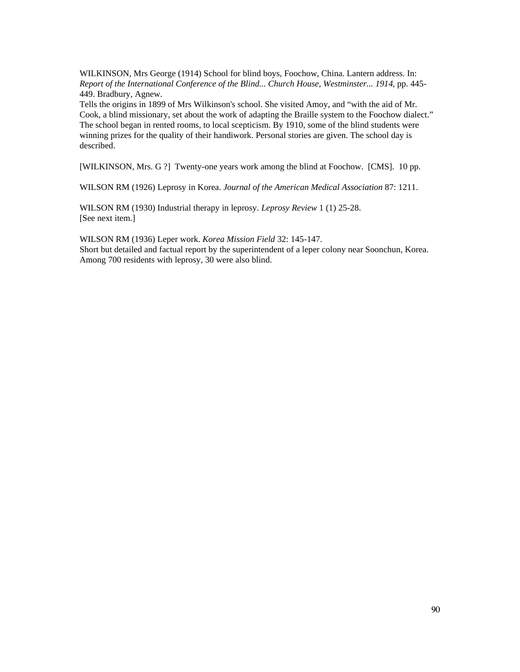WILKINSON, Mrs George (1914) School for blind boys, Foochow, China. Lantern address. In: *Report of the International Conference of the Blind... Church House, Westminster... 1914*, pp. 445- 449. Bradbury, Agnew.

Tells the origins in 1899 of Mrs Wilkinson's school. She visited Amoy, and "with the aid of Mr. Cook, a blind missionary, set about the work of adapting the Braille system to the Foochow dialect." The school began in rented rooms, to local scepticism. By 1910, some of the blind students were winning prizes for the quality of their handiwork. Personal stories are given. The school day is described.

[WILKINSON, Mrs. G ?] Twenty-one years work among the blind at Foochow. [CMS]. 10 pp.

WILSON RM (1926) Leprosy in Korea. *Journal of the American Medical Association* 87: 1211.

WILSON RM (1930) Industrial therapy in leprosy. *Leprosy Review* 1 (1) 25-28. [See next item.]

WILSON RM (1936) Leper work. *Korea Mission Field* 32: 145-147. Short but detailed and factual report by the superintendent of a leper colony near Soonchun, Korea. Among 700 residents with leprosy, 30 were also blind.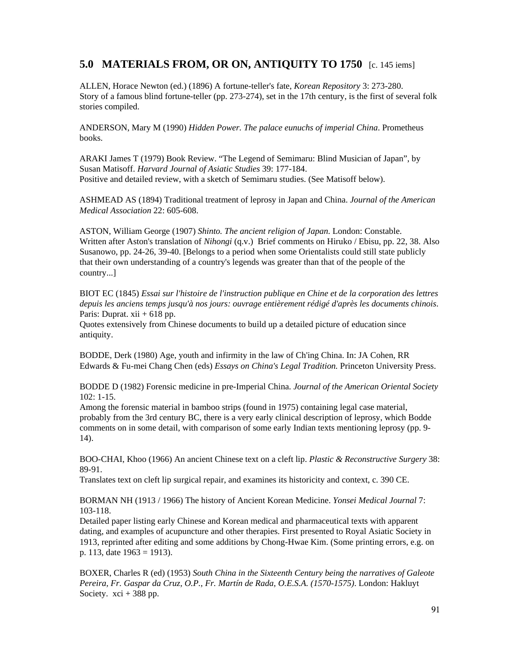# **5.0 MATERIALS FROM, OR ON, ANTIQUITY TO 1750** [c. 145 iems]

ALLEN, Horace Newton (ed.) (1896) A fortune-teller's fate, *Korean Repository* 3: 273-280. Story of a famous blind fortune-teller (pp. 273-274), set in the 17th century, is the first of several folk stories compiled.

ANDERSON, Mary M (1990) *Hidden Power. The palace eunuchs of imperial China*. Prometheus books.

ARAKI James T (1979) Book Review. "The Legend of Semimaru: Blind Musician of Japan", by Susan Matisoff. *Harvard Journal of Asiatic Studies* 39: 177-184. Positive and detailed review, with a sketch of Semimaru studies. (See Matisoff below).

ASHMEAD AS (1894) Traditional treatment of leprosy in Japan and China. *Journal of the American Medical Association* 22: 605-608.

ASTON, William George (1907) *Shinto. The ancient religion of Japan*. London: Constable. Written after Aston's translation of *Nihongi* (q.v.) Brief comments on Hiruko / Ebisu, pp. 22, 38. Also Susanowo, pp. 24-26, 39-40. [Belongs to a period when some Orientalists could still state publicly that their own understanding of a country's legends was greater than that of the people of the country...]

BIOT EC (1845) *Essai sur l'histoire de l'instruction publique en Chine et de la corporation des lettres depuis les anciens temps jusqu'à nos jours: ouvrage entièrement rédigé d'après les documents chinois*. Paris: Duprat.  $xii + 618$  pp.

Quotes extensively from Chinese documents to build up a detailed picture of education since antiquity.

BODDE, Derk (1980) Age, youth and infirmity in the law of Ch'ing China. In: JA Cohen, RR Edwards & Fu-mei Chang Chen (eds) *Essays on China's Legal Tradition.* Princeton University Press.

BODDE D (1982) Forensic medicine in pre-Imperial China. *Journal of the American Oriental Society* 102: 1-15.

Among the forensic material in bamboo strips (found in 1975) containing legal case material, probably from the 3rd century BC, there is a very early clinical description of leprosy, which Bodde comments on in some detail, with comparison of some early Indian texts mentioning leprosy (pp. 9- 14).

BOO-CHAI, Khoo (1966) An ancient Chinese text on a cleft lip. *Plastic & Reconstructive Surgery* 38: 89-91.

Translates text on cleft lip surgical repair, and examines its historicity and context, c. 390 CE.

BORMAN NH (1913 / 1966) The history of Ancient Korean Medicine. *Yonsei Medical Journal* 7: 103-118.

Detailed paper listing early Chinese and Korean medical and pharmaceutical texts with apparent dating, and examples of acupuncture and other therapies. First presented to Royal Asiatic Society in 1913, reprinted after editing and some additions by Chong-Hwae Kim. (Some printing errors, e.g. on p. 113, date  $1963 = 1913$ ).

BOXER, Charles R (ed) (1953) *South China in the Sixteenth Century being the narratives of Galeote Pereira, Fr. Gaspar da Cruz, O.P., Fr. Martín de Rada, O.E.S.A. (1570-1575)*. London: Hakluyt Society.  $xci + 388$  pp.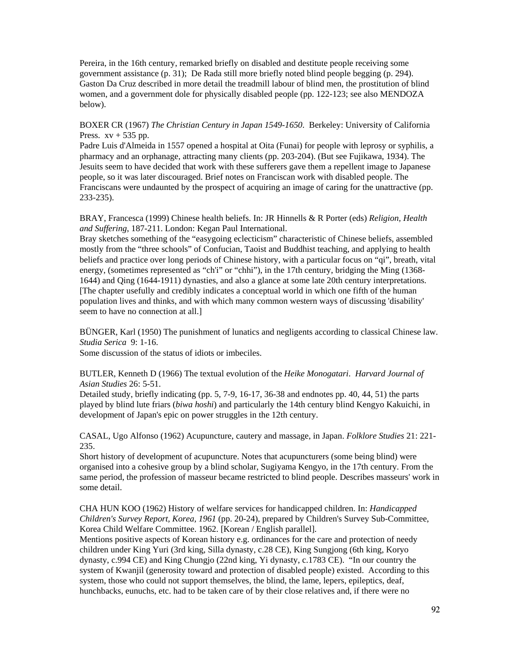Pereira, in the 16th century, remarked briefly on disabled and destitute people receiving some government assistance (p. 31); De Rada still more briefly noted blind people begging (p. 294). Gaston Da Cruz described in more detail the treadmill labour of blind men, the prostitution of blind women, and a government dole for physically disabled people (pp. 122-123; see also MENDOZA below).

BOXER CR (1967) *The Christian Century in Japan 1549-1650*. Berkeley: University of California Press.  $xy + 535$  pp.

Padre Luis d'Almeida in 1557 opened a hospital at Oita (Funai) for people with leprosy or syphilis, a pharmacy and an orphanage, attracting many clients (pp. 203-204). (But see Fujikawa, 1934). The Jesuits seem to have decided that work with these sufferers gave them a repellent image to Japanese people, so it was later discouraged. Brief notes on Franciscan work with disabled people. The Franciscans were undaunted by the prospect of acquiring an image of caring for the unattractive (pp. 233-235).

BRAY, Francesca (1999) Chinese health beliefs. In: JR Hinnells & R Porter (eds) *Religion, Health and Suffering*, 187-211. London: Kegan Paul International.

Bray sketches something of the "easygoing eclecticism" characteristic of Chinese beliefs, assembled mostly from the "three schools" of Confucian, Taoist and Buddhist teaching, and applying to health beliefs and practice over long periods of Chinese history, with a particular focus on "qi", breath, vital energy, (sometimes represented as "ch'i" or "chhi"), in the 17th century, bridging the Ming (1368-1644) and Qing (1644-1911) dynasties, and also a glance at some late 20th century interpretations. [The chapter usefully and credibly indicates a conceptual world in which one fifth of the human population lives and thinks, and with which many common western ways of discussing 'disability' seem to have no connection at all.]

BÜNGER, Karl (1950) The punishment of lunatics and negligents according to classical Chinese law. *Studia Serica* 9: 1-16.

Some discussion of the status of idiots or imbeciles.

BUTLER, Kenneth D (1966) The textual evolution of the *Heike Monogatari*. *Harvard Journal of Asian Studies* 26: 5-51.

Detailed study, briefly indicating (pp. 5, 7-9, 16-17, 36-38 and endnotes pp. 40, 44, 51) the parts played by blind lute friars (*biwa hoshi*) and particularly the 14th century blind Kengyo Kakuichi, in development of Japan's epic on power struggles in the 12th century.

CASAL, Ugo Alfonso (1962) Acupuncture, cautery and massage, in Japan. *Folklore Studies* 21: 221- 235.

Short history of development of acupuncture. Notes that acupuncturers (some being blind) were organised into a cohesive group by a blind scholar, Sugiyama Kengyo, in the 17th century. From the same period, the profession of masseur became restricted to blind people. Describes masseurs' work in some detail.

CHA HUN KOO (1962) History of welfare services for handicapped children. In: *Handicapped Children's Survey Report, Korea, 1961* (pp. 20-24), prepared by Children's Survey Sub-Committee, Korea Child Welfare Committee. 1962. [Korean / English parallel].

Mentions positive aspects of Korean history e.g. ordinances for the care and protection of needy children under King Yuri (3rd king, Silla dynasty, c.28 CE), King Sungjong (6th king, Koryo dynasty, c.994 CE) and King Chungjo (22nd king, Yi dynasty, c.1783 CE). "In our country the system of Kwanjil (generosity toward and protection of disabled people) existed. According to this system, those who could not support themselves, the blind, the lame, lepers, epileptics, deaf, hunchbacks, eunuchs, etc. had to be taken care of by their close relatives and, if there were no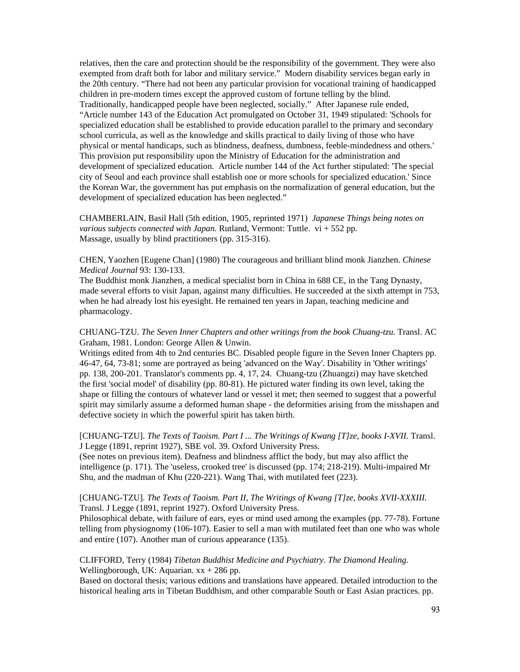relatives, then the care and protection should be the responsibility of the government. They were also exempted from draft both for labor and military service." Modern disability services began early in the 20th century. "There had not been any particular provision for vocational training of handicapped children in pre-modern times except the approved custom of fortune telling by the blind. Traditionally, handicapped people have been neglected, socially." After Japanese rule ended, "Article number 143 of the Education Act promulgated on October 31, 1949 stipulated: 'Schools for specialized education shall be established to provide education parallel to the primary and secondary school curricula, as well as the knowledge and skills practical to daily living of those who have physical or mental handicaps, such as blindness, deafness, dumbness, feeble-mindedness and others.' This provision put responsibility upon the Ministry of Education for the administration and development of specialized education. Article number 144 of the Act further stipulated: 'The special city of Seoul and each province shall establish one or more schools for specialized education.' Since the Korean War, the government has put emphasis on the normalization of general education, but the development of specialized education has been neglected."

CHAMBERLAIN, Basil Hall (5th edition, 1905, reprinted 1971) *Japanese Things being notes on various subjects connected with Japan*. Rutland, Vermont: Tuttle. vi + 552 pp. Massage, usually by blind practitioners (pp. 315-316).

CHEN, Yaozhen [Eugene Chan] (1980) The courageous and brilliant blind monk Jianzhen. *Chinese Medical Journal* 93: 130-133.

The Buddhist monk Jianzhen, a medical specialist born in China in 688 CE, in the Tang Dynasty, made several efforts to visit Japan, against many difficulties. He succeeded at the sixth attempt in 753, when he had already lost his eyesight. He remained ten years in Japan, teaching medicine and pharmacology.

CHUANG-TZU. *The Seven Inner Chapters and other writings from the book Chuang-tzu*. Transl. AC Graham, 1981. London: George Allen & Unwin.

Writings edited from 4th to 2nd centuries BC. Disabled people figure in the Seven Inner Chapters pp. 46-47, 64, 73-81; some are portrayed as being 'advanced on the Way'. Disability in 'Other writings' pp. 138, 200-201. Translator's comments pp. 4, 17, 24. Chuang-tzu (Zhuangzi) may have sketched the first 'social model' of disability (pp. 80-81). He pictured water finding its own level, taking the shape or filling the contours of whatever land or vessel it met; then seemed to suggest that a powerful spirit may similarly assume a deformed human shape - the deformities arising from the misshapen and defective society in which the powerful spirit has taken birth.

## [CHUANG-TZU]. *The Texts of Taoism. Part I ... The Writings of Kwang [T]ze, books I-XVII.* Transl. J Legge (1891, reprint 1927), SBE vol. 39. Oxford University Press.

(See notes on previous item). Deafness and blindness afflict the body, but may also afflict the intelligence (p. 171). The 'useless, crooked tree' is discussed (pp. 174; 218-219). Multi-impaired Mr Shu, and the madman of Khu (220-221). Wang Thai, with mutilated feet (223).

#### [CHUANG-TZU]. *The Texts of Taoism. Part II, The Writings of Kwang [T]ze, books XVII-XXXIII.* Transl. J Legge (1891, reprint 1927). Oxford University Press.

Philosophical debate, with failure of ears, eyes or mind used among the examples (pp. 77-78). Fortune telling from physiognomy (106-107). Easier to sell a man with mutilated feet than one who was whole and entire (107). Another man of curious appearance (135).

#### CLIFFORD, Terry (1984) *Tibetan Buddhist Medicine and Psychiatry. The Diamond Healing*. Wellingborough, UK: Aquarian.  $xx + 286$  pp.

Based on doctoral thesis; various editions and translations have appeared. Detailed introduction to the historical healing arts in Tibetan Buddhism, and other comparable South or East Asian practices. pp.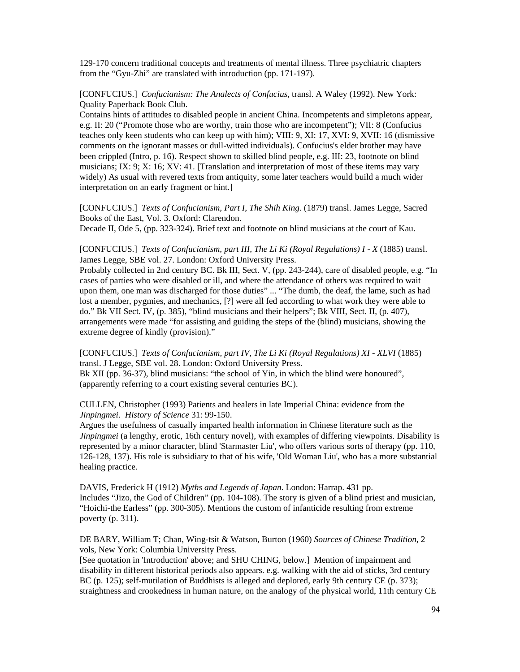129-170 concern traditional concepts and treatments of mental illness. Three psychiatric chapters from the "Gyu-Zhi" are translated with introduction (pp. 171-197).

[CONFUCIUS.] *Confucianism: The Analects of Confucius*, transl. A Waley (1992). New York: Quality Paperback Book Club.

Contains hints of attitudes to disabled people in ancient China. Incompetents and simpletons appear, e.g. II: 20 ("Promote those who are worthy, train those who are incompetent"); VII: 8 (Confucius teaches only keen students who can keep up with him); VIII: 9, XI: 17, XVI: 9, XVII: 16 (dismissive comments on the ignorant masses or dull-witted individuals). Confucius's elder brother may have been crippled (Intro, p. 16). Respect shown to skilled blind people, e.g. III: 23, footnote on blind musicians; IX: 9; X: 16; XV: 41. [Translation and interpretation of most of these items may vary widely) As usual with revered texts from antiquity, some later teachers would build a much wider interpretation on an early fragment or hint.]

[CONFUCIUS.] *Texts of Confucianism, Part I, The Shih King*. (1879) transl. James Legge, Sacred Books of the East, Vol. 3. Oxford: Clarendon.

Decade II, Ode 5, (pp. 323-324). Brief text and footnote on blind musicians at the court of Kau.

[CONFUCIUS.] *Texts of Confucianism, part III, The Li Ki (Royal Regulations) I - X* (1885) transl. James Legge, SBE vol. 27. London: Oxford University Press.

Probably collected in 2nd century BC. Bk III, Sect. V, (pp. 243-244), care of disabled people, e.g. "In cases of parties who were disabled or ill, and where the attendance of others was required to wait upon them, one man was discharged for those duties" ... "The dumb, the deaf, the lame, such as had lost a member, pygmies, and mechanics, [?] were all fed according to what work they were able to do." Bk VII Sect. IV, (p. 385), "blind musicians and their helpers"; Bk VIII, Sect. II, (p. 407), arrangements were made "for assisting and guiding the steps of the (blind) musicians, showing the extreme degree of kindly (provision)."

[CONFUCIUS.] *Texts of Confucianism, part IV, The Li Ki (Royal Regulations) XI - XLVI* (1885) transl. J Legge, SBE vol. 28. London: Oxford University Press.

Bk XII (pp. 36-37), blind musicians: "the school of Yin, in which the blind were honoured", (apparently referring to a court existing several centuries BC).

CULLEN, Christopher (1993) Patients and healers in late Imperial China: evidence from the *Jinpingmei*. *History of Science* 31: 99-150.

Argues the usefulness of casually imparted health information in Chinese literature such as the *Jinpingmei* (a lengthy, erotic, 16th century novel), with examples of differing viewpoints. Disability is represented by a minor character, blind 'Starmaster Liu', who offers various sorts of therapy (pp. 110, 126-128, 137). His role is subsidiary to that of his wife, 'Old Woman Liu', who has a more substantial healing practice.

DAVIS, Frederick H (1912) *Myths and Legends of Japan*. London: Harrap. 431 pp. Includes "Jizo, the God of Children" (pp. 104-108). The story is given of a blind priest and musician, "Hoichi-the Earless" (pp. 300-305). Mentions the custom of infanticide resulting from extreme poverty (p. 311).

DE BARY, William T; Chan, Wing-tsit & Watson, Burton (1960) *Sources of Chinese Tradition*, 2 vols, New York: Columbia University Press.

[See quotation in 'Introduction' above; and SHU CHING, below.] Mention of impairment and disability in different historical periods also appears. e.g. walking with the aid of sticks, 3rd century BC (p. 125); self-mutilation of Buddhists is alleged and deplored, early 9th century CE (p. 373); straightness and crookedness in human nature, on the analogy of the physical world, 11th century CE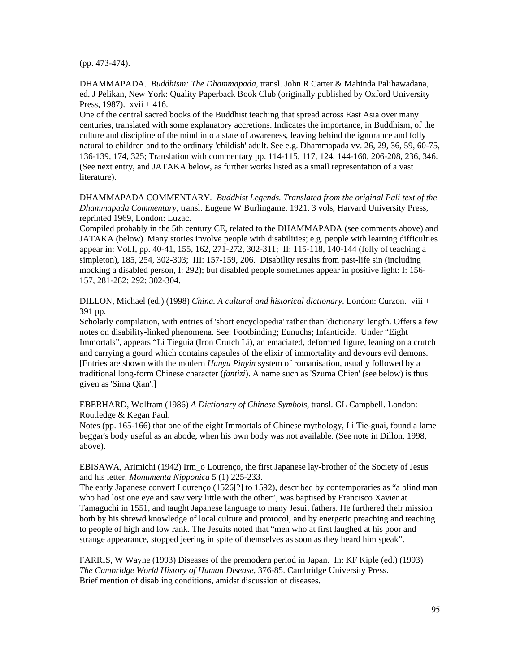(pp. 473-474).

DHAMMAPADA. *Buddhism: The Dhammapada*, transl. John R Carter & Mahinda Palihawadana, ed. J Pelikan, New York: Quality Paperback Book Club (originally published by Oxford University Press, 1987).  $xvii + 416$ .

One of the central sacred books of the Buddhist teaching that spread across East Asia over many centuries, translated with some explanatory accretions. Indicates the importance, in Buddhism, of the culture and discipline of the mind into a state of awareness, leaving behind the ignorance and folly natural to children and to the ordinary 'childish' adult. See e.g. Dhammapada vv. 26, 29, 36, 59, 60-75, 136-139, 174, 325; Translation with commentary pp. 114-115, 117, 124, 144-160, 206-208, 236, 346. (See next entry, and JATAKA below, as further works listed as a small representation of a vast literature).

DHAMMAPADA COMMENTARY. *Buddhist Legends. Translated from the original Pali text of the Dhammapada Commentary*, transl. Eugene W Burlingame, 1921, 3 vols, Harvard University Press, reprinted 1969, London: Luzac.

Compiled probably in the 5th century CE, related to the DHAMMAPADA (see comments above) and JATAKA (below). Many stories involve people with disabilities; e.g. people with learning difficulties appear in: Vol.I, pp. 40-41, 155, 162, 271-272, 302-311; II: 115-118, 140-144 (folly of teaching a simpleton), 185, 254, 302-303; III: 157-159, 206. Disability results from past-life sin (including mocking a disabled person, I: 292); but disabled people sometimes appear in positive light: I: 156- 157, 281-282; 292; 302-304.

DILLON, Michael (ed.) (1998) *China. A cultural and historical dictionary*. London: Curzon. viii + 391 pp.

Scholarly compilation, with entries of 'short encyclopedia' rather than 'dictionary' length. Offers a few notes on disability-linked phenomena. See: Footbinding; Eunuchs; Infanticide. Under "Eight Immortals", appears "Li Tieguia (Iron Crutch Li), an emaciated, deformed figure, leaning on a crutch and carrying a gourd which contains capsules of the elixir of immortality and devours evil demons. [Entries are shown with the modern *Hanyu Pinyin* system of romanisation, usually followed by a traditional long-form Chinese character (*fantizi*). A name such as 'Szuma Chien' (see below) is thus given as 'Sima Qian'.]

EBERHARD, Wolfram (1986) *A Dictionary of Chinese Symbols*, transl. GL Campbell. London: Routledge & Kegan Paul.

Notes (pp. 165-166) that one of the eight Immortals of Chinese mythology, Li Tie-guai, found a lame beggar's body useful as an abode, when his own body was not available. (See note in Dillon, 1998, above).

EBISAWA, Arimichi (1942) Irm\_o Lourenço, the first Japanese lay-brother of the Society of Jesus and his letter. *Monumenta Nipponica* 5 (1) 225-233.

The early Japanese convert Lourenço (1526[?] to 1592), described by contemporaries as "a blind man who had lost one eye and saw very little with the other", was baptised by Francisco Xavier at Tamaguchi in 1551, and taught Japanese language to many Jesuit fathers. He furthered their mission both by his shrewd knowledge of local culture and protocol, and by energetic preaching and teaching to people of high and low rank. The Jesuits noted that "men who at first laughed at his poor and strange appearance, stopped jeering in spite of themselves as soon as they heard him speak".

FARRIS, W Wayne (1993) Diseases of the premodern period in Japan. In: KF Kiple (ed.) (1993) *The Cambridge World History of Human Disease*, 376-85. Cambridge University Press. Brief mention of disabling conditions, amidst discussion of diseases.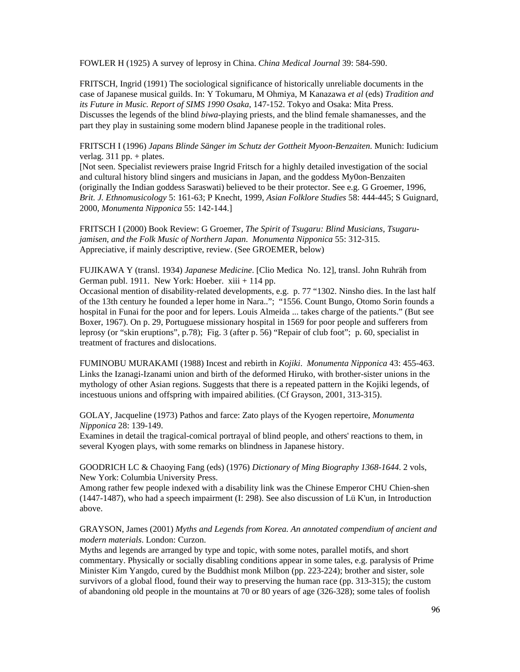FOWLER H (1925) A survey of leprosy in China. *China Medical Journal* 39: 584-590.

FRITSCH, Ingrid (1991) The sociological significance of historically unreliable documents in the case of Japanese musical guilds. In: Y Tokumaru, M Ohmiya, M Kanazawa *et al* (eds) *Tradition and its Future in Music. Report of SIMS 1990 Osaka*, 147-152. Tokyo and Osaka: Mita Press. Discusses the legends of the blind *biwa*-playing priests, and the blind female shamanesses, and the part they play in sustaining some modern blind Japanese people in the traditional roles.

FRITSCH I (1996) *Japans Blinde Sänger im Schutz der Gottheit Myoon-Benzaiten*. Munich: Iudicium verlag.  $311$  pp. + plates.

[Not seen. Specialist reviewers praise Ingrid Fritsch for a highly detailed investigation of the social and cultural history blind singers and musicians in Japan, and the goddess My0on-Benzaiten (originally the Indian goddess Saraswati) believed to be their protector. See e.g. G Groemer, 1996, *Brit. J. Ethnomusicology* 5: 161-63; P Knecht, 1999, *Asian Folklore Studies* 58: 444-445; S Guignard, 2000, *Monumenta Nipponica* 55: 142-144.]

FRITSCH I (2000) Book Review: G Groemer, *The Spirit of Tsugaru: Blind Musicians, Tsugarujamisen, and the Folk Music of Northern Japan*. *Monumenta Nipponica* 55: 312-315. Appreciative, if mainly descriptive, review. (See GROEMER, below)

FUJIKAWA Y (transl. 1934) *Japanese Medicine*. [Clio Medica No. 12], transl. John Ruhräh from German publ. 1911. New York: Hoeber. xiii + 114 pp.

Occasional mention of disability-related developments, e.g. p. 77 "1302. Ninsho dies. In the last half of the 13th century he founded a leper home in Nara.."; "1556. Count Bungo, Otomo Sorin founds a hospital in Funai for the poor and for lepers. Louis Almeida ... takes charge of the patients." (But see Boxer, 1967). On p. 29, Portuguese missionary hospital in 1569 for poor people and sufferers from leprosy (or "skin eruptions", p.78); Fig. 3 (after p. 56) "Repair of club foot"; p. 60, specialist in treatment of fractures and dislocations.

FUMINOBU MURAKAMI (1988) Incest and rebirth in *Kojiki*. *Monumenta Nipponica* 43: 455-463. Links the Izanagi-Izanami union and birth of the deformed Hiruko, with brother-sister unions in the mythology of other Asian regions. Suggests that there is a repeated pattern in the Kojiki legends, of incestuous unions and offspring with impaired abilities. (Cf Grayson, 2001, 313-315).

GOLAY, Jacqueline (1973) Pathos and farce: Zato plays of the Kyogen repertoire, *Monumenta Nipponica* 28: 139-149.

Examines in detail the tragical-comical portrayal of blind people, and others' reactions to them, in several Kyogen plays, with some remarks on blindness in Japanese history.

GOODRICH LC & Chaoying Fang (eds) (1976) *Dictionary of Ming Biography 1368-1644*. 2 vols, New York: Columbia University Press.

Among rather few people indexed with a disability link was the Chinese Emperor CHU Chien-shen (1447-1487), who had a speech impairment (I: 298). See also discussion of Lü K'un, in Introduction above.

GRAYSON, James (2001) *Myths and Legends from Korea. An annotated compendium of ancient and modern materials*. London: Curzon.

Myths and legends are arranged by type and topic, with some notes, parallel motifs, and short commentary. Physically or socially disabling conditions appear in some tales, e.g. paralysis of Prime Minister Kim Yangdo, cured by the Buddhist monk Milbon (pp. 223-224); brother and sister, sole survivors of a global flood, found their way to preserving the human race (pp. 313-315); the custom of abandoning old people in the mountains at 70 or 80 years of age (326-328); some tales of foolish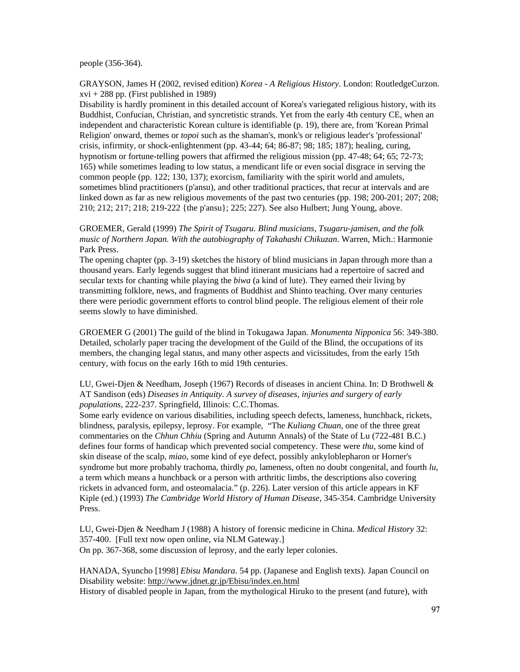people (356-364).

GRAYSON, James H (2002, revised edition) *Korea - A Religious History*. London: RoutledgeCurzon.  $xvi + 288$  pp. (First published in 1989)

Disability is hardly prominent in this detailed account of Korea's variegated religious history, with its Buddhist, Confucian, Christian, and syncretistic strands. Yet from the early 4th century CE, when an independent and characteristic Korean culture is identifiable (p. 19), there are, from 'Korean Primal Religion' onward, themes or *topoi* such as the shaman's, monk's or religious leader's 'professional' crisis, infirmity, or shock-enlightenment (pp. 43-44; 64; 86-87; 98; 185; 187); healing, curing, hypnotism or fortune-telling powers that affirmed the religious mission (pp. 47-48; 64; 65; 72-73; 165) while sometimes leading to low status, a mendicant life or even social disgrace in serving the common people (pp. 122; 130, 137); exorcism, familiarity with the spirit world and amulets, sometimes blind practitioners (p'ansu), and other traditional practices, that recur at intervals and are linked down as far as new religious movements of the past two centuries (pp. 198; 200-201; 207; 208; 210; 212; 217; 218; 219-222 {the p'ansu}; 225; 227). See also Hulbert; Jung Young, above.

## GROEMER, Gerald (1999) *The Spirit of Tsugaru. Blind musicians, Tsugaru-jamisen, and the folk music of Northern Japan. With the autobiography of Takahashi Chikuzan*. Warren, Mich.: Harmonie Park Press.

The opening chapter (pp. 3-19) sketches the history of blind musicians in Japan through more than a thousand years. Early legends suggest that blind itinerant musicians had a repertoire of sacred and secular texts for chanting while playing the *biwa* (a kind of lute). They earned their living by transmitting folklore, news, and fragments of Buddhist and Shinto teaching. Over many centuries there were periodic government efforts to control blind people. The religious element of their role seems slowly to have diminished.

GROEMER G (2001) The guild of the blind in Tokugawa Japan. *Monumenta Nipponica* 56: 349-380. Detailed, scholarly paper tracing the development of the Guild of the Blind, the occupations of its members, the changing legal status, and many other aspects and vicissitudes, from the early 15th century, with focus on the early 16th to mid 19th centuries.

## LU, Gwei-Djen & Needham, Joseph (1967) Records of diseases in ancient China. In: D Brothwell & AT Sandison (eds) *Diseases in Antiquity. A survey of diseases, injuries and surgery of early populations*, 222-237. Springfield, Illinois: C.C.Thomas.

Some early evidence on various disabilities, including speech defects, lameness, hunchback, rickets, blindness, paralysis, epilepsy, leprosy. For example, "The *Kuliang Chuan*, one of the three great commentaries on the *Chhun Chhiu* (Spring and Autumn Annals) of the State of Lu (722-481 B.C.) defines four forms of handicap which prevented social competency. These were *thu*, some kind of skin disease of the scalp, *miao*, some kind of eye defect, possibly ankyloblepharon or Horner's syndrome but more probably trachoma, thirdly *po*, lameness, often no doubt congenital, and fourth *lu*, a term which means a hunchback or a person with arthritic limbs, the descriptions also covering rickets in advanced form, and osteomalacia." (p. 226). Later version of this article appears in KF Kiple (ed.) (1993) *The Cambridge World History of Human Disease*, 345-354. Cambridge University Press.

LU, Gwei-Djen & Needham J (1988) A history of forensic medicine in China. *Medical History* 32: 357-400. [Full text now open online, via NLM Gateway.] On pp. 367-368, some discussion of leprosy, and the early leper colonies.

HANADA, Syuncho [1998] *Ebisu Mandara*. 54 pp. (Japanese and English texts). Japan Council on Disability website: http://www.jdnet.gr.jp/Ebisu/index.en.html History of disabled people in Japan, from the mythological Hiruko to the present (and future), with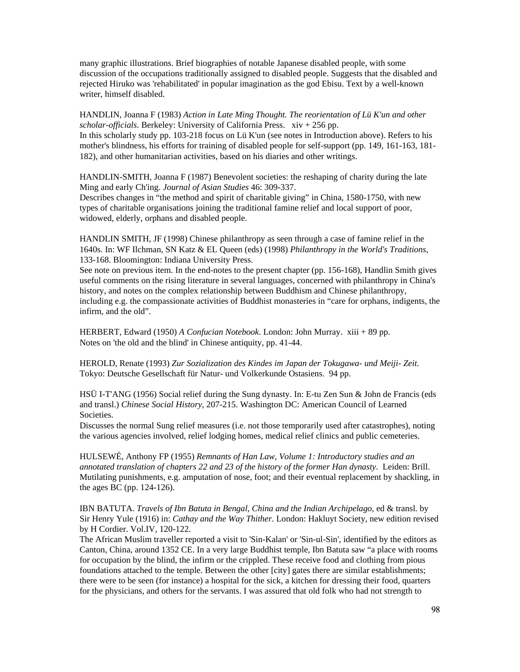many graphic illustrations. Brief biographies of notable Japanese disabled people, with some discussion of the occupations traditionally assigned to disabled people. Suggests that the disabled and rejected Hiruko was 'rehabilitated' in popular imagination as the god Ebisu. Text by a well-known writer, himself disabled.

HANDLIN, Joanna F (1983) *Action in Late Ming Thought. The reorientation of Lü K'un and other scholar-officials*. Berkeley: University of California Press. xiv + 256 pp. In this scholarly study pp. 103-218 focus on Lü K'un (see notes in Introduction above). Refers to his mother's blindness, his efforts for training of disabled people for self-support (pp. 149, 161-163, 181- 182), and other humanitarian activities, based on his diaries and other writings.

HANDLIN-SMITH, Joanna F (1987) Benevolent societies: the reshaping of charity during the late Ming and early Ch'ing. *Journal of Asian Studies* 46: 309-337.

Describes changes in "the method and spirit of charitable giving" in China, 1580-1750, with new types of charitable organisations joining the traditional famine relief and local support of poor, widowed, elderly, orphans and disabled people.

HANDLIN SMITH, JF (1998) Chinese philanthropy as seen through a case of famine relief in the 1640s. In: WF Ilchman, SN Katz & EL Queen (eds) (1998) *Philanthropy in the World's Traditions*, 133-168. Bloomington: Indiana University Press.

See note on previous item. In the end-notes to the present chapter (pp. 156-168), Handlin Smith gives useful comments on the rising literature in several languages, concerned with philanthropy in China's history, and notes on the complex relationship between Buddhism and Chinese philanthropy, including e.g. the compassionate activities of Buddhist monasteries in "care for orphans, indigents, the infirm, and the old".

HERBERT, Edward (1950) *A Confucian Notebook*. London: John Murray. xiii + 89 pp. Notes on 'the old and the blind' in Chinese antiquity, pp. 41-44.

HEROLD, Renate (1993) *Zur Sozialization des Kindes im Japan der Tokugawa- und Meiji- Zeit*. Tokyo: Deutsche Gesellschaft für Natur- und Volkerkunde Ostasiens. 94 pp.

HSÜ I-T'ANG (1956) Social relief during the Sung dynasty. In: E-tu Zen Sun & John de Francis (eds and transl.) *Chinese Social History*, 207-215. Washington DC: American Council of Learned Societies.

Discusses the normal Sung relief measures (i.e. not those temporarily used after catastrophes), noting the various agencies involved, relief lodging homes, medical relief clinics and public cemeteries.

HULSEWÉ, Anthony FP (1955) *Remnants of Han Law, Volume 1: Introductory studies and an annotated translation of chapters 22 and 23 of the history of the former Han dynasty*. Leiden: Brill. Mutilating punishments, e.g. amputation of nose, foot; and their eventual replacement by shackling, in the ages BC (pp. 124-126).

IBN BATUTA. *Travels of Ibn Batuta in Bengal, China and the Indian Archipelago*, ed & transl. by Sir Henry Yule (1916) in: *Cathay and the Way Thither*. London: Hakluyt Society, new edition revised by H Cordier. Vol.IV, 120-122.

The African Muslim traveller reported a visit to 'Sin-Kalan' or 'Sin-ul-Sin', identified by the editors as Canton, China, around 1352 CE. In a very large Buddhist temple, Ibn Batuta saw "a place with rooms for occupation by the blind, the infirm or the crippled. These receive food and clothing from pious foundations attached to the temple. Between the other [city] gates there are similar establishments; there were to be seen (for instance) a hospital for the sick, a kitchen for dressing their food, quarters for the physicians, and others for the servants. I was assured that old folk who had not strength to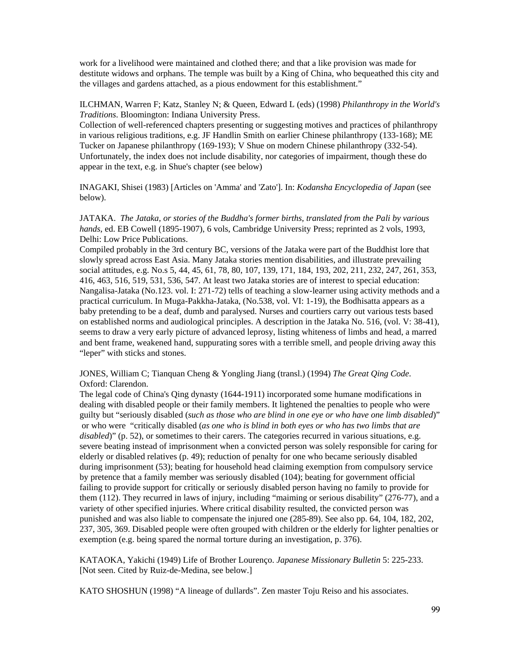work for a livelihood were maintained and clothed there; and that a like provision was made for destitute widows and orphans. The temple was built by a King of China, who bequeathed this city and the villages and gardens attached, as a pious endowment for this establishment."

ILCHMAN, Warren F; Katz, Stanley N; & Queen, Edward L (eds) (1998) *Philanthropy in the World's Traditions*. Bloomington: Indiana University Press.

Collection of well-referenced chapters presenting or suggesting motives and practices of philanthropy in various religious traditions, e.g. JF Handlin Smith on earlier Chinese philanthropy (133-168); ME Tucker on Japanese philanthropy (169-193); V Shue on modern Chinese philanthropy (332-54). Unfortunately, the index does not include disability, nor categories of impairment, though these do appear in the text, e.g. in Shue's chapter (see below)

INAGAKI, Shisei (1983) [Articles on 'Amma' and 'Zato']. In: *Kodansha Encyclopedia of Japan* (see below).

JATAKA. *The Jataka, or stories of the Buddha's former births, translated from the Pali by various hands*, ed. EB Cowell (1895-1907), 6 vols, Cambridge University Press; reprinted as 2 vols, 1993, Delhi: Low Price Publications.

Compiled probably in the 3rd century BC, versions of the Jataka were part of the Buddhist lore that slowly spread across East Asia. Many Jataka stories mention disabilities, and illustrate prevailing social attitudes, e.g. No.s 5, 44, 45, 61, 78, 80, 107, 139, 171, 184, 193, 202, 211, 232, 247, 261, 353, 416, 463, 516, 519, 531, 536, 547. At least two Jataka stories are of interest to special education: Nangalisa-Jataka (No.123. vol. I: 271-72) tells of teaching a slow-learner using activity methods and a practical curriculum. In Muga-Pakkha-Jataka, (No.538, vol. VI: 1-19), the Bodhisatta appears as a baby pretending to be a deaf, dumb and paralysed. Nurses and courtiers carry out various tests based on established norms and audiological principles. A description in the Jataka No. 516, (vol. V: 38-41), seems to draw a very early picture of advanced leprosy, listing whiteness of limbs and head, a marred and bent frame, weakened hand, suppurating sores with a terrible smell, and people driving away this "leper" with sticks and stones.

JONES, William C; Tianquan Cheng & Yongling Jiang (transl.) (1994) *The Great Qing Code*. Oxford: Clarendon.

The legal code of China's Qing dynasty (1644-1911) incorporated some humane modifications in dealing with disabled people or their family members. It lightened the penalties to people who were guilty but "seriously disabled (*such as those who are blind in one eye or who have one limb disabled*)" or who were "critically disabled (*as one who is blind in both eyes or who has two limbs that are disabled*)" (p. 52), or sometimes to their carers. The categories recurred in various situations, e.g. severe beating instead of imprisonment when a convicted person was solely responsible for caring for elderly or disabled relatives (p. 49); reduction of penalty for one who became seriously disabled during imprisonment (53); beating for household head claiming exemption from compulsory service by pretence that a family member was seriously disabled (104); beating for government official failing to provide support for critically or seriously disabled person having no family to provide for them (112). They recurred in laws of injury, including "maiming or serious disability" (276-77), and a variety of other specified injuries. Where critical disability resulted, the convicted person was punished and was also liable to compensate the injured one (285-89). See also pp. 64, 104, 182, 202, 237, 305, 369. Disabled people were often grouped with children or the elderly for lighter penalties or exemption (e.g. being spared the normal torture during an investigation, p. 376).

KATAOKA, Yakichi (1949) Life of Brother Lourenço. *Japanese Missionary Bulletin* 5: 225-233. [Not seen. Cited by Ruiz-de-Medina, see below.]

KATO SHOSHUN (1998) "A lineage of dullards". Zen master Toju Reiso and his associates.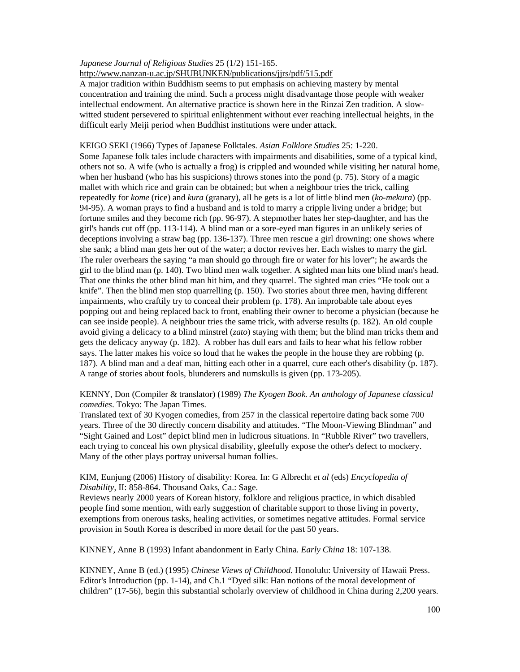## *Japanese Journal of Religious Studies* 25 (1/2) 151-165.

http://www.nanzan-u.ac.jp/SHUBUNKEN/publications/jjrs/pdf/515.pdf

A major tradition within Buddhism seems to put emphasis on achieving mastery by mental concentration and training the mind. Such a process might disadvantage those people with weaker intellectual endowment. An alternative practice is shown here in the Rinzai Zen tradition. A slowwitted student persevered to spiritual enlightenment without ever reaching intellectual heights, in the difficult early Meiji period when Buddhist institutions were under attack.

## KEIGO SEKI (1966) Types of Japanese Folktales. *Asian Folklore Studies* 25: 1-220.

Some Japanese folk tales include characters with impairments and disabilities, some of a typical kind, others not so. A wife (who is actually a frog) is crippled and wounded while visiting her natural home, when her husband (who has his suspicions) throws stones into the pond (p. 75). Story of a magic mallet with which rice and grain can be obtained; but when a neighbour tries the trick, calling repeatedly for *kome* (rice) and *kura* (granary), all he gets is a lot of little blind men (*ko-mekura*) (pp. 94-95). A woman prays to find a husband and is told to marry a cripple living under a bridge; but fortune smiles and they become rich (pp. 96-97). A stepmother hates her step-daughter, and has the girl's hands cut off (pp. 113-114). A blind man or a sore-eyed man figures in an unlikely series of deceptions involving a straw bag (pp. 136-137). Three men rescue a girl drowning: one shows where she sank; a blind man gets her out of the water; a doctor revives her. Each wishes to marry the girl. The ruler overhears the saying "a man should go through fire or water for his lover"; he awards the girl to the blind man (p. 140). Two blind men walk together. A sighted man hits one blind man's head. That one thinks the other blind man hit him, and they quarrel. The sighted man cries "He took out a knife". Then the blind men stop quarrelling (p. 150). Two stories about three men, having different impairments, who craftily try to conceal their problem (p. 178). An improbable tale about eyes popping out and being replaced back to front, enabling their owner to become a physician (because he can see inside people). A neighbour tries the same trick, with adverse results (p. 182). An old couple avoid giving a delicacy to a blind minstrel (*zato*) staying with them; but the blind man tricks them and gets the delicacy anyway (p. 182). A robber has dull ears and fails to hear what his fellow robber says. The latter makes his voice so loud that he wakes the people in the house they are robbing (p. 187). A blind man and a deaf man, hitting each other in a quarrel, cure each other's disability (p. 187). A range of stories about fools, blunderers and numskulls is given (pp. 173-205).

## KENNY, Don (Compiler & translator) (1989) *The Kyogen Book. An anthology of Japanese classical comedies*. Tokyo: The Japan Times.

Translated text of 30 Kyogen comedies, from 257 in the classical repertoire dating back some 700 years. Three of the 30 directly concern disability and attitudes. "The Moon-Viewing Blindman" and "Sight Gained and Lost" depict blind men in ludicrous situations. In "Rubble River" two travellers, each trying to conceal his own physical disability, gleefully expose the other's defect to mockery. Many of the other plays portray universal human follies.

## KIM, Eunjung (2006) History of disability: Korea. In: G Albrecht *et al* (eds) *Encyclopedia of Disability*, II: 858-864. Thousand Oaks, Ca.: Sage.

Reviews nearly 2000 years of Korean history, folklore and religious practice, in which disabled people find some mention, with early suggestion of charitable support to those living in poverty, exemptions from onerous tasks, healing activities, or sometimes negative attitudes. Formal service provision in South Korea is described in more detail for the past 50 years.

KINNEY, Anne B (1993) Infant abandonment in Early China. *Early China* 18: 107-138.

KINNEY, Anne B (ed.) (1995) *Chinese Views of Childhood*. Honolulu: University of Hawaii Press. Editor's Introduction (pp. 1-14), and Ch.1 "Dyed silk: Han notions of the moral development of children" (17-56), begin this substantial scholarly overview of childhood in China during 2,200 years.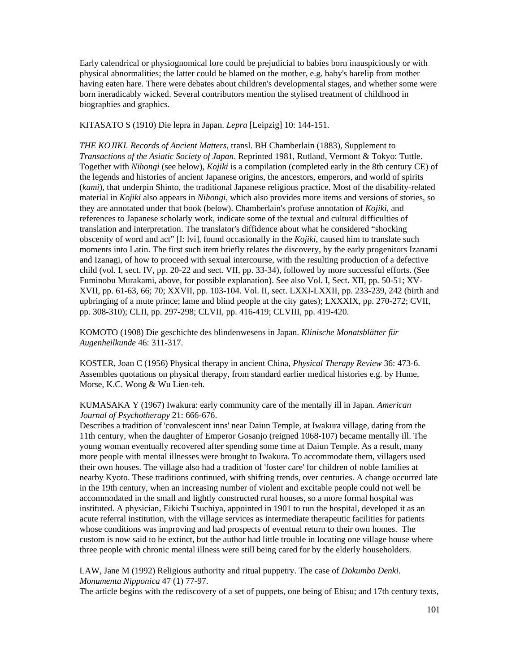Early calendrical or physiognomical lore could be prejudicial to babies born inauspiciously or with physical abnormalities; the latter could be blamed on the mother, e.g. baby's harelip from mother having eaten hare. There were debates about children's developmental stages, and whether some were born ineradicably wicked. Several contributors mention the stylised treatment of childhood in biographies and graphics.

KITASATO S (1910) Die lepra in Japan. *Lepra* [Leipzig] 10: 144-151.

*THE KOJIKI. Records of Ancient Matters*, transl. BH Chamberlain (1883), Supplement to *Transactions of the Asiatic Society of Japan*. Reprinted 1981, Rutland, Vermont & Tokyo: Tuttle. Together with *Nihongi* (see below), *Kojiki* is a compilation (completed early in the 8th century CE) of the legends and histories of ancient Japanese origins, the ancestors, emperors, and world of spirits (*kami*), that underpin Shinto, the traditional Japanese religious practice. Most of the disability-related material in *Kojiki* also appears in *Nihongi*, which also provides more items and versions of stories, so they are annotated under that book (below). Chamberlain's profuse annotation of *Kojiki*, and references to Japanese scholarly work, indicate some of the textual and cultural difficulties of translation and interpretation. The translator's diffidence about what he considered "shocking obscenity of word and act" [I: lvi], found occasionally in the *Kojiki*, caused him to translate such moments into Latin. The first such item briefly relates the discovery, by the early progenitors Izanami and Izanagi, of how to proceed with sexual intercourse, with the resulting production of a defective child (vol. I, sect. IV, pp. 20-22 and sect. VII, pp. 33-34), followed by more successful efforts. (See Fuminobu Murakami, above, for possible explanation). See also Vol. I, Sect. XII, pp. 50-51; XV-XVII, pp. 61-63, 66; 70; XXVII, pp. 103-104. Vol. II, sect. LXXI-LXXII, pp. 233-239, 242 (birth and upbringing of a mute prince; lame and blind people at the city gates); LXXXIX, pp. 270-272; CVII, pp. 308-310); CLII, pp. 297-298; CLVII, pp. 416-419; CLVIII, pp. 419-420.

KOMOTO (1908) Die geschichte des blindenwesens in Japan. *Klinische Monatsblätter für Augenheilkunde* 46: 311-317.

KOSTER, Joan C (1956) Physical therapy in ancient China, *Physical Therapy Review* 36: 473-6. Assembles quotations on physical therapy, from standard earlier medical histories e.g. by Hume, Morse, K.C. Wong & Wu Lien-teh.

KUMASAKA Y (1967) Iwakura: early community care of the mentally ill in Japan. *American Journal of Psychotherapy* 21: 666-676.

Describes a tradition of 'convalescent inns' near Daiun Temple, at Iwakura village, dating from the 11th century, when the daughter of Emperor Gosanjo (reigned 1068-107) became mentally ill. The young woman eventually recovered after spending some time at Daiun Temple. As a result, many more people with mental illnesses were brought to Iwakura. To accommodate them, villagers used their own houses. The village also had a tradition of 'foster care' for children of noble families at nearby Kyoto. These traditions continued, with shifting trends, over centuries. A change occurred late in the 19th century, when an increasing number of violent and excitable people could not well be accommodated in the small and lightly constructed rural houses, so a more formal hospital was instituted. A physician, Eikichi Tsuchiya, appointed in 1901 to run the hospital, developed it as an acute referral institution, with the village services as intermediate therapeutic facilities for patients whose conditions was improving and had prospects of eventual return to their own homes. The custom is now said to be extinct, but the author had little trouble in locating one village house where three people with chronic mental illness were still being cared for by the elderly householders.

LAW, Jane M (1992) Religious authority and ritual puppetry. The case of *Dokumbo Denki*. *Monumenta Nipponica* 47 (1) 77-97.

The article begins with the rediscovery of a set of puppets, one being of Ebisu; and 17th century texts,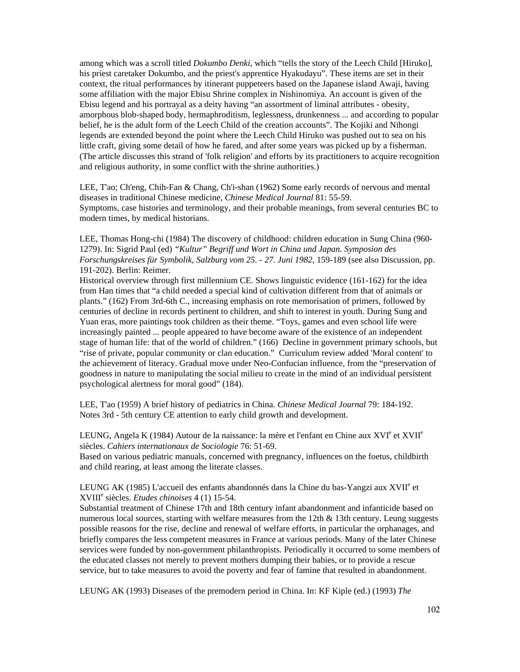among which was a scroll titled *Dokumbo Denki*, which "tells the story of the Leech Child [Hiruko], his priest caretaker Dokumbo, and the priest's apprentice Hyakudayu". These items are set in their context, the ritual performances by itinerant puppeteers based on the Japanese island Awaji, having some affiliation with the major Ebisu Shrine complex in Nishinomiya. An account is given of the Ebisu legend and his portrayal as a deity having "an assortment of liminal attributes - obesity, amorphous blob-shaped body, hermaphroditism, leglessness, drunkenness ... and according to popular belief, he is the adult form of the Leech Child of the creation accounts". The Kojiki and Nihongi legends are extended beyond the point where the Leech Child Hiruko was pushed out to sea on his little craft, giving some detail of how he fared, and after some years was picked up by a fisherman. (The article discusses this strand of 'folk religion' and efforts by its practitioners to acquire recognition and religious authority, in some conflict with the shrine authorities.)

LEE, T'ao; Ch'eng, Chih-Fan & Chang, Ch'i-shan (1962) Some early records of nervous and mental diseases in traditional Chinese medicine, *Chinese Medical Journal* 81: 55-59. Symptoms, case histories and terminology, and their probable meanings, from several centuries BC to modern times, by medical historians.

LEE, Thomas Hong-chi (1984) The discovery of childhood: children education in Sung China (960- 1279). In: Sigrid Paul (ed) *"Kultur" Begriff und Wort in China und Japan. Symposion des Forschungskreises für Symbolik, Salzburg vom 25. - 27. Juni 1982*, 159-189 (see also Discussion, pp. 191-202). Berlin: Reimer.

Historical overview through first millennium CE. Shows linguistic evidence (161-162) for the idea from Han times that "a child needed a special kind of cultivation different from that of animals or plants." (162) From 3rd-6th C., increasing emphasis on rote memorisation of primers, followed by centuries of decline in records pertinent to children, and shift to interest in youth. During Sung and Yuan eras, more paintings took children as their theme. "Toys, games and even school life were increasingly painted ... people appeared to have become aware of the existence of an independent stage of human life: that of the world of children." (166) Decline in government primary schools, but "rise of private, popular community or clan education." Curriculum review added 'Moral content' to the achievement of literacy. Gradual move under Neo-Confucian influence, from the "preservation of goodness in nature to manipulating the social milieu to create in the mind of an individual persistent psychological alertness for moral good" (184).

LEE, T'ao (1959) A brief history of pediatrics in China. *Chinese Medical Journal* 79: 184-192. Notes 3rd - 5th century CE attention to early child growth and development.

LEUNG, Angela K (1984) Autour de la naissance: la mère et l'enfant en Chine aux XVI<sup>e</sup> et XVII<sup>e</sup> siècles. *Cahiers internationaux de Sociologie* 76: 51-69.

Based on various pediatric manuals, concerned with pregnancy, influences on the foetus, childbirth and child rearing, at least among the literate classes.

LEUNG AK (1985) L'accueil des enfants abandonnés dans la Chine du bas-Yangzi aux XVII<sup>e</sup> et XVIII<sup>e</sup> siècles. *Etudes chinoises* 4 (1) 15-54.

Substantial treatment of Chinese 17th and 18th century infant abandonment and infanticide based on numerous local sources, starting with welfare measures from the 12th  $\&$  13th century. Leung suggests possible reasons for the rise, decline and renewal of welfare efforts, in particular the orphanages, and briefly compares the less competent measures in France at various periods. Many of the later Chinese services were funded by non-government philanthropists. Periodically it occurred to some members of the educated classes not merely to prevent mothers dumping their babies, or to provide a rescue service, but to take measures to avoid the poverty and fear of famine that resulted in abandonment.

LEUNG AK (1993) Diseases of the premodern period in China. In: KF Kiple (ed.) (1993) *The*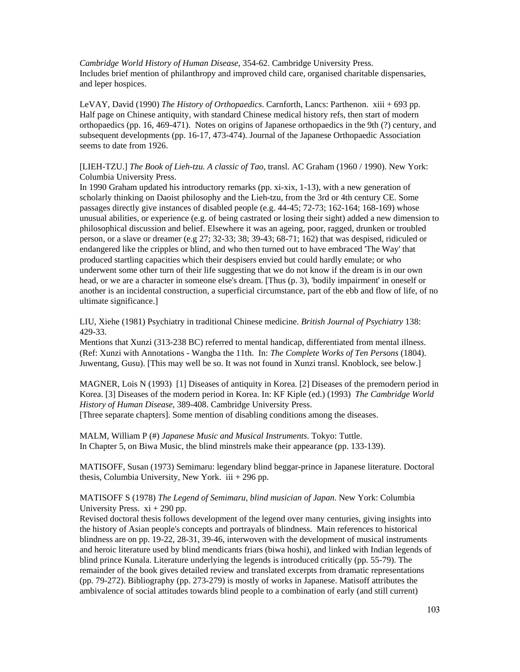*Cambridge World History of Human Disease*, 354-62. Cambridge University Press. Includes brief mention of philanthropy and improved child care, organised charitable dispensaries, and leper hospices.

LeVAY, David (1990) *The History of Orthopaedics*. Carnforth, Lancs: Parthenon. xiii + 693 pp. Half page on Chinese antiquity, with standard Chinese medical history refs, then start of modern orthopaedics (pp. 16, 469-471). Notes on origins of Japanese orthopaedics in the 9th (?) century, and subsequent developments (pp. 16-17, 473-474). Journal of the Japanese Orthopaedic Association seems to date from 1926.

[LIEH-TZU.] *The Book of Lieh-tzu. A classic of Tao*, transl. AC Graham (1960 / 1990). New York: Columbia University Press.

In 1990 Graham updated his introductory remarks (pp. xi-xix, 1-13), with a new generation of scholarly thinking on Daoist philosophy and the Lieh-tzu, from the 3rd or 4th century CE. Some passages directly give instances of disabled people (e.g. 44-45; 72-73; 162-164; 168-169) whose unusual abilities, or experience (e.g. of being castrated or losing their sight) added a new dimension to philosophical discussion and belief. Elsewhere it was an ageing, poor, ragged, drunken or troubled person, or a slave or dreamer (e.g 27; 32-33; 38; 39-43; 68-71; 162) that was despised, ridiculed or endangered like the cripples or blind, and who then turned out to have embraced 'The Way' that produced startling capacities which their despisers envied but could hardly emulate; or who underwent some other turn of their life suggesting that we do not know if the dream is in our own head, or we are a character in someone else's dream. [Thus (p. 3), 'bodily impairment' in oneself or another is an incidental construction, a superficial circumstance, part of the ebb and flow of life, of no ultimate significance.]

LIU, Xiehe (1981) Psychiatry in traditional Chinese medicine. *British Journal of Psychiatry* 138: 429-33.

Mentions that Xunzi (313-238 BC) referred to mental handicap, differentiated from mental illness. (Ref: Xunzi with Annotations - Wangba the 11th. In: *The Complete Works of Ten Persons* (1804). Juwentang, Gusu). [This may well be so. It was not found in Xunzi transl. Knoblock, see below.]

MAGNER, Lois N (1993) [1] Diseases of antiquity in Korea. [2] Diseases of the premodern period in Korea. [3] Diseases of the modern period in Korea. In: KF Kiple (ed.) (1993) *The Cambridge World History of Human Disease*, 389-408. Cambridge University Press. [Three separate chapters]. Some mention of disabling conditions among the diseases.

MALM, William P (#) *Japanese Music and Musical Instruments*. Tokyo: Tuttle. In Chapter 5, on Biwa Music, the blind minstrels make their appearance (pp. 133-139).

MATISOFF, Susan (1973) Semimaru: legendary blind beggar-prince in Japanese literature. Doctoral thesis, Columbia University, New York. iii + 296 pp.

#### MATISOFF S (1978) *The Legend of Semimaru, blind musician of Japan*. New York: Columbia University Press.  $xi + 290$  pp.

Revised doctoral thesis follows development of the legend over many centuries, giving insights into the history of Asian people's concepts and portrayals of blindness. Main references to historical blindness are on pp. 19-22, 28-31, 39-46, interwoven with the development of musical instruments and heroic literature used by blind mendicants friars (biwa hoshi), and linked with Indian legends of blind prince Kunala. Literature underlying the legends is introduced critically (pp. 55-79). The remainder of the book gives detailed review and translated excerpts from dramatic representations (pp. 79-272). Bibliography (pp. 273-279) is mostly of works in Japanese. Matisoff attributes the ambivalence of social attitudes towards blind people to a combination of early (and still current)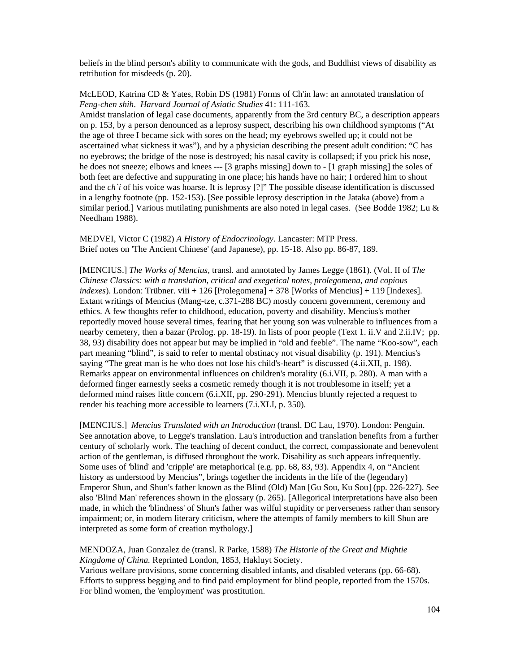beliefs in the blind person's ability to communicate with the gods, and Buddhist views of disability as retribution for misdeeds (p. 20).

McLEOD, Katrina CD & Yates, Robin DS (1981) Forms of Ch'in law: an annotated translation of *Feng-chen shih*. *Harvard Journal of Asiatic Studies* 41: 111-163. Amidst translation of legal case documents, apparently from the 3rd century BC, a description appears on p. 153, by a person denounced as a leprosy suspect, describing his own childhood symptoms ("At the age of three I became sick with sores on the head; my eyebrows swelled up; it could not be ascertained what sickness it was"), and by a physician describing the present adult condition: "C has no eyebrows; the bridge of the nose is destroyed; his nasal cavity is collapsed; if you prick his nose, he does not sneeze; elbows and knees --- [3 graphs missing] down to - [1 graph missing] the soles of both feet are defective and suppurating in one place; his hands have no hair; I ordered him to shout and the *ch*'i of his voice was hoarse. It is leprosy [?]" The possible disease identification is discussed in a lengthy footnote (pp. 152-153). [See possible leprosy description in the Jataka (above) from a similar period.] Various mutilating punishments are also noted in legal cases. (See Bodde 1982; Lu  $\&$ Needham 1988).

MEDVEI, Victor C (1982) *A History of Endocrinology*. Lancaster: MTP Press. Brief notes on 'The Ancient Chinese' (and Japanese), pp. 15-18. Also pp. 86-87, 189.

[MENCIUS.] *The Works of Mencius*, transl. and annotated by James Legge (1861). (Vol. II of *The Chinese Classics: with a translation, critical and exegetical notes, prolegomena, and copious indexes*). London: Trübner. viii + 126 [Prolegomena] + 378 [Works of Mencius] + 119 [Indexes]. Extant writings of Mencius (Mang-tze, c.371-288 BC) mostly concern government, ceremony and ethics. A few thoughts refer to childhood, education, poverty and disability. Mencius's mother reportedly moved house several times, fearing that her young son was vulnerable to influences from a nearby cemetery, then a bazar (Prolog. pp. 18-19). In lists of poor people (Text 1. ii.V and 2.ii.IV; pp. 38, 93) disability does not appear but may be implied in "old and feeble". The name "Koo-sow", each part meaning "blind", is said to refer to mental obstinacy not visual disability (p. 191). Mencius's saying "The great man is he who does not lose his child's-heart" is discussed (4.ii.XII, p. 198). Remarks appear on environmental influences on children's morality (6.i.VII, p. 280). A man with a deformed finger earnestly seeks a cosmetic remedy though it is not troublesome in itself; yet a deformed mind raises little concern (6.i.XII, pp. 290-291). Mencius bluntly rejected a request to render his teaching more accessible to learners (7.i.XLI, p. 350).

[MENCIUS.] *Mencius Translated with an Introduction* (transl. DC Lau, 1970). London: Penguin. See annotation above, to Legge's translation. Lau's introduction and translation benefits from a further century of scholarly work. The teaching of decent conduct, the correct, compassionate and benevolent action of the gentleman, is diffused throughout the work. Disability as such appears infrequently. Some uses of 'blind' and 'cripple' are metaphorical (e.g. pp. 68, 83, 93). Appendix 4, on "Ancient history as understood by Mencius", brings together the incidents in the life of the (legendary) Emperor Shun, and Shun's father known as the Blind (Old) Man [Gu Sou, Ku Sou] (pp. 226-227). See also 'Blind Man' references shown in the glossary (p. 265). [Allegorical interpretations have also been made, in which the 'blindness' of Shun's father was wilful stupidity or perverseness rather than sensory impairment; or, in modern literary criticism, where the attempts of family members to kill Shun are interpreted as some form of creation mythology.]

```
MENDOZA, Juan Gonzalez de (transl. R Parke, 1588) The Historie of the Great and Mightie 
Kingdome of China. Reprinted London, 1853, Hakluyt Society. 
Various welfare provisions, some concerning disabled infants, and disabled veterans (pp. 66-68). 
Efforts to suppress begging and to find paid employment for blind people, reported from the 1570s. 
For blind women, the 'employment' was prostitution.
```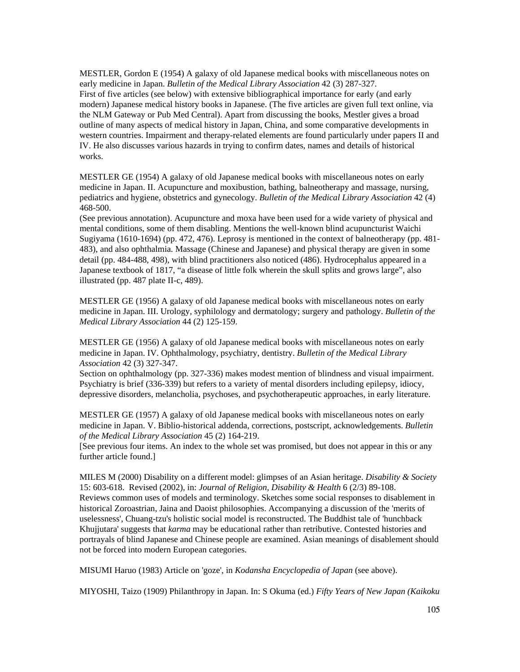MESTLER, Gordon E (1954) A galaxy of old Japanese medical books with miscellaneous notes on early medicine in Japan. *Bulletin of the Medical Library Association* 42 (3) 287-327. First of five articles (see below) with extensive bibliographical importance for early (and early modern) Japanese medical history books in Japanese. (The five articles are given full text online, via the NLM Gateway or Pub Med Central). Apart from discussing the books, Mestler gives a broad outline of many aspects of medical history in Japan, China, and some comparative developments in western countries. Impairment and therapy-related elements are found particularly under papers II and IV. He also discusses various hazards in trying to confirm dates, names and details of historical works.

MESTLER GE (1954) A galaxy of old Japanese medical books with miscellaneous notes on early medicine in Japan. II. Acupuncture and moxibustion, bathing, balneotherapy and massage, nursing, pediatrics and hygiene, obstetrics and gynecology. *Bulletin of the Medical Library Association* 42 (4) 468-500.

(See previous annotation). Acupuncture and moxa have been used for a wide variety of physical and mental conditions, some of them disabling. Mentions the well-known blind acupuncturist Waichi Sugiyama (1610-1694) (pp. 472, 476). Leprosy is mentioned in the context of balneotherapy (pp. 481- 483), and also ophthalmia. Massage (Chinese and Japanese) and physical therapy are given in some detail (pp. 484-488, 498), with blind practitioners also noticed (486). Hydrocephalus appeared in a Japanese textbook of 1817, "a disease of little folk wherein the skull splits and grows large", also illustrated (pp. 487 plate II-c, 489).

MESTLER GE (1956) A galaxy of old Japanese medical books with miscellaneous notes on early medicine in Japan. III. Urology, syphilology and dermatology; surgery and pathology. *Bulletin of the Medical Library Association* 44 (2) 125-159.

MESTLER GE (1956) A galaxy of old Japanese medical books with miscellaneous notes on early medicine in Japan. IV. Ophthalmology, psychiatry, dentistry. *Bulletin of the Medical Library Association* 42 (3) 327-347.

Section on ophthalmology (pp. 327-336) makes modest mention of blindness and visual impairment. Psychiatry is brief (336-339) but refers to a variety of mental disorders including epilepsy, idiocy, depressive disorders, melancholia, psychoses, and psychotherapeutic approaches, in early literature.

MESTLER GE (1957) A galaxy of old Japanese medical books with miscellaneous notes on early medicine in Japan. V. Biblio-historical addenda, corrections, postscript, acknowledgements. *Bulletin of the Medical Library Association* 45 (2) 164-219.

[See previous four items. An index to the whole set was promised, but does not appear in this or any further article found.]

MILES M (2000) Disability on a different model: glimpses of an Asian heritage. *Disability & Society* 15: 603-618. Revised (2002), in: *Journal of Religion, Disability & Health* 6 (2/3) 89-108. Reviews common uses of models and terminology. Sketches some social responses to disablement in historical Zoroastrian, Jaina and Daoist philosophies. Accompanying a discussion of the 'merits of uselessness', Chuang-tzu's holistic social model is reconstructed. The Buddhist tale of 'hunchback Khujjutara' suggests that *karma* may be educational rather than retributive. Contested histories and portrayals of blind Japanese and Chinese people are examined. Asian meanings of disablement should not be forced into modern European categories.

MISUMI Haruo (1983) Article on 'goze', in *Kodansha Encyclopedia of Japan* (see above).

MIYOSHI, Taizo (1909) Philanthropy in Japan. In: S Okuma (ed.) *Fifty Years of New Japan (Kaikoku*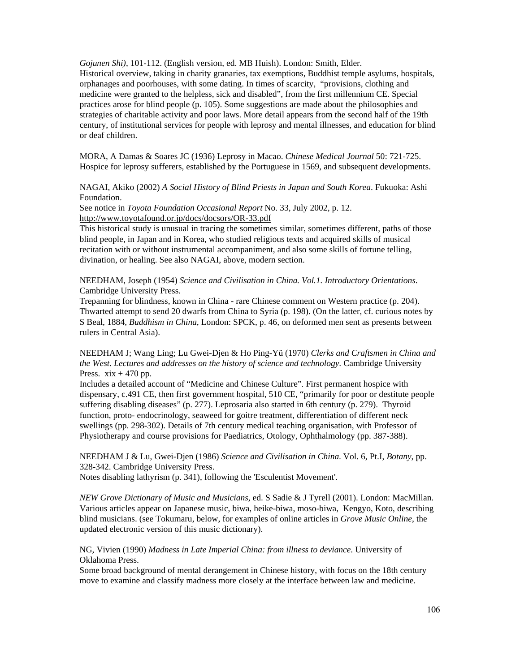*Gojunen Shi)*, 101-112. (English version, ed. MB Huish). London: Smith, Elder.

Historical overview, taking in charity granaries, tax exemptions, Buddhist temple asylums, hospitals, orphanages and poorhouses, with some dating. In times of scarcity, "provisions, clothing and medicine were granted to the helpless, sick and disabled", from the first millennium CE. Special practices arose for blind people (p. 105). Some suggestions are made about the philosophies and strategies of charitable activity and poor laws. More detail appears from the second half of the 19th century, of institutional services for people with leprosy and mental illnesses, and education for blind or deaf children.

MORA, A Damas & Soares JC (1936) Leprosy in Macao. *Chinese Medical Journal* 50: 721-725. Hospice for leprosy sufferers, established by the Portuguese in 1569, and subsequent developments.

NAGAI, Akiko (2002) *A Social History of Blind Priests in Japan and South Korea*. Fukuoka: Ashi Foundation.

See notice in *Toyota Foundation Occasional Report* No. 33, July 2002, p. 12. http://www.toyotafound.or.jp/docs/docsors/OR-33.pdf

This historical study is unusual in tracing the sometimes similar, sometimes different, paths of those blind people, in Japan and in Korea, who studied religious texts and acquired skills of musical recitation with or without instrumental accompaniment, and also some skills of fortune telling, divination, or healing. See also NAGAI, above, modern section.

NEEDHAM, Joseph (1954) *Science and Civilisation in China. Vol.1. Introductory Orientations*. Cambridge University Press.

Trepanning for blindness, known in China - rare Chinese comment on Western practice (p. 204). Thwarted attempt to send 20 dwarfs from China to Syria (p. 198). (On the latter, cf. curious notes by S Beal, 1884, *Buddhism in China*, London: SPCK, p. 46, on deformed men sent as presents between rulers in Central Asia).

NEEDHAM J; Wang Ling; Lu Gwei-Djen & Ho Ping-Yü (1970) *Clerks and Craftsmen in China and the West. Lectures and addresses on the history of science and technology*. Cambridge University Press.  $xix + 470$  pp.

Includes a detailed account of "Medicine and Chinese Culture". First permanent hospice with dispensary, c.491 CE, then first government hospital, 510 CE, "primarily for poor or destitute people suffering disabling diseases" (p. 277). Leprosaria also started in 6th century (p. 279). Thyroid function, proto- endocrinology, seaweed for goitre treatment, differentiation of different neck swellings (pp. 298-302). Details of 7th century medical teaching organisation, with Professor of Physiotherapy and course provisions for Paediatrics, Otology, Ophthalmology (pp. 387-388).

NEEDHAM J & Lu, Gwei-Djen (1986) *Science and Civilisation in China*. Vol. 6, Pt.I, *Botany*, pp. 328-342. Cambridge University Press.

Notes disabling lathyrism (p. 341), following the 'Esculentist Movement'.

*NEW Grove Dictionary of Music and Musicians*, ed. S Sadie & J Tyrell (2001). London: MacMillan. Various articles appear on Japanese music, biwa, heike-biwa, moso-biwa, Kengyo, Koto, describing blind musicians. (see Tokumaru, below, for examples of online articles in *Grove Music Online*, the updated electronic version of this music dictionary).

NG, Vivien (1990) *Madness in Late Imperial China: from illness to deviance*. University of Oklahoma Press.

Some broad background of mental derangement in Chinese history, with focus on the 18th century move to examine and classify madness more closely at the interface between law and medicine.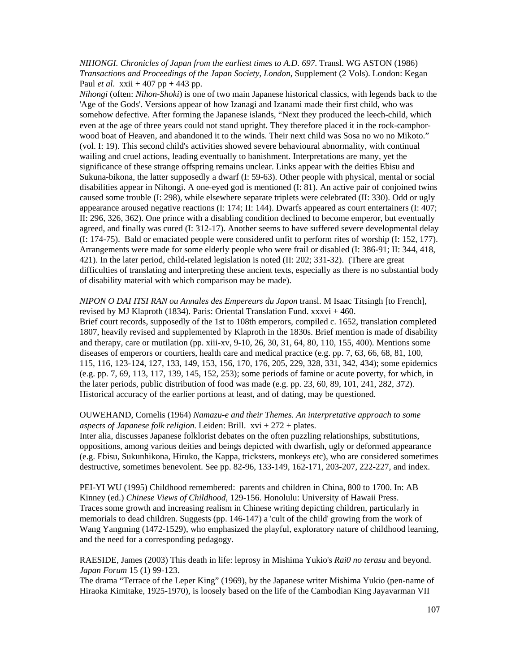*NIHONGI. Chronicles of Japan from the earliest times to A.D. 697*. Transl. WG ASTON (1986) *Transactions and Proceedings of the Japan Society, London*, Supplement (2 Vols). London: Kegan Paul *et al*. xxii + 407 pp + 443 pp.

*Nihongi* (often: *Nihon-Shoki*) is one of two main Japanese historical classics, with legends back to the 'Age of the Gods'. Versions appear of how Izanagi and Izanami made their first child, who was somehow defective. After forming the Japanese islands, "Next they produced the leech-child, which even at the age of three years could not stand upright. They therefore placed it in the rock-camphorwood boat of Heaven, and abandoned it to the winds. Their next child was Sosa no wo no Mikoto." (vol. I: 19). This second child's activities showed severe behavioural abnormality, with continual wailing and cruel actions, leading eventually to banishment. Interpretations are many, yet the significance of these strange offspring remains unclear. Links appear with the deities Ebisu and Sukuna-bikona, the latter supposedly a dwarf (I: 59-63). Other people with physical, mental or social disabilities appear in Nihongi. A one-eyed god is mentioned (I: 81). An active pair of conjoined twins caused some trouble (I: 298), while elsewhere separate triplets were celebrated (II: 330). Odd or ugly appearance aroused negative reactions (I: 174; II: 144). Dwarfs appeared as court entertainers (I: 407; II: 296, 326, 362). One prince with a disabling condition declined to become emperor, but eventually agreed, and finally was cured (I: 312-17). Another seems to have suffered severe developmental delay (I: 174-75). Bald or emaciated people were considered unfit to perform rites of worship (I: 152, 177). Arrangements were made for some elderly people who were frail or disabled (I: 386-91; II: 344, 418, 421). In the later period, child-related legislation is noted (II: 202; 331-32). (There are great difficulties of translating and interpreting these ancient texts, especially as there is no substantial body of disability material with which comparison may be made).

#### *NIPON O DAI ITSI RAN ou Annales des Empereurs du Japon* transl. M Isaac Titsingh [to French], revised by MJ Klaproth (1834). Paris: Oriental Translation Fund.  $xxxvi + 460$ .

Brief court records, supposedly of the 1st to 108th emperors, compiled c. 1652, translation completed 1807, heavily revised and supplemented by Klaproth in the 1830s. Brief mention is made of disability and therapy, care or mutilation (pp. xiii-xv, 9-10, 26, 30, 31, 64, 80, 110, 155, 400). Mentions some diseases of emperors or courtiers, health care and medical practice (e.g. pp. 7, 63, 66, 68, 81, 100, 115, 116, 123-124, 127, 133, 149, 153, 156, 170, 176, 205, 229, 328, 331, 342, 434); some epidemics (e.g. pp. 7, 69, 113, 117, 139, 145, 152, 253); some periods of famine or acute poverty, for which, in the later periods, public distribution of food was made (e.g. pp. 23, 60, 89, 101, 241, 282, 372). Historical accuracy of the earlier portions at least, and of dating, may be questioned.

## OUWEHAND, Cornelis (1964) *Namazu-e and their Themes. An interpretative approach to some aspects of Japanese folk religion*. Leiden: Brill. xvi + 272 + plates.

Inter alia, discusses Japanese folklorist debates on the often puzzling relationships, substitutions, oppositions, among various deities and beings depicted with dwarfish, ugly or deformed appearance (e.g. Ebisu, Sukunhikona, Hiruko, the Kappa, tricksters, monkeys etc), who are considered sometimes destructive, sometimes benevolent. See pp. 82-96, 133-149, 162-171, 203-207, 222-227, and index.

PEI-YI WU (1995) Childhood remembered: parents and children in China, 800 to 1700. In: AB Kinney (ed.) *Chinese Views of Childhood*, 129-156. Honolulu: University of Hawaii Press. Traces some growth and increasing realism in Chinese writing depicting children, particularly in memorials to dead children. Suggests (pp. 146-147) a 'cult of the child' growing from the work of Wang Yangming (1472-1529), who emphasized the playful, exploratory nature of childhood learning, and the need for a corresponding pedagogy.

RAESIDE, James (2003) This death in life: leprosy in Mishima Yukio's *Rai0 no terasu* and beyond. *Japan Forum* 15 (1) 99-123.

The drama "Terrace of the Leper King" (1969), by the Japanese writer Mishima Yukio (pen-name of Hiraoka Kimitake, 1925-1970), is loosely based on the life of the Cambodian King Jayavarman VII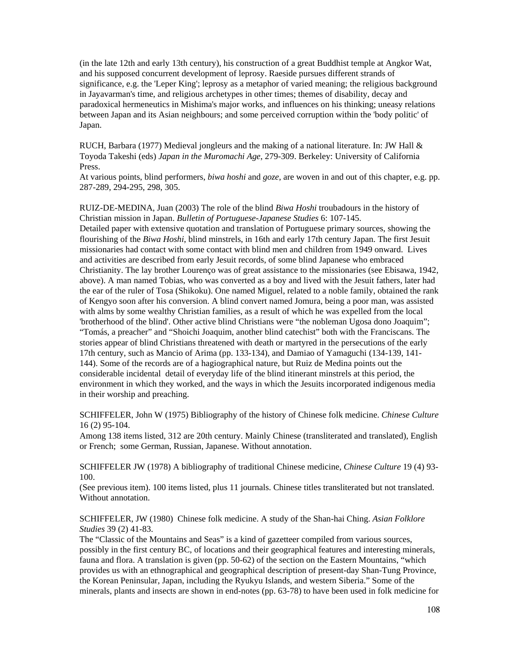(in the late 12th and early 13th century), his construction of a great Buddhist temple at Angkor Wat, and his supposed concurrent development of leprosy. Raeside pursues different strands of significance, e.g. the 'Leper King'; leprosy as a metaphor of varied meaning; the religious background in Jayavarman's time, and religious archetypes in other times; themes of disability, decay and paradoxical hermeneutics in Mishima's major works, and influences on his thinking; uneasy relations between Japan and its Asian neighbours; and some perceived corruption within the 'body politic' of Japan.

RUCH, Barbara (1977) Medieval jongleurs and the making of a national literature. In: JW Hall & Toyoda Takeshi (eds) *Japan in the Muromachi Age*, 279-309. Berkeley: University of California Press.

At various points, blind performers, *biwa hoshi* and *goze*, are woven in and out of this chapter, e.g. pp. 287-289, 294-295, 298, 305.

RUIZ-DE-MEDINA, Juan (2003) The role of the blind *Biwa Hoshi* troubadours in the history of Christian mission in Japan. *Bulletin of Portuguese-Japanese Studies* 6: 107-145.

Detailed paper with extensive quotation and translation of Portuguese primary sources, showing the flourishing of the *Biwa Hoshi*, blind minstrels, in 16th and early 17th century Japan. The first Jesuit missionaries had contact with some contact with blind men and children from 1949 onward. Lives and activities are described from early Jesuit records, of some blind Japanese who embraced Christianity. The lay brother Lourenço was of great assistance to the missionaries (see Ebisawa, 1942, above). A man named Tobias, who was converted as a boy and lived with the Jesuit fathers, later had the ear of the ruler of Tosa (Shikoku). One named Miguel, related to a noble family, obtained the rank of Kengyo soon after his conversion. A blind convert named Jomura, being a poor man, was assisted with alms by some wealthy Christian families, as a result of which he was expelled from the local 'brotherhood of the blind'. Other active blind Christians were "the nobleman Ugosa dono Joaquim"; "Tomás, a preacher" and "Shoichi Joaquim, another blind catechist" both with the Franciscans. The stories appear of blind Christians threatened with death or martyred in the persecutions of the early 17th century, such as Mancio of Arima (pp. 133-134), and Damiao of Yamaguchi (134-139, 141- 144). Some of the records are of a hagiographical nature, but Ruiz de Medina points out the considerable incidental detail of everyday life of the blind itinerant minstrels at this period, the environment in which they worked, and the ways in which the Jesuits incorporated indigenous media in their worship and preaching.

SCHIFFELER, John W (1975) Bibliography of the history of Chinese folk medicine. *Chinese Culture* 16 (2) 95-104.

Among 138 items listed, 312 are 20th century. Mainly Chinese (transliterated and translated), English or French; some German, Russian, Japanese. Without annotation.

SCHIFFELER JW (1978) A bibliography of traditional Chinese medicine, *Chinese Culture* 19 (4) 93- 100.

(See previous item). 100 items listed, plus 11 journals. Chinese titles transliterated but not translated. Without annotation.

SCHIFFELER, JW (1980) Chinese folk medicine. A study of the Shan-hai Ching. *Asian Folklore Studies* 39 (2) 41-83.

The "Classic of the Mountains and Seas" is a kind of gazetteer compiled from various sources, possibly in the first century BC, of locations and their geographical features and interesting minerals, fauna and flora. A translation is given (pp. 50-62) of the section on the Eastern Mountains, "which provides us with an ethnographical and geographical description of present-day Shan-Tung Province, the Korean Peninsular, Japan, including the Ryukyu Islands, and western Siberia." Some of the minerals, plants and insects are shown in end-notes (pp. 63-78) to have been used in folk medicine for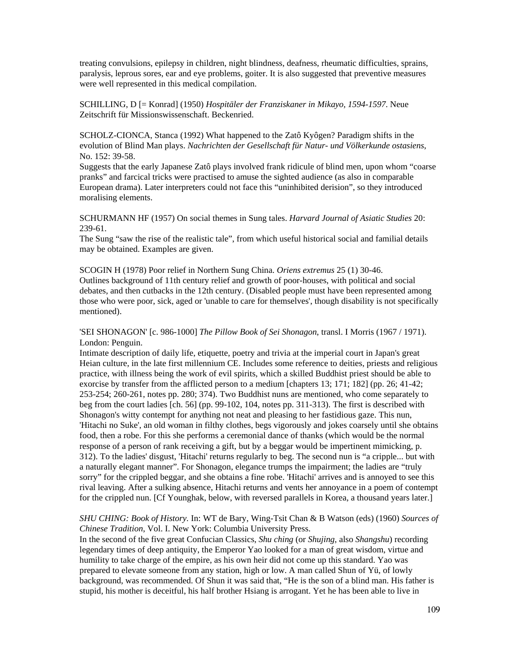treating convulsions, epilepsy in children, night blindness, deafness, rheumatic difficulties, sprains, paralysis, leprous sores, ear and eye problems, goiter. It is also suggested that preventive measures were well represented in this medical compilation.

SCHILLING, D [= Konrad] (1950) *Hospitäler der Franziskaner in Mikayo, 1594-1597*. Neue Zeitschrift für Missionswissenschaft. Beckenried.

SCHOLZ-CIONCA, Stanca (1992) What happened to the Zatô Kyôgen? Paradigm shifts in the evolution of Blind Man plays. *Nachrichten der Gesellschaft für Natur- und Völkerkunde ostasiens*, No. 152: 39-58.

Suggests that the early Japanese Zatô plays involved frank ridicule of blind men, upon whom "coarse pranks" and farcical tricks were practised to amuse the sighted audience (as also in comparable European drama). Later interpreters could not face this "uninhibited derision", so they introduced moralising elements.

SCHURMANN HF (1957) On social themes in Sung tales. *Harvard Journal of Asiatic Studies* 20: 239-61.

The Sung "saw the rise of the realistic tale", from which useful historical social and familial details may be obtained. Examples are given.

SCOGIN H (1978) Poor relief in Northern Sung China. *Oriens extremus* 25 (1) 30-46. Outlines background of 11th century relief and growth of poor-houses, with political and social debates, and then cutbacks in the 12th century. (Disabled people must have been represented among those who were poor, sick, aged or 'unable to care for themselves', though disability is not specifically mentioned).

'SEI SHONAGON' [c. 986-1000] *The Pillow Book of Sei Shonagon*, transl. I Morris (1967 / 1971). London: Penguin.

Intimate description of daily life, etiquette, poetry and trivia at the imperial court in Japan's great Heian culture, in the late first millennium CE. Includes some reference to deities, priests and religious practice, with illness being the work of evil spirits, which a skilled Buddhist priest should be able to exorcise by transfer from the afflicted person to a medium [chapters 13; 171; 182] (pp. 26; 41-42; 253-254; 260-261, notes pp. 280; 374). Two Buddhist nuns are mentioned, who come separately to beg from the court ladies [ch. 56] (pp. 99-102, 104, notes pp. 311-313). The first is described with Shonagon's witty contempt for anything not neat and pleasing to her fastidious gaze. This nun, 'Hitachi no Suke', an old woman in filthy clothes, begs vigorously and jokes coarsely until she obtains food, then a robe. For this she performs a ceremonial dance of thanks (which would be the normal response of a person of rank receiving a gift, but by a beggar would be impertinent mimicking, p. 312). To the ladies' disgust, 'Hitachi' returns regularly to beg. The second nun is "a cripple... but with a naturally elegant manner". For Shonagon, elegance trumps the impairment; the ladies are "truly sorry" for the crippled beggar, and she obtains a fine robe. 'Hitachi' arrives and is annoyed to see this rival leaving. After a sulking absence, Hitachi returns and vents her annoyance in a poem of contempt for the crippled nun. [Cf Younghak, below, with reversed parallels in Korea, a thousand years later.]

## *SHU CHING: Book of History.* In: WT de Bary, Wing-Tsit Chan & B Watson (eds) (1960) *Sources of Chinese Tradition*, Vol. I. New York: Columbia University Press.

In the second of the five great Confucian Classics, *Shu ching* (or *Shujing*, also *Shangshu*) recording legendary times of deep antiquity, the Emperor Yao looked for a man of great wisdom, virtue and humility to take charge of the empire, as his own heir did not come up this standard. Yao was prepared to elevate someone from any station, high or low. A man called Shun of Yü, of lowly background, was recommended. Of Shun it was said that, "He is the son of a blind man. His father is stupid, his mother is deceitful, his half brother Hsiang is arrogant. Yet he has been able to live in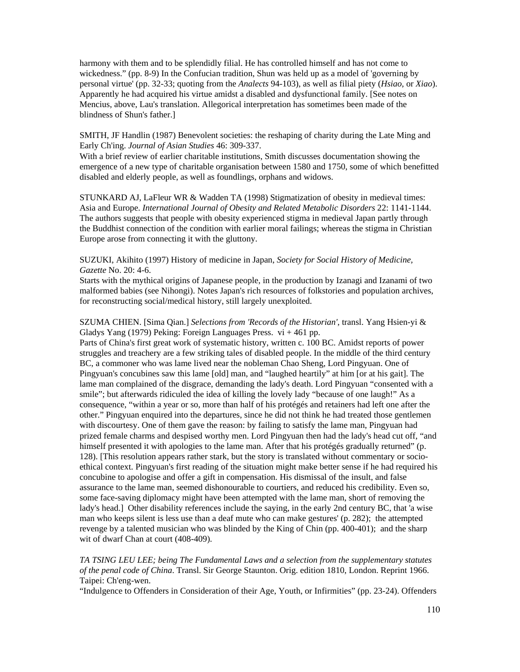harmony with them and to be splendidly filial. He has controlled himself and has not come to wickedness." (pp. 8-9) In the Confucian tradition, Shun was held up as a model of 'governing by personal virtue' (pp. 32-33; quoting from the *Analects* 94-103), as well as filial piety (*Hsiao*, or *Xiao*). Apparently he had acquired his virtue amidst a disabled and dysfunctional family. [See notes on Mencius, above, Lau's translation. Allegorical interpretation has sometimes been made of the blindness of Shun's father.]

SMITH, JF Handlin (1987) Benevolent societies: the reshaping of charity during the Late Ming and Early Ch'ing. *Journal of Asian Studies* 46: 309-337.

With a brief review of earlier charitable institutions, Smith discusses documentation showing the emergence of a new type of charitable organisation between 1580 and 1750, some of which benefitted disabled and elderly people, as well as foundlings, orphans and widows.

STUNKARD AJ, LaFleur WR & Wadden TA (1998) Stigmatization of obesity in medieval times: Asia and Europe. *International Journal of Obesity and Related Metabolic Disorders* 22: 1141-1144. The authors suggests that people with obesity experienced stigma in medieval Japan partly through the Buddhist connection of the condition with earlier moral failings; whereas the stigma in Christian Europe arose from connecting it with the gluttony.

SUZUKI, Akihito (1997) History of medicine in Japan, *Society for Social History of Medicine, Gazette* No. 20: 4-6.

Starts with the mythical origins of Japanese people, in the production by Izanagi and Izanami of two malformed babies (see Nihongi). Notes Japan's rich resources of folkstories and population archives, for reconstructing social/medical history, still largely unexploited.

## SZUMA CHIEN. [Sima Qian.] *Selections from 'Records of the Historian'*, transl. Yang Hsien-yi & Gladys Yang (1979) Peking: Foreign Languages Press.  $vi + 461$  pp.

Parts of China's first great work of systematic history, written c. 100 BC. Amidst reports of power struggles and treachery are a few striking tales of disabled people. In the middle of the third century BC, a commoner who was lame lived near the nobleman Chao Sheng, Lord Pingyuan. One of Pingyuan's concubines saw this lame [old] man, and "laughed heartily" at him [or at his gait]. The lame man complained of the disgrace, demanding the lady's death. Lord Pingyuan "consented with a smile"; but afterwards ridiculed the idea of killing the lovely lady "because of one laugh!" As a consequence, "within a year or so, more than half of his protégés and retainers had left one after the other." Pingyuan enquired into the departures, since he did not think he had treated those gentlemen with discourtesy. One of them gave the reason: by failing to satisfy the lame man, Pingyuan had prized female charms and despised worthy men. Lord Pingyuan then had the lady's head cut off, "and himself presented it with apologies to the lame man. After that his protégés gradually returned" (p. 128). [This resolution appears rather stark, but the story is translated without commentary or socioethical context. Pingyuan's first reading of the situation might make better sense if he had required his concubine to apologise and offer a gift in compensation. His dismissal of the insult, and false assurance to the lame man, seemed dishonourable to courtiers, and reduced his credibility. Even so, some face-saving diplomacy might have been attempted with the lame man, short of removing the lady's head.] Other disability references include the saying, in the early 2nd century BC, that 'a wise man who keeps silent is less use than a deaf mute who can make gestures' (p. 282); the attempted revenge by a talented musician who was blinded by the King of Chin (pp. 400-401); and the sharp wit of dwarf Chan at court (408-409).

*TA TSING LEU LEE; being The Fundamental Laws and a selection from the supplementary statutes of the penal code of China*. Transl. Sir George Staunton. Orig. edition 1810, London. Reprint 1966. Taipei: Ch'eng-wen.

"Indulgence to Offenders in Consideration of their Age, Youth, or Infirmities" (pp. 23-24). Offenders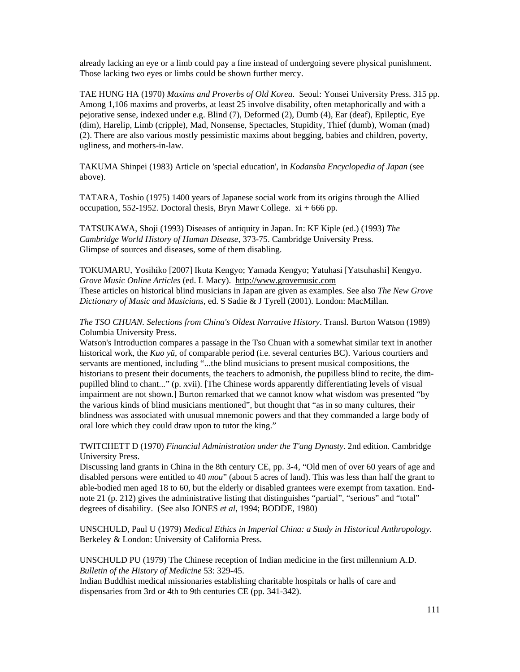already lacking an eye or a limb could pay a fine instead of undergoing severe physical punishment. Those lacking two eyes or limbs could be shown further mercy.

TAE HUNG HA (1970) *Maxims and Proverbs of Old Korea*. Seoul: Yonsei University Press. 315 pp. Among 1,106 maxims and proverbs, at least 25 involve disability, often metaphorically and with a pejorative sense, indexed under e.g. Blind (7), Deformed (2), Dumb (4), Ear (deaf), Epileptic, Eye (dim), Harelip, Limb (cripple), Mad, Nonsense, Spectacles, Stupidity, Thief (dumb), Woman (mad) (2). There are also various mostly pessimistic maxims about begging, babies and children, poverty, ugliness, and mothers-in-law.

TAKUMA Shinpei (1983) Article on 'special education', in *Kodansha Encyclopedia of Japan* (see above).

TATARA, Toshio (1975) 1400 years of Japanese social work from its origins through the Allied occupation, 552-1952. Doctoral thesis, Bryn Mawr College.  $xi + 666$  pp.

TATSUKAWA, Shoji (1993) Diseases of antiquity in Japan. In: KF Kiple (ed.) (1993) *The Cambridge World History of Human Disease*, 373-75. Cambridge University Press. Glimpse of sources and diseases, some of them disabling.

TOKUMARU, Yosihiko [2007] Ikuta Kengyo; Yamada Kengyo; Yatuhasi [Yatsuhashi] Kengyo. *Grove Music Online Articles* (ed. L Macy). http://www.grovemusic.com These articles on historical blind musicians in Japan are given as examples. See also *The New Grove Dictionary of Music and Musicians*, ed. S Sadie & J Tyrell (2001). London: MacMillan.

*The TSO CHUAN. Selections from China's Oldest Narrative History*. Transl. Burton Watson (1989) Columbia University Press.

Watson's Introduction compares a passage in the Tso Chuan with a somewhat similar text in another historical work, the *Kuo yü*, of comparable period (i.e. several centuries BC). Various courtiers and servants are mentioned, including "...the blind musicians to present musical compositions, the historians to present their documents, the teachers to admonish, the pupilless blind to recite, the dimpupilled blind to chant..." (p. xvii). [The Chinese words apparently differentiating levels of visual impairment are not shown.] Burton remarked that we cannot know what wisdom was presented "by the various kinds of blind musicians mentioned", but thought that "as in so many cultures, their blindness was associated with unusual mnemonic powers and that they commanded a large body of oral lore which they could draw upon to tutor the king."

TWITCHETT D (1970) *Financial Administration under the T'ang Dynasty*. 2nd edition. Cambridge University Press.

Discussing land grants in China in the 8th century CE, pp. 3-4, "Old men of over 60 years of age and disabled persons were entitled to 40 *mou*" (about 5 acres of land). This was less than half the grant to able-bodied men aged 18 to 60, but the elderly or disabled grantees were exempt from taxation. Endnote 21 (p. 212) gives the administrative listing that distinguishes "partial", "serious" and "total" degrees of disability. (See also JONES *et al*, 1994; BODDE, 1980)

UNSCHULD, Paul U (1979) *Medical Ethics in Imperial China: a Study in Historical Anthropology*. Berkeley & London: University of California Press.

UNSCHULD PU (1979) The Chinese reception of Indian medicine in the first millennium A.D. *Bulletin of the History of Medicine* 53: 329-45.

Indian Buddhist medical missionaries establishing charitable hospitals or halls of care and dispensaries from 3rd or 4th to 9th centuries CE (pp. 341-342).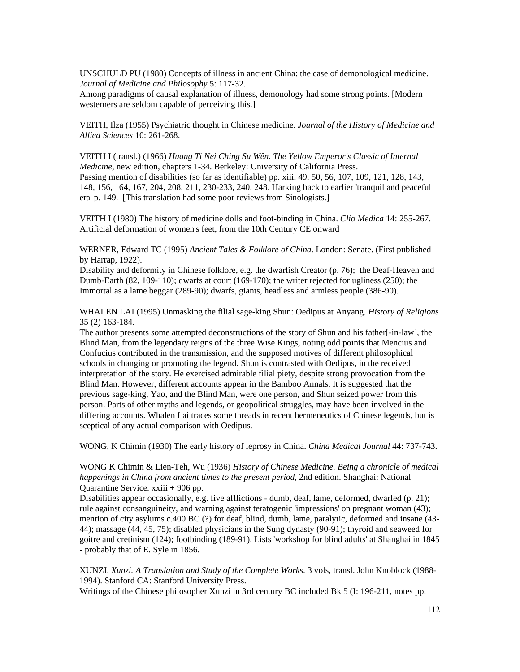UNSCHULD PU (1980) Concepts of illness in ancient China: the case of demonological medicine. *Journal of Medicine and Philosophy* 5: 117-32.

Among paradigms of causal explanation of illness, demonology had some strong points. [Modern westerners are seldom capable of perceiving this.]

VEITH, Ilza (1955) Psychiatric thought in Chinese medicine. *Journal of the History of Medicine and Allied Sciences* 10: 261-268.

VEITH I (transl.) (1966) *Huang Ti Nei Ching Su Wên. The Yellow Emperor's Classic of Internal Medicine*, new edition, chapters 1-34. Berkeley: University of California Press. Passing mention of disabilities (so far as identifiable) pp. xiii, 49, 50, 56, 107, 109, 121, 128, 143, 148, 156, 164, 167, 204, 208, 211, 230-233, 240, 248. Harking back to earlier 'tranquil and peaceful era' p. 149. [This translation had some poor reviews from Sinologists.]

VEITH I (1980) The history of medicine dolls and foot-binding in China. *Clio Medica* 14: 255-267. Artificial deformation of women's feet, from the 10th Century CE onward

WERNER, Edward TC (1995) *Ancient Tales & Folklore of China*. London: Senate. (First published by Harrap, 1922).

Disability and deformity in Chinese folklore, e.g. the dwarfish Creator (p. 76); the Deaf-Heaven and Dumb-Earth (82, 109-110); dwarfs at court (169-170); the writer rejected for ugliness (250); the Immortal as a lame beggar (289-90); dwarfs, giants, headless and armless people (386-90).

WHALEN LAI (1995) Unmasking the filial sage-king Shun: Oedipus at Anyang. *History of Religions* 35 (2) 163-184.

The author presents some attempted deconstructions of the story of Shun and his father[-in-law], the Blind Man, from the legendary reigns of the three Wise Kings, noting odd points that Mencius and Confucius contributed in the transmission, and the supposed motives of different philosophical schools in changing or promoting the legend. Shun is contrasted with Oedipus, in the received interpretation of the story. He exercised admirable filial piety, despite strong provocation from the Blind Man. However, different accounts appear in the Bamboo Annals. It is suggested that the previous sage-king, Yao, and the Blind Man, were one person, and Shun seized power from this person. Parts of other myths and legends, or geopolitical struggles, may have been involved in the differing accounts. Whalen Lai traces some threads in recent hermeneutics of Chinese legends, but is sceptical of any actual comparison with Oedipus.

WONG, K Chimin (1930) The early history of leprosy in China. *China Medical Journal* 44: 737-743.

WONG K Chimin & Lien-Teh, Wu (1936) *History of Chinese Medicine. Being a chronicle of medical happenings in China from ancient times to the present period*, 2nd edition. Shanghai: National Quarantine Service. xxiii + 906 pp.

Disabilities appear occasionally, e.g. five afflictions - dumb, deaf, lame, deformed, dwarfed (p. 21); rule against consanguineity, and warning against teratogenic 'impressions' on pregnant woman (43); mention of city asylums c.400 BC (?) for deaf, blind, dumb, lame, paralytic, deformed and insane (43- 44); massage (44, 45, 75); disabled physicians in the Sung dynasty (90-91); thyroid and seaweed for goitre and cretinism (124); footbinding (189-91). Lists 'workshop for blind adults' at Shanghai in 1845 - probably that of E. Syle in 1856.

XUNZI. *Xunzi. A Translation and Study of the Complete Works*. 3 vols, transl. John Knoblock (1988- 1994). Stanford CA: Stanford University Press.

Writings of the Chinese philosopher Xunzi in 3rd century BC included Bk 5 (I: 196-211, notes pp.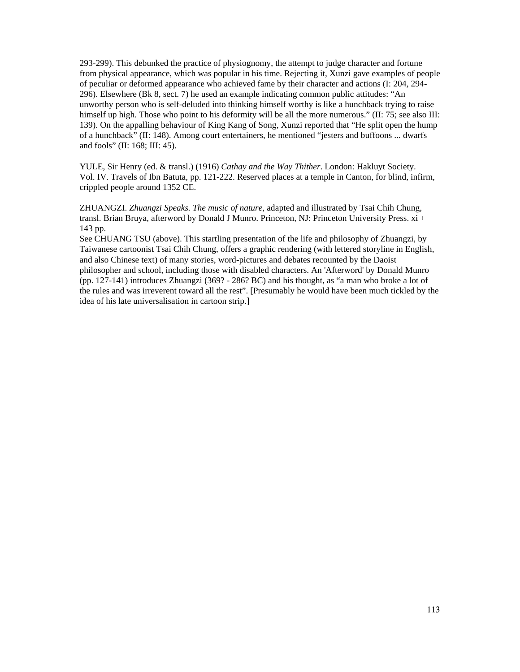293-299). This debunked the practice of physiognomy, the attempt to judge character and fortune from physical appearance, which was popular in his time. Rejecting it, Xunzi gave examples of people of peculiar or deformed appearance who achieved fame by their character and actions (I: 204, 294- 296). Elsewhere (Bk 8, sect. 7) he used an example indicating common public attitudes: "An unworthy person who is self-deluded into thinking himself worthy is like a hunchback trying to raise himself up high. Those who point to his deformity will be all the more numerous." (II: 75; see also III: 139). On the appalling behaviour of King Kang of Song, Xunzi reported that "He split open the hump of a hunchback" (II: 148). Among court entertainers, he mentioned "jesters and buffoons ... dwarfs and fools" (II: 168; III: 45).

YULE, Sir Henry (ed. & transl.) (1916) *Cathay and the Way Thither*. London: Hakluyt Society. Vol. IV. Travels of Ibn Batuta, pp. 121-222. Reserved places at a temple in Canton, for blind, infirm, crippled people around 1352 CE.

ZHUANGZI. *Zhuangzi Speaks. The music of nature*, adapted and illustrated by Tsai Chih Chung, transl. Brian Bruya, afterword by Donald J Munro. Princeton, NJ: Princeton University Press. xi + 143 pp.

See CHUANG TSU (above). This startling presentation of the life and philosophy of Zhuangzi, by Taiwanese cartoonist Tsai Chih Chung, offers a graphic rendering (with lettered storyline in English, and also Chinese text) of many stories, word-pictures and debates recounted by the Daoist philosopher and school, including those with disabled characters. An 'Afterword' by Donald Munro (pp. 127-141) introduces Zhuangzi (369? - 286? BC) and his thought, as "a man who broke a lot of the rules and was irreverent toward all the rest". [Presumably he would have been much tickled by the idea of his late universalisation in cartoon strip.]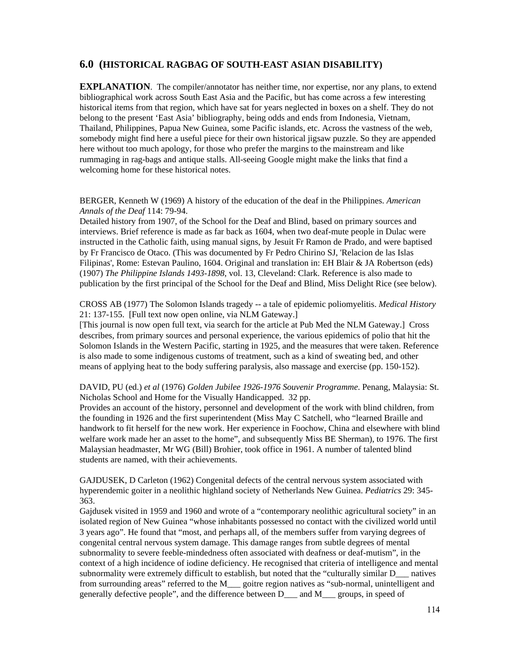# **6.0 (HISTORICAL RAGBAG OF SOUTH-EAST ASIAN DISABILITY)**

**EXPLANATION.** The compiler/annotator has neither time, nor expertise, nor any plans, to extend bibliographical work across South East Asia and the Pacific, but has come across a few interesting historical items from that region, which have sat for years neglected in boxes on a shelf. They do not belong to the present 'East Asia' bibliography, being odds and ends from Indonesia, Vietnam, Thailand, Philippines, Papua New Guinea, some Pacific islands, etc. Across the vastness of the web, somebody might find here a useful piece for their own historical jigsaw puzzle. So they are appended here without too much apology, for those who prefer the margins to the mainstream and like rummaging in rag-bags and antique stalls. All-seeing Google might make the links that find a welcoming home for these historical notes.

BERGER, Kenneth W (1969) A history of the education of the deaf in the Philippines. *American Annals of the Deaf* 114: 79-94.

Detailed history from 1907, of the School for the Deaf and Blind, based on primary sources and interviews. Brief reference is made as far back as 1604, when two deaf-mute people in Dulac were instructed in the Catholic faith, using manual signs, by Jesuit Fr Ramon de Prado, and were baptised by Fr Francisco de Otaco. (This was documented by Fr Pedro Chirino SJ, 'Relacion de las Islas Filipinas', Rome: Estevan Paulino, 1604. Original and translation in: EH Blair & JA Robertson (eds) (1907) *The Philippine Islands 1493-1898*, vol. 13, Cleveland: Clark. Reference is also made to publication by the first principal of the School for the Deaf and Blind, Miss Delight Rice (see below).

CROSS AB (1977) The Solomon Islands tragedy -- a tale of epidemic poliomyelitis. *Medical History* 21: 137-155. [Full text now open online, via NLM Gateway.]

[This journal is now open full text, via search for the article at Pub Med the NLM Gateway.] Cross describes, from primary sources and personal experience, the various epidemics of polio that hit the Solomon Islands in the Western Pacific, starting in 1925, and the measures that were taken. Reference is also made to some indigenous customs of treatment, such as a kind of sweating bed, and other means of applying heat to the body suffering paralysis, also massage and exercise (pp. 150-152).

DAVID, PU (ed.) *et al* (1976) *Golden Jubilee 1926-1976 Souvenir Programme*. Penang, Malaysia: St. Nicholas School and Home for the Visually Handicapped. 32 pp.

Provides an account of the history, personnel and development of the work with blind children, from the founding in 1926 and the first superintendent (Miss May C Satchell, who "learned Braille and handwork to fit herself for the new work. Her experience in Foochow, China and elsewhere with blind welfare work made her an asset to the home", and subsequently Miss BE Sherman), to 1976. The first Malaysian headmaster, Mr WG (Bill) Brohier, took office in 1961. A number of talented blind students are named, with their achievements.

GAJDUSEK, D Carleton (1962) Congenital defects of the central nervous system associated with hyperendemic goiter in a neolithic highland society of Netherlands New Guinea. *Pediatrics* 29: 345- 363.

Gajdusek visited in 1959 and 1960 and wrote of a "contemporary neolithic agricultural society" in an isolated region of New Guinea "whose inhabitants possessed no contact with the civilized world until 3 years ago". He found that "most, and perhaps all, of the members suffer from varying degrees of congenital central nervous system damage. This damage ranges from subtle degrees of mental subnormality to severe feeble-mindedness often associated with deafness or deaf-mutism", in the context of a high incidence of iodine deficiency. He recognised that criteria of intelligence and mental subnormality were extremely difficult to establish, but noted that the "culturally similar D\_\_\_ natives from surrounding areas" referred to the M\_\_\_ goitre region natives as "sub-normal, unintelligent and generally defective people", and the difference between D\_\_\_ and M\_\_\_ groups, in speed of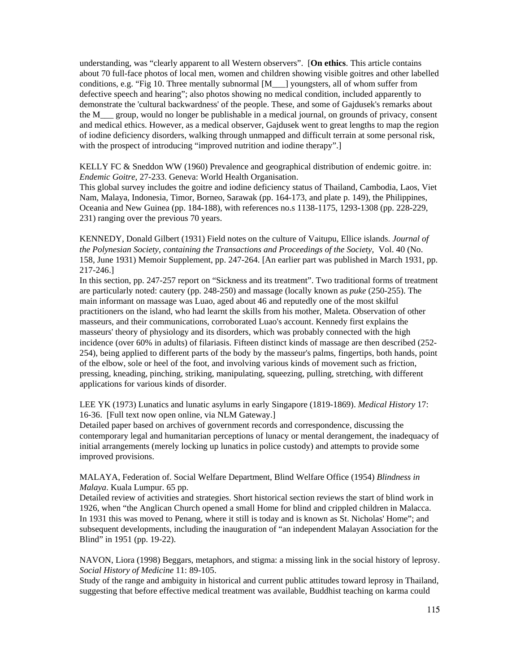understanding, was "clearly apparent to all Western observers". [**On ethics**. This article contains about 70 full-face photos of local men, women and children showing visible goitres and other labelled conditions, e.g. "Fig 10. Three mentally subnormal [M\_\_\_] youngsters, all of whom suffer from defective speech and hearing"; also photos showing no medical condition, included apparently to demonstrate the 'cultural backwardness' of the people. These, and some of Gajdusek's remarks about the M\_\_\_ group, would no longer be publishable in a medical journal, on grounds of privacy, consent and medical ethics. However, as a medical observer, Gajdusek went to great lengths to map the region of iodine deficiency disorders, walking through unmapped and difficult terrain at some personal risk, with the prospect of introducing "improved nutrition and iodine therapy".

KELLY FC & Sneddon WW (1960) Prevalence and geographical distribution of endemic goitre. in: *Endemic Goitre*, 27-233. Geneva: World Health Organisation.

This global survey includes the goitre and iodine deficiency status of Thailand, Cambodia, Laos, Viet Nam, Malaya, Indonesia, Timor, Borneo, Sarawak (pp. 164-173, and plate p. 149), the Philippines, Oceania and New Guinea (pp. 184-188), with references no.s 1138-1175, 1293-1308 (pp. 228-229, 231) ranging over the previous 70 years.

KENNEDY, Donald Gilbert (1931) Field notes on the culture of Vaitupu, Ellice islands. *Journal of the Polynesian Society, containing the Transactions and Proceedings of the Society*, Vol. 40 (No. 158, June 1931) Memoir Supplement, pp. 247-264. [An earlier part was published in March 1931, pp. 217-246.]

In this section, pp. 247-257 report on "Sickness and its treatment". Two traditional forms of treatment are particularly noted: cautery (pp. 248-250) and massage (locally known as *puke* (250-255). The main informant on massage was Luao, aged about 46 and reputedly one of the most skilful practitioners on the island, who had learnt the skills from his mother, Maleta. Observation of other masseurs, and their communications, corroborated Luao's account. Kennedy first explains the masseurs' theory of physiology and its disorders, which was probably connected with the high incidence (over 60% in adults) of filariasis. Fifteen distinct kinds of massage are then described (252- 254), being applied to different parts of the body by the masseur's palms, fingertips, both hands, point of the elbow, sole or heel of the foot, and involving various kinds of movement such as friction, pressing, kneading, pinching, striking, manipulating, squeezing, pulling, stretching, with different applications for various kinds of disorder.

LEE YK (1973) Lunatics and lunatic asylums in early Singapore (1819-1869). *Medical History* 17: 16-36. [Full text now open online, via NLM Gateway.]

Detailed paper based on archives of government records and correspondence, discussing the contemporary legal and humanitarian perceptions of lunacy or mental derangement, the inadequacy of initial arrangements (merely locking up lunatics in police custody) and attempts to provide some improved provisions.

MALAYA, Federation of. Social Welfare Department, Blind Welfare Office (1954) *Blindness in Malaya*. Kuala Lumpur. 65 pp.

Detailed review of activities and strategies. Short historical section reviews the start of blind work in 1926, when "the Anglican Church opened a small Home for blind and crippled children in Malacca. In 1931 this was moved to Penang, where it still is today and is known as St. Nicholas' Home"; and subsequent developments, including the inauguration of "an independent Malayan Association for the Blind" in 1951 (pp. 19-22).

NAVON, Liora (1998) Beggars, metaphors, and stigma: a missing link in the social history of leprosy. *Social History of Medicine* 11: 89-105.

Study of the range and ambiguity in historical and current public attitudes toward leprosy in Thailand, suggesting that before effective medical treatment was available, Buddhist teaching on karma could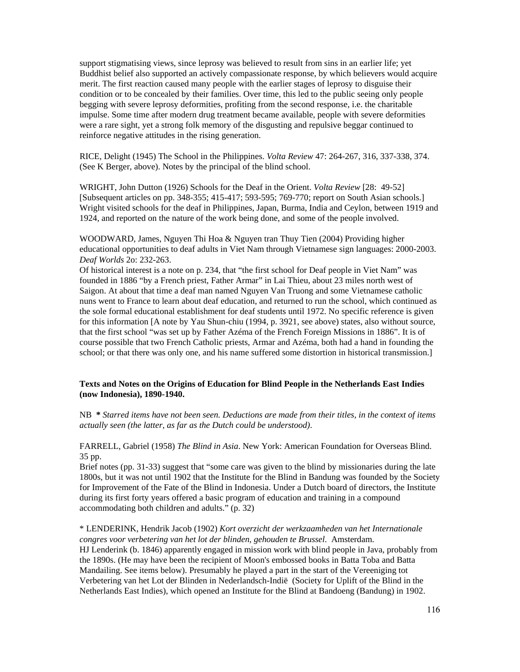support stigmatising views, since leprosy was believed to result from sins in an earlier life; yet Buddhist belief also supported an actively compassionate response, by which believers would acquire merit. The first reaction caused many people with the earlier stages of leprosy to disguise their condition or to be concealed by their families. Over time, this led to the public seeing only people begging with severe leprosy deformities, profiting from the second response, i.e. the charitable impulse. Some time after modern drug treatment became available, people with severe deformities were a rare sight, yet a strong folk memory of the disgusting and repulsive beggar continued to reinforce negative attitudes in the rising generation.

RICE, Delight (1945) The School in the Philippines. *Volta Review* 47: 264-267, 316, 337-338, 374. (See K Berger, above). Notes by the principal of the blind school.

WRIGHT, John Dutton (1926) Schools for the Deaf in the Orient. *Volta Review* [28: 49-52] [Subsequent articles on pp. 348-355; 415-417; 593-595; 769-770; report on South Asian schools.] Wright visited schools for the deaf in Philippines, Japan, Burma, India and Ceylon, between 1919 and 1924, and reported on the nature of the work being done, and some of the people involved.

WOODWARD, James, Nguyen Thi Hoa & Nguyen tran Thuy Tien (2004) Providing higher educational opportunities to deaf adults in Viet Nam through Vietnamese sign languages: 2000-2003. *Deaf Worlds* 2o: 232-263.

Of historical interest is a note on p. 234, that "the first school for Deaf people in Viet Nam" was founded in 1886 "by a French priest, Father Armar" in Lai Thieu, about 23 miles north west of Saigon. At about that time a deaf man named Nguyen Van Truong and some Vietnamese catholic nuns went to France to learn about deaf education, and returned to run the school, which continued as the sole formal educational establishment for deaf students until 1972. No specific reference is given for this information [A note by Yau Shun-chiu (1994, p. 3921, see above) states, also without source, that the first school "was set up by Father Azéma of the French Foreign Missions in 1886". It is of course possible that two French Catholic priests, Armar and Azéma, both had a hand in founding the school; or that there was only one, and his name suffered some distortion in historical transmission.]

### **Texts and Notes on the Origins of Education for Blind People in the Netherlands East Indies (now Indonesia), 1890-1940.**

NB **\*** *Starred items have not been seen. Deductions are made from their titles, in the context of items actually seen (the latter, as far as the Dutch could be understood)*.

FARRELL, Gabriel (1958) *The Blind in Asia*. New York: American Foundation for Overseas Blind. 35 pp.

Brief notes (pp. 31-33) suggest that "some care was given to the blind by missionaries during the late 1800s, but it was not until 1902 that the Institute for the Blind in Bandung was founded by the Society for Improvement of the Fate of the Blind in Indonesia. Under a Dutch board of directors, the Institute during its first forty years offered a basic program of education and training in a compound accommodating both children and adults." (p. 32)

#### \* LENDERINK, Hendrik Jacob (1902) *Kort overzicht der werkzaamheden van het Internationale congres voor verbetering van het lot der blinden, gehouden te Brussel*. Amsterdam.

HJ Lenderink (b. 1846) apparently engaged in mission work with blind people in Java, probably from the 1890s. (He may have been the recipient of Moon's embossed books in Batta Toba and Batta Mandailing. See items below). Presumably he played a part in the start of the Vereeniging tot Verbetering van het Lot der Blinden in Nederlandsch-Indië (Society for Uplift of the Blind in the Netherlands East Indies), which opened an Institute for the Blind at Bandoeng (Bandung) in 1902.